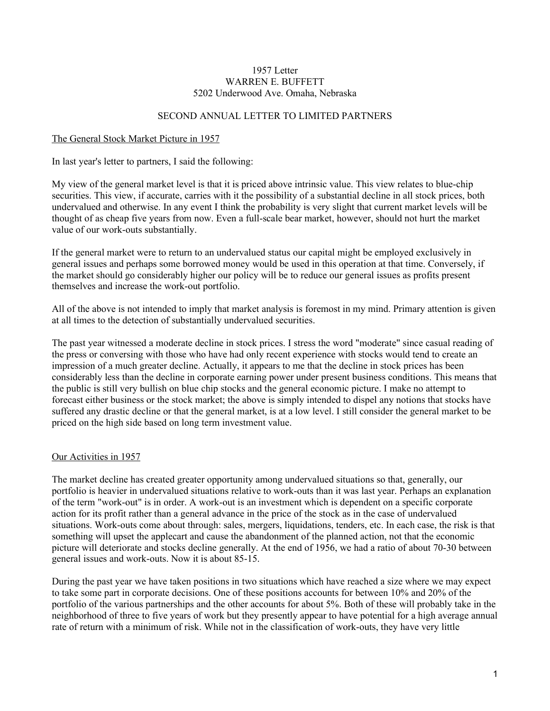#### 1957 Letter WARREN E. BUFFETT 5202 Underwood Ave. Omaha, Nebraska

## SECOND ANNUAL LETTER TO LIMITED PARTNERS

#### The General Stock Market Picture in 1957

In last year's letter to partners, I said the following:

My view of the general market level is that it is priced above intrinsic value. This view relates to blue-chip securities. This view, if accurate, carries with it the possibility of a substantial decline in all stock prices, both undervalued and otherwise. In any event I think the probability is very slight that current market levels will be thought of as cheap five years from now. Even a full-scale bear market, however, should not hurt the market value of our work-outs substantially.

If the general market were to return to an undervalued status our capital might be employed exclusively in general issues and perhaps some borrowed money would be used in this operation at that time. Conversely, if the market should go considerably higher our policy will be to reduce our general issues as profits present themselves and increase the work-out portfolio.

All of the above is not intended to imply that market analysis is foremost in my mind. Primary attention is given at all times to the detection of substantially undervalued securities.

The past year witnessed a moderate decline in stock prices. I stress the word "moderate" since casual reading of the press or conversing with those who have had only recent experience with stocks would tend to create an impression of a much greater decline. Actually, it appears to me that the decline in stock prices has been considerably less than the decline in corporate earning power under present business conditions. This means that the public is still very bullish on blue chip stocks and the general economic picture. I make no attempt to forecast either business or the stock market; the above is simply intended to dispel any notions that stocks have suffered any drastic decline or that the general market, is at a low level. I still consider the general market to be priced on the high side based on long term investment value.

### Our Activities in 1957

The market decline has created greater opportunity among undervalued situations so that, generally, our portfolio is heavier in undervalued situations relative to work-outs than it was last year. Perhaps an explanation of the term "work-out" is in order. A work-out is an investment which is dependent on a specific corporate action for its profit rather than a general advance in the price of the stock as in the case of undervalued situations. Work-outs come about through: sales, mergers, liquidations, tenders, etc. In each case, the risk is that something will upset the applecart and cause the abandonment of the planned action, not that the economic picture will deteriorate and stocks decline generally. At the end of 1956, we had a ratio of about 70-30 between general issues and work-outs. Now it is about 85-15.

During the past year we have taken positions in two situations which have reached a size where we may expect to take some part in corporate decisions. One of these positions accounts for between 10% and 20% of the portfolio of the various partnerships and the other accounts for about 5%. Both of these will probably take in the neighborhood of three to five years of work but they presently appear to have potential for a high average annual rate of return with a minimum of risk. While not in the classification of work-outs, they have very little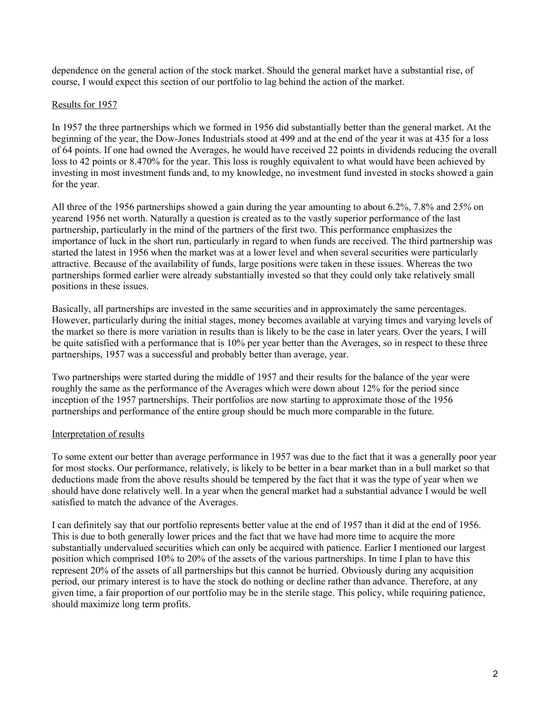dependence on the general action of the stock market. Should the general market have a substantial rise, of course, I would expect this section of our portfolio to lag behind the action of the market.

### Results for 1957

In 1957 the three partnerships which we formed in 1956 did substantially better than the general market. At the beginning of the year, the Dow-Jones Industrials stood at 499 and at the end of the year it was at 435 for a loss of 64 points. If one had owned the Averages, he would have received 22 points in dividends reducing the overall loss to 42 points or 8.470% for the year. This loss is roughly equivalent to what would have been achieved by investing in most investment funds and, to my knowledge, no investment fund invested in stocks showed a gain for the year.

All three of the 1956 partnerships showed a gain during the year amounting to about 6.2%, 7.8% and 2*5%* on yearend 1956 net worth. Naturally a question is created as to the vastly superior performance of the last partnership, particularly in the mind of the partners of the first two. This performance emphasizes the importance of luck in the short run, particularly in regard to when funds are received. The third partnership was started the latest in 1956 when the market was at a lower level and when several securities were particularly attractive. Because of the availability of funds, large positions were taken in these issues. Whereas the two partnerships formed earlier were already substantially invested so that they could only take relatively small positions in these issues.

Basically, all partnerships are invested in the same securities and in approximately the same percentages. However, particularly during the initial stages, money becomes available at varying times and varying levels of the market so there is more variation in results than is likely to be the case in later years. Over the years, I will be quite satisfied with a performance that is 10% per year better than the Averages, so in respect to these three partnerships, 1957 was a successful and probably better than average, year.

Two partnerships were started during the middle of 1957 and their results for the balance of the year were roughly the same as the performance of the Averages which were down about 12% for the period since inception of the 1957 partnerships. Their portfolios are now starting to approximate those of the 1956 partnerships and performance of the entire group should be much more comparable in the future.

### Interpretation of results

To some extent our better than average performance in 1957 was due to the fact that it was a generally poor year for most stocks. Our performance, relatively, is likely to be better in a bear market than in a bull market so that deductions made from the above results should be tempered by the fact that it was the type of year when we should have done relatively well. In a year when the general market had a substantial advance I would be well satisfied to match the advance of the Averages.

I can definitely say that our portfolio represents better value at the end of 1957 than it did at the end of 1956. This is due to both generally lower prices and the fact that we have had more time to acquire the more substantially undervalued securities which can only be acquired with patience. Earlier I mentioned our largest position which comprised 10% to 20% of the assets of the various partnerships. In time I plan to have this represent 20% of the assets of all partnerships but this cannot be hurried. Obviously during any acquisition period, our primary interest is to have the stock do nothing or decline rather than advance. Therefore, at any given time, a fair proportion of our portfolio may be in the sterile stage. This policy, while requiring patience, should maximize long term profits.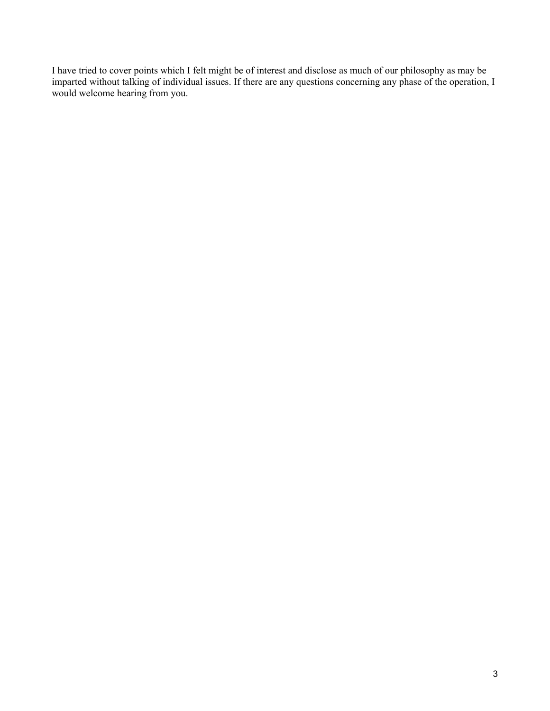I have tried to cover points which I felt might be of interest and disclose as much of our philosophy as may be imparted without talking of individual issues. If there are any questions concerning any phase of the operation, I would welcome hearing from you.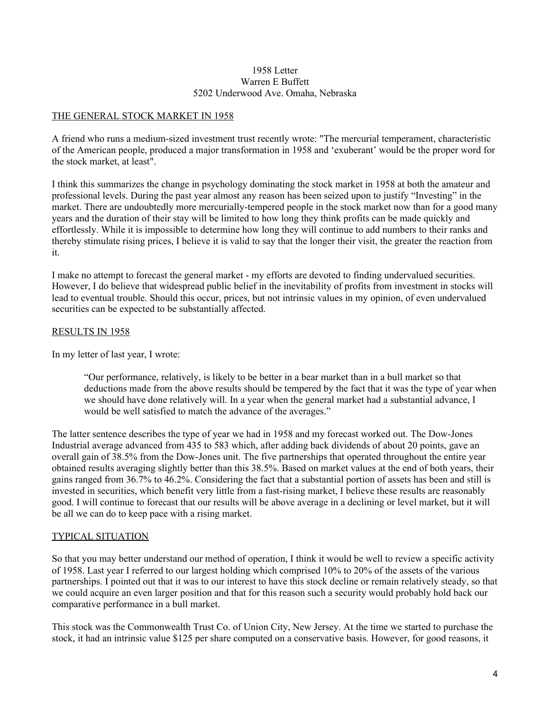#### 1958 Letter Warren E Buffett 5202 Underwood Ave. Omaha, Nebraska

### THE GENERAL STOCK MARKET IN 1958

A friend who runs a medium-sized investment trust recently wrote: "The mercurial temperament, characteristic of the American people, produced a major transformation in 1958 and 'exuberant' would be the proper word for the stock market, at least".

I think this summarizes the change in psychology dominating the stock market in 1958 at both the amateur and professional levels. During the past year almost any reason has been seized upon to justify "Investing" in the market. There are undoubtedly more mercurially-tempered people in the stock market now than for a good many years and the duration of their stay will be limited to how long they think profits can be made quickly and effortlessly. While it is impossible to determine how long they will continue to add numbers to their ranks and thereby stimulate rising prices, I believe it is valid to say that the longer their visit, the greater the reaction from it.

I make no attempt to forecast the general market - my efforts are devoted to finding undervalued securities. However, I do believe that widespread public belief in the inevitability of profits from investment in stocks will lead to eventual trouble. Should this occur, prices, but not intrinsic values in my opinion, of even undervalued securities can be expected to be substantially affected.

### RESULTS IN 1958

In my letter of last year, I wrote:

"Our performance, relatively, is likely to be better in a bear market than in a bull market so that deductions made from the above results should be tempered by the fact that it was the type of year when we should have done relatively will. In a year when the general market had a substantial advance, I would be well satisfied to match the advance of the averages."

The latter sentence describes the type of year we had in 1958 and my forecast worked out. The Dow-Jones Industrial average advanced from 435 to 583 which, after adding back dividends of about 20 points, gave an overall gain of 38.5% from the Dow-Jones unit. The five partnerships that operated throughout the entire year obtained results averaging slightly better than this 38.5%. Based on market values at the end of both years, their gains ranged from 36.7% to 46.2%. Considering the fact that a substantial portion of assets has been and still is invested in securities, which benefit very little from a fast-rising market, I believe these results are reasonably good. I will continue to forecast that our results will be above average in a declining or level market, but it will be all we can do to keep pace with a rising market.

### TYPICAL SITUATION

So that you may better understand our method of operation, I think it would be well to review a specific activity of 1958. Last year I referred to our largest holding which comprised 10% to 20% of the assets of the various partnerships. I pointed out that it was to our interest to have this stock decline or remain relatively steady, so that we could acquire an even larger position and that for this reason such a security would probably hold back our comparative performance in a bull market.

This stock was the Commonwealth Trust Co. of Union City, New Jersey. At the time we started to purchase the stock, it had an intrinsic value \$125 per share computed on a conservative basis. However, for good reasons, it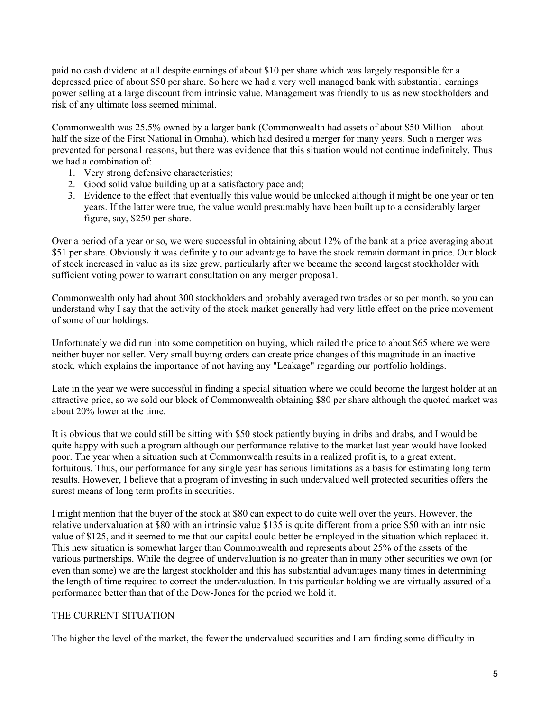paid no cash dividend at all despite earnings of about \$10 per share which was largely responsible for a depressed price of about \$50 per share. So here we had a very well managed bank with substantia1 earnings power selling at a large discount from intrinsic value. Management was friendly to us as new stockholders and risk of any ultimate loss seemed minimal.

Commonwealth was 25.5% owned by a larger bank (Commonwealth had assets of about \$50 Million – about half the size of the First National in Omaha), which had desired a merger for many years. Such a merger was prevented for persona1 reasons, but there was evidence that this situation would not continue indefinitely. Thus we had a combination of:

- 1. Very strong defensive characteristics;
- 2. Good solid value building up at a satisfactory pace and;
- 3. Evidence to the effect that eventually this value would be unlocked although it might be one year or ten years. If the latter were true, the value would presumably have been built up to a considerably larger figure, say, \$250 per share.

Over a period of a year or so, we were successful in obtaining about 12% of the bank at a price averaging about \$51 per share. Obviously it was definitely to our advantage to have the stock remain dormant in price. Our block of stock increased in value as its size grew, particularly after we became the second largest stockholder with sufficient voting power to warrant consultation on any merger proposa1.

Commonwealth only had about 300 stockholders and probably averaged two trades or so per month, so you can understand why I say that the activity of the stock market generally had very little effect on the price movement of some of our holdings.

Unfortunately we did run into some competition on buying, which railed the price to about \$65 where we were neither buyer nor seller. Very small buying orders can create price changes of this magnitude in an inactive stock, which explains the importance of not having any "Leakage" regarding our portfolio holdings.

Late in the year we were successful in finding a special situation where we could become the largest holder at an attractive price, so we sold our block of Commonwealth obtaining \$80 per share although the quoted market was about 20% lower at the time.

It is obvious that we could still be sitting with \$50 stock patiently buying in dribs and drabs, and I would be quite happy with such a program although our performance relative to the market last year would have looked poor. The year when a situation such at Commonwealth results in a realized profit is, to a great extent, fortuitous. Thus, our performance for any single year has serious limitations as a basis for estimating long term results. However, I believe that a program of investing in such undervalued well protected securities offers the surest means of long term profits in securities.

I might mention that the buyer of the stock at \$80 can expect to do quite well over the years. However, the relative undervaluation at \$80 with an intrinsic value \$135 is quite different from a price \$50 with an intrinsic value of \$125, and it seemed to me that our capital could better be employed in the situation which replaced it. This new situation is somewhat larger than Commonwealth and represents about 25% of the assets of the various partnerships. While the degree of undervaluation is no greater than in many other securities we own (or even than some) we are the largest stockholder and this has substantial advantages many times in determining the length of time required to correct the undervaluation. In this particular holding we are virtually assured of a performance better than that of the Dow-Jones for the period we hold it.

### THE CURRENT SITUATION

The higher the level of the market, the fewer the undervalued securities and I am finding some difficulty in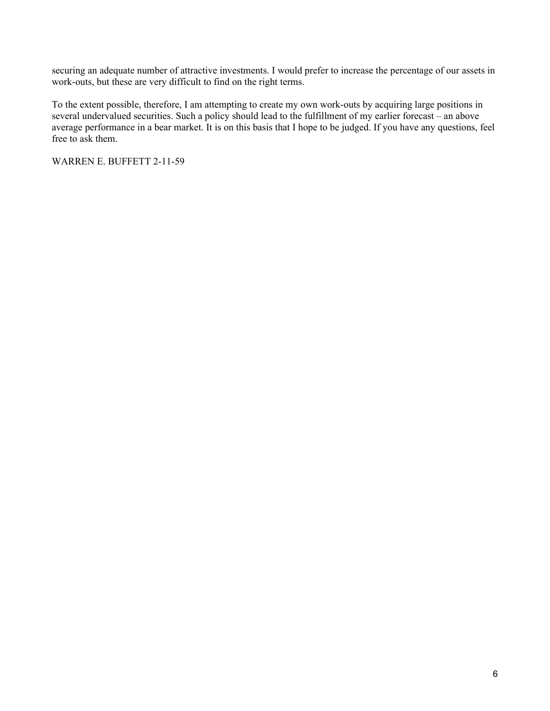securing an adequate number of attractive investments. I would prefer to increase the percentage of our assets in work-outs, but these are very difficult to find on the right terms.

To the extent possible, therefore, I am attempting to create my own work-outs by acquiring large positions in several undervalued securities. Such a policy should lead to the fulfillment of my earlier forecast – an above average performance in a bear market. It is on this basis that I hope to be judged. If you have any questions, feel free to ask them.

WARREN E. BUFFETT 2-11-59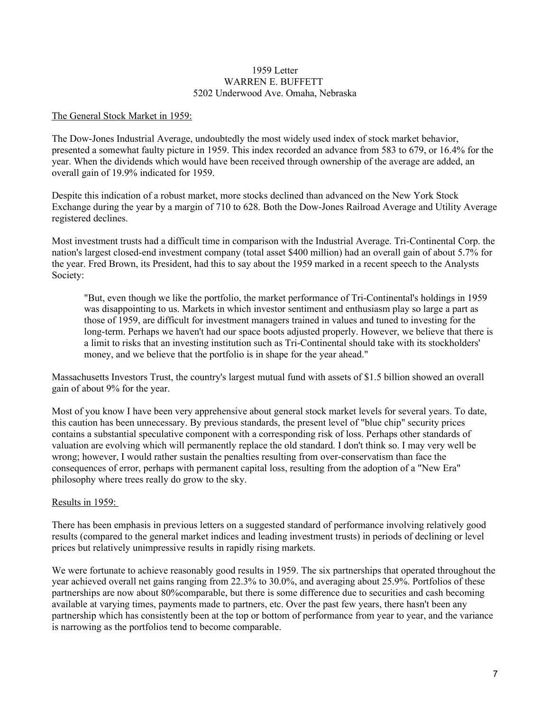#### 1959 Letter WARREN E. BUFFETT 5202 Underwood Ave. Omaha, Nebraska

### The General Stock Market in 1959:

The Dow-Jones Industrial Average, undoubtedly the most widely used index of stock market behavior, presented a somewhat faulty picture in 1959. This index recorded an advance from 583 to 679, or 16.4% for the year. When the dividends which would have been received through ownership of the average are added, an overall gain of 19.9% indicated for 1959.

Despite this indication of a robust market, more stocks declined than advanced on the New York Stock Exchange during the year by a margin of 710 to 628. Both the Dow-Jones Railroad Average and Utility Average registered declines.

Most investment trusts had a difficult time in comparison with the Industrial Average. Tri-Continental Corp. the nation's largest closed-end investment company (total asset \$400 million) had an overall gain of about 5.7% for the year. Fred Brown, its President, had this to say about the 1959 marked in a recent speech to the Analysts Society:

"But, even though we like the portfolio, the market performance of Tri-Continental's holdings in 1959 was disappointing to us. Markets in which investor sentiment and enthusiasm play so large a part as those of 1959, are difficult for investment managers trained in values and tuned to investing for the long-term. Perhaps we haven't had our space boots adjusted properly. However, we believe that there is a limit to risks that an investing institution such as Tri-Continental should take with its stockholders' money, and we believe that the portfolio is in shape for the year ahead."

Massachusetts Investors Trust, the country's largest mutual fund with assets of \$1.5 billion showed an overall gain of about 9% for the year.

Most of you know I have been very apprehensive about general stock market levels for several years. To date, this caution has been unnecessary. By previous standards, the present level of "blue chip" security prices contains a substantial speculative component with a corresponding risk of loss. Perhaps other standards of valuation are evolving which will permanently replace the old standard. I don't think so. I may very well be wrong; however, I would rather sustain the penalties resulting from over-conservatism than face the consequences of error, perhaps with permanent capital loss, resulting from the adoption of a "New Era" philosophy where trees really do grow to the sky.

### Results in 1959:

There has been emphasis in previous letters on a suggested standard of performance involving relatively good results (compared to the general market indices and leading investment trusts) in periods of declining or level prices but relatively unimpressive results in rapidly rising markets.

We were fortunate to achieve reasonably good results in 1959. The six partnerships that operated throughout the year achieved overall net gains ranging from 22.3% to 30.0%, and averaging about 25.9%. Portfolios of these partnerships are now about 80%comparable, but there is some difference due to securities and cash becoming available at varying times, payments made to partners, etc. Over the past few years, there hasn't been any partnership which has consistently been at the top or bottom of performance from year to year, and the variance is narrowing as the portfolios tend to become comparable.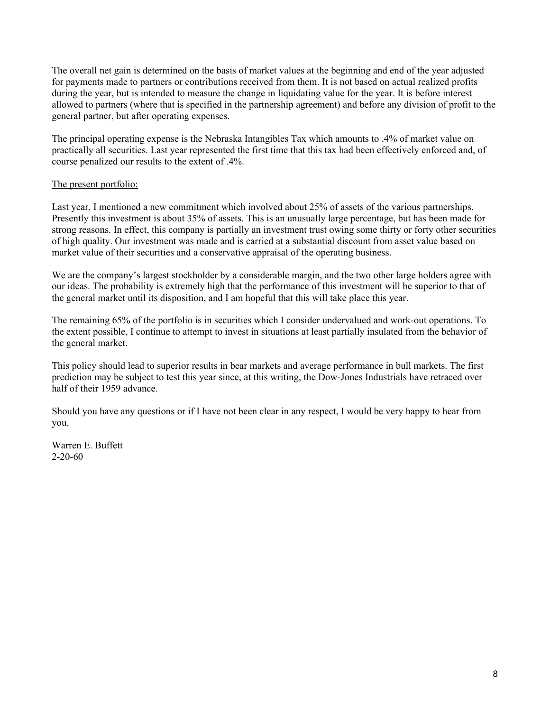The overall net gain is determined on the basis of market values at the beginning and end of the year adjusted for payments made to partners or contributions received from them. It is not based on actual realized profits during the year, but is intended to measure the change in liquidating value for the year. It is before interest allowed to partners (where that is specified in the partnership agreement) and before any division of profit to the general partner, but after operating expenses.

The principal operating expense is the Nebraska Intangibles Tax which amounts to .4% of market value on practically all securities. Last year represented the first time that this tax had been effectively enforced and, of course penalized our results to the extent of .4%.

### The present portfolio:

Last year, I mentioned a new commitment which involved about 25% of assets of the various partnerships. Presently this investment is about 35% of assets. This is an unusually large percentage, but has been made for strong reasons. In effect, this company is partially an investment trust owing some thirty or forty other securities of high quality. Our investment was made and is carried at a substantial discount from asset value based on market value of their securities and a conservative appraisal of the operating business.

We are the company's largest stockholder by a considerable margin, and the two other large holders agree with our ideas. The probability is extremely high that the performance of this investment will be superior to that of the general market until its disposition, and I am hopeful that this will take place this year.

The remaining 65% of the portfolio is in securities which I consider undervalued and work-out operations. To the extent possible, I continue to attempt to invest in situations at least partially insulated from the behavior of the general market.

This policy should lead to superior results in bear markets and average performance in bull markets. The first prediction may be subject to test this year since, at this writing, the Dow-Jones Industrials have retraced over half of their 1959 advance.

Should you have any questions or if I have not been clear in any respect, I would be very happy to hear from you.

Warren E. Buffett 2-20-60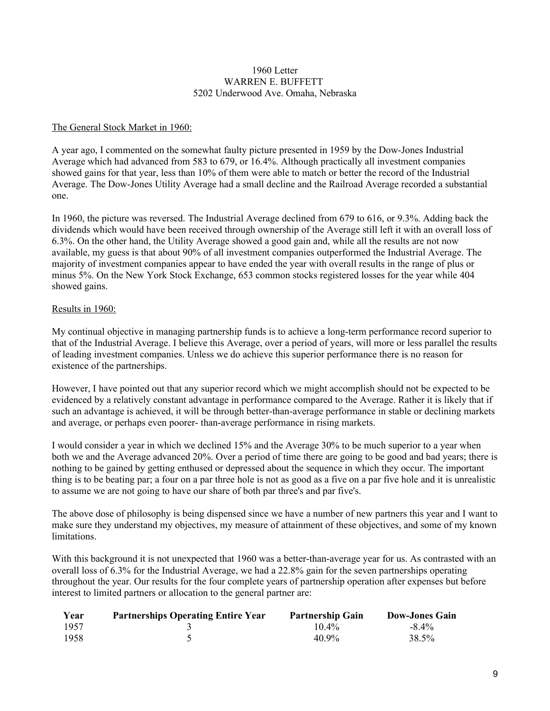#### 1960 Letter WARREN E. BUFFETT 5202 Underwood Ave. Omaha, Nebraska

#### The General Stock Market in 1960:

A year ago, I commented on the somewhat faulty picture presented in 1959 by the Dow-Jones Industrial Average which had advanced from 583 to 679, or 16.4%. Although practically all investment companies showed gains for that year, less than 10% of them were able to match or better the record of the Industrial Average. The Dow-Jones Utility Average had a small decline and the Railroad Average recorded a substantial one.

In 1960, the picture was reversed. The Industrial Average declined from 679 to 616, or 9.3%. Adding back the dividends which would have been received through ownership of the Average still left it with an overall loss of 6.3%. On the other hand, the Utility Average showed a good gain and, while all the results are not now available, my guess is that about 90% of all investment companies outperformed the Industrial Average. The majority of investment companies appear to have ended the year with overall results in the range of plus or minus 5%. On the New York Stock Exchange, 653 common stocks registered losses for the year while 404 showed gains.

### Results in 1960:

My continual objective in managing partnership funds is to achieve a long-term performance record superior to that of the Industrial Average. I believe this Average, over a period of years, will more or less parallel the results of leading investment companies. Unless we do achieve this superior performance there is no reason for existence of the partnerships.

However, I have pointed out that any superior record which we might accomplish should not be expected to be evidenced by a relatively constant advantage in performance compared to the Average. Rather it is likely that if such an advantage is achieved, it will be through better-than-average performance in stable or declining markets and average, or perhaps even poorer- than-average performance in rising markets.

I would consider a year in which we declined 15% and the Average 30% to be much superior to a year when both we and the Average advanced 20%. Over a period of time there are going to be good and bad years; there is nothing to be gained by getting enthused or depressed about the sequence in which they occur. The important thing is to be beating par; a four on a par three hole is not as good as a five on a par five hole and it is unrealistic to assume we are not going to have our share of both par three's and par five's.

The above dose of philosophy is being dispensed since we have a number of new partners this year and I want to make sure they understand my objectives, my measure of attainment of these objectives, and some of my known limitations.

With this background it is not unexpected that 1960 was a better-than-average year for us. As contrasted with an overall loss of 6.3% for the Industrial Average, we had a 22.8% gain for the seven partnerships operating throughout the year. Our results for the four complete years of partnership operation after expenses but before interest to limited partners or allocation to the general partner are:

| Year | <b>Partnerships Operating Entire Year</b> | <b>Partnership Gain</b> | <b>Dow-Jones Gain</b> |
|------|-------------------------------------------|-------------------------|-----------------------|
| 1957 |                                           | $10.4\%$                | $-8.4\%$              |
| 1958 |                                           | 40.9%                   | 38.5%                 |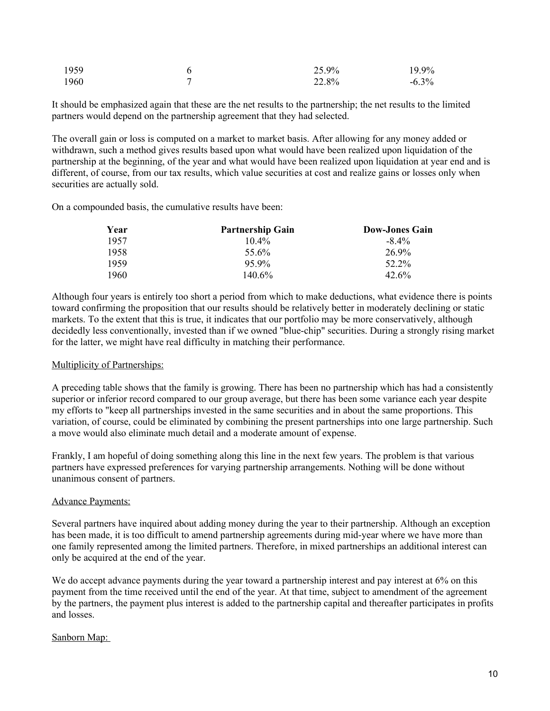| 1959 | 25.9% | 19.9%    |
|------|-------|----------|
| 1960 | 22.8% | $-6.3\%$ |

It should be emphasized again that these are the net results to the partnership; the net results to the limited partners would depend on the partnership agreement that they had selected.

The overall gain or loss is computed on a market to market basis. After allowing for any money added or withdrawn, such a method gives results based upon what would have been realized upon liquidation of the partnership at the beginning, of the year and what would have been realized upon liquidation at year end and is different, of course, from our tax results, which value securities at cost and realize gains or losses only when securities are actually sold.

On a compounded basis, the cumulative results have been:

| Year | <b>Partnership Gain</b> | <b>Dow-Jones Gain</b> |
|------|-------------------------|-----------------------|
| 1957 | $10.4\%$                | $-8.4\%$              |
| 1958 | 55.6%                   | 269%                  |
| 1959 | $95.9\%$                | 52.2%                 |
| 1960 | $140.6\%$               | 42.6%                 |

Although four years is entirely too short a period from which to make deductions, what evidence there is points toward confirming the proposition that our results should be relatively better in moderately declining or static markets. To the extent that this is true, it indicates that our portfolio may be more conservatively, although decidedly less conventionally, invested than if we owned "blue-chip" securities. During a strongly rising market for the latter, we might have real difficulty in matching their performance.

### Multiplicity of Partnerships:

A preceding table shows that the family is growing. There has been no partnership which has had a consistently superior or inferior record compared to our group average, but there has been some variance each year despite my efforts to "keep all partnerships invested in the same securities and in about the same proportions. This variation, of course, could be eliminated by combining the present partnerships into one large partnership. Such a move would also eliminate much detail and a moderate amount of expense.

Frankly, I am hopeful of doing something along this line in the next few years. The problem is that various partners have expressed preferences for varying partnership arrangements. Nothing will be done without unanimous consent of partners.

### Advance Payments:

Several partners have inquired about adding money during the year to their partnership. Although an exception has been made, it is too difficult to amend partnership agreements during mid-year where we have more than one family represented among the limited partners. Therefore, in mixed partnerships an additional interest can only be acquired at the end of the year.

We do accept advance payments during the year toward a partnership interest and pay interest at 6% on this payment from the time received until the end of the year. At that time, subject to amendment of the agreement by the partners, the payment plus interest is added to the partnership capital and thereafter participates in profits and losses.

### Sanborn Map: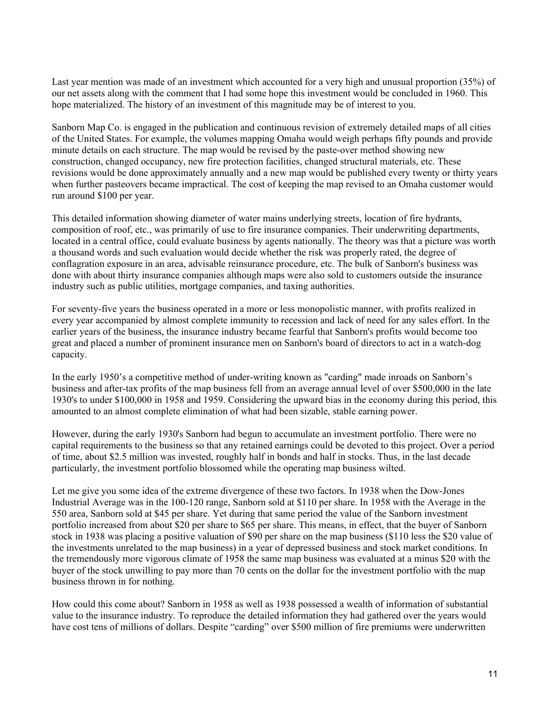Last year mention was made of an investment which accounted for a very high and unusual proportion (35%) of our net assets along with the comment that I had some hope this investment would be concluded in 1960. This hope materialized. The history of an investment of this magnitude may be of interest to you.

Sanborn Map Co. is engaged in the publication and continuous revision of extremely detailed maps of all cities of the United States. For example, the volumes mapping Omaha would weigh perhaps fifty pounds and provide minute details on each structure. The map would be revised by the paste-over method showing new construction, changed occupancy, new fire protection facilities, changed structural materials, etc. These revisions would be done approximately annually and a new map would be published every twenty or thirty years when further pasteovers became impractical. The cost of keeping the map revised to an Omaha customer would run around \$100 per year.

This detailed information showing diameter of water mains underlying streets, location of fire hydrants, composition of roof, etc., was primarily of use to fire insurance companies. Their underwriting departments, located in a central office, could evaluate business by agents nationally. The theory was that a picture was worth a thousand words and such evaluation would decide whether the risk was properly rated, the degree of conflagration exposure in an area, advisable reinsurance procedure, etc. The bulk of Sanborn's business was done with about thirty insurance companies although maps were also sold to customers outside the insurance industry such as public utilities, mortgage companies, and taxing authorities.

For seventy-five years the business operated in a more or less monopolistic manner, with profits realized in every year accompanied by almost complete immunity to recession and lack of need for any sales effort. In the earlier years of the business, the insurance industry became fearful that Sanborn's profits would become too great and placed a number of prominent insurance men on Sanborn's board of directors to act in a watch-dog capacity.

In the early 1950's a competitive method of under-writing known as "carding" made inroads on Sanborn's business and after-tax profits of the map business fell from an average annual level of over \$500,000 in the late 1930's to under \$100,000 in 1958 and 1959. Considering the upward bias in the economy during this period, this amounted to an almost complete elimination of what had been sizable, stable earning power.

However, during the early 1930's Sanborn had begun to accumulate an investment portfolio. There were no capital requirements to the business so that any retained earnings could be devoted to this project. Over a period of time, about \$2.5 million was invested, roughly half in bonds and half in stocks. Thus, in the last decade particularly, the investment portfolio blossomed while the operating map business wilted.

Let me give you some idea of the extreme divergence of these two factors. In 1938 when the Dow-Jones Industrial Average was in the 100-120 range, Sanborn sold at \$110 per share. In 1958 with the Average in the 550 area, Sanborn sold at \$45 per share. Yet during that same period the value of the Sanborn investment portfolio increased from about \$20 per share to \$65 per share. This means, in effect, that the buyer of Sanborn stock in 1938 was placing a positive valuation of \$90 per share on the map business (\$110 less the \$20 value of the investments unrelated to the map business) in a year of depressed business and stock market conditions. In the tremendously more vigorous climate of 1958 the same map business was evaluated at a minus \$20 with the buyer of the stock unwilling to pay more than 70 cents on the dollar for the investment portfolio with the map business thrown in for nothing.

How could this come about? Sanborn in 1958 as well as 1938 possessed a wealth of information of substantial value to the insurance industry. To reproduce the detailed information they had gathered over the years would have cost tens of millions of dollars. Despite "carding" over \$500 million of fire premiums were underwritten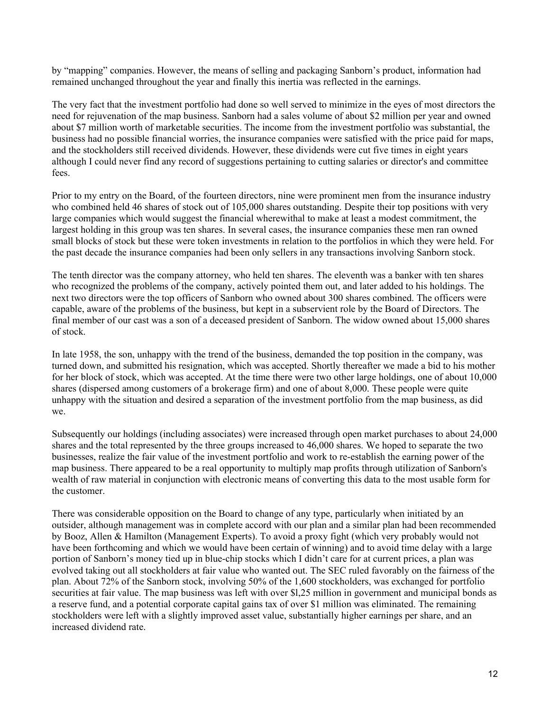by "mapping" companies. However, the means of selling and packaging Sanborn's product, information had remained unchanged throughout the year and finally this inertia was reflected in the earnings.

The very fact that the investment portfolio had done so well served to minimize in the eyes of most directors the need for rejuvenation of the map business. Sanborn had a sales volume of about \$2 million per year and owned about \$7 million worth of marketable securities. The income from the investment portfolio was substantial, the business had no possible financial worries, the insurance companies were satisfied with the price paid for maps, and the stockholders still received dividends. However, these dividends were cut five times in eight years although I could never find any record of suggestions pertaining to cutting salaries or director's and committee fees.

Prior to my entry on the Board, of the fourteen directors, nine were prominent men from the insurance industry who combined held 46 shares of stock out of 105,000 shares outstanding. Despite their top positions with very large companies which would suggest the financial wherewithal to make at least a modest commitment, the largest holding in this group was ten shares. In several cases, the insurance companies these men ran owned small blocks of stock but these were token investments in relation to the portfolios in which they were held. For the past decade the insurance companies had been only sellers in any transactions involving Sanborn stock.

The tenth director was the company attorney, who held ten shares. The eleventh was a banker with ten shares who recognized the problems of the company, actively pointed them out, and later added to his holdings. The next two directors were the top officers of Sanborn who owned about 300 shares combined. The officers were capable, aware of the problems of the business, but kept in a subservient role by the Board of Directors. The final member of our cast was a son of a deceased president of Sanborn. The widow owned about 15,000 shares of stock.

In late 1958, the son, unhappy with the trend of the business, demanded the top position in the company, was turned down, and submitted his resignation, which was accepted. Shortly thereafter we made a bid to his mother for her block of stock, which was accepted. At the time there were two other large holdings, one of about 10,000 shares (dispersed among customers of a brokerage firm) and one of about 8,000. These people were quite unhappy with the situation and desired a separation of the investment portfolio from the map business, as did we.

Subsequently our holdings (including associates) were increased through open market purchases to about 24,000 shares and the total represented by the three groups increased to 46,000 shares. We hoped to separate the two businesses, realize the fair value of the investment portfolio and work to re-establish the earning power of the map business. There appeared to be a real opportunity to multiply map profits through utilization of Sanborn's wealth of raw material in conjunction with electronic means of converting this data to the most usable form for the customer.

There was considerable opposition on the Board to change of any type, particularly when initiated by an outsider, although management was in complete accord with our plan and a similar plan had been recommended by Booz, Allen & Hamilton (Management Experts). To avoid a proxy fight (which very probably would not have been forthcoming and which we would have been certain of winning) and to avoid time delay with a large portion of Sanborn's money tied up in blue-chip stocks which I didn't care for at current prices, a plan was evolved taking out all stockholders at fair value who wanted out. The SEC ruled favorably on the fairness of the plan. About 72% of the Sanborn stock, involving 50% of the 1,600 stockholders, was exchanged for portfolio securities at fair value. The map business was left with over \$1,25 million in government and municipal bonds as a reserve fund, and a potential corporate capital gains tax of over \$1 million was eliminated. The remaining stockholders were left with a slightly improved asset value, substantially higher earnings per share, and an increased dividend rate.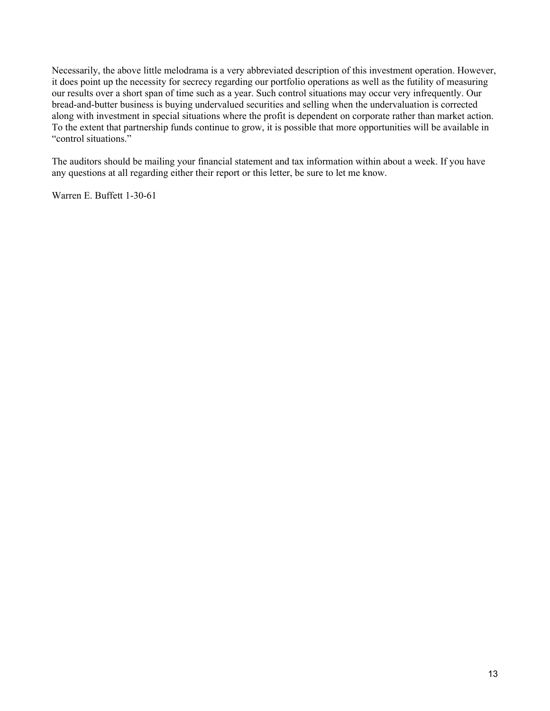Necessarily, the above little melodrama is a very abbreviated description of this investment operation. However, it does point up the necessity for secrecy regarding our portfolio operations as well as the futility of measuring our results over a short span of time such as a year. Such control situations may occur very infrequently. Our bread-and-butter business is buying undervalued securities and selling when the undervaluation is corrected along with investment in special situations where the profit is dependent on corporate rather than market action. To the extent that partnership funds continue to grow, it is possible that more opportunities will be available in "control situations."

The auditors should be mailing your financial statement and tax information within about a week. If you have any questions at all regarding either their report or this letter, be sure to let me know.

Warren E. Buffett 1-30-61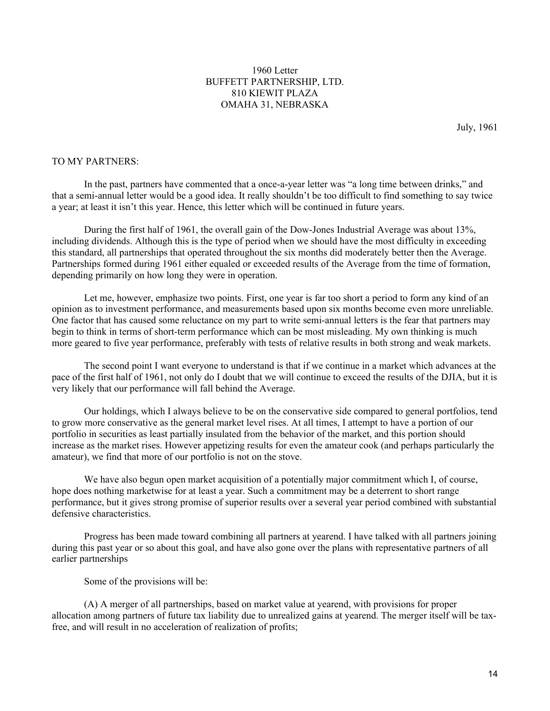### 1960 Letter BUFFETT PARTNERSHIP, LTD. 810 KIEWIT PLAZA OMAHA 31, NEBRASKA

July, 1961

#### TO MY PARTNERS:

In the past, partners have commented that a once-a-year letter was "a long time between drinks," and that a semi-annual letter would be a good idea. It really shouldn't be too difficult to find something to say twice a year; at least it isn't this year. Hence, this letter which will be continued in future years.

During the first half of 1961, the overall gain of the Dow-Jones Industrial Average was about 13%, including dividends. Although this is the type of period when we should have the most difficulty in exceeding this standard, all partnerships that operated throughout the six months did moderately better then the Average. Partnerships formed during 1961 either equaled or exceeded results of the Average from the time of formation, depending primarily on how long they were in operation.

Let me, however, emphasize two points. First, one year is far too short a period to form any kind of an opinion as to investment performance, and measurements based upon six months become even more unreliable. One factor that has caused some reluctance on my part to write semi-annual letters is the fear that partners may begin to think in terms of short-term performance which can be most misleading. My own thinking is much more geared to five year performance, preferably with tests of relative results in both strong and weak markets.

The second point I want everyone to understand is that if we continue in a market which advances at the pace of the first half of 1961, not only do I doubt that we will continue to exceed the results of the DJIA, but it is very likely that our performance will fall behind the Average.

Our holdings, which I always believe to be on the conservative side compared to general portfolios, tend to grow more conservative as the general market level rises. At all times, I attempt to have a portion of our portfolio in securities as least partially insulated from the behavior of the market, and this portion should increase as the market rises. However appetizing results for even the amateur cook (and perhaps particularly the amateur), we find that more of our portfolio is not on the stove.

We have also begun open market acquisition of a potentially major commitment which I, of course, hope does nothing marketwise for at least a year. Such a commitment may be a deterrent to short range performance, but it gives strong promise of superior results over a several year period combined with substantial defensive characteristics.

Progress has been made toward combining all partners at yearend. I have talked with all partners joining during this past year or so about this goal, and have also gone over the plans with representative partners of all earlier partnerships

Some of the provisions will be:

(A) A merger of all partnerships, based on market value at yearend, with provisions for proper allocation among partners of future tax liability due to unrealized gains at yearend. The merger itself will be taxfree, and will result in no acceleration of realization of profits;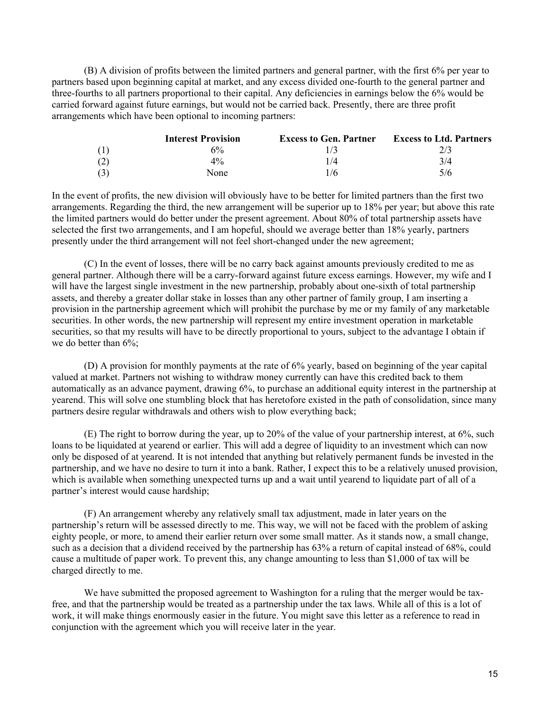(B) A division of profits between the limited partners and general partner, with the first 6% per year to partners based upon beginning capital at market, and any excess divided one-fourth to the general partner and three-fourths to all partners proportional to their capital. Any deficiencies in earnings below the 6% would be carried forward against future earnings, but would not be carried back. Presently, there are three profit arrangements which have been optional to incoming partners:

|     | <b>Interest Provision</b> | <b>Excess to Gen. Partner</b> | <b>Excess to Ltd. Partners</b> |
|-----|---------------------------|-------------------------------|--------------------------------|
| (1) | $6\%$                     |                               | 2/3                            |
| (2) | $4\%$                     | 1 / 4                         | 3/4                            |
| (3) | None                      | 1/6                           | 5/6                            |

In the event of profits, the new division will obviously have to be better for limited partners than the first two arrangements. Regarding the third, the new arrangement will be superior up to 18% per year; but above this rate the limited partners would do better under the present agreement. About 80% of total partnership assets have selected the first two arrangements, and I am hopeful, should we average better than 18% yearly, partners presently under the third arrangement will not feel short-changed under the new agreement;

(C) In the event of losses, there will be no carry back against amounts previously credited to me as general partner. Although there will be a carry-forward against future excess earnings. However, my wife and I will have the largest single investment in the new partnership, probably about one-sixth of total partnership assets, and thereby a greater dollar stake in losses than any other partner of family group, I am inserting a provision in the partnership agreement which will prohibit the purchase by me or my family of any marketable securities. In other words, the new partnership will represent my entire investment operation in marketable securities, so that my results will have to be directly proportional to yours, subject to the advantage I obtain if we do better than 6%;

(D) A provision for monthly payments at the rate of 6% yearly, based on beginning of the year capital valued at market. Partners not wishing to withdraw money currently can have this credited back to them automatically as an advance payment, drawing 6%, to purchase an additional equity interest in the partnership at yearend. This will solve one stumbling block that has heretofore existed in the path of consolidation, since many partners desire regular withdrawals and others wish to plow everything back;

(E) The right to borrow during the year, up to 20% of the value of your partnership interest, at 6%, such loans to be liquidated at yearend or earlier. This will add a degree of liquidity to an investment which can now only be disposed of at yearend. It is not intended that anything but relatively permanent funds be invested in the partnership, and we have no desire to turn it into a bank. Rather, I expect this to be a relatively unused provision, which is available when something unexpected turns up and a wait until yearend to liquidate part of all of a partner's interest would cause hardship;

(F) An arrangement whereby any relatively small tax adjustment, made in later years on the partnership's return will be assessed directly to me. This way, we will not be faced with the problem of asking eighty people, or more, to amend their earlier return over some small matter. As it stands now, a small change, such as a decision that a dividend received by the partnership has 63% a return of capital instead of 68%, could cause a multitude of paper work. To prevent this, any change amounting to less than \$1,000 of tax will be charged directly to me.

We have submitted the proposed agreement to Washington for a ruling that the merger would be taxfree, and that the partnership would be treated as a partnership under the tax laws. While all of this is a lot of work, it will make things enormously easier in the future. You might save this letter as a reference to read in conjunction with the agreement which you will receive later in the year.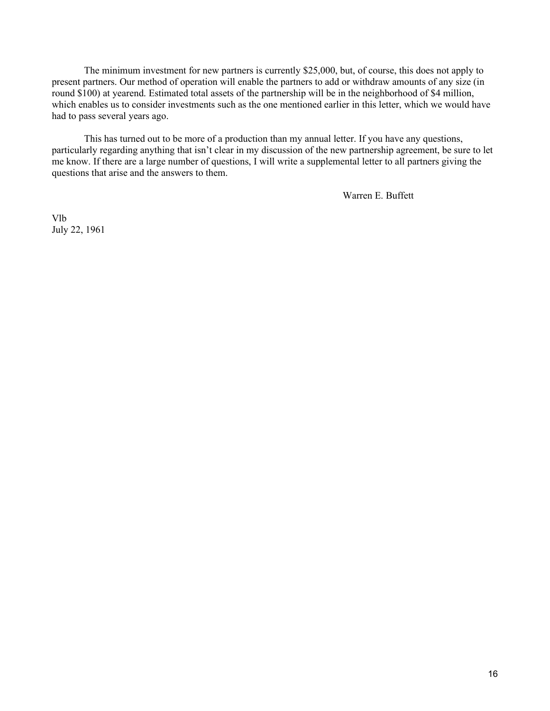The minimum investment for new partners is currently \$25,000, but, of course, this does not apply to present partners. Our method of operation will enable the partners to add or withdraw amounts of any size (in round \$100) at yearend. Estimated total assets of the partnership will be in the neighborhood of \$4 million, which enables us to consider investments such as the one mentioned earlier in this letter, which we would have had to pass several years ago.

This has turned out to be more of a production than my annual letter. If you have any questions, particularly regarding anything that isn't clear in my discussion of the new partnership agreement, be sure to let me know. If there are a large number of questions, I will write a supplemental letter to all partners giving the questions that arise and the answers to them.

Warren E. Buffett

Vlb July 22, 1961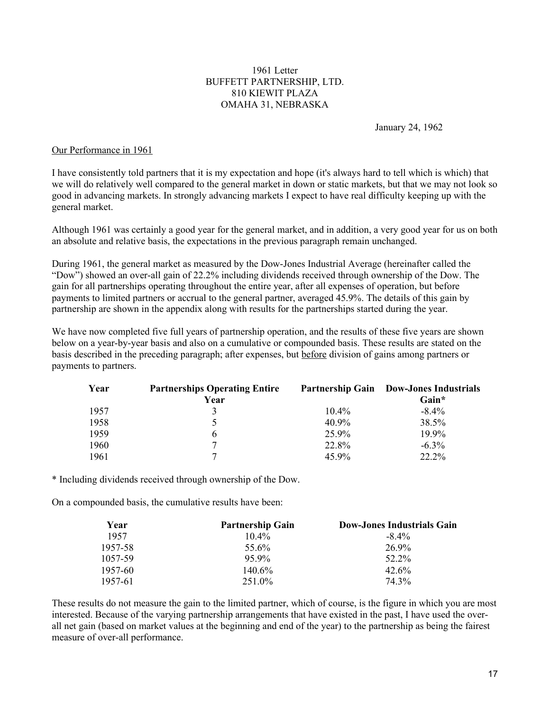### 1961 Letter BUFFETT PARTNERSHIP, LTD. 810 KIEWIT PLAZA OMAHA 31, NEBRASKA

January 24, 1962

### Our Performance in 1961

I have consistently told partners that it is my expectation and hope (it's always hard to tell which is which) that we will do relatively well compared to the general market in down or static markets, but that we may not look so good in advancing markets. In strongly advancing markets I expect to have real difficulty keeping up with the general market.

Although 1961 was certainly a good year for the general market, and in addition, a very good year for us on both an absolute and relative basis, the expectations in the previous paragraph remain unchanged.

During 1961, the general market as measured by the Dow-Jones Industrial Average (hereinafter called the "Dow") showed an over-all gain of 22.2% including dividends received through ownership of the Dow. The gain for all partnerships operating throughout the entire year, after all expenses of operation, but before payments to limited partners or accrual to the general partner, averaged 45.9%. The details of this gain by partnership are shown in the appendix along with results for the partnerships started during the year.

We have now completed five full years of partnership operation, and the results of these five years are shown below on a year-by-year basis and also on a cumulative or compounded basis. These results are stated on the basis described in the preceding paragraph; after expenses, but before division of gains among partners or payments to partners.

| Year | <b>Partnerships Operating Entire</b> |          | <b>Partnership Gain</b> Dow-Jones Industrials |
|------|--------------------------------------|----------|-----------------------------------------------|
|      | Year                                 |          | Gain*                                         |
| 1957 |                                      | $10.4\%$ | $-8.4\%$                                      |
| 1958 |                                      | 40.9%    | 38.5%                                         |
| 1959 | O                                    | 25.9%    | 19.9%                                         |
| 1960 | ⇁                                    | 22.8%    | $-6.3\%$                                      |
| 1961 | ┑                                    | 45.9%    | 22.2%                                         |

\* Including dividends received through ownership of the Dow.

On a compounded basis, the cumulative results have been:

| Year    | <b>Partnership Gain</b> | <b>Dow-Jones Industrials Gain</b> |
|---------|-------------------------|-----------------------------------|
| 1957    | $10.4\%$                | $-8.4\%$                          |
| 1957-58 | 55.6%                   | 26.9%                             |
| 1057-59 | 95.9%                   | $52.2\%$                          |
| 1957-60 | $140.6\%$               | 42.6%                             |
| 1957-61 | 251.0%                  | 74 3%                             |

These results do not measure the gain to the limited partner, which of course, is the figure in which you are most interested. Because of the varying partnership arrangements that have existed in the past, I have used the overall net gain (based on market values at the beginning and end of the year) to the partnership as being the fairest measure of over-all performance.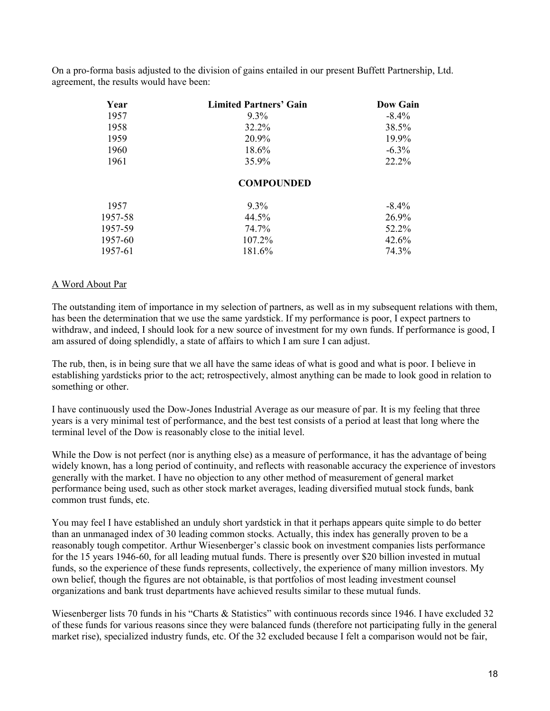On a pro-forma basis adjusted to the division of gains entailed in our present Buffett Partnership, Ltd. agreement, the results would have been:

| Year    | <b>Limited Partners' Gain</b> | Dow Gain |  |
|---------|-------------------------------|----------|--|
| 1957    | $9.3\%$                       | $-8.4\%$ |  |
| 1958    | 32.2%                         | 38.5%    |  |
| 1959    | 20.9%                         | 19.9%    |  |
| 1960    | 18.6%                         | $-6.3\%$ |  |
| 1961    | 35.9%                         | 22.2%    |  |
|         | <b>COMPOUNDED</b>             |          |  |
| 1957    | $9.3\%$                       | $-8.4\%$ |  |
| 1957-58 | 44.5%                         | 26.9%    |  |
| 1957-59 | 74.7%                         | 52.2%    |  |
| 1957-60 | 107.2%                        | 42.6%    |  |
| 1957-61 | 181.6%                        | 74.3%    |  |

#### A Word About Par

The outstanding item of importance in my selection of partners, as well as in my subsequent relations with them, has been the determination that we use the same yardstick. If my performance is poor, I expect partners to withdraw, and indeed, I should look for a new source of investment for my own funds. If performance is good, I am assured of doing splendidly, a state of affairs to which I am sure I can adjust.

The rub, then, is in being sure that we all have the same ideas of what is good and what is poor. I believe in establishing yardsticks prior to the act; retrospectively, almost anything can be made to look good in relation to something or other.

I have continuously used the Dow-Jones Industrial Average as our measure of par. It is my feeling that three years is a very minimal test of performance, and the best test consists of a period at least that long where the terminal level of the Dow is reasonably close to the initial level.

While the Dow is not perfect (nor is anything else) as a measure of performance, it has the advantage of being widely known, has a long period of continuity, and reflects with reasonable accuracy the experience of investors generally with the market. I have no objection to any other method of measurement of general market performance being used, such as other stock market averages, leading diversified mutual stock funds, bank common trust funds, etc.

You may feel I have established an unduly short yardstick in that it perhaps appears quite simple to do better than an unmanaged index of 30 leading common stocks. Actually, this index has generally proven to be a reasonably tough competitor. Arthur Wiesenberger's classic book on investment companies lists performance for the 15 years 1946-60, for all leading mutual funds. There is presently over \$20 billion invested in mutual funds, so the experience of these funds represents, collectively, the experience of many million investors. My own belief, though the figures are not obtainable, is that portfolios of most leading investment counsel organizations and bank trust departments have achieved results similar to these mutual funds.

Wiesenberger lists 70 funds in his "Charts & Statistics" with continuous records since 1946. I have excluded 32 of these funds for various reasons since they were balanced funds (therefore not participating fully in the general market rise), specialized industry funds, etc. Of the 32 excluded because I felt a comparison would not be fair,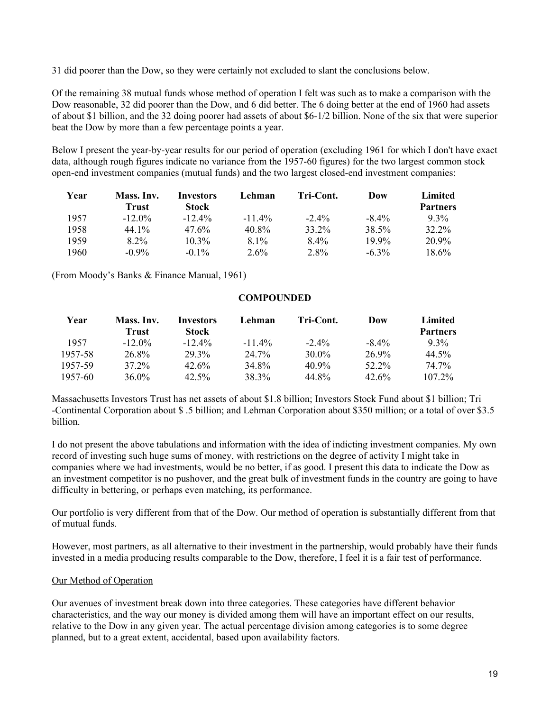31 did poorer than the Dow, so they were certainly not excluded to slant the conclusions below.

Of the remaining 38 mutual funds whose method of operation I felt was such as to make a comparison with the Dow reasonable, 32 did poorer than the Dow, and 6 did better. The 6 doing better at the end of 1960 had assets of about \$1 billion, and the 32 doing poorer had assets of about \$6-1/2 billion. None of the six that were superior beat the Dow by more than a few percentage points a year.

Below I present the year-by-year results for our period of operation (excluding 1961 for which I don't have exact data, although rough figures indicate no variance from the 1957-60 figures) for the two largest common stock open-end investment companies (mutual funds) and the two largest closed-end investment companies:

| Year | Mass. Inv. | Investors | Lehman    | Tri-Cont. | Dow      | Limited         |
|------|------------|-----------|-----------|-----------|----------|-----------------|
|      | Trust      | Stock     |           |           |          | <b>Partners</b> |
| 1957 | $-12.0\%$  | $-12.4\%$ | $-11.4\%$ | $-2.4\%$  | $-8.4\%$ | $9.3\%$         |
| 1958 | 44 1%      | $47.6\%$  | 40.8%     | 33.2%     | 38.5%    | 32.2%           |
| 1959 | $8.2\%$    | $10.3\%$  | $8.1\%$   | $8.4\%$   | $19.9\%$ | 20.9%           |
| 1960 | $-0.9\%$   | $-0.1\%$  | $2.6\%$   | 2.8%      | $-6.3\%$ | $18.6\%$        |

(From Moody's Banks & Finance Manual, 1961)

### **COMPOUNDED**

| Year    | Mass. Inv.<br>Trust | Investors<br><b>Stock</b> | Lehman    | Tri-Cont. | Dow      | Limited<br><b>Partners</b> |
|---------|---------------------|---------------------------|-----------|-----------|----------|----------------------------|
| 1957    | $-12.0\%$           | $-12.4\%$                 | $-11.4\%$ | $-2.4\%$  | $-8.4\%$ | $9.3\%$                    |
| 1957-58 | 26.8%               | 29.3%                     | $24.7\%$  | $30.0\%$  | 269%     | 44.5%                      |
| 1957-59 | $37.2\%$            | $42.6\%$                  | 34.8%     | $40.9\%$  | 52.2%    | 74 7%                      |
| 1957-60 | $36.0\%$            | $42.5\%$                  | 38.3%     | 44 8%     | $42.6\%$ | $107.2\%$                  |

Massachusetts Investors Trust has net assets of about \$1.8 billion; Investors Stock Fund about \$1 billion; Tri -Continental Corporation about \$ .5 billion; and Lehman Corporation about \$350 million; or a total of over \$3.5 billion.

I do not present the above tabulations and information with the idea of indicting investment companies. My own record of investing such huge sums of money, with restrictions on the degree of activity I might take in companies where we had investments, would be no better, if as good. I present this data to indicate the Dow as an investment competitor is no pushover, and the great bulk of investment funds in the country are going to have difficulty in bettering, or perhaps even matching, its performance.

Our portfolio is very different from that of the Dow. Our method of operation is substantially different from that of mutual funds.

However, most partners, as all alternative to their investment in the partnership, would probably have their funds invested in a media producing results comparable to the Dow, therefore, I feel it is a fair test of performance.

### Our Method of Operation

Our avenues of investment break down into three categories. These categories have different behavior characteristics, and the way our money is divided among them will have an important effect on our results, relative to the Dow in any given year. The actual percentage division among categories is to some degree planned, but to a great extent, accidental, based upon availability factors.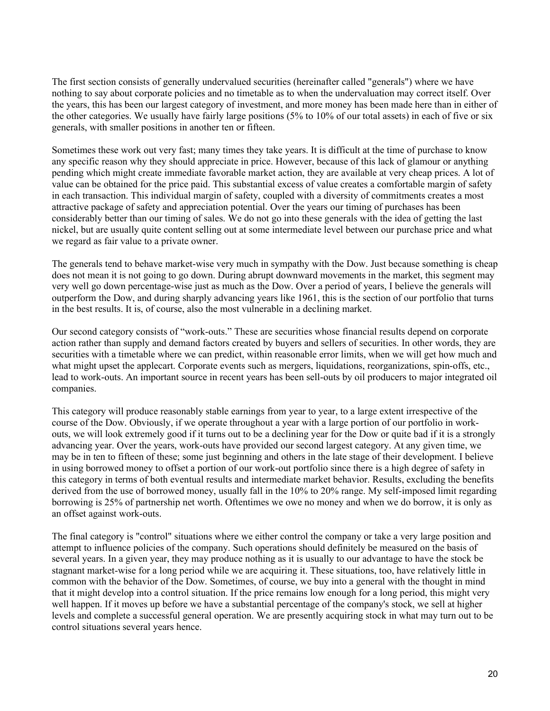The first section consists of generally undervalued securities (hereinafter called "generals") where we have nothing to say about corporate policies and no timetable as to when the undervaluation may correct itself. Over the years, this has been our largest category of investment, and more money has been made here than in either of the other categories. We usually have fairly large positions (5% to 10% of our total assets) in each of five or six generals, with smaller positions in another ten or fifteen.

Sometimes these work out very fast; many times they take years. It is difficult at the time of purchase to know any specific reason why they should appreciate in price. However, because of this lack of glamour or anything pending which might create immediate favorable market action, they are available at very cheap prices. A lot of value can be obtained for the price paid. This substantial excess of value creates a comfortable margin of safety in each transaction. This individual margin of safety, coupled with a diversity of commitments creates a most attractive package of safety and appreciation potential. Over the years our timing of purchases has been considerably better than our timing of sales. We do not go into these generals with the idea of getting the last nickel, but are usually quite content selling out at some intermediate level between our purchase price and what we regard as fair value to a private owner.

The generals tend to behave market-wise very much in sympathy with the Dow. Just because something is cheap does not mean it is not going to go down. During abrupt downward movements in the market, this segment may very well go down percentage-wise just as much as the Dow. Over a period of years, I believe the generals will outperform the Dow, and during sharply advancing years like 1961, this is the section of our portfolio that turns in the best results. It is, of course, also the most vulnerable in a declining market.

Our second category consists of "work-outs." These are securities whose financial results depend on corporate action rather than supply and demand factors created by buyers and sellers of securities. In other words, they are securities with a timetable where we can predict, within reasonable error limits, when we will get how much and what might upset the applecart. Corporate events such as mergers, liquidations, reorganizations, spin-offs, etc., lead to work-outs. An important source in recent years has been sell-outs by oil producers to major integrated oil companies.

This category will produce reasonably stable earnings from year to year, to a large extent irrespective of the course of the Dow. Obviously, if we operate throughout a year with a large portion of our portfolio in workouts, we will look extremely good if it turns out to be a declining year for the Dow or quite bad if it is a strongly advancing year. Over the years, work-outs have provided our second largest category. At any given time, we may be in ten to fifteen of these; some just beginning and others in the late stage of their development. I believe in using borrowed money to offset a portion of our work-out portfolio since there is a high degree of safety in this category in terms of both eventual results and intermediate market behavior. Results, excluding the benefits derived from the use of borrowed money, usually fall in the 10% to 20% range. My self-imposed limit regarding borrowing is 25% of partnership net worth. Oftentimes we owe no money and when we do borrow, it is only as an offset against work-outs.

The final category is "control" situations where we either control the company or take a very large position and attempt to influence policies of the company. Such operations should definitely be measured on the basis of several years. In a given year, they may produce nothing as it is usually to our advantage to have the stock be stagnant market-wise for a long period while we are acquiring it. These situations, too, have relatively little in common with the behavior of the Dow. Sometimes, of course, we buy into a general with the thought in mind that it might develop into a control situation. If the price remains low enough for a long period, this might very well happen. If it moves up before we have a substantial percentage of the company's stock, we sell at higher levels and complete a successful general operation. We are presently acquiring stock in what may turn out to be control situations several years hence.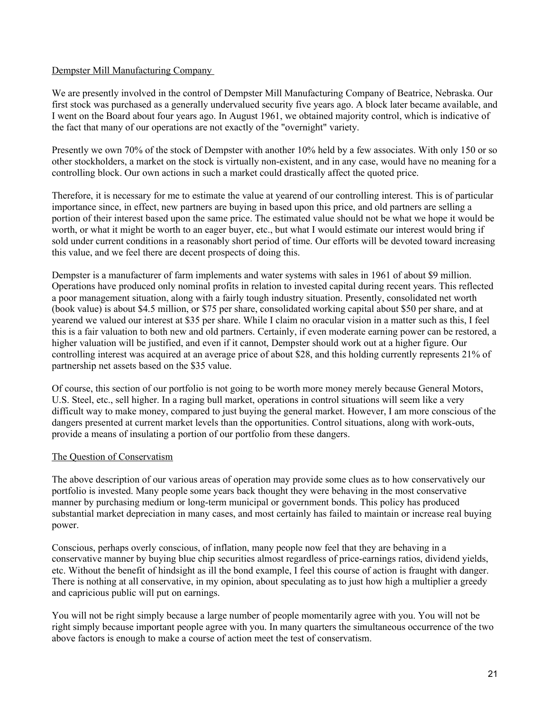### Dempster Mill Manufacturing Company

We are presently involved in the control of Dempster Mill Manufacturing Company of Beatrice, Nebraska. Our first stock was purchased as a generally undervalued security five years ago. A block later became available, and I went on the Board about four years ago. In August 1961, we obtained majority control, which is indicative of the fact that many of our operations are not exactly of the "overnight" variety.

Presently we own 70% of the stock of Dempster with another 10% held by a few associates. With only 150 or so other stockholders, a market on the stock is virtually non-existent, and in any case, would have no meaning for a controlling block. Our own actions in such a market could drastically affect the quoted price.

Therefore, it is necessary for me to estimate the value at yearend of our controlling interest. This is of particular importance since, in effect, new partners are buying in based upon this price, and old partners are selling a portion of their interest based upon the same price. The estimated value should not be what we hope it would be worth, or what it might be worth to an eager buyer, etc., but what I would estimate our interest would bring if sold under current conditions in a reasonably short period of time. Our efforts will be devoted toward increasing this value, and we feel there are decent prospects of doing this.

Dempster is a manufacturer of farm implements and water systems with sales in 1961 of about \$9 million. Operations have produced only nominal profits in relation to invested capital during recent years. This reflected a poor management situation, along with a fairly tough industry situation. Presently, consolidated net worth (book value) is about \$4.5 million, or \$75 per share, consolidated working capital about \$50 per share, and at yearend we valued our interest at \$35 per share. While I claim no oracular vision in a matter such as this, I feel this is a fair valuation to both new and old partners. Certainly, if even moderate earning power can be restored, a higher valuation will be justified, and even if it cannot, Dempster should work out at a higher figure. Our controlling interest was acquired at an average price of about \$28, and this holding currently represents 21% of partnership net assets based on the \$35 value.

Of course, this section of our portfolio is not going to be worth more money merely because General Motors, U.S. Steel, etc., sell higher. In a raging bull market, operations in control situations will seem like a very difficult way to make money, compared to just buying the general market. However, I am more conscious of the dangers presented at current market levels than the opportunities. Control situations, along with work-outs, provide a means of insulating a portion of our portfolio from these dangers.

# The Question of Conservatism

The above description of our various areas of operation may provide some clues as to how conservatively our portfolio is invested. Many people some years back thought they were behaving in the most conservative manner by purchasing medium or long-term municipal or government bonds. This policy has produced substantial market depreciation in many cases, and most certainly has failed to maintain or increase real buying power.

Conscious, perhaps overly conscious, of inflation, many people now feel that they are behaving in a conservative manner by buying blue chip securities almost regardless of price-earnings ratios, dividend yields, etc. Without the benefit of hindsight as ill the bond example, I feel this course of action is fraught with danger. There is nothing at all conservative, in my opinion, about speculating as to just how high a multiplier a greedy and capricious public will put on earnings.

You will not be right simply because a large number of people momentarily agree with you. You will not be right simply because important people agree with you. In many quarters the simultaneous occurrence of the two above factors is enough to make a course of action meet the test of conservatism.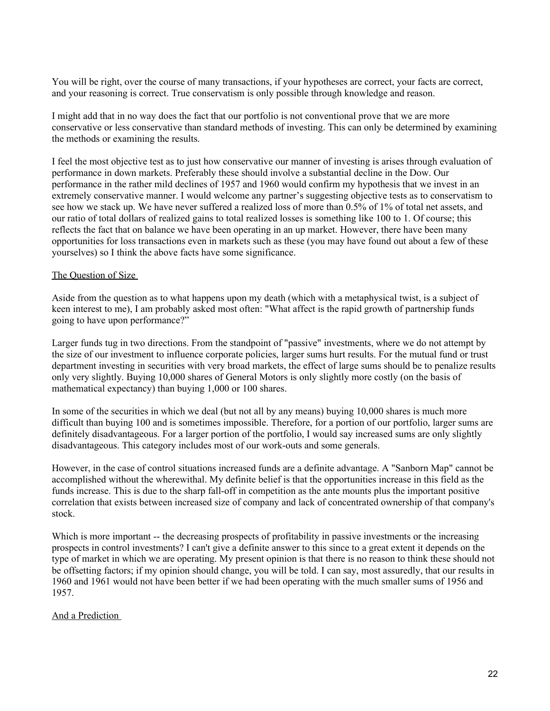You will be right, over the course of many transactions, if your hypotheses are correct, your facts are correct, and your reasoning is correct. True conservatism is only possible through knowledge and reason.

I might add that in no way does the fact that our portfolio is not conventional prove that we are more conservative or less conservative than standard methods of investing. This can only be determined by examining the methods or examining the results.

I feel the most objective test as to just how conservative our manner of investing is arises through evaluation of performance in down markets. Preferably these should involve a substantial decline in the Dow. Our performance in the rather mild declines of 1957 and 1960 would confirm my hypothesis that we invest in an extremely conservative manner. I would welcome any partner's suggesting objective tests as to conservatism to see how we stack up. We have never suffered a realized loss of more than 0.5% of 1% of total net assets, and our ratio of total dollars of realized gains to total realized losses is something like 100 to 1. Of course; this reflects the fact that on balance we have been operating in an up market. However, there have been many opportunities for loss transactions even in markets such as these (you may have found out about a few of these yourselves) so I think the above facts have some significance.

### The Question of Size

Aside from the question as to what happens upon my death (which with a metaphysical twist, is a subject of keen interest to me), I am probably asked most often: "What affect is the rapid growth of partnership funds going to have upon performance?"

Larger funds tug in two directions. From the standpoint of "passive" investments, where we do not attempt by the size of our investment to influence corporate policies, larger sums hurt results. For the mutual fund or trust department investing in securities with very broad markets, the effect of large sums should be to penalize results only very slightly. Buying 10,000 shares of General Motors is only slightly more costly (on the basis of mathematical expectancy) than buying 1,000 or 100 shares.

In some of the securities in which we deal (but not all by any means) buying 10,000 shares is much more difficult than buying 100 and is sometimes impossible. Therefore, for a portion of our portfolio, larger sums are definitely disadvantageous. For a larger portion of the portfolio, I would say increased sums are only slightly disadvantageous. This category includes most of our work-outs and some generals.

However, in the case of control situations increased funds are a definite advantage. A "Sanborn Map" cannot be accomplished without the wherewithal. My definite belief is that the opportunities increase in this field as the funds increase. This is due to the sharp fall-off in competition as the ante mounts plus the important positive correlation that exists between increased size of company and lack of concentrated ownership of that company's stock.

Which is more important -- the decreasing prospects of profitability in passive investments or the increasing prospects in control investments? I can't give a definite answer to this since to a great extent it depends on the type of market in which we are operating. My present opinion is that there is no reason to think these should not be offsetting factors; if my opinion should change, you will be told. I can say, most assuredly, that our results in 1960 and 1961 would not have been better if we had been operating with the much smaller sums of 1956 and 1957.

### And a Prediction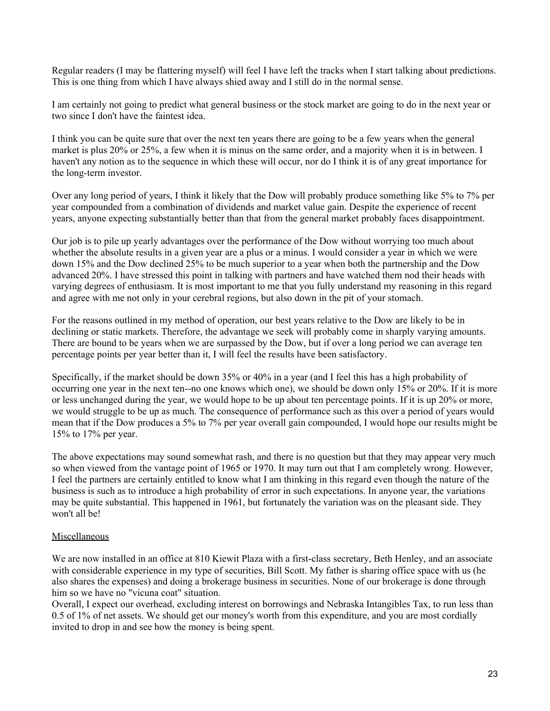Regular readers (I may be flattering myself) will feel I have left the tracks when I start talking about predictions. This is one thing from which I have always shied away and I still do in the normal sense.

I am certainly not going to predict what general business or the stock market are going to do in the next year or two since I don't have the faintest idea.

I think you can be quite sure that over the next ten years there are going to be a few years when the general market is plus 20% or 25%, a few when it is minus on the same order, and a majority when it is in between. I haven't any notion as to the sequence in which these will occur, nor do I think it is of any great importance for the long-term investor.

Over any long period of years, I think it likely that the Dow will probably produce something like 5% to 7% per year compounded from a combination of dividends and market value gain. Despite the experience of recent years, anyone expecting substantially better than that from the general market probably faces disappointment.

Our job is to pile up yearly advantages over the performance of the Dow without worrying too much about whether the absolute results in a given year are a plus or a minus. I would consider a year in which we were down 15% and the Dow declined 25% to be much superior to a year when both the partnership and the Dow advanced 20%. I have stressed this point in talking with partners and have watched them nod their heads with varying degrees of enthusiasm. It is most important to me that you fully understand my reasoning in this regard and agree with me not only in your cerebral regions, but also down in the pit of your stomach.

For the reasons outlined in my method of operation, our best years relative to the Dow are likely to be in declining or static markets. Therefore, the advantage we seek will probably come in sharply varying amounts. There are bound to be years when we are surpassed by the Dow, but if over a long period we can average ten percentage points per year better than it, I will feel the results have been satisfactory.

Specifically, if the market should be down 35% or 40% in a year (and I feel this has a high probability of occurring one year in the next ten--no one knows which one), we should be down only 15% or 20%. If it is more or less unchanged during the year, we would hope to be up about ten percentage points. If it is up 20% or more, we would struggle to be up as much. The consequence of performance such as this over a period of years would mean that if the Dow produces a 5% to 7% per year overall gain compounded, I would hope our results might be 15% to 17% per year.

The above expectations may sound somewhat rash, and there is no question but that they may appear very much so when viewed from the vantage point of 1965 or 1970. It may turn out that I am completely wrong. However, I feel the partners are certainly entitled to know what I am thinking in this regard even though the nature of the business is such as to introduce a high probability of error in such expectations. In anyone year, the variations may be quite substantial. This happened in 1961, but fortunately the variation was on the pleasant side. They won't all be!

### Miscellaneous

We are now installed in an office at 810 Kiewit Plaza with a first-class secretary, Beth Henley, and an associate with considerable experience in my type of securities, Bill Scott. My father is sharing office space with us (he also shares the expenses) and doing a brokerage business in securities. None of our brokerage is done through him so we have no "vicuna coat" situation.

Overall, I expect our overhead, excluding interest on borrowings and Nebraska Intangibles Tax, to run less than 0.5 of 1% of net assets. We should get our money's worth from this expenditure, and you are most cordially invited to drop in and see how the money is being spent.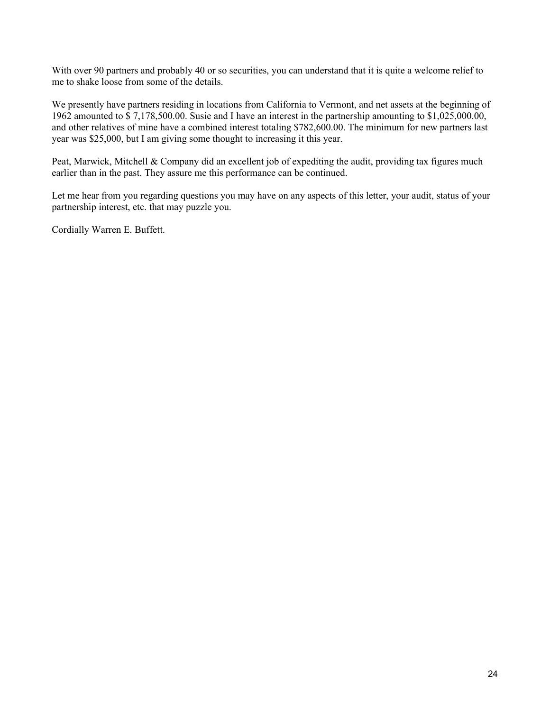With over 90 partners and probably 40 or so securities, you can understand that it is quite a welcome relief to me to shake loose from some of the details.

We presently have partners residing in locations from California to Vermont, and net assets at the beginning of 1962 amounted to \$ 7,178,500.00. Susie and I have an interest in the partnership amounting to \$1,025,000.00, and other relatives of mine have a combined interest totaling \$782,600.00. The minimum for new partners last year was \$25,000, but I am giving some thought to increasing it this year.

Peat, Marwick, Mitchell & Company did an excellent job of expediting the audit, providing tax figures much earlier than in the past. They assure me this performance can be continued.

Let me hear from you regarding questions you may have on any aspects of this letter, your audit, status of your partnership interest, etc. that may puzzle you.

Cordially Warren E. Buffett.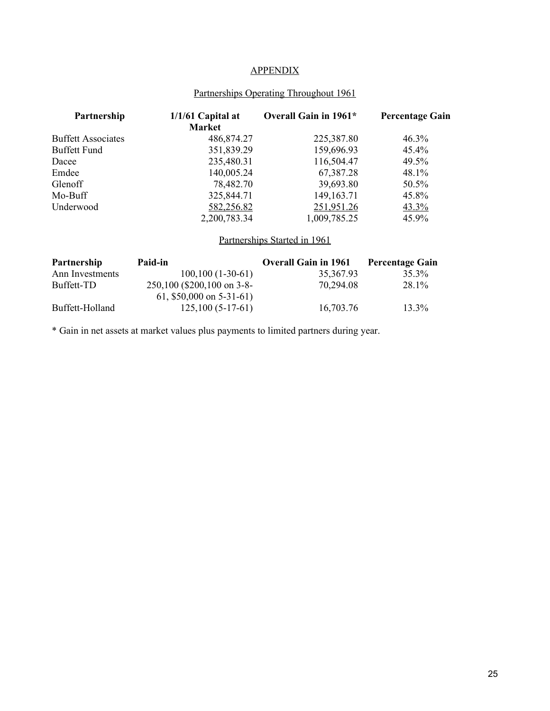# APPENDIX

# Partnerships Operating Throughout 1961

| Partnership               | $1/1/61$ Capital at<br><b>Market</b> | Overall Gain in 1961*        | <b>Percentage Gain</b> |
|---------------------------|--------------------------------------|------------------------------|------------------------|
| <b>Buffett Associates</b> | 486,874.27                           | 225,387.80                   | 46.3%                  |
| <b>Buffett Fund</b>       | 351,839.29                           | 159,696.93                   | 45.4%                  |
| Dacee                     | 235,480.31                           | 116,504.47                   | 49.5%                  |
| Emdee                     | 140,005.24                           | 67,387.28                    | 48.1%                  |
| Glenoff                   | 78,482.70                            | 39,693.80                    | 50.5%                  |
| Mo-Buff                   | 325,844.71                           | 149, 163. 71                 | 45.8%                  |
| Underwood                 | 582,256.82                           | 251,951.26                   | 43.3%                  |
|                           | 2,200,783.34                         | 1,009,785.25                 | 45.9%                  |
|                           |                                      | Partnerships Started in 1961 |                        |
| Partnership               | Paid-in                              | <b>Overall Gain in 1961</b>  | <b>Percentage Gain</b> |
| Ann Investments           | $100, 100$ $(1-30-61)$               | 35,367.93                    | 35.3%                  |
| Buffett-TD                | 250,100 (\$200,100 on 3-8-           | 70,294.08                    | 28.1%                  |
|                           | 61, \$50,000 on $5-31-61$ )          |                              |                        |
| Buffett-Holland           | $125,100(5-17-61)$                   | 16,703.76                    | 13.3%                  |

\* Gain in net assets at market values plus payments to limited partners during year.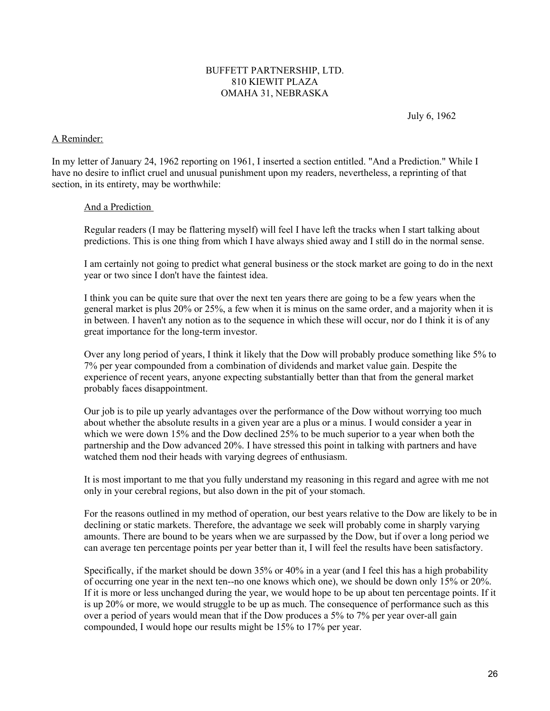#### BUFFETT PARTNERSHIP, LTD. 810 KIEWIT PLAZA OMAHA 31, NEBRASKA

July 6, 1962

### A Reminder:

In my letter of January 24, 1962 reporting on 1961, I inserted a section entitled. "And a Prediction." While I have no desire to inflict cruel and unusual punishment upon my readers, nevertheless, a reprinting of that section, in its entirety, may be worthwhile:

### And a Prediction

Regular readers (I may be flattering myself) will feel I have left the tracks when I start talking about predictions. This is one thing from which I have always shied away and I still do in the normal sense.

I am certainly not going to predict what general business or the stock market are going to do in the next year or two since I don't have the faintest idea.

I think you can be quite sure that over the next ten years there are going to be a few years when the general market is plus 20% or 25%, a few when it is minus on the same order, and a majority when it is in between. I haven't any notion as to the sequence in which these will occur, nor do I think it is of any great importance for the long-term investor.

Over any long period of years, I think it likely that the Dow will probably produce something like 5% to 7% per year compounded from a combination of dividends and market value gain. Despite the experience of recent years, anyone expecting substantially better than that from the general market probably faces disappointment.

Our job is to pile up yearly advantages over the performance of the Dow without worrying too much about whether the absolute results in a given year are a plus or a minus. I would consider a year in which we were down 15% and the Dow declined 25% to be much superior to a year when both the partnership and the Dow advanced 20%. I have stressed this point in talking with partners and have watched them nod their heads with varying degrees of enthusiasm.

It is most important to me that you fully understand my reasoning in this regard and agree with me not only in your cerebral regions, but also down in the pit of your stomach.

For the reasons outlined in my method of operation, our best years relative to the Dow are likely to be in declining or static markets. Therefore, the advantage we seek will probably come in sharply varying amounts. There are bound to be years when we are surpassed by the Dow, but if over a long period we can average ten percentage points per year better than it, I will feel the results have been satisfactory.

Specifically, if the market should be down 35% or 40% in a year (and I feel this has a high probability of occurring one year in the next ten--no one knows which one), we should be down only 15% or 20%. If it is more or less unchanged during the year, we would hope to be up about ten percentage points. If it is up 20% or more, we would struggle to be up as much. The consequence of performance such as this over a period of years would mean that if the Dow produces a 5% to 7% per year over-all gain compounded, I would hope our results might be 15% to 17% per year.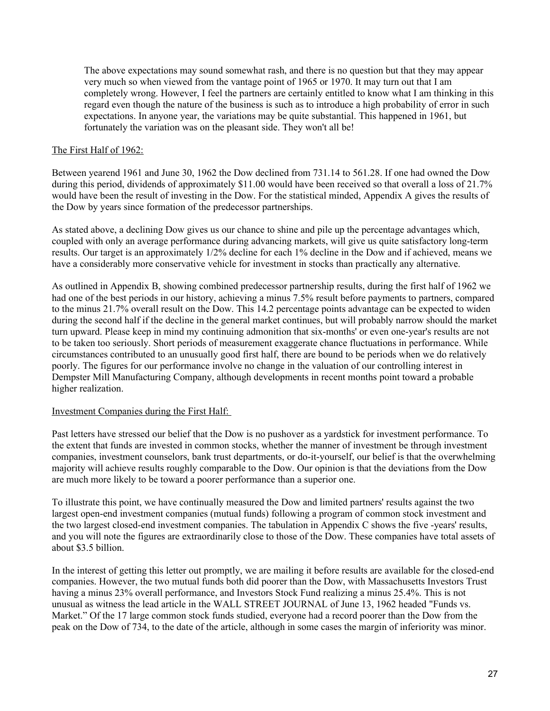The above expectations may sound somewhat rash, and there is no question but that they may appear very much so when viewed from the vantage point of 1965 or 1970. It may turn out that I am completely wrong. However, I feel the partners are certainly entitled to know what I am thinking in this regard even though the nature of the business is such as to introduce a high probability of error in such expectations. In anyone year, the variations may be quite substantial. This happened in 1961, but fortunately the variation was on the pleasant side. They won't all be!

## The First Half of 1962:

Between yearend 1961 and June 30, 1962 the Dow declined from 731.14 to 561.28. If one had owned the Dow during this period, dividends of approximately \$11.00 would have been received so that overall a loss of 21.7% would have been the result of investing in the Dow. For the statistical minded, Appendix A gives the results of the Dow by years since formation of the predecessor partnerships.

As stated above, a declining Dow gives us our chance to shine and pile up the percentage advantages which, coupled with only an average performance during advancing markets, will give us quite satisfactory long-term results. Our target is an approximately 1/2% decline for each 1% decline in the Dow and if achieved, means we have a considerably more conservative vehicle for investment in stocks than practically any alternative.

As outlined in Appendix B, showing combined predecessor partnership results, during the first half of 1962 we had one of the best periods in our history, achieving a minus 7.5% result before payments to partners, compared to the minus 21.7% overall result on the Dow. This 14.2 percentage points advantage can be expected to widen during the second half if the decline in the general market continues, but will probably narrow should the market turn upward. Please keep in mind my continuing admonition that six-months' or even one-year's results are not to be taken too seriously. Short periods of measurement exaggerate chance fluctuations in performance. While circumstances contributed to an unusually good first half, there are bound to be periods when we do relatively poorly. The figures for our performance involve no change in the valuation of our controlling interest in Dempster Mill Manufacturing Company, although developments in recent months point toward a probable higher realization.

### Investment Companies during the First Half:

Past letters have stressed our belief that the Dow is no pushover as a yardstick for investment performance. To the extent that funds are invested in common stocks, whether the manner of investment be through investment companies, investment counselors, bank trust departments, or do-it-yourself, our belief is that the overwhelming majority will achieve results roughly comparable to the Dow. Our opinion is that the deviations from the Dow are much more likely to be toward a poorer performance than a superior one.

To illustrate this point, we have continually measured the Dow and limited partners' results against the two largest open-end investment companies (mutual funds) following a program of common stock investment and the two largest closed-end investment companies. The tabulation in Appendix C shows the five -years' results, and you will note the figures are extraordinarily close to those of the Dow. These companies have total assets of about \$3.5 billion.

In the interest of getting this letter out promptly, we are mailing it before results are available for the closed-end companies. However, the two mutual funds both did poorer than the Dow, with Massachusetts Investors Trust having a minus 23% overall performance, and Investors Stock Fund realizing a minus 25.4%. This is not unusual as witness the lead article in the WALL STREET JOURNAL of June 13, 1962 headed "Funds vs. Market." Of the 17 large common stock funds studied, everyone had a record poorer than the Dow from the peak on the Dow of 734, to the date of the article, although in some cases the margin of inferiority was minor.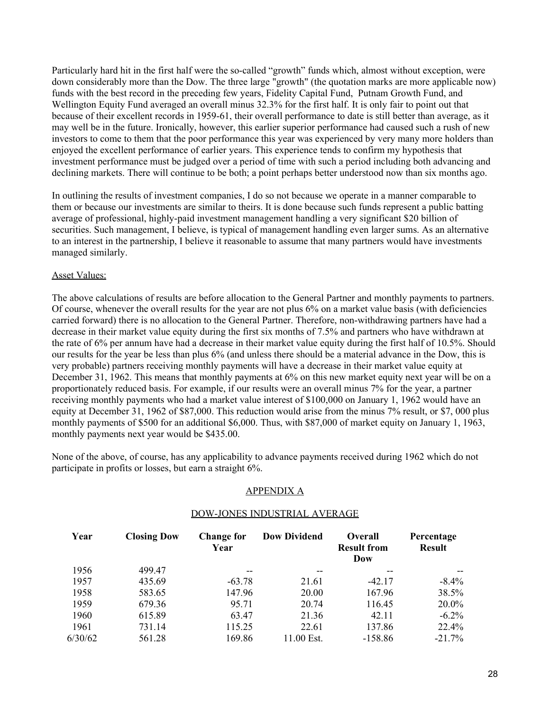Particularly hard hit in the first half were the so-called "growth" funds which, almost without exception, were down considerably more than the Dow. The three large "growth" (the quotation marks are more applicable now) funds with the best record in the preceding few years, Fidelity Capital Fund, Putnam Growth Fund, and Wellington Equity Fund averaged an overall minus 32.3% for the first half. It is only fair to point out that because of their excellent records in 1959-61, their overall performance to date is still better than average, as it may well be in the future. Ironically, however, this earlier superior performance had caused such a rush of new investors to come to them that the poor performance this year was experienced by very many more holders than enjoyed the excellent performance of earlier years. This experience tends to confirm my hypothesis that investment performance must be judged over a period of time with such a period including both advancing and declining markets. There will continue to be both; a point perhaps better understood now than six months ago.

In outlining the results of investment companies, I do so not because we operate in a manner comparable to them or because our investments are similar to theirs. It is done because such funds represent a public batting average of professional, highly-paid investment management handling a very significant \$20 billion of securities. Such management, I believe, is typical of management handling even larger sums. As an alternative to an interest in the partnership, I believe it reasonable to assume that many partners would have investments managed similarly.

### Asset Values:

The above calculations of results are before allocation to the General Partner and monthly payments to partners. Of course, whenever the overall results for the year are not plus 6% on a market value basis (with deficiencies carried forward) there is no allocation to the General Partner. Therefore, non-withdrawing partners have had a decrease in their market value equity during the first six months of 7.5% and partners who have withdrawn at the rate of 6% per annum have had a decrease in their market value equity during the first half of 10.5%. Should our results for the year be less than plus 6% (and unless there should be a material advance in the Dow, this is very probable) partners receiving monthly payments will have a decrease in their market value equity at December 31, 1962. This means that monthly payments at 6% on this new market equity next year will be on a proportionately reduced basis. For example, if our results were an overall minus 7% for the year, a partner receiving monthly payments who had a market value interest of \$100,000 on January 1, 1962 would have an equity at December 31, 1962 of \$87,000. This reduction would arise from the minus 7% result, or \$7, 000 plus monthly payments of \$500 for an additional \$6,000. Thus, with \$87,000 of market equity on January 1, 1963, monthly payments next year would be \$435.00.

None of the above, of course, has any applicability to advance payments received during 1962 which do not participate in profits or losses, but earn a straight 6%.

### APPENDIX A

### DOW-JONES INDUSTRIAL AVERAGE

| Year    | <b>Closing Dow</b> | <b>Change for</b><br>Year | <b>Dow Dividend</b> | <b>Overall</b><br><b>Result from</b><br>Dow | Percentage<br><b>Result</b> |
|---------|--------------------|---------------------------|---------------------|---------------------------------------------|-----------------------------|
| 1956    | 499.47             | $- -$                     | --                  |                                             |                             |
| 1957    | 435.69             | $-63.78$                  | 21.61               | $-42.17$                                    | $-8.4\%$                    |
| 1958    | 583.65             | 147.96                    | 20.00               | 167.96                                      | 38.5%                       |
| 1959    | 679.36             | 95.71                     | 20.74               | 116.45                                      | 20.0%                       |
| 1960    | 615.89             | 63.47                     | 21.36               | 42.11                                       | $-6.2%$                     |
| 1961    | 731.14             | 115.25                    | 22.61               | 137.86                                      | 22.4%                       |
| 6/30/62 | 561.28             | 169.86                    | 11.00 Est.          | $-158.86$                                   | $-21.7%$                    |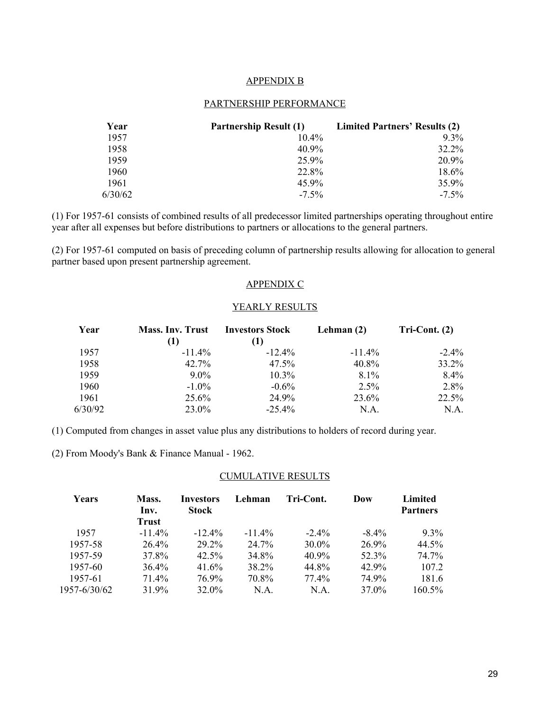### APPENDIX B

### PARTNERSHIP PERFORMANCE

| Year    | <b>Partnership Result (1)</b> | <b>Limited Partners' Results (2)</b> |
|---------|-------------------------------|--------------------------------------|
| 1957    | $10.4\%$                      | $9.3\%$                              |
| 1958    | 40.9%                         | 32.2%                                |
| 1959    | 25.9%                         | 20.9%                                |
| 1960    | 22.8%                         | 18.6%                                |
| 1961    | $45.9\%$                      | 35.9%                                |
| 6/30/62 | $-7.5\%$                      | $-7.5%$                              |

(1) For 1957-61 consists of combined results of all predecessor limited partnerships operating throughout entire year after all expenses but before distributions to partners or allocations to the general partners.

(2) For 1957-61 computed on basis of preceding column of partnership results allowing for allocation to general partner based upon present partnership agreement.

### APPENDIX C

## YEARLY RESULTS

| Year    | <b>Mass. Inv. Trust Investors Stock</b> |           | Lehman $(2)$ | $Tri-Cont. (2)$ |
|---------|-----------------------------------------|-----------|--------------|-----------------|
|         | (1)                                     | (1)       |              |                 |
| 1957    | $-11.4\%$                               | $-12.4\%$ | $-11.4\%$    | $-2.4\%$        |
| 1958    | 42.7%                                   | 47.5%     | 40.8%        | 33.2%           |
| 1959    | $9.0\%$                                 | 10.3%     | $8.1\%$      | 8.4%            |
| 1960    | $-1.0\%$                                | $-0.6\%$  | 2.5%         | 2.8%            |
| 1961    | 25.6%                                   | 24.9%     | 23.6%        | 22.5%           |
| 6/30/92 | 23.0%                                   | $-25.4\%$ | N.A.         | N.A.            |

(1) Computed from changes in asset value plus any distributions to holders of record during year.

(2) From Moody's Bank & Finance Manual - 1962.

#### CUMULATIVE RESULTS

| <b>Years</b> | Mass.<br>Inv.<br><b>Trust</b> | Investors<br><b>Stock</b> | Lehman    | Tri-Cont. | Dow      | Limited<br><b>Partners</b> |
|--------------|-------------------------------|---------------------------|-----------|-----------|----------|----------------------------|
| 1957         | $-11.4\%$                     | $-12.4\%$                 | $-11.4\%$ | $-2.4\%$  | $-8.4\%$ | $9.3\%$                    |
| 1957-58      | $26.4\%$                      | 29 2%                     | 24.7%     | 30.0%     | 26.9%    | 44.5%                      |
| 1957-59      | 37.8%                         | 42.5%                     | 34.8%     | 40.9%     | 52.3%    | 74.7%                      |
| 1957-60      | $36.4\%$                      | 41.6%                     | 38.2%     | 44.8%     | 42.9%    | 107.2                      |
| 1957-61      | 71.4%                         | 76.9%                     | 70.8%     | 77.4%     | 74.9%    | 181.6                      |
| 1957-6/30/62 | 31.9%                         | 32.0%                     | NA.       | NA.       | 37.0%    | 160.5%                     |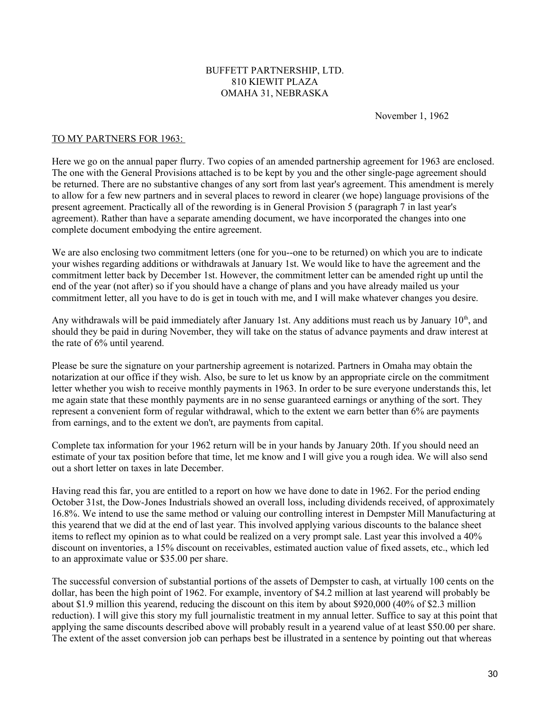#### BUFFETT PARTNERSHIP, LTD. 810 KIEWIT PLAZA OMAHA 31, NEBRASKA

November 1, 1962

#### TO MY PARTNERS FOR 1963:

Here we go on the annual paper flurry. Two copies of an amended partnership agreement for 1963 are enclosed. The one with the General Provisions attached is to be kept by you and the other single-page agreement should be returned. There are no substantive changes of any sort from last year's agreement. This amendment is merely to allow for a few new partners and in several places to reword in clearer (we hope) language provisions of the present agreement. Practically all of the rewording is in General Provision 5 (paragraph 7 in last year's agreement). Rather than have a separate amending document, we have incorporated the changes into one complete document embodying the entire agreement.

We are also enclosing two commitment letters (one for you--one to be returned) on which you are to indicate your wishes regarding additions or withdrawals at January 1st. We would like to have the agreement and the commitment letter back by December 1st. However, the commitment letter can be amended right up until the end of the year (not after) so if you should have a change of plans and you have already mailed us your commitment letter, all you have to do is get in touch with me, and I will make whatever changes you desire.

Any withdrawals will be paid immediately after January 1st. Any additions must reach us by January  $10<sup>th</sup>$ , and should they be paid in during November, they will take on the status of advance payments and draw interest at the rate of 6% until yearend.

Please be sure the signature on your partnership agreement is notarized. Partners in Omaha may obtain the notarization at our office if they wish. Also, be sure to let us know by an appropriate circle on the commitment letter whether you wish to receive monthly payments in 1963. In order to be sure everyone understands this, let me again state that these monthly payments are in no sense guaranteed earnings or anything of the sort. They represent a convenient form of regular withdrawal, which to the extent we earn better than 6% are payments from earnings, and to the extent we don't, are payments from capital.

Complete tax information for your 1962 return will be in your hands by January 20th. If you should need an estimate of your tax position before that time, let me know and I will give you a rough idea. We will also send out a short letter on taxes in late December.

Having read this far, you are entitled to a report on how we have done to date in 1962. For the period ending October 31st, the Dow-Jones Industrials showed an overall loss, including dividends received, of approximately 16.8%. We intend to use the same method or valuing our controlling interest in Dempster Mill Manufacturing at this yearend that we did at the end of last year. This involved applying various discounts to the balance sheet items to reflect my opinion as to what could be realized on a very prompt sale. Last year this involved a 40% discount on inventories, a 15% discount on receivables, estimated auction value of fixed assets, etc., which led to an approximate value or \$35.00 per share.

The successful conversion of substantial portions of the assets of Dempster to cash, at virtually 100 cents on the dollar, has been the high point of 1962. For example, inventory of \$4.2 million at last yearend will probably be about \$1.9 million this yearend, reducing the discount on this item by about \$920,000 (40% of \$2.3 million reduction). I will give this story my full journalistic treatment in my annual letter. Suffice to say at this point that applying the same discounts described above will probably result in a yearend value of at least \$50.00 per share. The extent of the asset conversion job can perhaps best be illustrated in a sentence by pointing out that whereas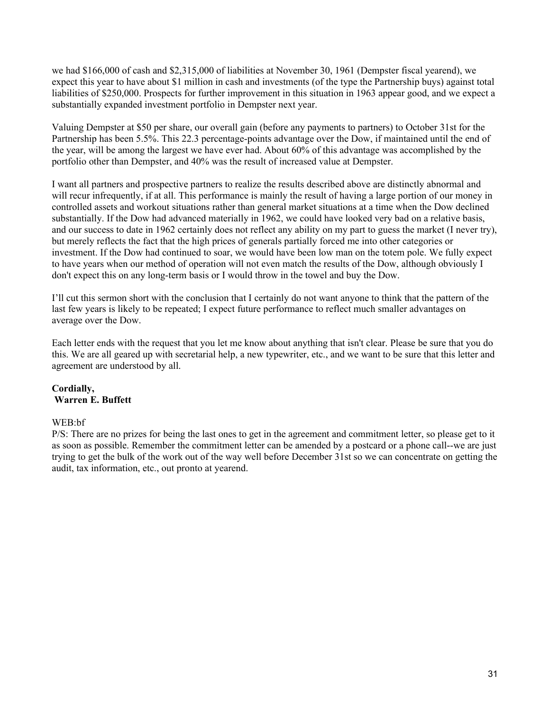we had \$166,000 of cash and \$2,315,000 of liabilities at November 30, 1961 (Dempster fiscal yearend), we expect this year to have about \$1 million in cash and investments (of the type the Partnership buys) against total liabilities of \$250,000. Prospects for further improvement in this situation in 1963 appear good, and we expect a substantially expanded investment portfolio in Dempster next year.

Valuing Dempster at \$50 per share, our overall gain (before any payments to partners) to October 31st for the Partnership has been 5.5%. This 22.3 percentage-points advantage over the Dow, if maintained until the end of the year, will be among the largest we have ever had. About 60% of this advantage was accomplished by the portfolio other than Dempster, and 40% was the result of increased value at Dempster.

I want all partners and prospective partners to realize the results described above are distinctly abnormal and will recur infrequently, if at all. This performance is mainly the result of having a large portion of our money in controlled assets and workout situations rather than general market situations at a time when the Dow declined substantially. If the Dow had advanced materially in 1962, we could have looked very bad on a relative basis, and our success to date in 1962 certainly does not reflect any ability on my part to guess the market (I never try), but merely reflects the fact that the high prices of generals partially forced me into other categories or investment. If the Dow had continued to soar, we would have been low man on the totem pole. We fully expect to have years when our method of operation will not even match the results of the Dow, although obviously I don't expect this on any long-term basis or I would throw in the towel and buy the Dow.

I'll cut this sermon short with the conclusion that I certainly do not want anyone to think that the pattern of the last few years is likely to be repeated; I expect future performance to reflect much smaller advantages on average over the Dow.

Each letter ends with the request that you let me know about anything that isn't clear. Please be sure that you do this. We are all geared up with secretarial help, a new typewriter, etc., and we want to be sure that this letter and agreement are understood by all.

# **Cordially, Warren E. Buffett**

### WEB:bf

P/S: There are no prizes for being the last ones to get in the agreement and commitment letter, so please get to it as soon as possible. Remember the commitment letter can be amended by a postcard or a phone call--we are just trying to get the bulk of the work out of the way well before December 31st so we can concentrate on getting the audit, tax information, etc., out pronto at yearend.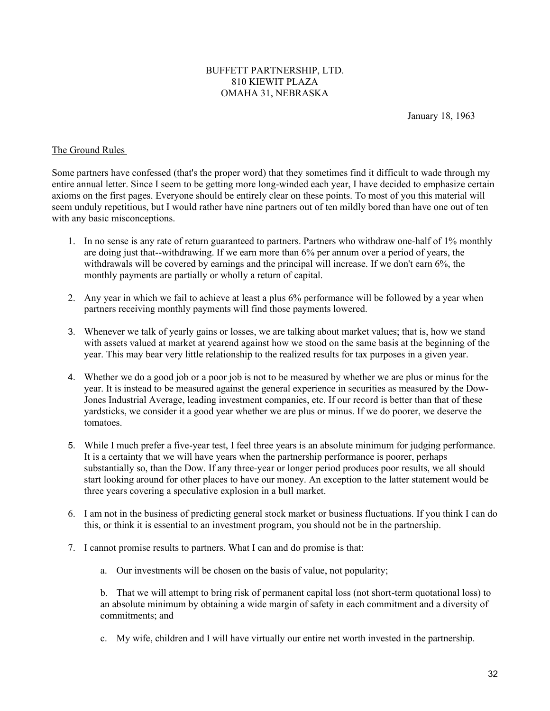### BUFFETT PARTNERSHIP, LTD. 810 KIEWIT PLAZA OMAHA 31, NEBRASKA

January 18, 1963

### The Ground Rules

Some partners have confessed (that's the proper word) that they sometimes find it difficult to wade through my entire annual letter. Since I seem to be getting more long-winded each year, I have decided to emphasize certain axioms on the first pages. Everyone should be entirely clear on these points. To most of you this material will seem unduly repetitious, but I would rather have nine partners out of ten mildly bored than have one out of ten with any basic misconceptions.

- 1. In no sense is any rate of return guaranteed to partners. Partners who withdraw one-half of 1% monthly are doing just that--withdrawing. If we earn more than 6% per annum over a period of years, the withdrawals will be covered by earnings and the principal will increase. If we don't earn 6%, the monthly payments are partially or wholly a return of capital.
- 2. Any year in which we fail to achieve at least a plus 6% performance will be followed by a year when partners receiving monthly payments will find those payments lowered.
- 3. Whenever we talk of yearly gains or losses, we are talking about market values; that is, how we stand with assets valued at market at yearend against how we stood on the same basis at the beginning of the year. This may bear very little relationship to the realized results for tax purposes in a given year.
- 4. Whether we do a good job or a poor job is not to be measured by whether we are plus or minus for the year. It is instead to be measured against the general experience in securities as measured by the Dow-Jones Industrial Average, leading investment companies, etc. If our record is better than that of these yardsticks, we consider it a good year whether we are plus or minus. If we do poorer, we deserve the tomatoes.
- 5. While I much prefer a five-year test, I feel three years is an absolute minimum for judging performance. It is a certainty that we will have years when the partnership performance is poorer, perhaps substantially so, than the Dow. If any three-year or longer period produces poor results, we all should start looking around for other places to have our money. An exception to the latter statement would be three years covering a speculative explosion in a bull market.
- 6. I am not in the business of predicting general stock market or business fluctuations. If you think I can do this, or think it is essential to an investment program, you should not be in the partnership.
- 7. I cannot promise results to partners. What I can and do promise is that:
	- a. Our investments will be chosen on the basis of value, not popularity;

b. That we will attempt to bring risk of permanent capital loss (not short-term quotational loss) to an absolute minimum by obtaining a wide margin of safety in each commitment and a diversity of commitments; and

c. My wife, children and I will have virtually our entire net worth invested in the partnership.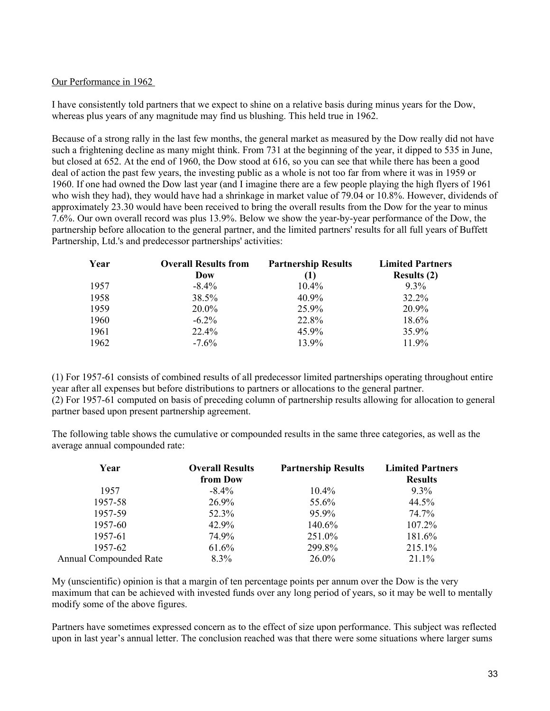### Our Performance in 1962

I have consistently told partners that we expect to shine on a relative basis during minus years for the Dow, whereas plus years of any magnitude may find us blushing. This held true in 1962.

Because of a strong rally in the last few months, the general market as measured by the Dow really did not have such a frightening decline as many might think. From 731 at the beginning of the year, it dipped to 535 in June, but closed at 652. At the end of 1960, the Dow stood at 616, so you can see that while there has been a good deal of action the past few years, the investing public as a whole is not too far from where it was in 1959 or 1960. If one had owned the Dow last year (and I imagine there are a few people playing the high flyers of 1961 who wish they had), they would have had a shrinkage in market value of 79.04 or 10.8%. However, dividends of approximately 23.30 would have been received to bring the overall results from the Dow for the year to minus 7.6%. Our own overall record was plus 13.9%. Below we show the year-by-year performance of the Dow, the partnership before allocation to the general partner, and the limited partners' results for all full years of Buffett Partnership, Ltd.'s and predecessor partnerships' activities:

| Year | <b>Overall Results from</b> | <b>Partnership Results</b> | <b>Limited Partners</b> |
|------|-----------------------------|----------------------------|-------------------------|
|      | Dow                         | (1)                        | <b>Results (2)</b>      |
| 1957 | $-8.4\%$                    | $10.4\%$                   | $9.3\%$                 |
| 1958 | 38.5%                       | 40.9%                      | 32.2%                   |
| 1959 | 20.0%                       | 25.9%                      | 20.9%                   |
| 1960 | $-6.2\%$                    | 22.8%                      | 18.6%                   |
| 1961 | 22.4%                       | 45.9%                      | 35.9%                   |
| 1962 | $-7.6\%$                    | 13.9%                      | 11.9%                   |

(1) For 1957-61 consists of combined results of all predecessor limited partnerships operating throughout entire year after all expenses but before distributions to partners or allocations to the general partner. (2) For 1957-61 computed on basis of preceding column of partnership results allowing for allocation to general partner based upon present partnership agreement.

The following table shows the cumulative or compounded results in the same three categories, as well as the average annual compounded rate:

| Year                          | <b>Overall Results</b><br>from Dow | <b>Partnership Results</b> | <b>Limited Partners</b><br><b>Results</b> |
|-------------------------------|------------------------------------|----------------------------|-------------------------------------------|
| 1957                          | $-8.4\%$                           | $10.4\%$                   | $9.3\%$                                   |
| 1957-58                       | 26.9%                              | 55.6%                      | 44.5%                                     |
| 1957-59                       | 52.3%                              | 95.9%                      | 74.7%                                     |
| 1957-60                       | 42.9%                              | 140.6%                     | 107.2%                                    |
| 1957-61                       | 74.9%                              | 251.0%                     | 181.6%                                    |
| 1957-62                       | 61.6%                              | 299.8%                     | 215.1%                                    |
| <b>Annual Compounded Rate</b> | $8.3\%$                            | $26.0\%$                   | 21.1%                                     |

My (unscientific) opinion is that a margin of ten percentage points per annum over the Dow is the very maximum that can be achieved with invested funds over any long period of years, so it may be well to mentally modify some of the above figures.

Partners have sometimes expressed concern as to the effect of size upon performance. This subject was reflected upon in last year's annual letter. The conclusion reached was that there were some situations where larger sums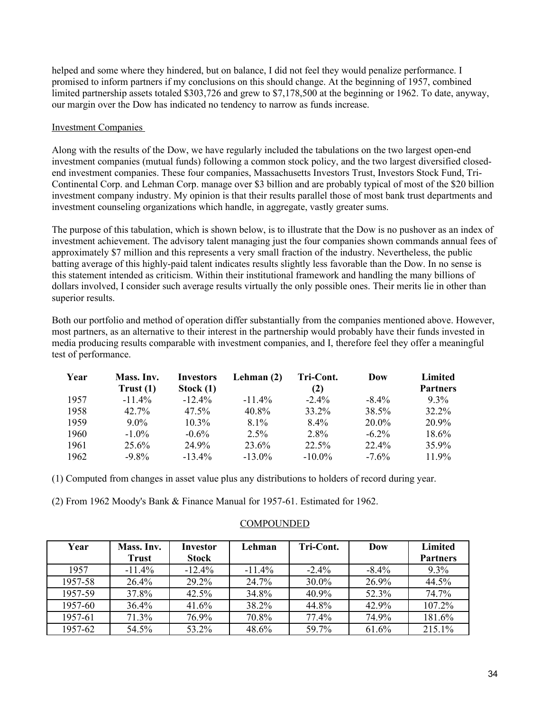helped and some where they hindered, but on balance, I did not feel they would penalize performance. I promised to inform partners if my conclusions on this should change. At the beginning of 1957, combined limited partnership assets totaled \$303,726 and grew to \$7,178,500 at the beginning or 1962. To date, anyway, our margin over the Dow has indicated no tendency to narrow as funds increase.

### Investment Companies

Along with the results of the Dow, we have regularly included the tabulations on the two largest open-end investment companies (mutual funds) following a common stock policy, and the two largest diversified closedend investment companies. These four companies, Massachusetts Investors Trust, Investors Stock Fund, Tri-Continental Corp. and Lehman Corp. manage over \$3 billion and are probably typical of most of the \$20 billion investment company industry. My opinion is that their results parallel those of most bank trust departments and investment counseling organizations which handle, in aggregate, vastly greater sums.

The purpose of this tabulation, which is shown below, is to illustrate that the Dow is no pushover as an index of investment achievement. The advisory talent managing just the four companies shown commands annual fees of approximately \$7 million and this represents a very small fraction of the industry. Nevertheless, the public batting average of this highly-paid talent indicates results slightly less favorable than the Dow. In no sense is this statement intended as criticism. Within their institutional framework and handling the many billions of dollars involved, I consider such average results virtually the only possible ones. Their merits lie in other than superior results.

Both our portfolio and method of operation differ substantially from the companies mentioned above. However, most partners, as an alternative to their interest in the partnership would probably have their funds invested in media producing results comparable with investment companies, and I, therefore feel they offer a meaningful test of performance.

| Year | Mass. Inv.  | <b>Investors</b> | Lehman (2) | Tri-Cont. | Dow      | Limited<br><b>Partners</b> |
|------|-------------|------------------|------------|-----------|----------|----------------------------|
|      | Trust $(1)$ | Stock $(1)$      |            | (2)       |          |                            |
| 1957 | $-11.4\%$   | $-12.4\%$        | $-11.4\%$  | $-2.4\%$  | $-8.4\%$ | $9.3\%$                    |
| 1958 | $42.7\%$    | $47.5\%$         | 40.8%      | 33.2%     | 38.5%    | 32.2%                      |
| 1959 | $9.0\%$     | $10.3\%$         | $8.1\%$    | $8.4\%$   | $20.0\%$ | 20.9%                      |
| 1960 | $-1.0\%$    | $-0.6\%$         | 2.5%       | 2.8%      | $-6.2\%$ | 18.6%                      |
| 1961 | 25.6%       | 24.9%            | 23.6%      | 22.5%     | $22.4\%$ | 35.9%                      |
| 1962 | $-9.8\%$    | $-13.4\%$        | $-13.0\%$  | $-10.0\%$ | $-7.6\%$ | $11.9\%$                   |

(1) Computed from changes in asset value plus any distributions to holders of record during year.

(2) From 1962 Moody's Bank & Finance Manual for 1957-61. Estimated for 1962.

| Year    | Mass. Inv.   | Investor     | Lehman    | Tri-Cont. | Dow      | Limited         |
|---------|--------------|--------------|-----------|-----------|----------|-----------------|
|         | <b>Trust</b> | <b>Stock</b> |           |           |          | <b>Partners</b> |
| 1957    | $-11.4\%$    | $-12.4%$     | $-11.4\%$ | $-2.4\%$  | $-8.4\%$ | $9.3\%$         |
| 1957-58 | 26.4%        | 29.2%        | 24.7%     | 30.0%     | 26.9%    | 44.5%           |
| 1957-59 | 37.8%        | 42.5%        | 34.8%     | 40.9%     | 52.3%    | 74.7%           |
| 1957-60 | 36.4%        | 41.6%        | 38.2%     | 44.8%     | 42.9%    | 107.2%          |
| 1957-61 | 71.3%        | 76.9%        | 70.8%     | 77.4%     | 74.9%    | 181.6%          |
| 1957-62 | 54.5%        | 53.2%        | 48.6%     | 59.7%     | 61.6%    | 215.1%          |

# **COMPOUNDED**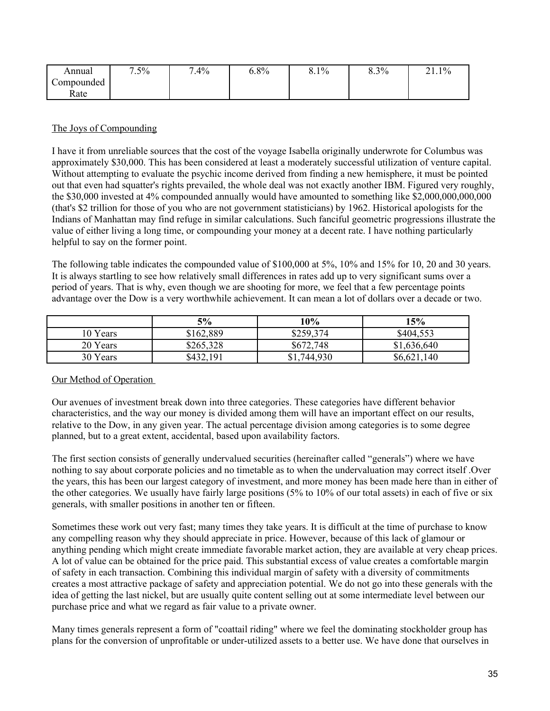| Annual     | 7.5% | $.4\%$<br>− | 6.8% | 8.1% | 8.3% | 21.1% |
|------------|------|-------------|------|------|------|-------|
| Compounded |      |             |      |      |      |       |
| Rate       |      |             |      |      |      |       |

# The Joys of Compounding

I have it from unreliable sources that the cost of the voyage Isabella originally underwrote for Columbus was approximately \$30,000. This has been considered at least a moderately successful utilization of venture capital. Without attempting to evaluate the psychic income derived from finding a new hemisphere, it must be pointed out that even had squatter's rights prevailed, the whole deal was not exactly another IBM. Figured very roughly, the \$30,000 invested at 4% compounded annually would have amounted to something like \$2,000,000,000,000 (that's \$2 trillion for those of you who are not government statisticians) by 1962. Historical apologists for the Indians of Manhattan may find refuge in similar calculations. Such fanciful geometric progressions illustrate the value of either living a long time, or compounding your money at a decent rate. I have nothing particularly helpful to say on the former point.

The following table indicates the compounded value of \$100,000 at 5%, 10% and 15% for 10, 20 and 30 years. It is always startling to see how relatively small differences in rates add up to very significant sums over a period of years. That is why, even though we are shooting for more, we feel that a few percentage points advantage over the Dow is a very worthwhile achievement. It can mean a lot of dollars over a decade or two.

|          | 5%             | $10\%$    | 15%            |
|----------|----------------|-----------|----------------|
| 10 Years | \$162,889      | \$259,374 | \$404,553      |
| 20 Years | \$265,328      | \$672,748 | \$1,636,640    |
| 30 Years | \$432.<br>.191 | .744,930  | 140<br>\$6,621 |

# Our Method of Operation

Our avenues of investment break down into three categories. These categories have different behavior characteristics, and the way our money is divided among them will have an important effect on our results, relative to the Dow, in any given year. The actual percentage division among categories is to some degree planned, but to a great extent, accidental, based upon availability factors.

The first section consists of generally undervalued securities (hereinafter called "generals") where we have nothing to say about corporate policies and no timetable as to when the undervaluation may correct itself .Over the years, this has been our largest category of investment, and more money has been made here than in either of the other categories. We usually have fairly large positions (5% to 10% of our total assets) in each of five or six generals, with smaller positions in another ten or fifteen.

Sometimes these work out very fast; many times they take years. It is difficult at the time of purchase to know any compelling reason why they should appreciate in price. However, because of this lack of glamour or anything pending which might create immediate favorable market action, they are available at very cheap prices. A lot of value can be obtained for the price paid. This substantial excess of value creates a comfortable margin of safety in each transaction. Combining this individual margin of safety with a diversity of commitments creates a most attractive package of safety and appreciation potential. We do not go into these generals with the idea of getting the last nickel, but are usually quite content selling out at some intermediate level between our purchase price and what we regard as fair value to a private owner.

Many times generals represent a form of "coattail riding" where we feel the dominating stockholder group has plans for the conversion of unprofitable or under-utilized assets to a better use. We have done that ourselves in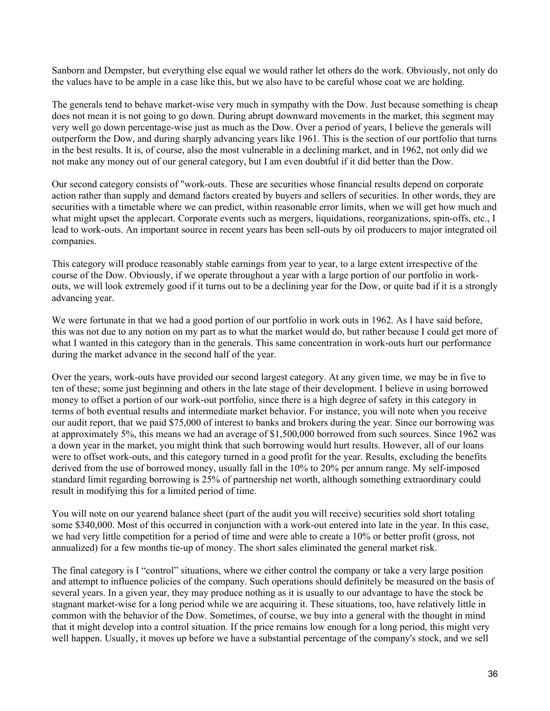Sanborn and Dempster, but everything else equal we would rather let others do the work. Obviously, not only do the values have to be ample in a case like this, but we also have to be careful whose coat we are holding.

The generals tend to behave market-wise very much in sympathy with the Dow. Just because something is cheap does not mean it is not going to go down. During abrupt downward movements in the market, this segment may very well go down percentage-wise just as much as the Dow. Over a period of years, I believe the generals will outperform the Dow, and during sharply advancing years like 1961. This is the section of our portfolio that turns in the best results. It is, of course, also the most vulnerable in a declining market, and in 1962, not only did we not make any money out of our general category, but I am even doubtful if it did better than the Dow.

Our second category consists of "work-outs. These are securities whose financial results depend on corporate action rather than supply and demand factors created by buyers and sellers of securities. In other words, they are securities with a timetable where we can predict, within reasonable error limits, when we will get how much and what might upset the applecart. Corporate events such as mergers, liquidations, reorganizations, spin-offs, etc., I lead to work-outs. An important source in recent years has been sell-outs by oil producers to major integrated oil companies.

This category will produce reasonably stable earnings from year to year, to a large extent irrespective of the course of the Dow. Obviously, if we operate throughout a year with a large portion of our portfolio in workouts, we will look extremely good if it turns out to be a declining year for the Dow, or quite bad if it is a strongly advancing year.

We were fortunate in that we had a good portion of our portfolio in work outs in 1962. As I have said before, this was not due to any notion on my part as to what the market would do, but rather because I could get more of what I wanted in this category than in the generals. This same concentration in work-outs hurt our performance during the market advance in the second half of the year.

Over the years, work-outs have provided our second largest category. At any given time, we may be in five to ten of these; some just beginning and others in the late stage of their development. I believe in using borrowed money to offset a portion of our work-out portfolio, since there is a high degree of safety in this category in terms of both eventual results and intermediate market behavior. For instance, you will note when you receive our audit report, that we paid \$75,000 of interest to banks and brokers during the year. Since our borrowing was at approximately 5%, this means we had an average of \$1,500,000 borrowed from such sources. Since 1962 was a down year in the market, you might think that such borrowing would hurt results. However, all of our loans were to offset work-outs, and this category turned in a good profit for the year. Results, excluding the benefits derived from the use of borrowed money, usually fall in the 10% to 20% per annum range. My self-imposed standard limit regarding borrowing is 25% of partnership net worth, although something extraordinary could result in modifying this for a limited period of time.

You will note on our yearend balance sheet (part of the audit you will receive) securities sold short totaling some \$340,000. Most of this occurred in conjunction with a work-out entered into late in the year. In this case, we had very little competition for a period of time and were able to create a 10% or better profit (gross, not annualized) for a few months tie-up of money. The short sales eliminated the general market risk.

The final category is I "control" situations, where we either control the company or take a very large position and attempt to influence policies of the company. Such operations should definitely be measured on the basis of several years. In a given year, they may produce nothing as it is usually to our advantage to have the stock be stagnant market-wise for a long period while we are acquiring it. These situations, too, have relatively little in common with the behavior of the Dow. Sometimes, of course, we buy into a general with the thought in mind that it might develop into a control situation. If the price remains low enough for a long period, this might very well happen. Usually, it moves up before we have a substantial percentage of the company's stock, and we sell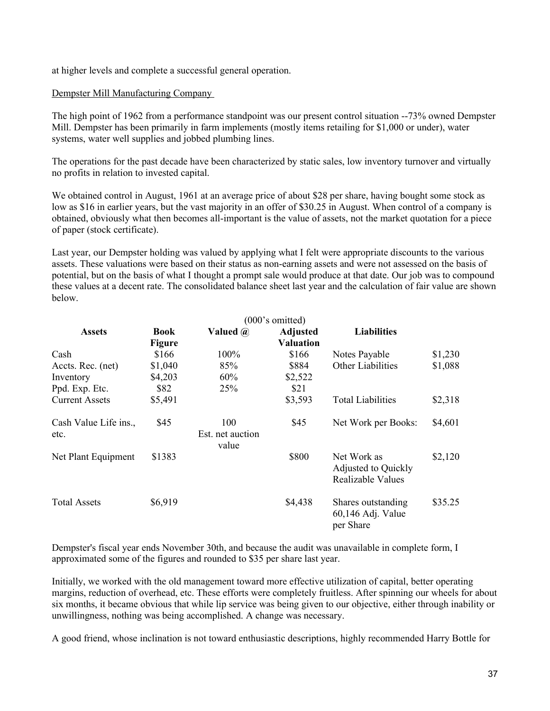at higher levels and complete a successful general operation.

## Dempster Mill Manufacturing Company

The high point of 1962 from a performance standpoint was our present control situation --73% owned Dempster Mill. Dempster has been primarily in farm implements (mostly items retailing for \$1,000 or under), water systems, water well supplies and jobbed plumbing lines.

The operations for the past decade have been characterized by static sales, low inventory turnover and virtually no profits in relation to invested capital.

We obtained control in August, 1961 at an average price of about \$28 per share, having bought some stock as low as \$16 in earlier years, but the vast majority in an offer of \$30.25 in August. When control of a company is obtained, obviously what then becomes all-important is the value of assets, not the market quotation for a piece of paper (stock certificate).

Last year, our Dempster holding was valued by applying what I felt were appropriate discounts to the various assets. These valuations were based on their status as non-earning assets and were not assessed on the basis of potential, but on the basis of what I thought a prompt sale would produce at that date. Our job was to compound these values at a decent rate. The consolidated balance sheet last year and the calculation of fair value are shown below.

|                               |               |                                  | (000's omitted)  |                                                                |         |
|-------------------------------|---------------|----------------------------------|------------------|----------------------------------------------------------------|---------|
| <b>Assets</b>                 | <b>Book</b>   | Valued $\omega$                  | <b>Adjusted</b>  | <b>Liabilities</b>                                             |         |
|                               | <b>Figure</b> |                                  | <b>Valuation</b> |                                                                |         |
| Cash                          | \$166         | 100%                             | \$166            | Notes Payable                                                  | \$1,230 |
| Accts. Rec. (net)             | \$1,040       | 85%                              | \$884            | Other Liabilities                                              | \$1,088 |
| Inventory                     | \$4,203       | 60%                              | \$2,522          |                                                                |         |
| Ppd. Exp. Etc.                | \$82          | 25%                              | \$21             |                                                                |         |
| <b>Current Assets</b>         | \$5,491       |                                  | \$3,593          | <b>Total Liabilities</b>                                       | \$2,318 |
| Cash Value Life ins.,<br>etc. | \$45          | 100<br>Est. net auction<br>value | \$45             | Net Work per Books:                                            | \$4,601 |
| Net Plant Equipment           | \$1383        |                                  | \$800            | Net Work as<br>Adjusted to Quickly<br><b>Realizable Values</b> | \$2,120 |
| <b>Total Assets</b>           | \$6,919       |                                  | \$4,438          | Shares outstanding<br>60,146 Adj. Value<br>per Share           | \$35.25 |

Dempster's fiscal year ends November 30th, and because the audit was unavailable in complete form, I approximated some of the figures and rounded to \$35 per share last year.

Initially, we worked with the old management toward more effective utilization of capital, better operating margins, reduction of overhead, etc. These efforts were completely fruitless. After spinning our wheels for about six months, it became obvious that while lip service was being given to our objective, either through inability or unwillingness, nothing was being accomplished. A change was necessary.

A good friend, whose inclination is not toward enthusiastic descriptions, highly recommended Harry Bottle for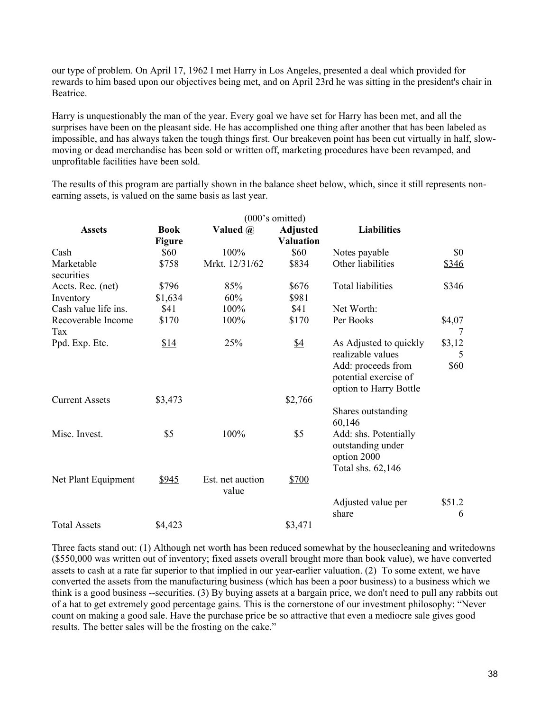our type of problem. On April 17, 1962 I met Harry in Los Angeles, presented a deal which provided for rewards to him based upon our objectives being met, and on April 23rd he was sitting in the president's chair in Beatrice.

Harry is unquestionably the man of the year. Every goal we have set for Harry has been met, and all the surprises have been on the pleasant side. He has accomplished one thing after another that has been labeled as impossible, and has always taken the tough things first. Our breakeven point has been cut virtually in half, slowmoving or dead merchandise has been sold or written off, marketing procedures have been revamped, and unprofitable facilities have been sold.

The results of this program are partially shown in the balance sheet below, which, since it still represents nonearning assets, is valued on the same basis as last year.

|                           |                              |                           | $(000)$ 's omitted)                 |                                                                                                                      |                     |
|---------------------------|------------------------------|---------------------------|-------------------------------------|----------------------------------------------------------------------------------------------------------------------|---------------------|
| <b>Assets</b>             | <b>Book</b><br><b>Figure</b> | Valued @                  | <b>Adjusted</b><br><b>Valuation</b> | <b>Liabilities</b>                                                                                                   |                     |
| Cash                      | \$60                         | 100%                      | \$60                                | Notes payable                                                                                                        | \$0                 |
| Marketable<br>securities  | \$758                        | Mrkt. 12/31/62            | \$834                               | Other liabilities                                                                                                    | \$346               |
| Accts. Rec. (net)         | \$796                        | 85%                       | \$676                               | Total liabilities                                                                                                    | \$346               |
| Inventory                 | \$1,634                      | 60%                       | \$981                               |                                                                                                                      |                     |
| Cash value life ins.      | \$41                         | 100%                      | \$41                                | Net Worth:                                                                                                           |                     |
| Recoverable Income<br>Tax | \$170                        | 100%                      | \$170                               | Per Books                                                                                                            | \$4,07<br>7         |
| Ppd. Exp. Etc.            | <u>\$14</u>                  | 25%                       | $\frac{$4}{}$                       | As Adjusted to quickly<br>realizable values<br>Add: proceeds from<br>potential exercise of<br>option to Harry Bottle | \$3,12<br>5<br>\$60 |
| <b>Current Assets</b>     | \$3,473                      |                           | \$2,766                             | Shares outstanding<br>60,146                                                                                         |                     |
| Misc. Invest.             | \$5                          | 100%                      | \$5                                 | Add: shs. Potentially<br>outstanding under<br>option 2000<br>Total shs. 62,146                                       |                     |
| Net Plant Equipment       | \$945                        | Est. net auction<br>value | \$700                               |                                                                                                                      |                     |
|                           |                              |                           |                                     | Adjusted value per<br>share                                                                                          | \$51.2<br>6         |
| Total Assets              | \$4,423                      |                           | \$3,471                             |                                                                                                                      |                     |

Three facts stand out: (1) Although net worth has been reduced somewhat by the housecleaning and writedowns (\$550,000 was written out of inventory; fixed assets overall brought more than book value), we have converted assets to cash at a rate far superior to that implied in our year-earlier valuation. (2) To some extent, we have converted the assets from the manufacturing business (which has been a poor business) to a business which we think is a good business --securities. (3) By buying assets at a bargain price, we don't need to pull any rabbits out of a hat to get extremely good percentage gains. This is the cornerstone of our investment philosophy: "Never count on making a good sale. Have the purchase price be so attractive that even a mediocre sale gives good results. The better sales will be the frosting on the cake."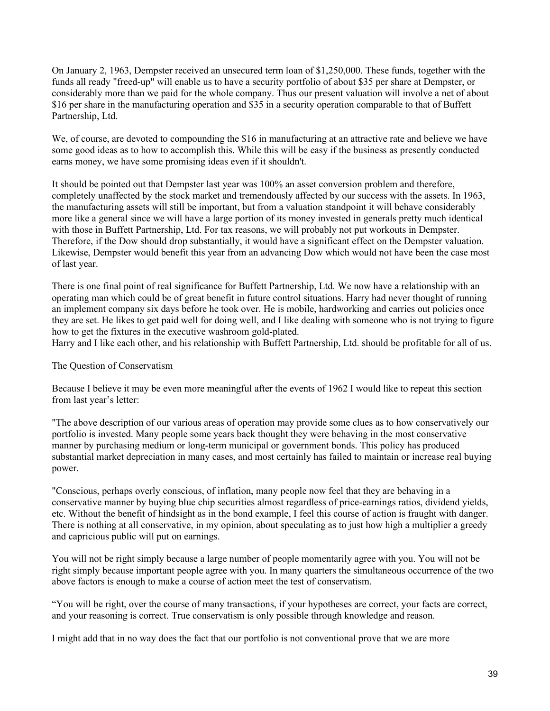On January 2, 1963, Dempster received an unsecured term loan of \$1,250,000. These funds, together with the funds all ready "freed-up" will enable us to have a security portfolio of about \$35 per share at Dempster, or considerably more than we paid for the whole company. Thus our present valuation will involve a net of about \$16 per share in the manufacturing operation and \$35 in a security operation comparable to that of Buffett Partnership, Ltd.

We, of course, are devoted to compounding the \$16 in manufacturing at an attractive rate and believe we have some good ideas as to how to accomplish this. While this will be easy if the business as presently conducted earns money, we have some promising ideas even if it shouldn't.

It should be pointed out that Dempster last year was 100% an asset conversion problem and therefore, completely unaffected by the stock market and tremendously affected by our success with the assets. In 1963, the manufacturing assets will still be important, but from a valuation standpoint it will behave considerably more like a general since we will have a large portion of its money invested in generals pretty much identical with those in Buffett Partnership, Ltd. For tax reasons, we will probably not put workouts in Dempster. Therefore, if the Dow should drop substantially, it would have a significant effect on the Dempster valuation. Likewise, Dempster would benefit this year from an advancing Dow which would not have been the case most of last year.

There is one final point of real significance for Buffett Partnership, Ltd. We now have a relationship with an operating man which could be of great benefit in future control situations. Harry had never thought of running an implement company six days before he took over. He is mobile, hardworking and carries out policies once they are set. He likes to get paid well for doing well, and I like dealing with someone who is not trying to figure how to get the fixtures in the executive washroom gold-plated.

Harry and I like each other, and his relationship with Buffett Partnership, Ltd. should be profitable for all of us.

### The Question of Conservatism

Because I believe it may be even more meaningful after the events of 1962 I would like to repeat this section from last year's letter:

"The above description of our various areas of operation may provide some clues as to how conservatively our portfolio is invested. Many people some years back thought they were behaving in the most conservative manner by purchasing medium or long-term municipal or government bonds. This policy has produced substantial market depreciation in many cases, and most certainly has failed to maintain or increase real buying power.

"Conscious, perhaps overly conscious, of inflation, many people now feel that they are behaving in a conservative manner by buying blue chip securities almost regardless of price-earnings ratios, dividend yields, etc. Without the benefit of hindsight as in the bond example, I feel this course of action is fraught with danger. There is nothing at all conservative, in my opinion, about speculating as to just how high a multiplier a greedy and capricious public will put on earnings.

You will not be right simply because a large number of people momentarily agree with you. You will not be right simply because important people agree with you. In many quarters the simultaneous occurrence of the two above factors is enough to make a course of action meet the test of conservatism.

"You will be right, over the course of many transactions, if your hypotheses are correct, your facts are correct, and your reasoning is correct. True conservatism is only possible through knowledge and reason.

I might add that in no way does the fact that our portfolio is not conventional prove that we are more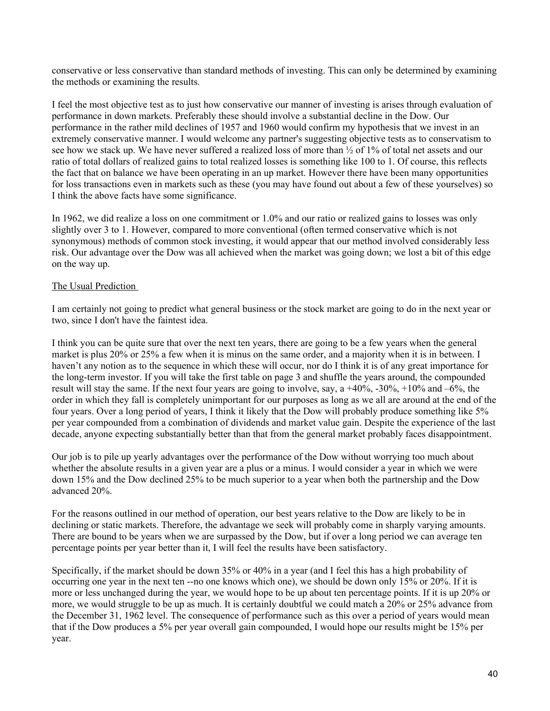conservative or less conservative than standard methods of investing. This can only be determined by examining the methods or examining the results.

I feel the most objective test as to just how conservative our manner of investing is arises through evaluation of performance in down markets. Preferably these should involve a substantial decline in the Dow. Our performance in the rather mild declines of 1957 and 1960 would confirm my hypothesis that we invest in an extremely conservative manner. I would welcome any partner's suggesting objective tests as to conservatism to see how we stack up. We have never suffered a realized loss of more than ½ of 1% of total net assets and our ratio of total dollars of realized gains to total realized losses is something like 100 to 1. Of course, this reflects the fact that on balance we have been operating in an up market. However there have been many opportunities for loss transactions even in markets such as these (you may have found out about a few of these yourselves) so I think the above facts have some significance.

In 1962, we did realize a loss on one commitment or 1.0% and our ratio or realized gains to losses was only slightly over 3 to 1. However, compared to more conventional (often termed conservative which is not synonymous) methods of common stock investing, it would appear that our method involved considerably less risk. Our advantage over the Dow was all achieved when the market was going down; we lost a bit of this edge on the way up.

# The Usual Prediction

I am certainly not going to predict what general business or the stock market are going to do in the next year or two, since I don't have the faintest idea.

I think you can be quite sure that over the next ten years, there are going to be a few years when the general market is plus 20% or 25% a few when it is minus on the same order, and a majority when it is in between. I haven't any notion as to the sequence in which these will occur, nor do I think it is of any great importance for the long-term investor. If you will take the first table on page 3 and shuffle the years around, the compounded result will stay the same. If the next four years are going to involve, say,  $a +40\%$ ,  $-30\%$ ,  $+10\%$  and  $-6\%$ , the order in which they fall is completely unimportant for our purposes as long as we all are around at the end of the four years. Over a long period of years, I think it likely that the Dow will probably produce something like 5% per year compounded from a combination of dividends and market value gain. Despite the experience of the last decade, anyone expecting substantially better than that from the general market probably faces disappointment.

Our job is to pile up yearly advantages over the performance of the Dow without worrying too much about whether the absolute results in a given year are a plus or a minus. I would consider a year in which we were down 15% and the Dow declined 25% to be much superior to a year when both the partnership and the Dow advanced 20%.

For the reasons outlined in our method of operation, our best years relative to the Dow are likely to be in declining or static markets. Therefore, the advantage we seek will probably come in sharply varying amounts. There are bound to be years when we are surpassed by the Dow, but if over a long period we can average ten percentage points per year better than it, I will feel the results have been satisfactory.

Specifically, if the market should be down 35% or 40% in a year (and I feel this has a high probability of occurring one year in the next ten --no one knows which one), we should be down only 15% or 20%. If it is more or less unchanged during the year, we would hope to be up about ten percentage points. If it is up 20% or more, we would struggle to be up as much. It is certainly doubtful we could match a 20% or 25% advance from the December 31, 1962 level. The consequence of performance such as this over a period of years would mean that if the Dow produces a 5% per year overall gain compounded, I would hope our results might be 15% per year.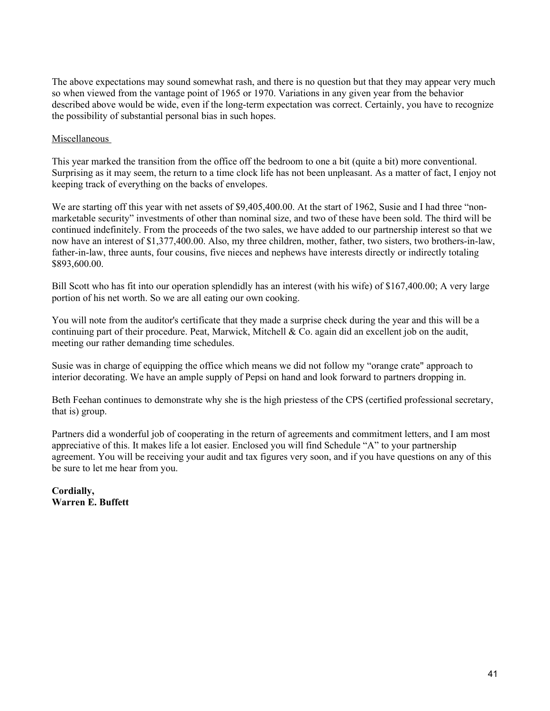The above expectations may sound somewhat rash, and there is no question but that they may appear very much so when viewed from the vantage point of 1965 or 1970. Variations in any given year from the behavior described above would be wide, even if the long-term expectation was correct. Certainly, you have to recognize the possibility of substantial personal bias in such hopes.

## Miscellaneous

This year marked the transition from the office off the bedroom to one a bit (quite a bit) more conventional. Surprising as it may seem, the return to a time clock life has not been unpleasant. As a matter of fact, I enjoy not keeping track of everything on the backs of envelopes.

We are starting off this year with net assets of \$9,405,400.00. At the start of 1962, Susie and I had three "nonmarketable security" investments of other than nominal size, and two of these have been sold. The third will be continued indefinitely. From the proceeds of the two sales, we have added to our partnership interest so that we now have an interest of \$1,377,400.00. Also, my three children, mother, father, two sisters, two brothers-in-law, father-in-law, three aunts, four cousins, five nieces and nephews have interests directly or indirectly totaling \$893,600.00.

Bill Scott who has fit into our operation splendidly has an interest (with his wife) of \$167,400.00; A very large portion of his net worth. So we are all eating our own cooking.

You will note from the auditor's certificate that they made a surprise check during the year and this will be a continuing part of their procedure. Peat, Marwick, Mitchell & Co. again did an excellent job on the audit, meeting our rather demanding time schedules.

Susie was in charge of equipping the office which means we did not follow my "orange crate" approach to interior decorating. We have an ample supply of Pepsi on hand and look forward to partners dropping in.

Beth Feehan continues to demonstrate why she is the high priestess of the CPS (certified professional secretary, that is) group.

Partners did a wonderful job of cooperating in the return of agreements and commitment letters, and I am most appreciative of this. It makes life a lot easier. Enclosed you will find Schedule "A" to your partnership agreement. You will be receiving your audit and tax figures very soon, and if you have questions on any of this be sure to let me hear from you.

**Cordially, Warren E. Buffett**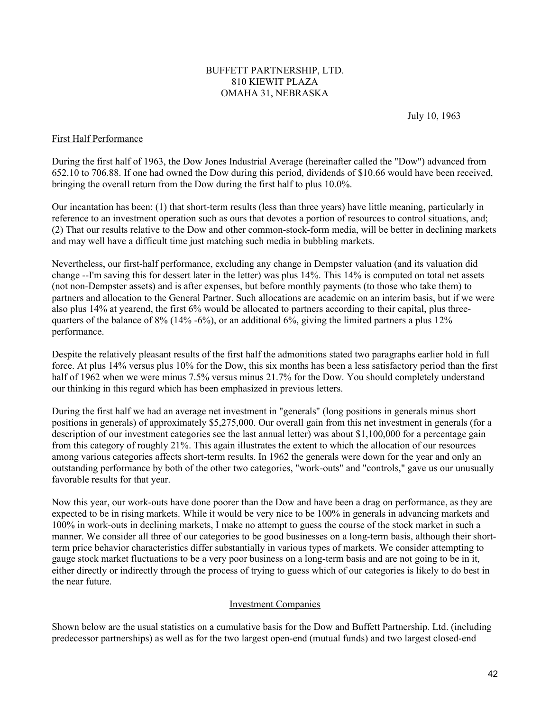#### BUFFETT PARTNERSHIP, LTD. 810 KIEWIT PLAZA OMAHA 31, NEBRASKA

July 10, 1963

### First Half Performance

During the first half of 1963, the Dow Jones Industrial Average (hereinafter called the "Dow") advanced from 652.10 to 706.88. If one had owned the Dow during this period, dividends of \$10.66 would have been received, bringing the overall return from the Dow during the first half to plus 10.0%.

Our incantation has been: (1) that short-term results (less than three years) have little meaning, particularly in reference to an investment operation such as ours that devotes a portion of resources to control situations, and; (2) That our results relative to the Dow and other common-stock-form media, will be better in declining markets and may well have a difficult time just matching such media in bubbling markets.

Nevertheless, our first-half performance, excluding any change in Dempster valuation (and its valuation did change --I'm saving this for dessert later in the letter) was plus 14%. This 14% is computed on total net assets (not non-Dempster assets) and is after expenses, but before monthly payments (to those who take them) to partners and allocation to the General Partner. Such allocations are academic on an interim basis, but if we were also plus 14% at yearend, the first 6% would be allocated to partners according to their capital, plus threequarters of the balance of 8% (14% -6%), or an additional 6%, giving the limited partners a plus 12% performance.

Despite the relatively pleasant results of the first half the admonitions stated two paragraphs earlier hold in full force. At plus 14% versus plus 10% for the Dow, this six months has been a less satisfactory period than the first half of 1962 when we were minus 7.5% versus minus 21.7% for the Dow. You should completely understand our thinking in this regard which has been emphasized in previous letters.

During the first half we had an average net investment in "generals" (long positions in generals minus short positions in generals) of approximately \$5,275,000. Our overall gain from this net investment in generals (for a description of our investment categories see the last annual letter) was about \$1,100,000 for a percentage gain from this category of roughly 21%. This again illustrates the extent to which the allocation of our resources among various categories affects short-term results. In 1962 the generals were down for the year and only an outstanding performance by both of the other two categories, "work-outs" and "controls," gave us our unusually favorable results for that year.

Now this year, our work-outs have done poorer than the Dow and have been a drag on performance, as they are expected to be in rising markets. While it would be very nice to be 100% in generals in advancing markets and 100% in work-outs in declining markets, I make no attempt to guess the course of the stock market in such a manner. We consider all three of our categories to be good businesses on a long-term basis, although their shortterm price behavior characteristics differ substantially in various types of markets. We consider attempting to gauge stock market fluctuations to be a very poor business on a long-term basis and are not going to be in it, either directly or indirectly through the process of trying to guess which of our categories is likely to do best in the near future.

#### Investment Companies

Shown below are the usual statistics on a cumulative basis for the Dow and Buffett Partnership. Ltd. (including predecessor partnerships) as well as for the two largest open-end (mutual funds) and two largest closed-end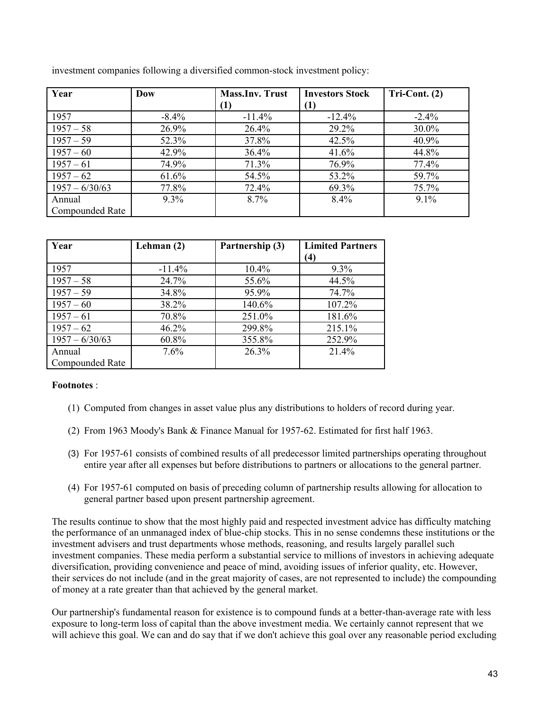| Year             | Dow      | <b>Mass.Inv. Trust</b> | <b>Investors Stock</b> | $Tri-Cont. (2)$ |
|------------------|----------|------------------------|------------------------|-----------------|
|                  |          |                        | (1)                    |                 |
| 1957             | $-8.4\%$ | $-11.4%$               | $-12.4%$               | $-2.4\%$        |
| $1957 - 58$      | 26.9%    | 26.4%                  | 29.2%                  | 30.0%           |
| $1957 - 59$      | 52.3%    | 37.8%                  | 42.5%                  | 40.9%           |
| $1957 - 60$      | 42.9%    | 36.4%                  | 41.6%                  | 44.8%           |
| $1957 - 61$      | 74.9%    | 71.3%                  | 76.9%                  | 77.4%           |
| $1957 - 62$      | 61.6%    | 54.5%                  | 53.2%                  | 59.7%           |
| $1957 - 6/30/63$ | 77.8%    | 72.4%                  | 69.3%                  | 75.7%           |
| Annual           | $9.3\%$  | $8.7\%$                | 8.4%                   | $9.1\%$         |
| Compounded Rate  |          |                        |                        |                 |

investment companies following a diversified common-stock investment policy:

| Year             | Lehman $(2)$ | Partnership (3) | <b>Limited Partners</b> |
|------------------|--------------|-----------------|-------------------------|
|                  |              |                 | $\left( 4\right)$       |
| 1957             | $-11.4\%$    | 10.4%           | $9.3\%$                 |
| $1957 - 58$      | 24.7%        | 55.6%           | 44.5%                   |
| $1957 - 59$      | 34.8%        | 95.9%           | 74.7%                   |
| $1957 - 60$      | 38.2%        | 140.6%          | 107.2%                  |
| $1957 - 61$      | 70.8%        | 251.0%          | 181.6%                  |
| $1957 - 62$      | 46.2%        | 299.8%          | 215.1%                  |
| $1957 - 6/30/63$ | 60.8%        | 355.8%          | 252.9%                  |
| Annual           | 7.6%         | 26.3%           | 21.4%                   |
| Compounded Rate  |              |                 |                         |

## **Footnotes** :

- (1) Computed from changes in asset value plus any distributions to holders of record during year.
- (2) From 1963 Moody's Bank & Finance Manual for 1957-62. Estimated for first half 1963.
- (3) For 1957-61 consists of combined results of all predecessor limited partnerships operating throughout entire year after all expenses but before distributions to partners or allocations to the general partner.
- (4) For 1957-61 computed on basis of preceding column of partnership results allowing for allocation to general partner based upon present partnership agreement.

The results continue to show that the most highly paid and respected investment advice has difficulty matching the performance of an unmanaged index of blue-chip stocks. This in no sense condemns these institutions or the investment advisers and trust departments whose methods, reasoning, and results largely parallel such investment companies. These media perform a substantial service to millions of investors in achieving adequate diversification, providing convenience and peace of mind, avoiding issues of inferior quality, etc. However, their services do not include (and in the great majority of cases, are not represented to include) the compounding of money at a rate greater than that achieved by the general market.

Our partnership's fundamental reason for existence is to compound funds at a better-than-average rate with less exposure to long-term loss of capital than the above investment media. We certainly cannot represent that we will achieve this goal. We can and do say that if we don't achieve this goal over any reasonable period excluding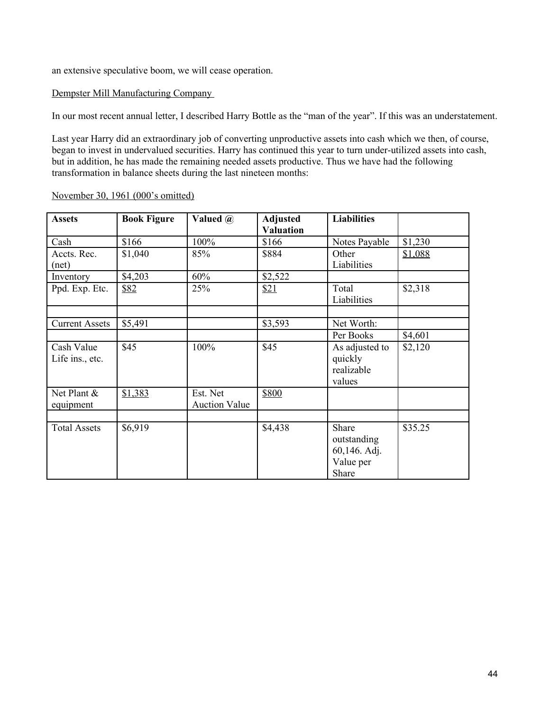an extensive speculative boom, we will cease operation.

#### Dempster Mill Manufacturing Company

In our most recent annual letter, I described Harry Bottle as the "man of the year". If this was an understatement.

Last year Harry did an extraordinary job of converting unproductive assets into cash which we then, of course, began to invest in undervalued securities. Harry has continued this year to turn under-utilized assets into cash, but in addition, he has made the remaining needed assets productive. Thus we have had the following transformation in balance sheets during the last nineteen months:

| <b>Assets</b>                 | <b>Book Figure</b> | Valued @                         | <b>Adjusted</b><br><b>Valuation</b> | <b>Liabilities</b>                                         |         |
|-------------------------------|--------------------|----------------------------------|-------------------------------------|------------------------------------------------------------|---------|
| Cash                          | \$166              | 100%                             | \$166                               | Notes Payable                                              | \$1,230 |
| Accts. Rec.<br>(net)          | \$1,040            | 85%                              | \$884                               | Other<br>Liabilities                                       | \$1,088 |
| Inventory                     | \$4,203            | 60%                              | \$2,522                             |                                                            |         |
| Ppd. Exp. Etc.                | \$82               | 25%                              | \$21                                | Total<br>Liabilities                                       | \$2,318 |
|                               |                    |                                  |                                     |                                                            |         |
| <b>Current Assets</b>         | \$5,491            |                                  | \$3,593                             | Net Worth:                                                 |         |
|                               |                    |                                  |                                     | Per Books                                                  | \$4,601 |
| Cash Value<br>Life ins., etc. | \$45               | 100%                             | \$45                                | As adjusted to<br>quickly<br>realizable<br>values          | \$2,120 |
| Net Plant &<br>equipment      | \$1,383            | Est. Net<br><b>Auction Value</b> | \$800                               |                                                            |         |
|                               |                    |                                  |                                     |                                                            |         |
| <b>Total Assets</b>           | \$6,919            |                                  | \$4,438                             | Share<br>outstanding<br>60,146. Adj.<br>Value per<br>Share | \$35.25 |

## November 30, 1961 (000's omitted)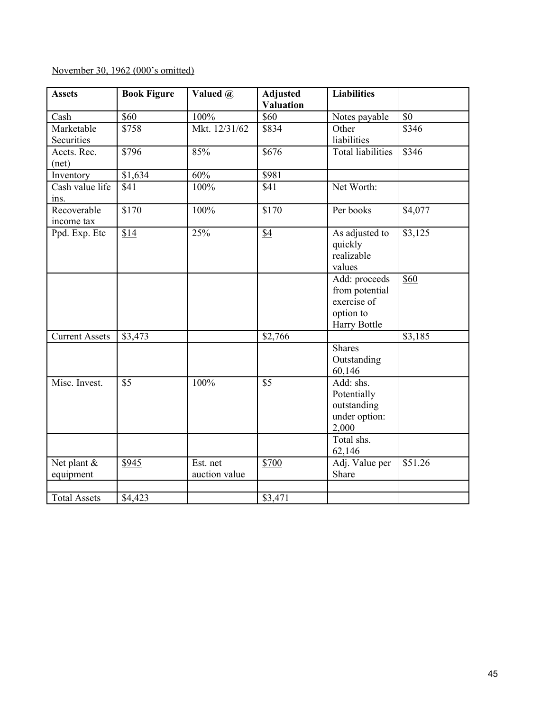| <b>Assets</b>               | <b>Book Figure</b> | Valued @                  | <b>Adjusted</b><br><b>Valuation</b> | <b>Liabilities</b>                                                          |         |
|-----------------------------|--------------------|---------------------------|-------------------------------------|-----------------------------------------------------------------------------|---------|
| Cash                        | \$60               | 100%                      | \$60                                | Notes payable                                                               | \$0     |
| Marketable<br>Securities    | $\sqrt{$758}$      | Mkt. 12/31/62             | \$834                               | Other<br>liabilities                                                        | \$346   |
| Accts. Rec.<br>(net)        | \$796              | 85%                       | 8676                                | <b>Total liabilities</b>                                                    | \$346   |
| Inventory                   | \$1,634            | 60%                       | \$981                               |                                                                             |         |
| Cash value life<br>ins.     | \$41               | 100%                      | \$41                                | Net Worth:                                                                  |         |
| Recoverable<br>income tax   | \$170              | 100%                      | \$170                               | Per books                                                                   | \$4,077 |
| Ppd. Exp. Etc               | \$14               | 25%                       | $\underline{\$4}$                   | As adjusted to<br>quickly<br>realizable<br>values                           | \$3,125 |
|                             |                    |                           |                                     | Add: proceeds<br>from potential<br>exercise of<br>option to<br>Harry Bottle | \$60    |
| <b>Current Assets</b>       | \$3,473            |                           | \$2,766                             |                                                                             | \$3,185 |
|                             |                    |                           |                                     | <b>Shares</b><br>Outstanding<br>60,146                                      |         |
| Misc. Invest.               | \$5                | 100%                      | $\overline{\$5}$                    | Add: shs.<br>Potentially<br>outstanding<br>under option:<br>2,000           |         |
|                             |                    |                           |                                     | Total shs.<br>62,146                                                        |         |
| Net plant $\&$<br>equipment | \$945              | Est. net<br>auction value | \$700                               | Adj. Value per<br>Share                                                     | \$51.26 |
|                             |                    |                           |                                     |                                                                             |         |
| <b>Total Assets</b>         | \$4,423            |                           | \$3,471                             |                                                                             |         |

November 30, 1962 (000's omitted)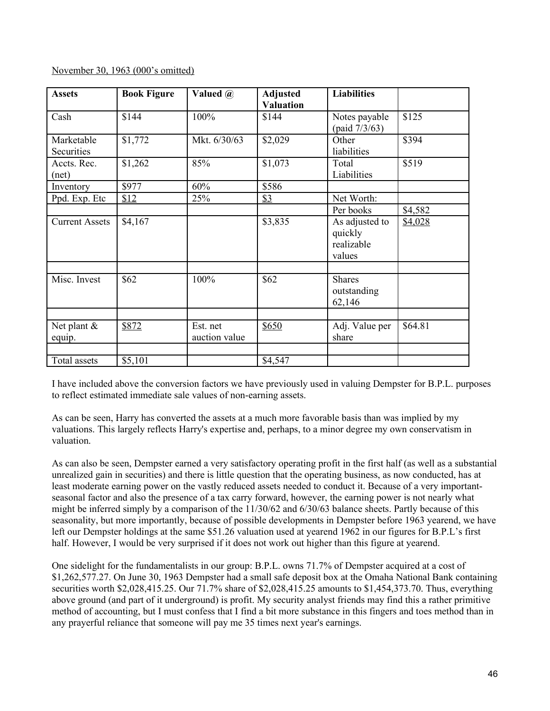| <b>Assets</b>         | <b>Book Figure</b> | Valued @      | <b>Adjusted</b>  | <b>Liabilities</b> |         |
|-----------------------|--------------------|---------------|------------------|--------------------|---------|
|                       |                    |               | <b>Valuation</b> |                    |         |
| Cash                  | \$144              | 100%          | \$144            | Notes payable      | \$125   |
|                       |                    |               |                  | (paid 7/3/63)      |         |
| Marketable            | \$1,772            | Mkt. 6/30/63  | \$2,029          | Other              | \$394   |
| Securities            |                    |               |                  | liabilities        |         |
| Accts. Rec.           | \$1,262            | 85%           | \$1,073          | Total              | \$519   |
| (net)                 |                    |               |                  | Liabilities        |         |
| Inventory             | \$977              | 60%           | \$586            |                    |         |
| Ppd. Exp. Etc         | \$12               | 25%           | \$3              | Net Worth:         |         |
|                       |                    |               |                  | Per books          | \$4,582 |
| <b>Current Assets</b> | \$4,167            |               | \$3,835          | As adjusted to     | \$4,028 |
|                       |                    |               |                  | quickly            |         |
|                       |                    |               |                  | realizable         |         |
|                       |                    |               |                  | values             |         |
|                       |                    |               |                  |                    |         |
| Misc. Invest          | \$62               | 100%          | \$62             | <b>Shares</b>      |         |
|                       |                    |               |                  | outstanding        |         |
|                       |                    |               |                  | 62,146             |         |
|                       |                    |               |                  |                    |         |
| Net plant $\&$        | \$872              | Est. net      | \$650            | Adj. Value per     | \$64.81 |
| equip.                |                    | auction value |                  | share              |         |
|                       |                    |               |                  |                    |         |
| Total assets          | \$5,101            |               | \$4,547          |                    |         |

November 30, 1963 (000's omitted)

I have included above the conversion factors we have previously used in valuing Dempster for B.P.L. purposes to reflect estimated immediate sale values of non-earning assets.

As can be seen, Harry has converted the assets at a much more favorable basis than was implied by my valuations. This largely reflects Harry's expertise and, perhaps, to a minor degree my own conservatism in valuation.

As can also be seen, Dempster earned a very satisfactory operating profit in the first half (as well as a substantial unrealized gain in securities) and there is little question that the operating business, as now conducted, has at least moderate earning power on the vastly reduced assets needed to conduct it. Because of a very importantseasonal factor and also the presence of a tax carry forward, however, the earning power is not nearly what might be inferred simply by a comparison of the 11/30/62 and 6/30/63 balance sheets. Partly because of this seasonality, but more importantly, because of possible developments in Dempster before 1963 yearend, we have left our Dempster holdings at the same \$51.26 valuation used at yearend 1962 in our figures for B.P.L's first half. However, I would be very surprised if it does not work out higher than this figure at yearend.

One sidelight for the fundamentalists in our group: B.P.L. owns 71.7% of Dempster acquired at a cost of \$1,262,577.27. On June 30, 1963 Dempster had a small safe deposit box at the Omaha National Bank containing securities worth \$2,028,415.25. Our 71.7% share of \$2,028,415.25 amounts to \$1,454,373.70. Thus, everything above ground (and part of it underground) is profit. My security analyst friends may find this a rather primitive method of accounting, but I must confess that I find a bit more substance in this fingers and toes method than in any prayerful reliance that someone will pay me 35 times next year's earnings.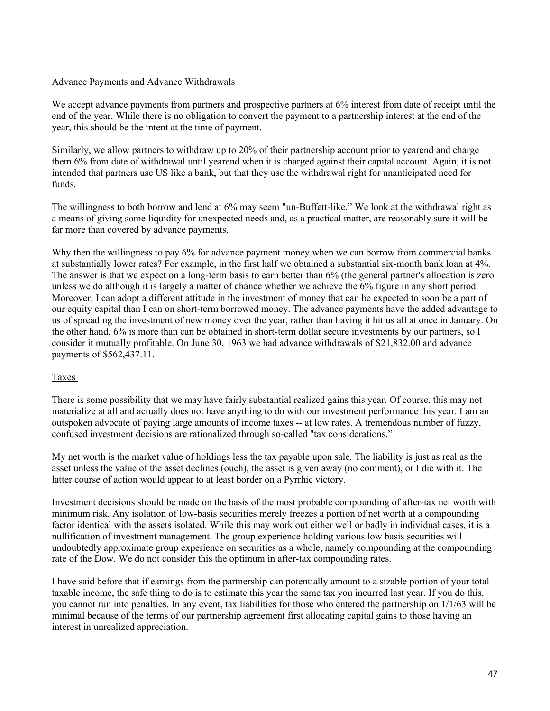## Advance Payments and Advance Withdrawals

We accept advance payments from partners and prospective partners at 6% interest from date of receipt until the end of the year. While there is no obligation to convert the payment to a partnership interest at the end of the year, this should be the intent at the time of payment.

Similarly, we allow partners to withdraw up to 20% of their partnership account prior to yearend and charge them 6% from date of withdrawal until yearend when it is charged against their capital account. Again, it is not intended that partners use US like a bank, but that they use the withdrawal right for unanticipated need for funds.

The willingness to both borrow and lend at 6% may seem "un-Buffett-like." We look at the withdrawal right as a means of giving some liquidity for unexpected needs and, as a practical matter, are reasonably sure it will be far more than covered by advance payments.

Why then the willingness to pay 6% for advance payment money when we can borrow from commercial banks at substantially lower rates? For example, in the first half we obtained a substantial six-month bank loan at 4%. The answer is that we expect on a long-term basis to earn better than 6% (the general partner's allocation is zero unless we do although it is largely a matter of chance whether we achieve the 6% figure in any short period. Moreover, I can adopt a different attitude in the investment of money that can be expected to soon be a part of our equity capital than I can on short-term borrowed money. The advance payments have the added advantage to us of spreading the investment of new money over the year, rather than having it hit us all at once in January. On the other hand, 6% is more than can be obtained in short-term dollar secure investments by our partners, so I consider it mutually profitable. On June 30, 1963 we had advance withdrawals of \$21,832.00 and advance payments of \$562,437.11.

### Taxes

There is some possibility that we may have fairly substantial realized gains this year. Of course, this may not materialize at all and actually does not have anything to do with our investment performance this year. I am an outspoken advocate of paying large amounts of income taxes -- at low rates. A tremendous number of fuzzy, confused investment decisions are rationalized through so-called "tax considerations."

My net worth is the market value of holdings less the tax payable upon sale. The liability is just as real as the asset unless the value of the asset declines (ouch), the asset is given away (no comment), or I die with it. The latter course of action would appear to at least border on a Pyrrhic victory.

Investment decisions should be made on the basis of the most probable compounding of after-tax net worth with minimum risk. Any isolation of low-basis securities merely freezes a portion of net worth at a compounding factor identical with the assets isolated. While this may work out either well or badly in individual cases, it is a nullification of investment management. The group experience holding various low basis securities will undoubtedly approximate group experience on securities as a whole, namely compounding at the compounding rate of the Dow. We do not consider this the optimum in after-tax compounding rates.

I have said before that if earnings from the partnership can potentially amount to a sizable portion of your total taxable income, the safe thing to do is to estimate this year the same tax you incurred last year. If you do this, you cannot run into penalties. In any event, tax liabilities for those who entered the partnership on 1/1/63 will be minimal because of the terms of our partnership agreement first allocating capital gains to those having an interest in unrealized appreciation.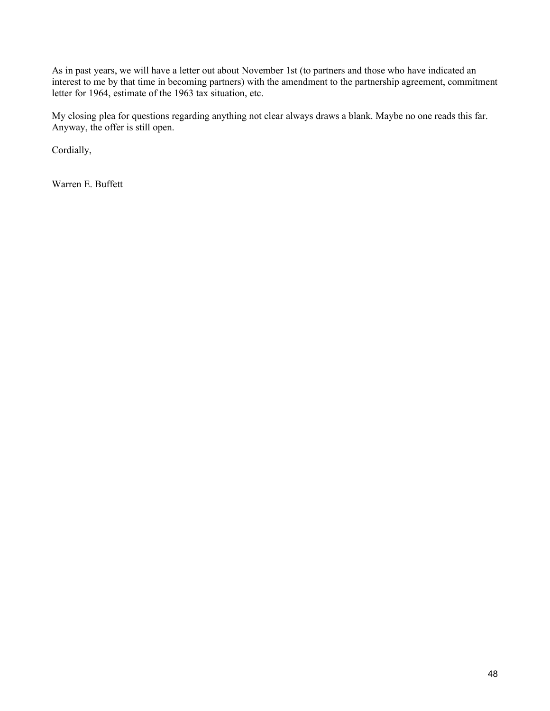As in past years, we will have a letter out about November 1st (to partners and those who have indicated an interest to me by that time in becoming partners) with the amendment to the partnership agreement, commitment letter for 1964, estimate of the 1963 tax situation, etc.

My closing plea for questions regarding anything not clear always draws a blank. Maybe no one reads this far. Anyway, the offer is still open.

Cordially,

Warren E. Buffett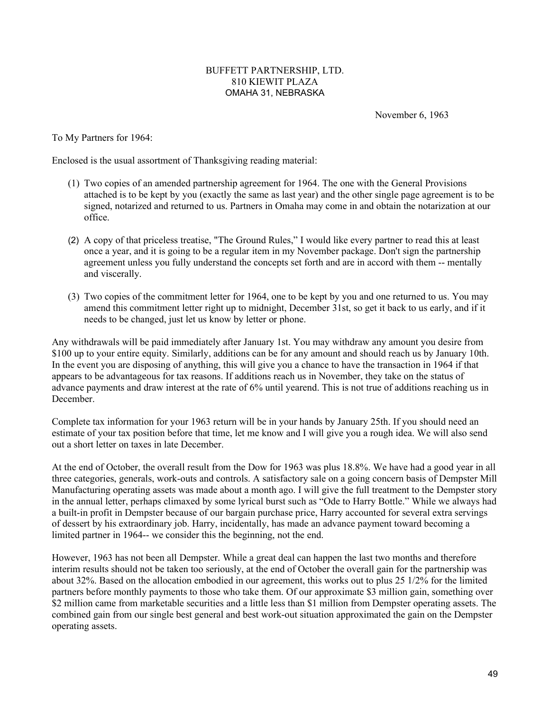#### BUFFETT PARTNERSHIP, LTD. 810 KIEWIT PLAZA OMAHA 31, NEBRASKA

November 6, 1963

To My Partners for 1964:

Enclosed is the usual assortment of Thanksgiving reading material:

- (1) Two copies of an amended partnership agreement for 1964. The one with the General Provisions attached is to be kept by you (exactly the same as last year) and the other single page agreement is to be signed, notarized and returned to us. Partners in Omaha may come in and obtain the notarization at our office.
- (2) A copy of that priceless treatise, "The Ground Rules," I would like every partner to read this at least once a year, and it is going to be a regular item in my November package. Don't sign the partnership agreement unless you fully understand the concepts set forth and are in accord with them -- mentally and viscerally.
- (3) Two copies of the commitment letter for 1964, one to be kept by you and one returned to us. You may amend this commitment letter right up to midnight, December 31st, so get it back to us early, and if it needs to be changed, just let us know by letter or phone.

Any withdrawals will be paid immediately after January 1st. You may withdraw any amount you desire from \$100 up to your entire equity. Similarly, additions can be for any amount and should reach us by January 10th. In the event you are disposing of anything, this will give you a chance to have the transaction in 1964 if that appears to be advantageous for tax reasons. If additions reach us in November, they take on the status of advance payments and draw interest at the rate of 6% until yearend. This is not true of additions reaching us in December.

Complete tax information for your 1963 return will be in your hands by January 25th. If you should need an estimate of your tax position before that time, let me know and I will give you a rough idea. We will also send out a short letter on taxes in late December.

At the end of October, the overall result from the Dow for 1963 was plus 18.8%. We have had a good year in all three categories, generals, work-outs and controls. A satisfactory sale on a going concern basis of Dempster Mill Manufacturing operating assets was made about a month ago. I will give the full treatment to the Dempster story in the annual letter, perhaps climaxed by some lyrical burst such as "Ode to Harry Bottle." While we always had a built-in profit in Dempster because of our bargain purchase price, Harry accounted for several extra servings of dessert by his extraordinary job. Harry, incidentally, has made an advance payment toward becoming a limited partner in 1964-- we consider this the beginning, not the end.

However, 1963 has not been all Dempster. While a great deal can happen the last two months and therefore interim results should not be taken too seriously, at the end of October the overall gain for the partnership was about 32%. Based on the allocation embodied in our agreement, this works out to plus 25 1/2% for the limited partners before monthly payments to those who take them. Of our approximate \$3 million gain, something over \$2 million came from marketable securities and a little less than \$1 million from Dempster operating assets. The combined gain from our single best general and best work-out situation approximated the gain on the Dempster operating assets.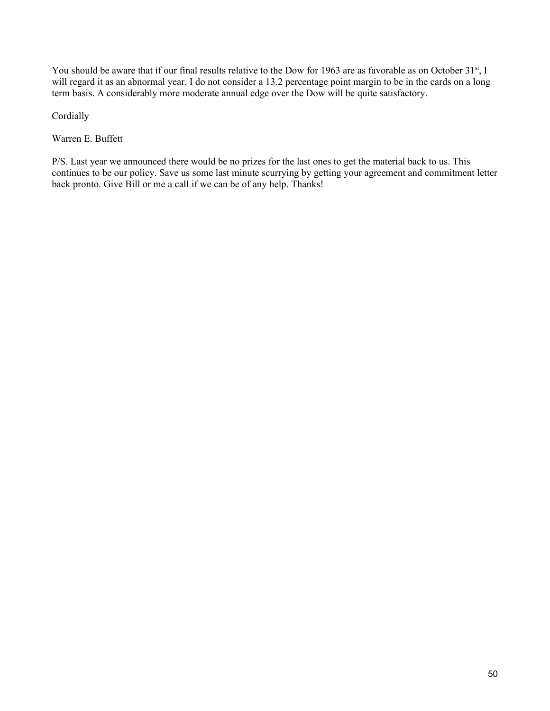You should be aware that if our final results relative to the Dow for 1963 are as favorable as on October 31<sup>st</sup>, I will regard it as an abnormal year. I do not consider a 13.2 percentage point margin to be in the cards on a long term basis. A considerably more moderate annual edge over the Dow will be quite satisfactory.

Cordially

Warren E. Buffett

P/S. Last year we announced there would be no prizes for the last ones to get the material back to us. This continues to be our policy. Save us some last minute scurrying by getting your agreement and commitment letter back pronto. Give Bill or me a call if we can be of any help. Thanks!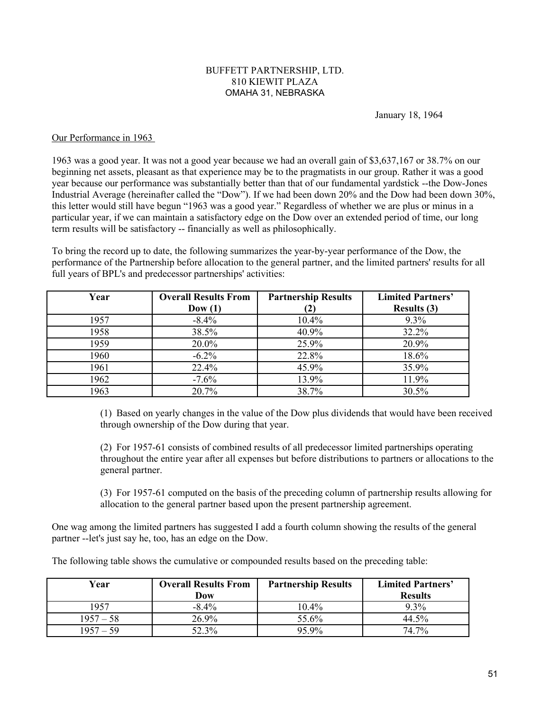#### BUFFETT PARTNERSHIP, LTD. 810 KIEWIT PLAZA OMAHA 31, NEBRASKA

January 18, 1964

#### Our Performance in 1963

1963 was a good year. It was not a good year because we had an overall gain of \$3,637,167 or 38.7% on our beginning net assets, pleasant as that experience may be to the pragmatists in our group. Rather it was a good year because our performance was substantially better than that of our fundamental yardstick --the Dow-Jones Industrial Average (hereinafter called the "Dow"). If we had been down 20% and the Dow had been down 30%, this letter would still have begun "1963 was a good year." Regardless of whether we are plus or minus in a particular year, if we can maintain a satisfactory edge on the Dow over an extended period of time, our long term results will be satisfactory -- financially as well as philosophically.

To bring the record up to date, the following summarizes the year-by-year performance of the Dow, the performance of the Partnership before allocation to the general partner, and the limited partners' results for all full years of BPL's and predecessor partnerships' activities:

| Year | <b>Overall Results From</b> | <b>Partnership Results</b> | <b>Limited Partners'</b> |
|------|-----------------------------|----------------------------|--------------------------|
|      | Down(1)                     |                            | <b>Results (3)</b>       |
| 1957 | $-8.4%$                     | 10.4%                      | 9.3%                     |
| 1958 | 38.5%                       | 40.9%                      | 32.2%                    |
| 1959 | 20.0%                       | 25.9%                      | 20.9%                    |
| 1960 | $-6.2\%$                    | 22.8%                      | 18.6%                    |
| 1961 | 22.4%                       | 45.9%                      | 35.9%                    |
| 1962 | $-7.6%$                     | 13.9%                      | 11.9%                    |
| 1963 | 20.7%                       | 38.7%                      | 30.5%                    |

(1) Based on yearly changes in the value of the Dow plus dividends that would have been received through ownership of the Dow during that year.

(2) For 1957-61 consists of combined results of all predecessor limited partnerships operating throughout the entire year after all expenses but before distributions to partners or allocations to the general partner.

(3) For 1957-61 computed on the basis of the preceding column of partnership results allowing for allocation to the general partner based upon the present partnership agreement.

One wag among the limited partners has suggested I add a fourth column showing the results of the general partner --let's just say he, too, has an edge on the Dow.

The following table shows the cumulative or compounded results based on the preceding table:

| Year        | <b>Overall Results From</b> | <b>Partnership Results</b> | <b>Limited Partners'</b> |
|-------------|-----------------------------|----------------------------|--------------------------|
|             | Dow                         |                            | <b>Results</b>           |
| 1957        | $-8.4\%$                    | $10.4\%$                   | $9.3\%$                  |
| $1957 - 58$ | 26.9%                       | 55.6%                      | 44.5%                    |
| $1957 - 59$ | 52.3%                       | 95.9%                      | 74.7%                    |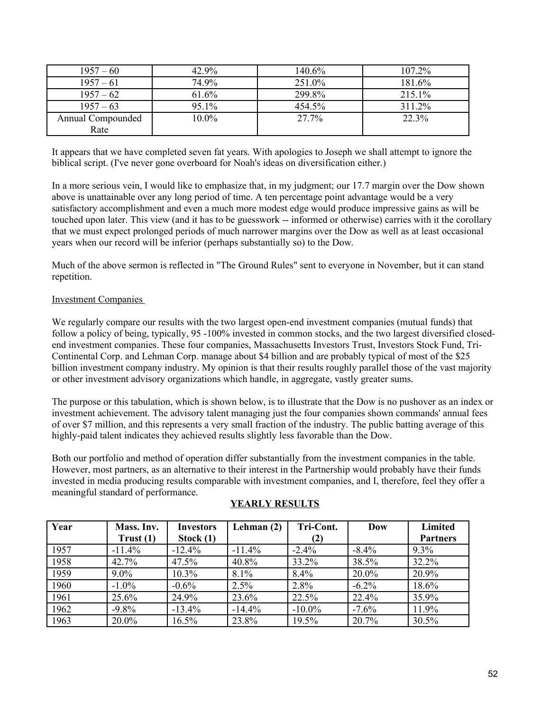| $1957 - 60$       | 42.9%    | 140.6% | 107.2% |
|-------------------|----------|--------|--------|
| $1957 - 61$       | 74.9%    | 251.0% | 181.6% |
| $1957 - 62$       | 61.6%    | 299.8% | 215.1% |
| $1957 - 63$       | 95.1%    | 454.5% | 311.2% |
| Annual Compounded | $10.0\%$ | 27.7%  | 22.3%  |
| Rate              |          |        |        |

It appears that we have completed seven fat years. With apologies to Joseph we shall attempt to ignore the biblical script. (I've never gone overboard for Noah's ideas on diversification either.)

In a more serious vein, I would like to emphasize that, in my judgment; our 17.7 margin over the Dow shown above is unattainable over any long period of time. A ten percentage point advantage would be a very satisfactory accomplishment and even a much more modest edge would produce impressive gains as will be touched upon later. This view (and it has to be guesswork -- informed or otherwise) carries with it the corollary that we must expect prolonged periods of much narrower margins over the Dow as well as at least occasional years when our record will be inferior (perhaps substantially so) to the Dow.

Much of the above sermon is reflected in "The Ground Rules" sent to everyone in November, but it can stand repetition.

### Investment Companies

We regularly compare our results with the two largest open-end investment companies (mutual funds) that follow a policy of being, typically, 95 -100% invested in common stocks, and the two largest diversified closedend investment companies. These four companies, Massachusetts Investors Trust, Investors Stock Fund, Tri-Continental Corp. and Lehman Corp. manage about \$4 billion and are probably typical of most of the \$25 billion investment company industry. My opinion is that their results roughly parallel those of the vast majority or other investment advisory organizations which handle, in aggregate, vastly greater sums.

The purpose or this tabulation, which is shown below, is to illustrate that the Dow is no pushover as an index or investment achievement. The advisory talent managing just the four companies shown commands' annual fees of over \$7 million, and this represents a very small fraction of the industry. The public batting average of this highly-paid talent indicates they achieved results slightly less favorable than the Dow.

Both our portfolio and method of operation differ substantially from the investment companies in the table. However, most partners, as an alternative to their interest in the Partnership would probably have their funds invested in media producing results comparable with investment companies, and I, therefore, feel they offer a meaningful standard of performance.

| Year | Mass. Inv. | <b>Investors</b> | Lehman $(2)$ | Tri-Cont. | Dow      | <b>Limited</b>  |
|------|------------|------------------|--------------|-----------|----------|-----------------|
|      | Trust(1)   | Stock $(1)$      |              | (2)       |          | <b>Partners</b> |
| 1957 | $-11.4%$   | $-12.4%$         | $-11.4%$     | $-2.4\%$  | $-8.4\%$ | 9.3%            |
| 1958 | 42.7%      | 47.5%            | 40.8%        | 33.2%     | 38.5%    | 32.2%           |
| 1959 | $9.0\%$    | 10.3%            | 8.1%         | 8.4%      | 20.0%    | 20.9%           |
| 1960 | $-1.0\%$   | $-0.6%$          | 2.5%         | 2.8%      | $-6.2\%$ | 18.6%           |
| 1961 | 25.6%      | 24.9%            | 23.6%        | 22.5%     | 22.4%    | 35.9%           |
| 1962 | $-9.8%$    | $-13.4%$         | $-14.4%$     | $-10.0\%$ | $-7.6%$  | 11.9%           |
| 1963 | 20.0%      | 16.5%            | 23.8%        | 19.5%     | 20.7%    | 30.5%           |

# **YEARLY RESULTS**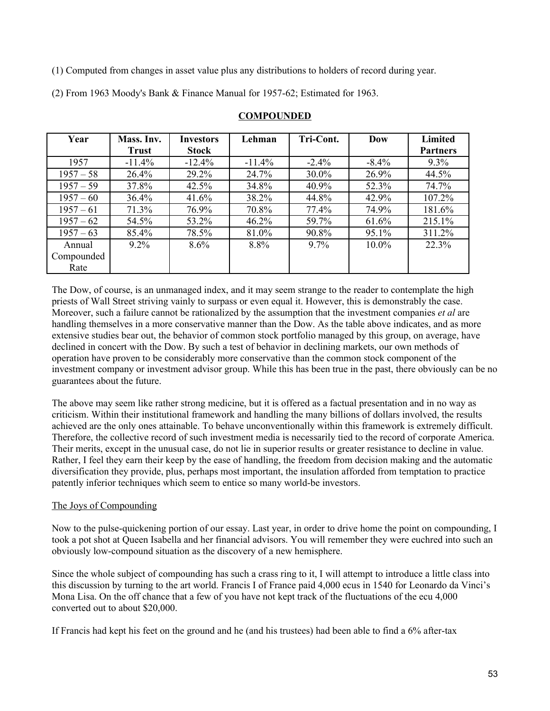(1) Computed from changes in asset value plus any distributions to holders of record during year.

(2) From 1963 Moody's Bank & Finance Manual for 1957-62; Estimated for 1963.

| Year        | Mass. Inv. | <b>Investors</b> | Lehman   | Tri-Cont. | Dow      | <b>Limited</b>  |
|-------------|------------|------------------|----------|-----------|----------|-----------------|
|             | Trust      | <b>Stock</b>     |          |           |          | <b>Partners</b> |
| 1957        | $-11.4%$   | $-12.4%$         | $-11.4%$ | $-2.4\%$  | $-8.4\%$ | $9.3\%$         |
| $1957 - 58$ | 26.4%      | 29.2%            | 24.7%    | $30.0\%$  | 26.9%    | 44.5%           |
| $1957 - 59$ | 37.8%      | 42.5%            | 34.8%    | 40.9%     | 52.3%    | 74.7%           |
| $1957 - 60$ | 36.4%      | 41.6%            | 38.2%    | 44.8%     | 42.9%    | 107.2%          |
| $1957 - 61$ | 71.3%      | 76.9%            | 70.8%    | 77.4%     | 74.9%    | 181.6%          |
| $1957 - 62$ | 54.5%      | 53.2%            | 46.2%    | 59.7%     | 61.6%    | 215.1%          |
| $1957 - 63$ | 85.4%      | 78.5%            | 81.0%    | 90.8%     | 95.1%    | 311.2%          |
| Annual      | $9.2\%$    | $8.6\%$          | 8.8%     | $9.7\%$   | $10.0\%$ | 22.3%           |
| Compounded  |            |                  |          |           |          |                 |
| Rate        |            |                  |          |           |          |                 |

# **COMPOUNDED**

The Dow, of course, is an unmanaged index, and it may seem strange to the reader to contemplate the high priests of Wall Street striving vainly to surpass or even equal it. However, this is demonstrably the case. Moreover, such a failure cannot be rationalized by the assumption that the investment companies *et al* are handling themselves in a more conservative manner than the Dow. As the table above indicates, and as more extensive studies bear out, the behavior of common stock portfolio managed by this group, on average, have declined in concert with the Dow. By such a test of behavior in declining markets, our own methods of operation have proven to be considerably more conservative than the common stock component of the investment company or investment advisor group. While this has been true in the past, there obviously can be no guarantees about the future.

The above may seem like rather strong medicine, but it is offered as a factual presentation and in no way as criticism. Within their institutional framework and handling the many billions of dollars involved, the results achieved are the only ones attainable. To behave unconventionally within this framework is extremely difficult. Therefore, the collective record of such investment media is necessarily tied to the record of corporate America. Their merits, except in the unusual case, do not lie in superior results or greater resistance to decline in value. Rather, I feel they earn their keep by the ease of handling, the freedom from decision making and the automatic diversification they provide, plus, perhaps most important, the insulation afforded from temptation to practice patently inferior techniques which seem to entice so many world-be investors.

# The Joys of Compounding

Now to the pulse-quickening portion of our essay. Last year, in order to drive home the point on compounding, I took a pot shot at Queen Isabella and her financial advisors. You will remember they were euchred into such an obviously low-compound situation as the discovery of a new hemisphere.

Since the whole subject of compounding has such a crass ring to it, I will attempt to introduce a little class into this discussion by turning to the art world. Francis I of France paid 4,000 ecus in 1540 for Leonardo da Vinci's Mona Lisa. On the off chance that a few of you have not kept track of the fluctuations of the ecu 4,000 converted out to about \$20,000.

If Francis had kept his feet on the ground and he (and his trustees) had been able to find a 6% after-tax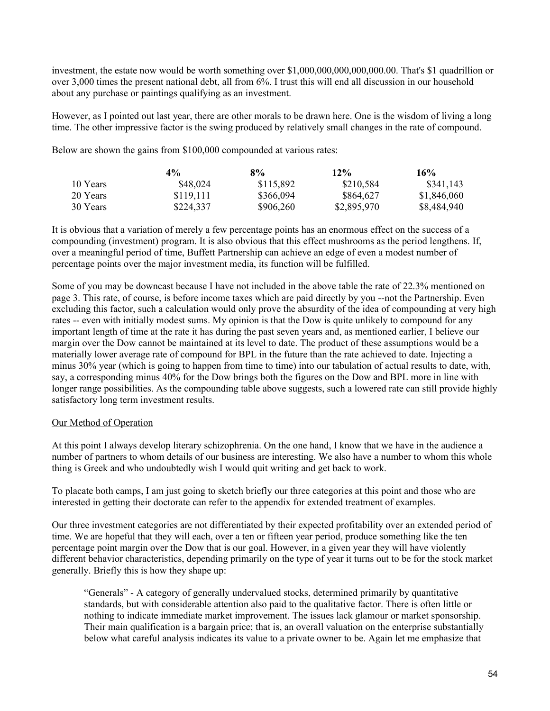investment, the estate now would be worth something over \$1,000,000,000,000,000.00. That's \$1 quadrillion or over 3,000 times the present national debt, all from 6%. I trust this will end all discussion in our household about any purchase or paintings qualifying as an investment.

However, as I pointed out last year, there are other morals to be drawn here. One is the wisdom of living a long time. The other impressive factor is the swing produced by relatively small changes in the rate of compound.

Below are shown the gains from \$100,000 compounded at various rates:

|          | $4\%$     | 8%        | $12\%$      | 16%         |
|----------|-----------|-----------|-------------|-------------|
| 10 Years | \$48,024  | \$115,892 | \$210,584   | \$341,143   |
| 20 Years | \$119,111 | \$366,094 | \$864,627   | \$1,846,060 |
| 30 Years | \$224,337 | \$906,260 | \$2,895,970 | \$8,484,940 |

It is obvious that a variation of merely a few percentage points has an enormous effect on the success of a compounding (investment) program. It is also obvious that this effect mushrooms as the period lengthens. If, over a meaningful period of time, Buffett Partnership can achieve an edge of even a modest number of percentage points over the major investment media, its function will be fulfilled.

Some of you may be downcast because I have not included in the above table the rate of 22.3% mentioned on page 3. This rate, of course, is before income taxes which are paid directly by you --not the Partnership. Even excluding this factor, such a calculation would only prove the absurdity of the idea of compounding at very high rates -- even with initially modest sums. My opinion is that the Dow is quite unlikely to compound for any important length of time at the rate it has during the past seven years and, as mentioned earlier, I believe our margin over the Dow cannot be maintained at its level to date. The product of these assumptions would be a materially lower average rate of compound for BPL in the future than the rate achieved to date. Injecting a minus 30% year (which is going to happen from time to time) into our tabulation of actual results to date, with, say, a corresponding minus 40% for the Dow brings both the figures on the Dow and BPL more in line with longer range possibilities. As the compounding table above suggests, such a lowered rate can still provide highly satisfactory long term investment results.

# Our Method of Operation

At this point I always develop literary schizophrenia. On the one hand, I know that we have in the audience a number of partners to whom details of our business are interesting. We also have a number to whom this whole thing is Greek and who undoubtedly wish I would quit writing and get back to work.

To placate both camps, I am just going to sketch briefly our three categories at this point and those who are interested in getting their doctorate can refer to the appendix for extended treatment of examples.

Our three investment categories are not differentiated by their expected profitability over an extended period of time. We are hopeful that they will each, over a ten or fifteen year period, produce something like the ten percentage point margin over the Dow that is our goal. However, in a given year they will have violently different behavior characteristics, depending primarily on the type of year it turns out to be for the stock market generally. Briefly this is how they shape up:

"Generals" - A category of generally undervalued stocks, determined primarily by quantitative standards, but with considerable attention also paid to the qualitative factor. There is often little or nothing to indicate immediate market improvement. The issues lack glamour or market sponsorship. Their main qualification is a bargain price; that is, an overall valuation on the enterprise substantially below what careful analysis indicates its value to a private owner to be. Again let me emphasize that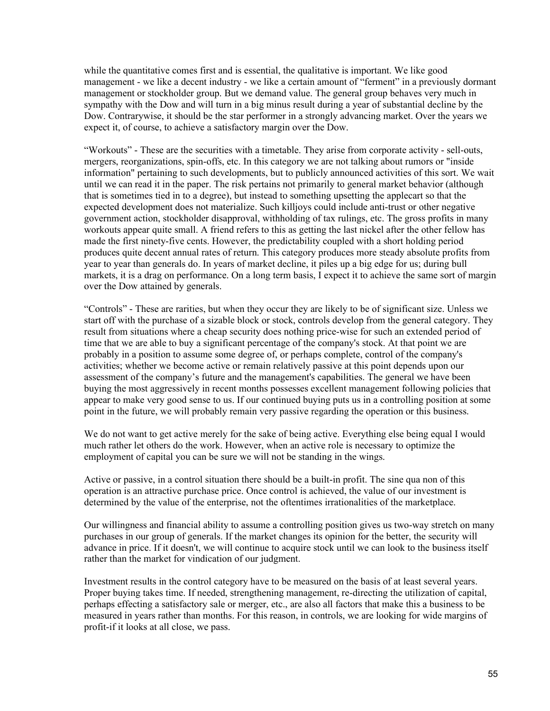while the quantitative comes first and is essential, the qualitative is important. We like good management - we like a decent industry - we like a certain amount of "ferment" in a previously dormant management or stockholder group. But we demand value. The general group behaves very much in sympathy with the Dow and will turn in a big minus result during a year of substantial decline by the Dow. Contrarywise, it should be the star performer in a strongly advancing market. Over the years we expect it, of course, to achieve a satisfactory margin over the Dow.

"Workouts" - These are the securities with a timetable. They arise from corporate activity - sell-outs, mergers, reorganizations, spin-offs, etc. In this category we are not talking about rumors or "inside information" pertaining to such developments, but to publicly announced activities of this sort. We wait until we can read it in the paper. The risk pertains not primarily to general market behavior (although that is sometimes tied in to a degree), but instead to something upsetting the applecart so that the expected development does not materialize. Such killjoys could include anti-trust or other negative government action, stockholder disapproval, withholding of tax rulings, etc. The gross profits in many workouts appear quite small. A friend refers to this as getting the last nickel after the other fellow has made the first ninety-five cents. However, the predictability coupled with a short holding period produces quite decent annual rates of return. This category produces more steady absolute profits from year to year than generals do. In years of market decline, it piles up a big edge for us; during bull markets, it is a drag on performance. On a long term basis, I expect it to achieve the same sort of margin over the Dow attained by generals.

"Controls" - These are rarities, but when they occur they are likely to be of significant size. Unless we start off with the purchase of a sizable block or stock, controls develop from the general category. They result from situations where a cheap security does nothing price-wise for such an extended period of time that we are able to buy a significant percentage of the company's stock. At that point we are probably in a position to assume some degree of, or perhaps complete, control of the company's activities; whether we become active or remain relatively passive at this point depends upon our assessment of the company's future and the management's capabilities. The general we have been buying the most aggressively in recent months possesses excellent management following policies that appear to make very good sense to us. If our continued buying puts us in a controlling position at some point in the future, we will probably remain very passive regarding the operation or this business.

We do not want to get active merely for the sake of being active. Everything else being equal I would much rather let others do the work. However, when an active role is necessary to optimize the employment of capital you can be sure we will not be standing in the wings.

Active or passive, in a control situation there should be a built-in profit. The sine qua non of this operation is an attractive purchase price. Once control is achieved, the value of our investment is determined by the value of the enterprise, not the oftentimes irrationalities of the marketplace.

Our willingness and financial ability to assume a controlling position gives us two-way stretch on many purchases in our group of generals. If the market changes its opinion for the better, the security will advance in price. If it doesn't, we will continue to acquire stock until we can look to the business itself rather than the market for vindication of our judgment.

Investment results in the control category have to be measured on the basis of at least several years. Proper buying takes time. If needed, strengthening management, re-directing the utilization of capital, perhaps effecting a satisfactory sale or merger, etc., are also all factors that make this a business to be measured in years rather than months. For this reason, in controls, we are looking for wide margins of profit-if it looks at all close, we pass.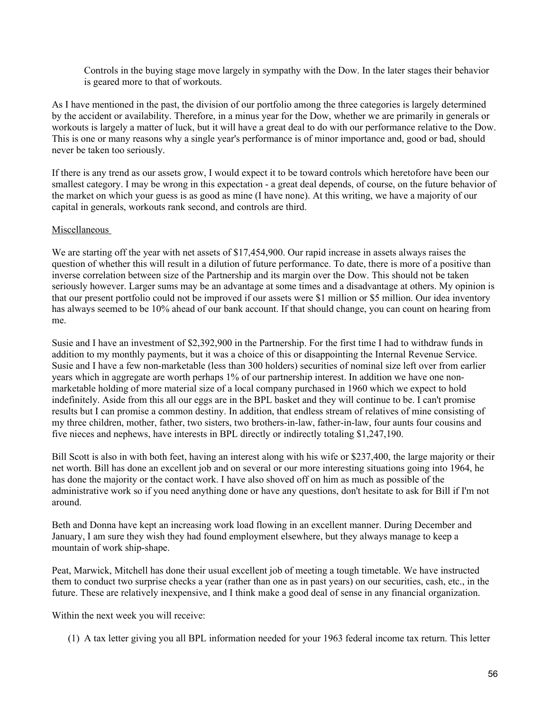Controls in the buying stage move largely in sympathy with the Dow. In the later stages their behavior is geared more to that of workouts.

As I have mentioned in the past, the division of our portfolio among the three categories is largely determined by the accident or availability. Therefore, in a minus year for the Dow, whether we are primarily in generals or workouts is largely a matter of luck, but it will have a great deal to do with our performance relative to the Dow. This is one or many reasons why a single year's performance is of minor importance and, good or bad, should never be taken too seriously.

If there is any trend as our assets grow, I would expect it to be toward controls which heretofore have been our smallest category. I may be wrong in this expectation - a great deal depends, of course, on the future behavior of the market on which your guess is as good as mine (I have none). At this writing, we have a majority of our capital in generals, workouts rank second, and controls are third.

### Miscellaneous

We are starting off the year with net assets of \$17,454,900. Our rapid increase in assets always raises the question of whether this will result in a dilution of future performance. To date, there is more of a positive than inverse correlation between size of the Partnership and its margin over the Dow. This should not be taken seriously however. Larger sums may be an advantage at some times and a disadvantage at others. My opinion is that our present portfolio could not be improved if our assets were \$1 million or \$5 million. Our idea inventory has always seemed to be 10% ahead of our bank account. If that should change, you can count on hearing from me.

Susie and I have an investment of \$2,392,900 in the Partnership. For the first time I had to withdraw funds in addition to my monthly payments, but it was a choice of this or disappointing the Internal Revenue Service. Susie and I have a few non-marketable (less than 300 holders) securities of nominal size left over from earlier years which in aggregate are worth perhaps 1% of our partnership interest. In addition we have one nonmarketable holding of more material size of a local company purchased in 1960 which we expect to hold indefinitely. Aside from this all our eggs are in the BPL basket and they will continue to be. I can't promise results but I can promise a common destiny. In addition, that endless stream of relatives of mine consisting of my three children, mother, father, two sisters, two brothers-in-law, father-in-law, four aunts four cousins and five nieces and nephews, have interests in BPL directly or indirectly totaling \$1,247,190.

Bill Scott is also in with both feet, having an interest along with his wife or \$237,400, the large majority or their net worth. Bill has done an excellent job and on several or our more interesting situations going into 1964, he has done the majority or the contact work. I have also shoved off on him as much as possible of the administrative work so if you need anything done or have any questions, don't hesitate to ask for Bill if I'm not around.

Beth and Donna have kept an increasing work load flowing in an excellent manner. During December and January, I am sure they wish they had found employment elsewhere, but they always manage to keep a mountain of work ship-shape.

Peat, Marwick, Mitchell has done their usual excellent job of meeting a tough timetable. We have instructed them to conduct two surprise checks a year (rather than one as in past years) on our securities, cash, etc., in the future. These are relatively inexpensive, and I think make a good deal of sense in any financial organization.

Within the next week you will receive:

(1) A tax letter giving you all BPL information needed for your 1963 federal income tax return. This letter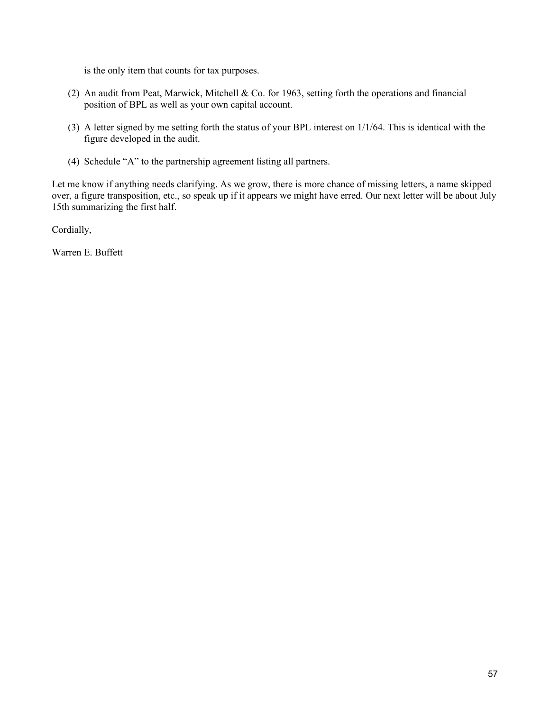is the only item that counts for tax purposes.

- (2) An audit from Peat, Marwick, Mitchell & Co. for 1963, setting forth the operations and financial position of BPL as well as your own capital account.
- (3) A letter signed by me setting forth the status of your BPL interest on 1/1/64. This is identical with the figure developed in the audit.
- (4) Schedule "A" to the partnership agreement listing all partners.

Let me know if anything needs clarifying. As we grow, there is more chance of missing letters, a name skipped over, a figure transposition, etc., so speak up if it appears we might have erred. Our next letter will be about July 15th summarizing the first half.

Cordially,

Warren E. Buffett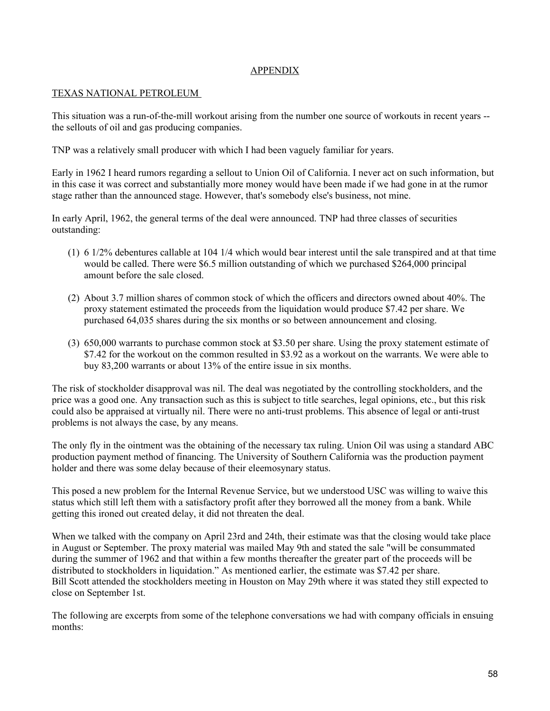## APPENDIX

## TEXAS NATIONAL PETROLEUM

This situation was a run-of-the-mill workout arising from the number one source of workouts in recent years - the sellouts of oil and gas producing companies.

TNP was a relatively small producer with which I had been vaguely familiar for years.

Early in 1962 I heard rumors regarding a sellout to Union Oil of California. I never act on such information, but in this case it was correct and substantially more money would have been made if we had gone in at the rumor stage rather than the announced stage. However, that's somebody else's business, not mine.

In early April, 1962, the general terms of the deal were announced. TNP had three classes of securities outstanding:

- (1) 6 1/2% debentures callable at 104 1/4 which would bear interest until the sale transpired and at that time would be called. There were \$6.5 million outstanding of which we purchased \$264,000 principal amount before the sale closed.
- (2) About 3.7 million shares of common stock of which the officers and directors owned about 40%. The proxy statement estimated the proceeds from the liquidation would produce \$7.42 per share. We purchased 64,035 shares during the six months or so between announcement and closing.
- (3) 650,000 warrants to purchase common stock at \$3.50 per share. Using the proxy statement estimate of \$7.42 for the workout on the common resulted in \$3.92 as a workout on the warrants. We were able to buy 83,200 warrants or about 13% of the entire issue in six months.

The risk of stockholder disapproval was nil. The deal was negotiated by the controlling stockholders, and the price was a good one. Any transaction such as this is subject to title searches, legal opinions, etc., but this risk could also be appraised at virtually nil. There were no anti-trust problems. This absence of legal or anti-trust problems is not always the case, by any means.

The only fly in the ointment was the obtaining of the necessary tax ruling. Union Oil was using a standard ABC production payment method of financing. The University of Southern California was the production payment holder and there was some delay because of their eleemosynary status.

This posed a new problem for the Internal Revenue Service, but we understood USC was willing to waive this status which still left them with a satisfactory profit after they borrowed all the money from a bank. While getting this ironed out created delay, it did not threaten the deal.

When we talked with the company on April 23rd and 24th, their estimate was that the closing would take place in August or September. The proxy material was mailed May 9th and stated the sale "will be consummated during the summer of 1962 and that within a few months thereafter the greater part of the proceeds will be distributed to stockholders in liquidation." As mentioned earlier, the estimate was \$7.42 per share. Bill Scott attended the stockholders meeting in Houston on May 29th where it was stated they still expected to close on September 1st.

The following are excerpts from some of the telephone conversations we had with company officials in ensuing months: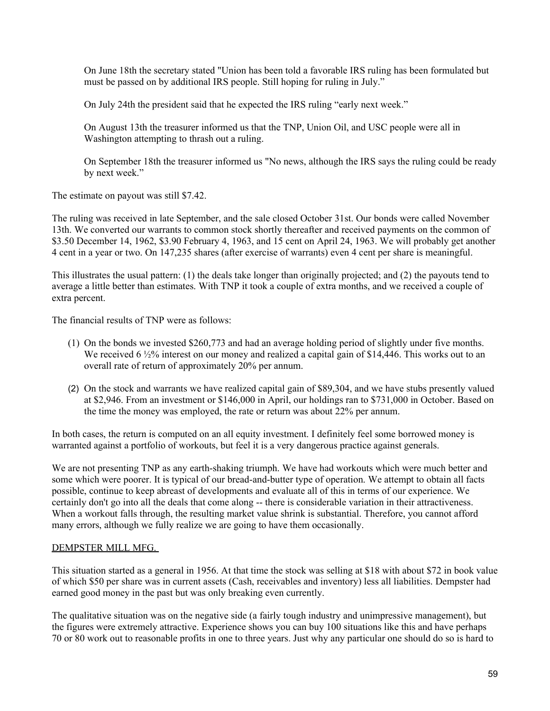On June 18th the secretary stated "Union has been told a favorable IRS ruling has been formulated but must be passed on by additional IRS people. Still hoping for ruling in July."

On July 24th the president said that he expected the IRS ruling "early next week."

On August 13th the treasurer informed us that the TNP, Union Oil, and USC people were all in Washington attempting to thrash out a ruling.

On September 18th the treasurer informed us "No news, although the IRS says the ruling could be ready by next week."

The estimate on payout was still \$7.42.

The ruling was received in late September, and the sale closed October 31st. Our bonds were called November 13th. We converted our warrants to common stock shortly thereafter and received payments on the common of \$3.50 December 14, 1962, \$3.90 February 4, 1963, and 15 cent on April 24, 1963. We will probably get another 4 cent in a year or two. On 147,235 shares (after exercise of warrants) even 4 cent per share is meaningful.

This illustrates the usual pattern: (1) the deals take longer than originally projected; and (2) the payouts tend to average a little better than estimates. With TNP it took a couple of extra months, and we received a couple of extra percent.

The financial results of TNP were as follows:

- (1) On the bonds we invested \$260,773 and had an average holding period of slightly under five months. We received 6  $\frac{1}{2}\%$  interest on our money and realized a capital gain of \$14,446. This works out to an overall rate of return of approximately 20% per annum.
- (2) On the stock and warrants we have realized capital gain of \$89,304, and we have stubs presently valued at \$2,946. From an investment or \$146,000 in April, our holdings ran to \$731,000 in October. Based on the time the money was employed, the rate or return was about 22% per annum.

In both cases, the return is computed on an all equity investment. I definitely feel some borrowed money is warranted against a portfolio of workouts, but feel it is a very dangerous practice against generals.

We are not presenting TNP as any earth-shaking triumph. We have had workouts which were much better and some which were poorer. It is typical of our bread-and-butter type of operation. We attempt to obtain all facts possible, continue to keep abreast of developments and evaluate all of this in terms of our experience. We certainly don't go into all the deals that come along -- there is considerable variation in their attractiveness. When a workout falls through, the resulting market value shrink is substantial. Therefore, you cannot afford many errors, although we fully realize we are going to have them occasionally.

### DEMPSTER MILL MFG.

This situation started as a general in 1956. At that time the stock was selling at \$18 with about \$72 in book value of which \$50 per share was in current assets (Cash, receivables and inventory) less all liabilities. Dempster had earned good money in the past but was only breaking even currently.

The qualitative situation was on the negative side (a fairly tough industry and unimpressive management), but the figures were extremely attractive. Experience shows you can buy 100 situations like this and have perhaps 70 or 80 work out to reasonable profits in one to three years. Just why any particular one should do so is hard to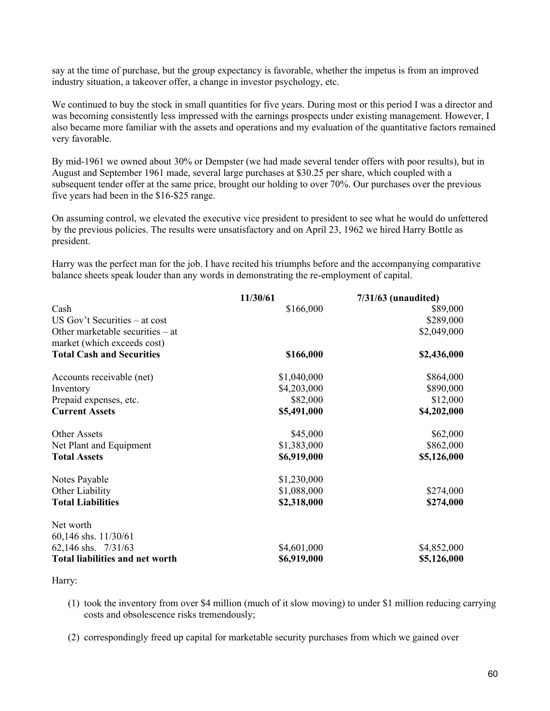say at the time of purchase, but the group expectancy is favorable, whether the impetus is from an improved industry situation, a takeover offer, a change in investor psychology, etc.

We continued to buy the stock in small quantities for five years. During most or this period I was a director and was becoming consistently less impressed with the earnings prospects under existing management. However, I also became more familiar with the assets and operations and my evaluation of the quantitative factors remained very favorable.

By mid-1961 we owned about 30% or Dempster (we had made several tender offers with poor results), but in August and September 1961 made, several large purchases at \$30.25 per share, which coupled with a subsequent tender offer at the same price, brought our holding to over 70%. Our purchases over the previous five years had been in the \$16-\$25 range.

On assuming control, we elevated the executive vice president to president to see what he would do unfettered by the previous policies. The results were unsatisfactory and on April 23, 1962 we hired Harry Bottle as president.

Harry was the perfect man for the job. I have recited his triumphs before and the accompanying comparative balance sheets speak louder than any words in demonstrating the re-employment of capital.

|                                                                 | 11/30/61    | $7/31/63$ (unaudited) |
|-----------------------------------------------------------------|-------------|-----------------------|
| Cash                                                            | \$166,000   | \$89,000              |
| US Gov't Securities $-$ at cost                                 |             | \$289,000             |
| Other marketable securities – at<br>market (which exceeds cost) |             | \$2,049,000           |
| <b>Total Cash and Securities</b>                                | \$166,000   | \$2,436,000           |
| Accounts receivable (net)                                       | \$1,040,000 | \$864,000             |
| Inventory                                                       | \$4,203,000 | \$890,000             |
| Prepaid expenses, etc.                                          | \$82,000    | \$12,000              |
| <b>Current Assets</b>                                           | \$5,491,000 | \$4,202,000           |
| <b>Other Assets</b>                                             | \$45,000    | \$62,000              |
| Net Plant and Equipment                                         | \$1,383,000 | \$862,000             |
| <b>Total Assets</b>                                             | \$6,919,000 | \$5,126,000           |
| Notes Payable                                                   | \$1,230,000 |                       |
| Other Liability                                                 | \$1,088,000 | \$274,000             |
| <b>Total Liabilities</b>                                        | \$2,318,000 | \$274,000             |
| Net worth                                                       |             |                       |
| 60,146 shs. 11/30/61                                            |             |                       |
| 62,146 shs. 7/31/63                                             | \$4,601,000 | \$4,852,000           |
| <b>Total liabilities and net worth</b>                          | \$6,919,000 | \$5,126,000           |

#### Harry:

- (1) took the inventory from over \$4 million (much of it slow moving) to under \$1 million reducing carrying costs and obsolescence risks tremendously;
- (2) correspondingly freed up capital for marketable security purchases from which we gained over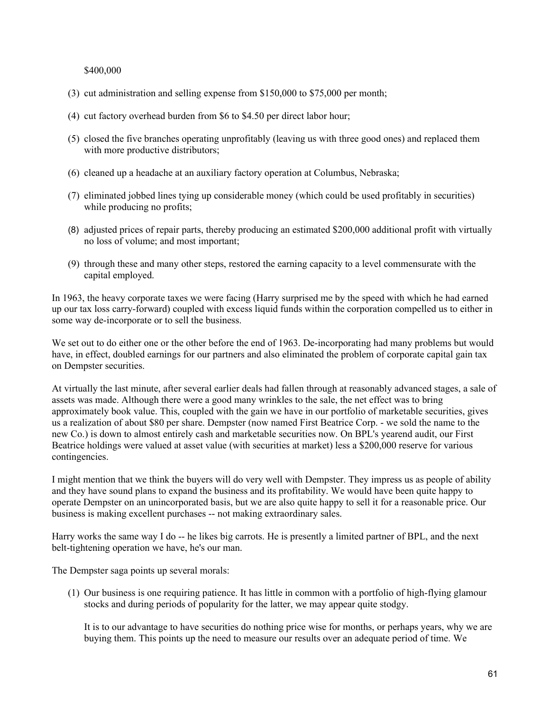#### \$400,000

- (3) cut administration and selling expense from \$150,000 to \$75,000 per month;
- (4) cut factory overhead burden from \$6 to \$4.50 per direct labor hour;
- (5) closed the five branches operating unprofitably (leaving us with three good ones) and replaced them with more productive distributors;
- (6) cleaned up a headache at an auxiliary factory operation at Columbus, Nebraska;
- (7) eliminated jobbed lines tying up considerable money (which could be used profitably in securities) while producing no profits;
- (8) adjusted prices of repair parts, thereby producing an estimated \$200,000 additional profit with virtually no loss of volume; and most important;
- (9) through these and many other steps, restored the earning capacity to a level commensurate with the capital employed.

In 1963, the heavy corporate taxes we were facing (Harry surprised me by the speed with which he had earned up our tax loss carry-forward) coupled with excess liquid funds within the corporation compelled us to either in some way de-incorporate or to sell the business.

We set out to do either one or the other before the end of 1963. De-incorporating had many problems but would have, in effect, doubled earnings for our partners and also eliminated the problem of corporate capital gain tax on Dempster securities.

At virtually the last minute, after several earlier deals had fallen through at reasonably advanced stages, a sale of assets was made. Although there were a good many wrinkles to the sale, the net effect was to bring approximately book value. This, coupled with the gain we have in our portfolio of marketable securities, gives us a realization of about \$80 per share. Dempster (now named First Beatrice Corp. - we sold the name to the new Co.) is down to almost entirely cash and marketable securities now. On BPL's yearend audit, our First Beatrice holdings were valued at asset value (with securities at market) less a \$200,000 reserve for various contingencies.

I might mention that we think the buyers will do very well with Dempster. They impress us as people of ability and they have sound plans to expand the business and its profitability. We would have been quite happy to operate Dempster on an unincorporated basis, but we are also quite happy to sell it for a reasonable price. Our business is making excellent purchases -- not making extraordinary sales.

Harry works the same way I do -- he likes big carrots. He is presently a limited partner of BPL, and the next belt-tightening operation we have, he's our man.

The Dempster saga points up several morals:

(1) Our business is one requiring patience. It has little in common with a portfolio of high-flying glamour stocks and during periods of popularity for the latter, we may appear quite stodgy.

It is to our advantage to have securities do nothing price wise for months, or perhaps years, why we are buying them. This points up the need to measure our results over an adequate period of time. We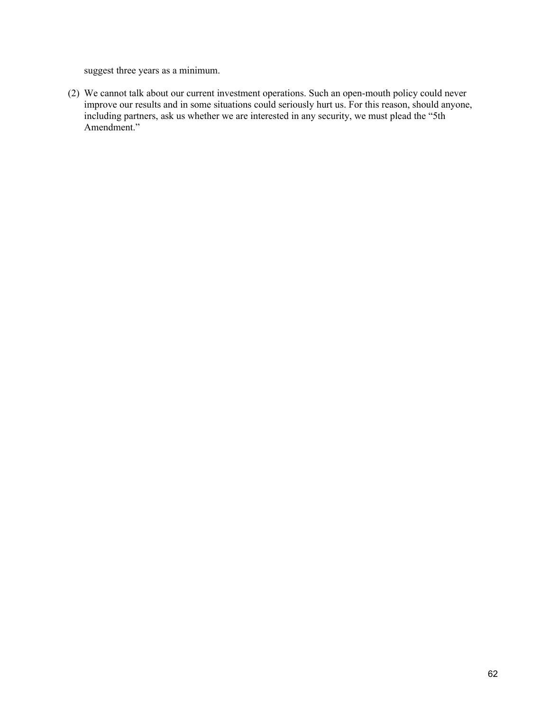suggest three years as a minimum.

(2) We cannot talk about our current investment operations. Such an open-mouth policy could never improve our results and in some situations could seriously hurt us. For this reason, should anyone, including partners, ask us whether we are interested in any security, we must plead the "5th Amendment."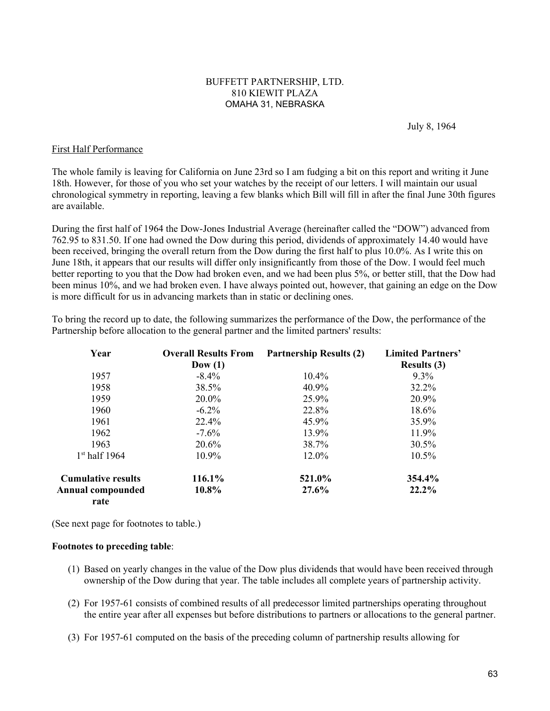#### BUFFETT PARTNERSHIP, LTD. 810 KIEWIT PLAZA OMAHA 31, NEBRASKA

July 8, 1964

#### First Half Performance

The whole family is leaving for California on June 23rd so I am fudging a bit on this report and writing it June 18th. However, for those of you who set your watches by the receipt of our letters. I will maintain our usual chronological symmetry in reporting, leaving a few blanks which Bill will fill in after the final June 30th figures are available.

During the first half of 1964 the Dow-Jones Industrial Average (hereinafter called the "DOW") advanced from 762.95 to 831.50. If one had owned the Dow during this period, dividends of approximately 14.40 would have been received, bringing the overall return from the Dow during the first half to plus 10.0%. As I write this on June 18th, it appears that our results will differ only insignificantly from those of the Dow. I would feel much better reporting to you that the Dow had broken even, and we had been plus 5%, or better still, that the Dow had been minus 10%, and we had broken even. I have always pointed out, however, that gaining an edge on the Dow is more difficult for us in advancing markets than in static or declining ones.

| Year                             | <b>Overall Results From</b><br>Down(1) | <b>Partnership Results (2)</b> | <b>Limited Partners'</b><br><b>Results (3)</b> |
|----------------------------------|----------------------------------------|--------------------------------|------------------------------------------------|
| 1957                             | $-8.4\%$                               | 10.4%                          | $9.3\%$                                        |
| 1958                             | 38.5%                                  | 40.9%                          | 32.2%                                          |
| 1959                             | 20.0%                                  | 25.9%                          | 20.9%                                          |
| 1960                             | $-6.2\%$                               | 22.8%                          | 18.6%                                          |
| 1961                             | 22.4%                                  | 45.9%                          | 35.9%                                          |
| 1962                             | $-7.6\%$                               | 13.9%                          | 11.9%                                          |
| 1963                             | 20.6%                                  | 38.7%                          | 30.5%                                          |
| $1st$ half 1964                  | 10.9%                                  | 12.0%                          | $10.5\%$                                       |
| <b>Cumulative results</b>        | 116.1%                                 | 521.0%                         | 354.4%                                         |
| <b>Annual compounded</b><br>rate | 10.8%                                  | <b>27.6%</b>                   | 22.2%                                          |

To bring the record up to date, the following summarizes the performance of the Dow, the performance of the Partnership before allocation to the general partner and the limited partners' results:

(See next page for footnotes to table.)

#### **Footnotes to preceding table**:

- (1) Based on yearly changes in the value of the Dow plus dividends that would have been received through ownership of the Dow during that year. The table includes all complete years of partnership activity.
- (2) For 1957-61 consists of combined results of all predecessor limited partnerships operating throughout the entire year after all expenses but before distributions to partners or allocations to the general partner.
- (3) For 1957-61 computed on the basis of the preceding column of partnership results allowing for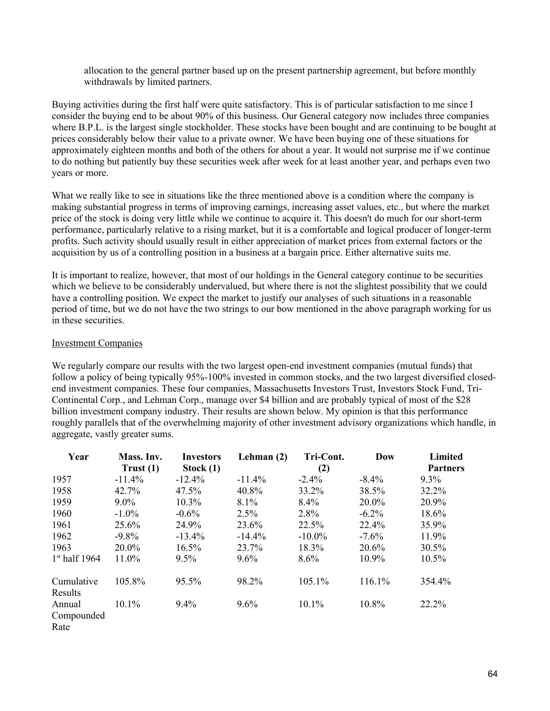allocation to the general partner based up on the present partnership agreement, but before monthly withdrawals by limited partners.

Buying activities during the first half were quite satisfactory. This is of particular satisfaction to me since I consider the buying end to be about 90% of this business. Our General category now includes three companies where B.P.L. is the largest single stockholder. These stocks have been bought and are continuing to be bought at prices considerably below their value to a private owner. We have been buying one of these situations for approximately eighteen months and both of the others for about a year. It would not surprise me if we continue to do nothing but patiently buy these securities week after week for at least another year, and perhaps even two years or more.

What we really like to see in situations like the three mentioned above is a condition where the company is making substantial progress in terms of improving earnings, increasing asset values, etc., but where the market price of the stock is doing very little while we continue to acquire it. This doesn't do much for our short-term performance, particularly relative to a rising market, but it is a comfortable and logical producer of longer-term profits. Such activity should usually result in either appreciation of market prices from external factors or the acquisition by us of a controlling position in a business at a bargain price. Either alternative suits me.

It is important to realize, however, that most of our holdings in the General category continue to be securities which we believe to be considerably undervalued, but where there is not the slightest possibility that we could have a controlling position. We expect the market to justify our analyses of such situations in a reasonable period of time, but we do not have the two strings to our bow mentioned in the above paragraph working for us in these securities.

### Investment Companies

We regularly compare our results with the two largest open-end investment companies (mutual funds) that follow a policy of being typically 95%-100% invested in common stocks, and the two largest diversified closedend investment companies. These four companies, Massachusetts Investors Trust, Investors Stock Fund, Tri-Continental Corp., and Lehman Corp., manage over \$4 billion and are probably typical of most of the \$28 billion investment company industry. Their results are shown below. My opinion is that this performance roughly parallels that of the overwhelming majority of other investment advisory organizations which handle, in aggregate, vastly greater sums.

| Year                  | Mass. Inv.  | <b>Investors</b> | Lehman $(2)$ | Tri-Cont. | Dow      | <b>Limited</b>  |
|-----------------------|-------------|------------------|--------------|-----------|----------|-----------------|
|                       | Trust $(1)$ | Stock $(1)$      |              | (2)       |          | <b>Partners</b> |
| 1957                  | $-11.4%$    | $-12.4%$         | $-11.4%$     | $-2.4\%$  | $-8.4\%$ | $9.3\%$         |
| 1958                  | 42.7%       | 47.5%            | 40.8%        | 33.2%     | 38.5%    | 32.2%           |
| 1959                  | $9.0\%$     | $10.3\%$         | 8.1%         | $8.4\%$   | $20.0\%$ | 20.9%           |
| 1960                  | $-1.0\%$    | $-0.6\%$         | $2.5\%$      | 2.8%      | $-6.2\%$ | 18.6%           |
| 1961                  | 25.6%       | 24.9%            | 23.6%        | 22.5%     | 22.4%    | 35.9%           |
| 1962                  | $-9.8\%$    | $-13.4\%$        | $-14.4%$     | $-10.0\%$ | $-7.6\%$ | 11.9%           |
| 1963                  | 20.0%       | 16.5%            | 23.7%        | 18.3%     | 20.6%    | 30.5%           |
| $1st$ half 1964       | $11.0\%$    | $9.5\%$          | $9.6\%$      | $8.6\%$   | $10.9\%$ | $10.5\%$        |
| Cumulative<br>Results | 105.8%      | 95.5%            | 98.2%        | 105.1%    | 116.1%   | 354.4%          |
| Annual<br>Compounded  | $10.1\%$    | $9.4\%$          | 9.6%         | $10.1\%$  | 10.8%    | 22.2%           |
| Rate                  |             |                  |              |           |          |                 |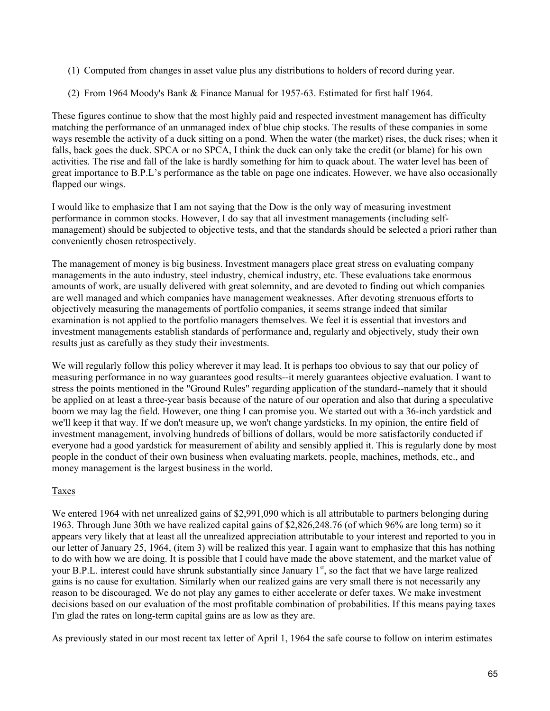- (1) Computed from changes in asset value plus any distributions to holders of record during year.
- (2) From 1964 Moody's Bank & Finance Manual for 1957-63. Estimated for first half 1964.

These figures continue to show that the most highly paid and respected investment management has difficulty matching the performance of an unmanaged index of blue chip stocks. The results of these companies in some ways resemble the activity of a duck sitting on a pond. When the water (the market) rises, the duck rises; when it falls, back goes the duck. SPCA or no SPCA, I think the duck can only take the credit (or blame) for his own activities. The rise and fall of the lake is hardly something for him to quack about. The water level has been of great importance to B.P.L's performance as the table on page one indicates. However, we have also occasionally flapped our wings.

I would like to emphasize that I am not saying that the Dow is the only way of measuring investment performance in common stocks. However, I do say that all investment managements (including selfmanagement) should be subjected to objective tests, and that the standards should be selected a priori rather than conveniently chosen retrospectively.

The management of money is big business. Investment managers place great stress on evaluating company managements in the auto industry, steel industry, chemical industry, etc. These evaluations take enormous amounts of work, are usually delivered with great solemnity, and are devoted to finding out which companies are well managed and which companies have management weaknesses. After devoting strenuous efforts to objectively measuring the managements of portfolio companies, it seems strange indeed that similar examination is not applied to the portfolio managers themselves. We feel it is essential that investors and investment managements establish standards of performance and, regularly and objectively, study their own results just as carefully as they study their investments.

We will regularly follow this policy wherever it may lead. It is perhaps too obvious to say that our policy of measuring performance in no way guarantees good results--it merely guarantees objective evaluation. I want to stress the points mentioned in the "Ground Rules" regarding application of the standard--namely that it should be applied on at least a three-year basis because of the nature of our operation and also that during a speculative boom we may lag the field. However, one thing I can promise you. We started out with a 36-inch yardstick and we'll keep it that way. If we don't measure up, we won't change yardsticks. In my opinion, the entire field of investment management, involving hundreds of billions of dollars, would be more satisfactorily conducted if everyone had a good yardstick for measurement of ability and sensibly applied it. This is regularly done by most people in the conduct of their own business when evaluating markets, people, machines, methods, etc., and money management is the largest business in the world.

# Taxes

We entered 1964 with net unrealized gains of \$2,991,090 which is all attributable to partners belonging during 1963. Through June 30th we have realized capital gains of \$2,826,248.76 (of which 96% are long term) so it appears very likely that at least all the unrealized appreciation attributable to your interest and reported to you in our letter of January 25, 1964, (item 3) will be realized this year. I again want to emphasize that this has nothing to do with how we are doing. It is possible that I could have made the above statement, and the market value of your B.P.L. interest could have shrunk substantially since January 1<sup>st</sup>, so the fact that we have large realized gains is no cause for exultation. Similarly when our realized gains are very small there is not necessarily any reason to be discouraged. We do not play any games to either accelerate or defer taxes. We make investment decisions based on our evaluation of the most profitable combination of probabilities. If this means paying taxes I'm glad the rates on long-term capital gains are as low as they are.

As previously stated in our most recent tax letter of April 1, 1964 the safe course to follow on interim estimates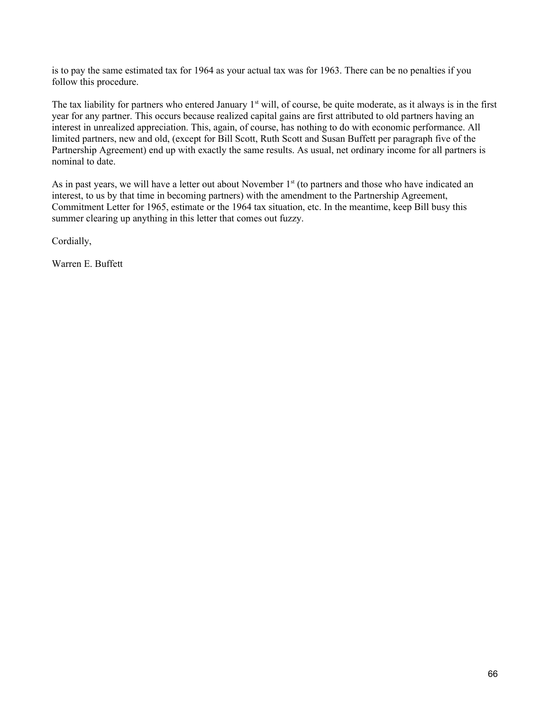is to pay the same estimated tax for 1964 as your actual tax was for 1963. There can be no penalties if you follow this procedure.

The tax liability for partners who entered January  $1<sup>st</sup>$  will, of course, be quite moderate, as it always is in the first year for any partner. This occurs because realized capital gains are first attributed to old partners having an interest in unrealized appreciation. This, again, of course, has nothing to do with economic performance. All limited partners, new and old, (except for Bill Scott, Ruth Scott and Susan Buffett per paragraph five of the Partnership Agreement) end up with exactly the same results. As usual, net ordinary income for all partners is nominal to date.

As in past years, we will have a letter out about November 1<sup>st</sup> (to partners and those who have indicated an interest, to us by that time in becoming partners) with the amendment to the Partnership Agreement, Commitment Letter for 1965, estimate or the 1964 tax situation, etc. In the meantime, keep Bill busy this summer clearing up anything in this letter that comes out fuzzy.

Cordially,

Warren E. Buffett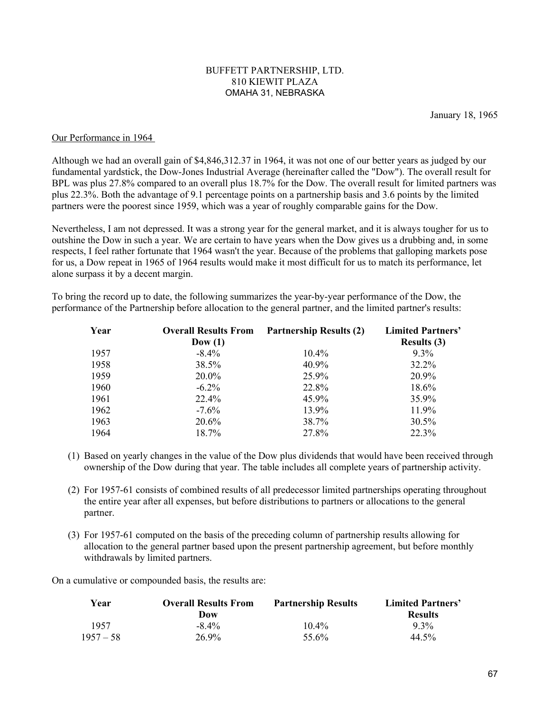#### BUFFETT PARTNERSHIP, LTD. 810 KIEWIT PLAZA OMAHA 31, NEBRASKA

#### Our Performance in 1964

Although we had an overall gain of \$4,846,312.37 in 1964, it was not one of our better years as judged by our fundamental yardstick, the Dow-Jones Industrial Average (hereinafter called the "Dow"). The overall result for BPL was plus 27.8% compared to an overall plus 18.7% for the Dow. The overall result for limited partners was plus 22.3%. Both the advantage of 9.1 percentage points on a partnership basis and 3.6 points by the limited partners were the poorest since 1959, which was a year of roughly comparable gains for the Dow.

Nevertheless, I am not depressed. It was a strong year for the general market, and it is always tougher for us to outshine the Dow in such a year. We are certain to have years when the Dow gives us a drubbing and, in some respects, I feel rather fortunate that 1964 wasn't the year. Because of the problems that galloping markets pose for us, a Dow repeat in 1965 of 1964 results would make it most difficult for us to match its performance, let alone surpass it by a decent margin.

| Year | <b>Overall Results From</b><br>Down(1) | <b>Partnership Results (2)</b> | <b>Limited Partners'</b><br><b>Results (3)</b> |
|------|----------------------------------------|--------------------------------|------------------------------------------------|
| 1957 | $-8.4\%$                               | $10.4\%$                       | $9.3\%$                                        |
| 1958 | 38.5%                                  | 40.9%                          | $32.2\%$                                       |
| 1959 | 20.0%                                  | 25.9%                          | 20.9%                                          |
| 1960 | $-6.2\%$                               | 22.8%                          | 18.6%                                          |
| 1961 | 22.4%                                  | 45.9%                          | 35.9%                                          |
| 1962 | $-7.6\%$                               | 13.9%                          | 11.9%                                          |
| 1963 | 20.6%                                  | 38.7%                          | 30.5%                                          |
| 1964 | 18.7%                                  | 27.8%                          | 22.3%                                          |

To bring the record up to date, the following summarizes the year-by-year performance of the Dow, the performance of the Partnership before allocation to the general partner, and the limited partner's results:

- (1) Based on yearly changes in the value of the Dow plus dividends that would have been received through ownership of the Dow during that year. The table includes all complete years of partnership activity.
- (2) For 1957-61 consists of combined results of all predecessor limited partnerships operating throughout the entire year after all expenses, but before distributions to partners or allocations to the general partner.
- (3) For 1957-61 computed on the basis of the preceding column of partnership results allowing for allocation to the general partner based upon the present partnership agreement, but before monthly withdrawals by limited partners.

On a cumulative or compounded basis, the results are:

| Year        | <b>Overall Results From</b> | <b>Partnership Results</b> | <b>Limited Partners'</b> |
|-------------|-----------------------------|----------------------------|--------------------------|
|             | Dow                         |                            | <b>Results</b>           |
| 1957        | $-8.4\%$                    | $10.4\%$                   | $9.3\%$                  |
| $1957 - 58$ | $26.9\%$                    | 55.6%                      | 44.5%                    |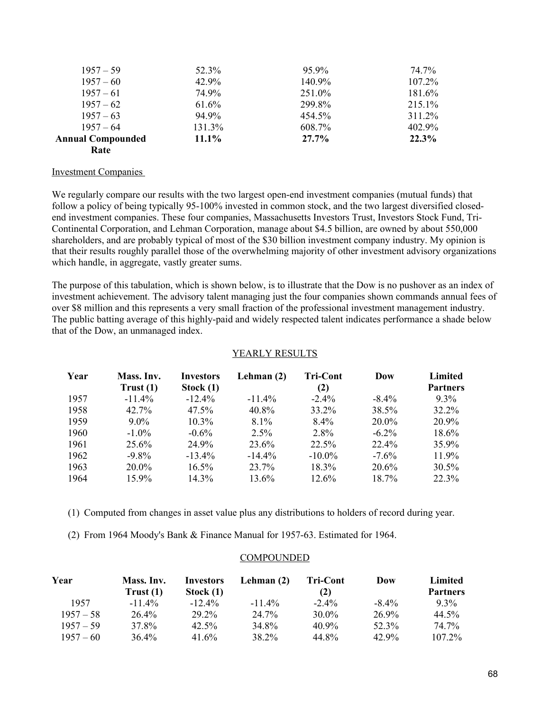| Rate                     |          |        |           |
|--------------------------|----------|--------|-----------|
| <b>Annual Compounded</b> | 11.1%    | 27.7%  | 22.3%     |
| $1957 - 64$              | 131.3%   | 608.7% | 402.9%    |
| $1957 - 63$              | $94.9\%$ | 454.5% | 311.2%    |
| $1957 - 62$              | 61.6%    | 299.8% | $215.1\%$ |
| $1957 - 61$              | 74 9%    | 251.0% | 181.6%    |
| $1957 - 60$              | 42.9%    | 140.9% | 107.2%    |
| $1957 - 59$              | 52.3%    | 95.9%  | 74.7%     |
|                          |          |        |           |

#### Investment Companies

We regularly compare our results with the two largest open-end investment companies (mutual funds) that follow a policy of being typically 95-100% invested in common stock, and the two largest diversified closedend investment companies. These four companies, Massachusetts Investors Trust, Investors Stock Fund, Tri-Continental Corporation, and Lehman Corporation, manage about \$4.5 billion, are owned by about 550,000 shareholders, and are probably typical of most of the \$30 billion investment company industry. My opinion is that their results roughly parallel those of the overwhelming majority of other investment advisory organizations which handle, in aggregate, vastly greater sums.

The purpose of this tabulation, which is shown below, is to illustrate that the Dow is no pushover as an index of investment achievement. The advisory talent managing just the four companies shown commands annual fees of over \$8 million and this represents a very small fraction of the professional investment management industry. The public batting average of this highly-paid and widely respected talent indicates performance a shade below that of the Dow, an unmanaged index.

#### YEARLY RESULTS

| Year | Mass. Inv.<br>Trust $(1)$ | <b>Investors</b><br>Stock $(1)$ | Lehman $(2)$ | <b>Tri-Cont</b><br>(2) | Dow      | Limited<br><b>Partners</b> |
|------|---------------------------|---------------------------------|--------------|------------------------|----------|----------------------------|
| 1957 | $-11.4\%$                 | $-12.4\%$                       | $-11.4\%$    | $-2.4\%$               | $-8.4\%$ | $9.3\%$                    |
| 1958 | 42.7%                     | 47.5%                           | 40.8%        | 33.2%                  | 38.5%    | 32.2%                      |
| 1959 | $9.0\%$                   | $10.3\%$                        | $8.1\%$      | $8.4\%$                | 20.0%    | 20.9%                      |
| 1960 | $-1.0\%$                  | $-0.6\%$                        | 2.5%         | 2.8%                   | $-6.2\%$ | 18.6%                      |
| 1961 | $25.6\%$                  | 24.9%                           | 23.6%        | 22.5%                  | 22.4%    | 35.9%                      |
| 1962 | $-9.8\%$                  | $-13.4\%$                       | $-14.4\%$    | $-10.0\%$              | $-7.6\%$ | 11.9%                      |
| 1963 | 20.0%                     | $16.5\%$                        | 23.7%        | 18.3%                  | 20.6%    | 30.5%                      |
| 1964 | $15.9\%$                  | $14.3\%$                        | 13.6%        | 12.6%                  | $18.7\%$ | 22.3%                      |

(1) Computed from changes in asset value plus any distributions to holders of record during year.

(2) From 1964 Moody's Bank & Finance Manual for 1957-63. Estimated for 1964.

#### **COMPOUNDED**

| Year        | Mass. Inv.  | Investors   | Lehman $(2)$ | <b>Tri-Cont</b> | Dow      | Limited         |
|-------------|-------------|-------------|--------------|-----------------|----------|-----------------|
|             | Trust $(1)$ | Stock $(1)$ |              | (2)             |          | <b>Partners</b> |
| 1957        | $-11.4\%$   | $-12.4\%$   | $-11.4\%$    | $-2.4\%$        | $-8.4\%$ | $9.3\%$         |
| $1957 - 58$ | $26.4\%$    | 29.2%       | 24.7%        | $30.0\%$        | 26.9%    | 44.5%           |
| $1957 - 59$ | 37.8%       | $42.5\%$    | 34.8%        | 40.9%           | 52.3%    | 74.7%           |
| $1957 - 60$ | $36.4\%$    | 41.6%       | 38.2%        | 44 8%           | 42.9%    | $107.2\%$       |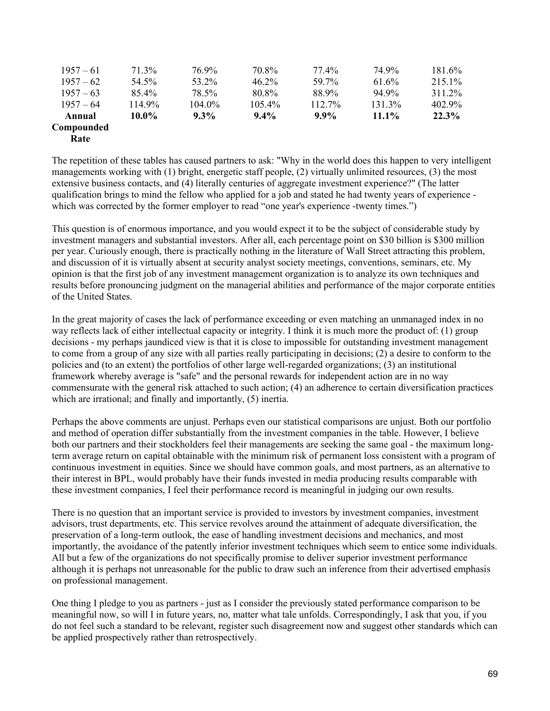| Compounded<br>Rate |          |         |           |         |          |        |
|--------------------|----------|---------|-----------|---------|----------|--------|
| Annual             | $10.0\%$ | $9.3\%$ | $9.4\%$   | $9.9\%$ | $11.1\%$ | 22.3%  |
| $1957 - 64$        | 114.9%   | 104.0%  | $105.4\%$ | 112.7%  | 131.3%   | 402.9% |
| $1957 - 63$        | 85.4%    | 78.5%   | 80.8%     | 88.9%   | 94.9%    | 311.2% |
| $1957 - 62$        | 54.5%    | 53.2%   | $46.2\%$  | 59.7%   | 61.6%    | 215.1% |
| $1957 - 61$        | 71.3%    | 76.9%   | 70.8%     | 774%    | 74.9%    | 181.6% |

The repetition of these tables has caused partners to ask: "Why in the world does this happen to very intelligent managements working with (1) bright, energetic staff people, (2) virtually unlimited resources, (3) the most extensive business contacts, and (4) literally centuries of aggregate investment experience?" (The latter qualification brings to mind the fellow who applied for a job and stated he had twenty years of experience which was corrected by the former employer to read "one year's experience -twenty times.")

This question is of enormous importance, and you would expect it to be the subject of considerable study by investment managers and substantial investors. After all, each percentage point on \$30 billion is \$300 million per year. Curiously enough, there is practically nothing in the literature of Wall Street attracting this problem, and discussion of it is virtually absent at security analyst society meetings, conventions, seminars, etc. My opinion is that the first job of any investment management organization is to analyze its own techniques and results before pronouncing judgment on the managerial abilities and performance of the major corporate entities of the United States.

In the great majority of cases the lack of performance exceeding or even matching an unmanaged index in no way reflects lack of either intellectual capacity or integrity. I think it is much more the product of: (1) group decisions - my perhaps jaundiced view is that it is close to impossible for outstanding investment management to come from a group of any size with all parties really participating in decisions; (2) a desire to conform to the policies and (to an extent) the portfolios of other large well-regarded organizations; (3) an institutional framework whereby average is "safe" and the personal rewards for independent action are in no way commensurate with the general risk attached to such action; (4) an adherence to certain diversification practices which are irrational; and finally and importantly, (5) inertia.

Perhaps the above comments are unjust. Perhaps even our statistical comparisons are unjust. Both our portfolio and method of operation differ substantially from the investment companies in the table. However, I believe both our partners and their stockholders feel their managements are seeking the same goal - the maximum longterm average return on capital obtainable with the minimum risk of permanent loss consistent with a program of continuous investment in equities. Since we should have common goals, and most partners, as an alternative to their interest in BPL, would probably have their funds invested in media producing results comparable with these investment companies, I feel their performance record is meaningful in judging our own results.

There is no question that an important service is provided to investors by investment companies, investment advisors, trust departments, etc. This service revolves around the attainment of adequate diversification, the preservation of a long-term outlook, the ease of handling investment decisions and mechanics, and most importantly, the avoidance of the patently inferior investment techniques which seem to entice some individuals. All but a few of the organizations do not specifically promise to deliver superior investment performance although it is perhaps not unreasonable for the public to draw such an inference from their advertised emphasis on professional management.

One thing I pledge to you as partners - just as I consider the previously stated performance comparison to be meaningful now, so will I in future years, no, matter what tale unfolds. Correspondingly, I ask that you, if you do not feel such a standard to be relevant, register such disagreement now and suggest other standards which can be applied prospectively rather than retrospectively.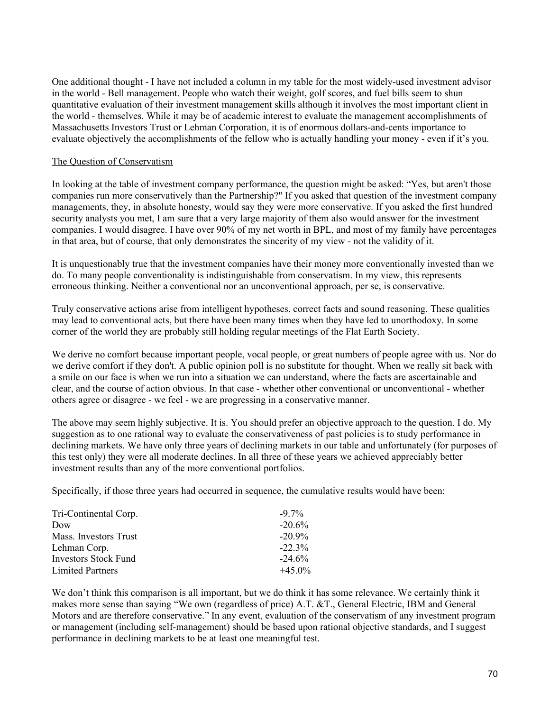One additional thought - I have not included a column in my table for the most widely-used investment advisor in the world - Bell management. People who watch their weight, golf scores, and fuel bills seem to shun quantitative evaluation of their investment management skills although it involves the most important client in the world - themselves. While it may be of academic interest to evaluate the management accomplishments of Massachusetts Investors Trust or Lehman Corporation, it is of enormous dollars-and-cents importance to evaluate objectively the accomplishments of the fellow who is actually handling your money - even if it's you.

## The Question of Conservatism

In looking at the table of investment company performance, the question might be asked: "Yes, but aren't those companies run more conservatively than the Partnership?" If you asked that question of the investment company managements, they, in absolute honesty, would say they were more conservative. If you asked the first hundred security analysts you met, I am sure that a very large majority of them also would answer for the investment companies. I would disagree. I have over 90% of my net worth in BPL, and most of my family have percentages in that area, but of course, that only demonstrates the sincerity of my view - not the validity of it.

It is unquestionably true that the investment companies have their money more conventionally invested than we do. To many people conventionality is indistinguishable from conservatism. In my view, this represents erroneous thinking. Neither a conventional nor an unconventional approach, per se, is conservative.

Truly conservative actions arise from intelligent hypotheses, correct facts and sound reasoning. These qualities may lead to conventional acts, but there have been many times when they have led to unorthodoxy. In some corner of the world they are probably still holding regular meetings of the Flat Earth Society.

We derive no comfort because important people, vocal people, or great numbers of people agree with us. Nor do we derive comfort if they don't. A public opinion poll is no substitute for thought. When we really sit back with a smile on our face is when we run into a situation we can understand, where the facts are ascertainable and clear, and the course of action obvious. In that case - whether other conventional or unconventional - whether others agree or disagree - we feel - we are progressing in a conservative manner.

The above may seem highly subjective. It is. You should prefer an objective approach to the question. I do. My suggestion as to one rational way to evaluate the conservativeness of past policies is to study performance in declining markets. We have only three years of declining markets in our table and unfortunately (for purposes of this test only) they were all moderate declines. In all three of these years we achieved appreciably better investment results than any of the more conventional portfolios.

Specifically, if those three years had occurred in sequence, the cumulative results would have been:

| Tri-Continental Corp.       | $-9.7\%$  |
|-----------------------------|-----------|
| Dow                         | $-20.6\%$ |
| Mass. Investors Trust       | $-20.9\%$ |
| Lehman Corp.                | $-22.3\%$ |
| <b>Investors Stock Fund</b> | $-24.6\%$ |
| <b>Limited Partners</b>     | $+45.0\%$ |

We don't think this comparison is all important, but we do think it has some relevance. We certainly think it makes more sense than saying "We own (regardless of price) A.T. &T., General Electric, IBM and General Motors and are therefore conservative." In any event, evaluation of the conservatism of any investment program or management (including self-management) should be based upon rational objective standards, and I suggest performance in declining markets to be at least one meaningful test.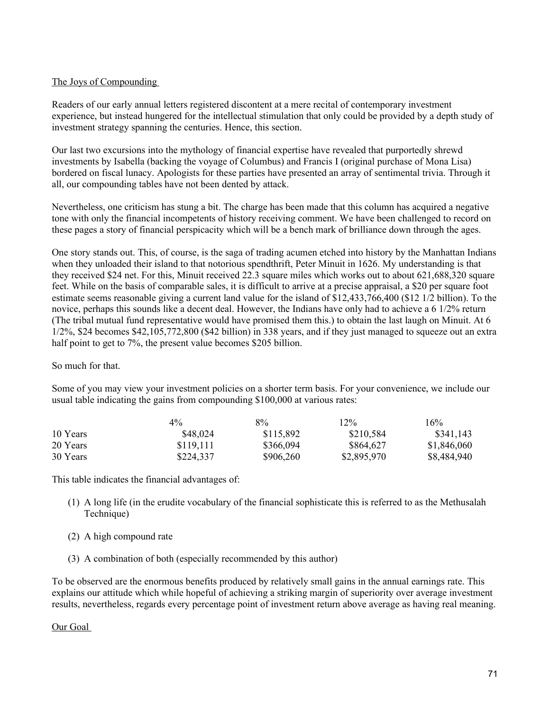## The Joys of Compounding

Readers of our early annual letters registered discontent at a mere recital of contemporary investment experience, but instead hungered for the intellectual stimulation that only could be provided by a depth study of investment strategy spanning the centuries. Hence, this section.

Our last two excursions into the mythology of financial expertise have revealed that purportedly shrewd investments by Isabella (backing the voyage of Columbus) and Francis I (original purchase of Mona Lisa) bordered on fiscal lunacy. Apologists for these parties have presented an array of sentimental trivia. Through it all, our compounding tables have not been dented by attack.

Nevertheless, one criticism has stung a bit. The charge has been made that this column has acquired a negative tone with only the financial incompetents of history receiving comment. We have been challenged to record on these pages a story of financial perspicacity which will be a bench mark of brilliance down through the ages.

One story stands out. This, of course, is the saga of trading acumen etched into history by the Manhattan Indians when they unloaded their island to that notorious spendthrift, Peter Minuit in 1626. My understanding is that they received \$24 net. For this, Minuit received 22.3 square miles which works out to about 621,688,320 square feet. While on the basis of comparable sales, it is difficult to arrive at a precise appraisal, a \$20 per square foot estimate seems reasonable giving a current land value for the island of \$12,433,766,400 (\$12 1/2 billion). To the novice, perhaps this sounds like a decent deal. However, the Indians have only had to achieve a 6 1/2% return (The tribal mutual fund representative would have promised them this.) to obtain the last laugh on Minuit. At 6 1/2%, \$24 becomes \$42,105,772,800 (\$42 billion) in 338 years, and if they just managed to squeeze out an extra half point to get to 7%, the present value becomes \$205 billion.

### So much for that.

Some of you may view your investment policies on a shorter term basis. For your convenience, we include our usual table indicating the gains from compounding \$100,000 at various rates:

|          | $4\%$     | 8%        | $12\%$      | 16%         |
|----------|-----------|-----------|-------------|-------------|
| 10 Years | \$48,024  | \$115,892 | \$210,584   | \$341,143   |
| 20 Years | \$119,111 | \$366,094 | \$864,627   | \$1,846,060 |
| 30 Years | \$224,337 | \$906,260 | \$2,895,970 | \$8,484,940 |

This table indicates the financial advantages of:

- (1) A long life (in the erudite vocabulary of the financial sophisticate this is referred to as the Methusalah Technique)
- (2) A high compound rate
- (3) A combination of both (especially recommended by this author)

To be observed are the enormous benefits produced by relatively small gains in the annual earnings rate. This explains our attitude which while hopeful of achieving a striking margin of superiority over average investment results, nevertheless, regards every percentage point of investment return above average as having real meaning.

Our Goal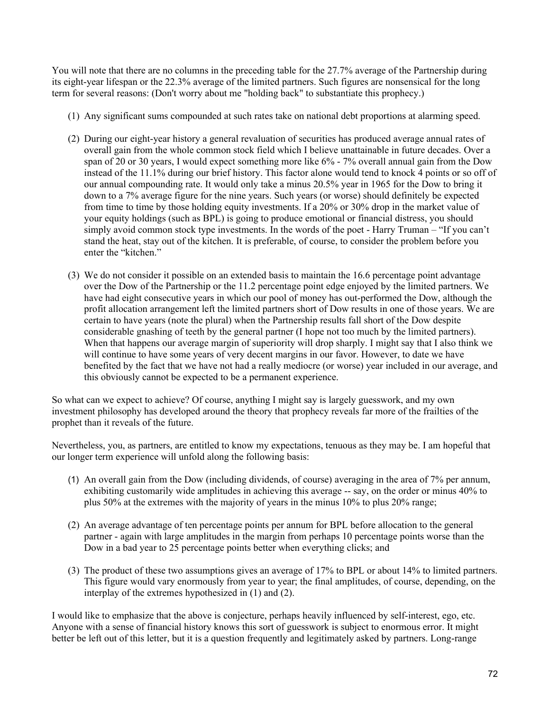You will note that there are no columns in the preceding table for the 27.7% average of the Partnership during its eight-year lifespan or the 22.3% average of the limited partners. Such figures are nonsensical for the long term for several reasons: (Don't worry about me "holding back" to substantiate this prophecy.)

- (1) Any significant sums compounded at such rates take on national debt proportions at alarming speed.
- (2) During our eight-year history a general revaluation of securities has produced average annual rates of overall gain from the whole common stock field which I believe unattainable in future decades. Over a span of 20 or 30 years, I would expect something more like 6% - 7% overall annual gain from the Dow instead of the 11.1% during our brief history. This factor alone would tend to knock 4 points or so off of our annual compounding rate. It would only take a minus 20.5% year in 1965 for the Dow to bring it down to a 7% average figure for the nine years. Such years (or worse) should definitely be expected from time to time by those holding equity investments. If a 20% or 30% drop in the market value of your equity holdings (such as BPL) is going to produce emotional or financial distress, you should simply avoid common stock type investments. In the words of the poet - Harry Truman – "If you can't stand the heat, stay out of the kitchen. It is preferable, of course, to consider the problem before you enter the "kitchen."
- (3) We do not consider it possible on an extended basis to maintain the 16.6 percentage point advantage over the Dow of the Partnership or the 11.2 percentage point edge enjoyed by the limited partners. We have had eight consecutive years in which our pool of money has out-performed the Dow, although the profit allocation arrangement left the limited partners short of Dow results in one of those years. We are certain to have years (note the plural) when the Partnership results fall short of the Dow despite considerable gnashing of teeth by the general partner (I hope not too much by the limited partners). When that happens our average margin of superiority will drop sharply. I might say that I also think we will continue to have some years of very decent margins in our favor. However, to date we have benefited by the fact that we have not had a really mediocre (or worse) year included in our average, and this obviously cannot be expected to be a permanent experience.

So what can we expect to achieve? Of course, anything I might say is largely guesswork, and my own investment philosophy has developed around the theory that prophecy reveals far more of the frailties of the prophet than it reveals of the future.

Nevertheless, you, as partners, are entitled to know my expectations, tenuous as they may be. I am hopeful that our longer term experience will unfold along the following basis:

- (1) An overall gain from the Dow (including dividends, of course) averaging in the area of 7% per annum, exhibiting customarily wide amplitudes in achieving this average -- say, on the order or minus 40% to plus 50% at the extremes with the majority of years in the minus 10% to plus 20% range;
- (2) An average advantage of ten percentage points per annum for BPL before allocation to the general partner - again with large amplitudes in the margin from perhaps 10 percentage points worse than the Dow in a bad year to 25 percentage points better when everything clicks; and
- (3) The product of these two assumptions gives an average of 17% to BPL or about 14% to limited partners. This figure would vary enormously from year to year; the final amplitudes, of course, depending, on the interplay of the extremes hypothesized in (1) and (2).

I would like to emphasize that the above is conjecture, perhaps heavily influenced by self-interest, ego, etc. Anyone with a sense of financial history knows this sort of guesswork is subject to enormous error. It might better be left out of this letter, but it is a question frequently and legitimately asked by partners. Long-range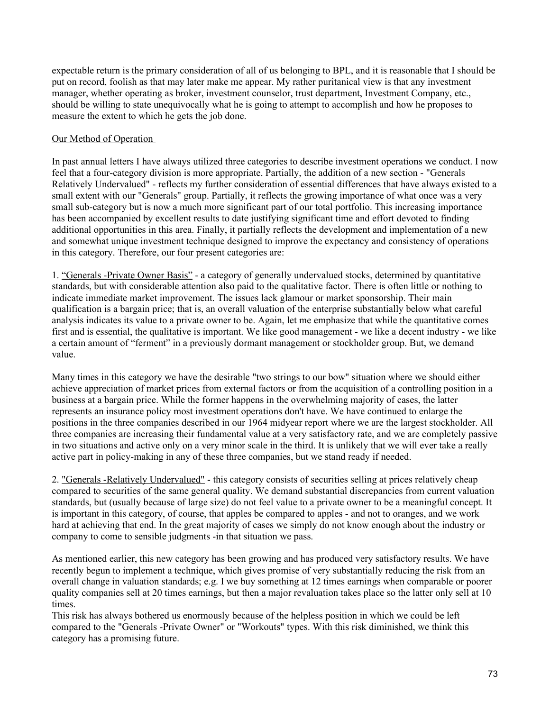expectable return is the primary consideration of all of us belonging to BPL, and it is reasonable that I should be put on record, foolish as that may later make me appear. My rather puritanical view is that any investment manager, whether operating as broker, investment counselor, trust department, Investment Company, etc., should be willing to state unequivocally what he is going to attempt to accomplish and how he proposes to measure the extent to which he gets the job done.

## Our Method of Operation

In past annual letters I have always utilized three categories to describe investment operations we conduct. I now feel that a four-category division is more appropriate. Partially, the addition of a new section - "Generals Relatively Undervalued" - reflects my further consideration of essential differences that have always existed to a small extent with our "Generals" group. Partially, it reflects the growing importance of what once was a very small sub-category but is now a much more significant part of our total portfolio. This increasing importance has been accompanied by excellent results to date justifying significant time and effort devoted to finding additional opportunities in this area. Finally, it partially reflects the development and implementation of a new and somewhat unique investment technique designed to improve the expectancy and consistency of operations in this category. Therefore, our four present categories are:

1. "Generals -Private Owner Basis" - a category of generally undervalued stocks, determined by quantitative standards, but with considerable attention also paid to the qualitative factor. There is often little or nothing to indicate immediate market improvement. The issues lack glamour or market sponsorship. Their main qualification is a bargain price; that is, an overall valuation of the enterprise substantially below what careful analysis indicates its value to a private owner to be. Again, let me emphasize that while the quantitative comes first and is essential, the qualitative is important. We like good management - we like a decent industry - we like a certain amount of "ferment" in a previously dormant management or stockholder group. But, we demand value.

Many times in this category we have the desirable "two strings to our bow" situation where we should either achieve appreciation of market prices from external factors or from the acquisition of a controlling position in a business at a bargain price. While the former happens in the overwhelming majority of cases, the latter represents an insurance policy most investment operations don't have. We have continued to enlarge the positions in the three companies described in our 1964 midyear report where we are the largest stockholder. All three companies are increasing their fundamental value at a very satisfactory rate, and we are completely passive in two situations and active only on a very minor scale in the third. It is unlikely that we will ever take a really active part in policy-making in any of these three companies, but we stand ready if needed.

2. "Generals -Relatively Undervalued" - this category consists of securities selling at prices relatively cheap compared to securities of the same general quality. We demand substantial discrepancies from current valuation standards, but (usually because of large size) do not feel value to a private owner to be a meaningful concept. It is important in this category, of course, that apples be compared to apples - and not to oranges, and we work hard at achieving that end. In the great majority of cases we simply do not know enough about the industry or company to come to sensible judgments -in that situation we pass.

As mentioned earlier, this new category has been growing and has produced very satisfactory results. We have recently begun to implement a technique, which gives promise of very substantially reducing the risk from an overall change in valuation standards; e.g. I we buy something at 12 times earnings when comparable or poorer quality companies sell at 20 times earnings, but then a major revaluation takes place so the latter only sell at 10 times.

This risk has always bothered us enormously because of the helpless position in which we could be left compared to the "Generals -Private Owner" or "Workouts" types. With this risk diminished, we think this category has a promising future.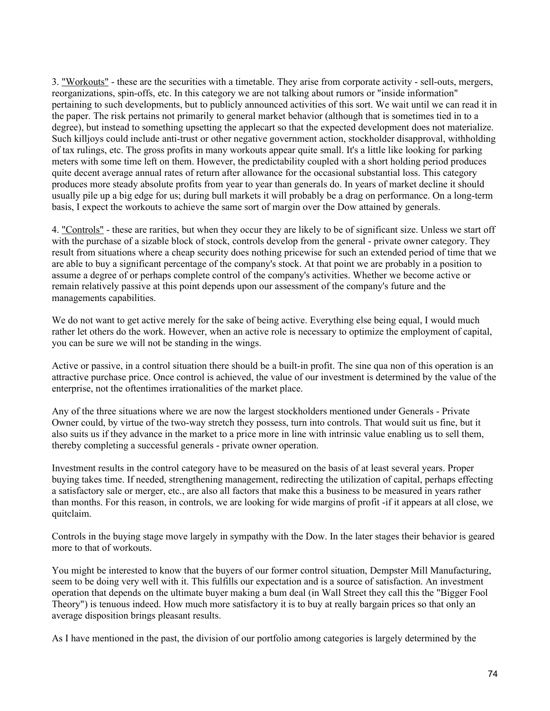3. "Workouts" - these are the securities with a timetable. They arise from corporate activity - sell-outs, mergers, reorganizations, spin-offs, etc. In this category we are not talking about rumors or "inside information" pertaining to such developments, but to publicly announced activities of this sort. We wait until we can read it in the paper. The risk pertains not primarily to general market behavior (although that is sometimes tied in to a degree), but instead to something upsetting the applecart so that the expected development does not materialize. Such killjoys could include anti-trust or other negative government action, stockholder disapproval, withholding of tax rulings, etc. The gross profits in many workouts appear quite small. It's a little like looking for parking meters with some time left on them. However, the predictability coupled with a short holding period produces quite decent average annual rates of return after allowance for the occasional substantial loss. This category produces more steady absolute profits from year to year than generals do. In years of market decline it should usually pile up a big edge for us; during bull markets it will probably be a drag on performance. On a long-term basis, I expect the workouts to achieve the same sort of margin over the Dow attained by generals.

4. "Controls" - these are rarities, but when they occur they are likely to be of significant size. Unless we start off with the purchase of a sizable block of stock, controls develop from the general - private owner category. They result from situations where a cheap security does nothing pricewise for such an extended period of time that we are able to buy a significant percentage of the company's stock. At that point we are probably in a position to assume a degree of or perhaps complete control of the company's activities. Whether we become active or remain relatively passive at this point depends upon our assessment of the company's future and the managements capabilities.

We do not want to get active merely for the sake of being active. Everything else being equal, I would much rather let others do the work. However, when an active role is necessary to optimize the employment of capital, you can be sure we will not be standing in the wings.

Active or passive, in a control situation there should be a built-in profit. The sine qua non of this operation is an attractive purchase price. Once control is achieved, the value of our investment is determined by the value of the enterprise, not the oftentimes irrationalities of the market place.

Any of the three situations where we are now the largest stockholders mentioned under Generals - Private Owner could, by virtue of the two-way stretch they possess, turn into controls. That would suit us fine, but it also suits us if they advance in the market to a price more in line with intrinsic value enabling us to sell them, thereby completing a successful generals - private owner operation.

Investment results in the control category have to be measured on the basis of at least several years. Proper buying takes time. If needed, strengthening management, redirecting the utilization of capital, perhaps effecting a satisfactory sale or merger, etc., are also all factors that make this a business to be measured in years rather than months. For this reason, in controls, we are looking for wide margins of profit -if it appears at all close, we quitclaim.

Controls in the buying stage move largely in sympathy with the Dow. In the later stages their behavior is geared more to that of workouts.

You might be interested to know that the buyers of our former control situation, Dempster Mill Manufacturing, seem to be doing very well with it. This fulfills our expectation and is a source of satisfaction. An investment operation that depends on the ultimate buyer making a bum deal (in Wall Street they call this the "Bigger Fool Theory") is tenuous indeed. How much more satisfactory it is to buy at really bargain prices so that only an average disposition brings pleasant results.

As I have mentioned in the past, the division of our portfolio among categories is largely determined by the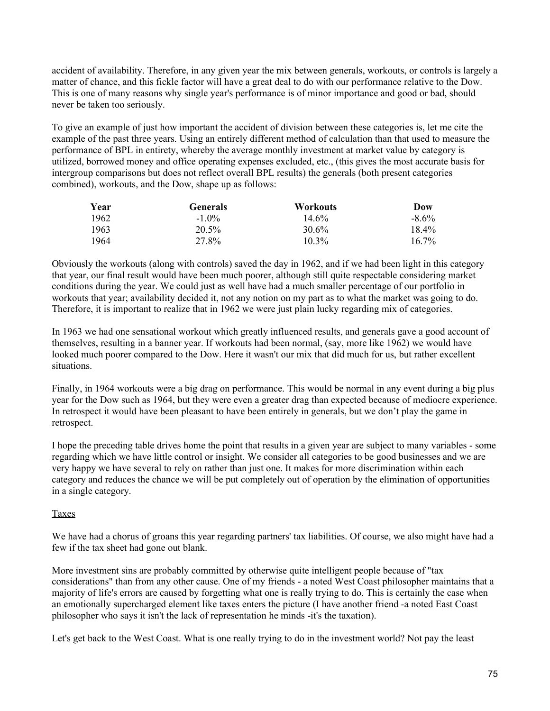accident of availability. Therefore, in any given year the mix between generals, workouts, or controls is largely a matter of chance, and this fickle factor will have a great deal to do with our performance relative to the Dow. This is one of many reasons why single year's performance is of minor importance and good or bad, should never be taken too seriously.

To give an example of just how important the accident of division between these categories is, let me cite the example of the past three years. Using an entirely different method of calculation than that used to measure the performance of BPL in entirety, whereby the average monthly investment at market value by category is utilized, borrowed money and office operating expenses excluded, etc., (this gives the most accurate basis for intergroup comparisons but does not reflect overall BPL results) the generals (both present categories combined), workouts, and the Dow, shape up as follows:

| Year | <b>Generals</b> | <b>Workouts</b> | Dow      |
|------|-----------------|-----------------|----------|
| 1962 | $-1.0\%$        | $14.6\%$        | $-8.6\%$ |
| 1963 | 20.5%           | 30.6%           | $18.4\%$ |
| 1964 | 27.8%           | $10.3\%$        | $16.7\%$ |

Obviously the workouts (along with controls) saved the day in 1962, and if we had been light in this category that year, our final result would have been much poorer, although still quite respectable considering market conditions during the year. We could just as well have had a much smaller percentage of our portfolio in workouts that year; availability decided it, not any notion on my part as to what the market was going to do. Therefore, it is important to realize that in 1962 we were just plain lucky regarding mix of categories.

In 1963 we had one sensational workout which greatly influenced results, and generals gave a good account of themselves, resulting in a banner year. If workouts had been normal, (say, more like 1962) we would have looked much poorer compared to the Dow. Here it wasn't our mix that did much for us, but rather excellent situations.

Finally, in 1964 workouts were a big drag on performance. This would be normal in any event during a big plus year for the Dow such as 1964, but they were even a greater drag than expected because of mediocre experience. In retrospect it would have been pleasant to have been entirely in generals, but we don't play the game in retrospect.

I hope the preceding table drives home the point that results in a given year are subject to many variables - some regarding which we have little control or insight. We consider all categories to be good businesses and we are very happy we have several to rely on rather than just one. It makes for more discrimination within each category and reduces the chance we will be put completely out of operation by the elimination of opportunities in a single category.

## Taxes

We have had a chorus of groans this year regarding partners' tax liabilities. Of course, we also might have had a few if the tax sheet had gone out blank.

More investment sins are probably committed by otherwise quite intelligent people because of "tax considerations" than from any other cause. One of my friends - a noted West Coast philosopher maintains that a majority of life's errors are caused by forgetting what one is really trying to do. This is certainly the case when an emotionally supercharged element like taxes enters the picture (I have another friend -a noted East Coast philosopher who says it isn't the lack of representation he minds -it's the taxation).

Let's get back to the West Coast. What is one really trying to do in the investment world? Not pay the least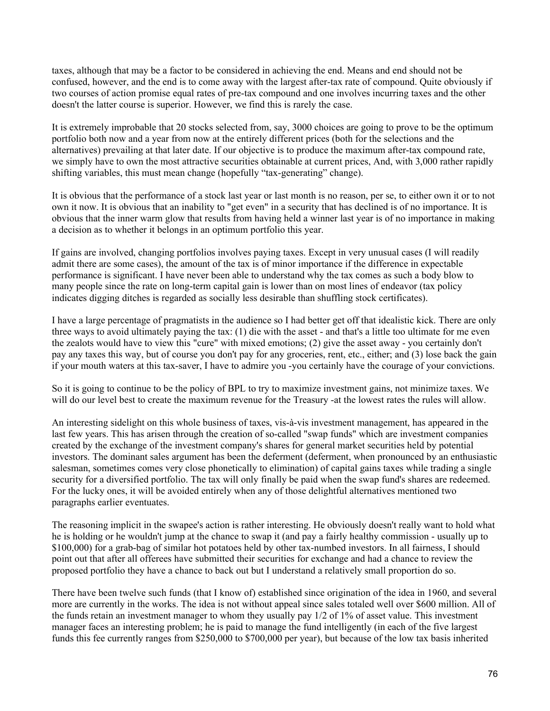taxes, although that may be a factor to be considered in achieving the end. Means and end should not be confused, however, and the end is to come away with the largest after-tax rate of compound. Quite obviously if two courses of action promise equal rates of pre-tax compound and one involves incurring taxes and the other doesn't the latter course is superior. However, we find this is rarely the case.

It is extremely improbable that 20 stocks selected from, say, 3000 choices are going to prove to be the optimum portfolio both now and a year from now at the entirely different prices (both for the selections and the alternatives) prevailing at that later date. If our objective is to produce the maximum after-tax compound rate, we simply have to own the most attractive securities obtainable at current prices, And, with 3,000 rather rapidly shifting variables, this must mean change (hopefully "tax-generating" change).

It is obvious that the performance of a stock last year or last month is no reason, per se, to either own it or to not own it now. It is obvious that an inability to "get even" in a security that has declined is of no importance. It is obvious that the inner warm glow that results from having held a winner last year is of no importance in making a decision as to whether it belongs in an optimum portfolio this year.

If gains are involved, changing portfolios involves paying taxes. Except in very unusual cases (I will readily admit there are some cases), the amount of the tax is of minor importance if the difference in expectable performance is significant. I have never been able to understand why the tax comes as such a body blow to many people since the rate on long-term capital gain is lower than on most lines of endeavor (tax policy indicates digging ditches is regarded as socially less desirable than shuffling stock certificates).

I have a large percentage of pragmatists in the audience so I had better get off that idealistic kick. There are only three ways to avoid ultimately paying the tax: (1) die with the asset - and that's a little too ultimate for me even the zealots would have to view this "cure" with mixed emotions; (2) give the asset away - you certainly don't pay any taxes this way, but of course you don't pay for any groceries, rent, etc., either; and (3) lose back the gain if your mouth waters at this tax-saver, I have to admire you -you certainly have the courage of your convictions.

So it is going to continue to be the policy of BPL to try to maximize investment gains, not minimize taxes. We will do our level best to create the maximum revenue for the Treasury -at the lowest rates the rules will allow.

An interesting sidelight on this whole business of taxes, vis-à-vis investment management, has appeared in the last few years. This has arisen through the creation of so-called "swap funds" which are investment companies created by the exchange of the investment company's shares for general market securities held by potential investors. The dominant sales argument has been the deferment (deferment, when pronounced by an enthusiastic salesman, sometimes comes very close phonetically to elimination) of capital gains taxes while trading a single security for a diversified portfolio. The tax will only finally be paid when the swap fund's shares are redeemed. For the lucky ones, it will be avoided entirely when any of those delightful alternatives mentioned two paragraphs earlier eventuates.

The reasoning implicit in the swapee's action is rather interesting. He obviously doesn't really want to hold what he is holding or he wouldn't jump at the chance to swap it (and pay a fairly healthy commission - usually up to \$100,000) for a grab-bag of similar hot potatoes held by other tax-numbed investors. In all fairness, I should point out that after all offerees have submitted their securities for exchange and had a chance to review the proposed portfolio they have a chance to back out but I understand a relatively small proportion do so.

There have been twelve such funds (that I know of) established since origination of the idea in 1960, and several more are currently in the works. The idea is not without appeal since sales totaled well over \$600 million. All of the funds retain an investment manager to whom they usually pay 1/2 of 1% of asset value. This investment manager faces an interesting problem; he is paid to manage the fund intelligently (in each of the five largest funds this fee currently ranges from \$250,000 to \$700,000 per year), but because of the low tax basis inherited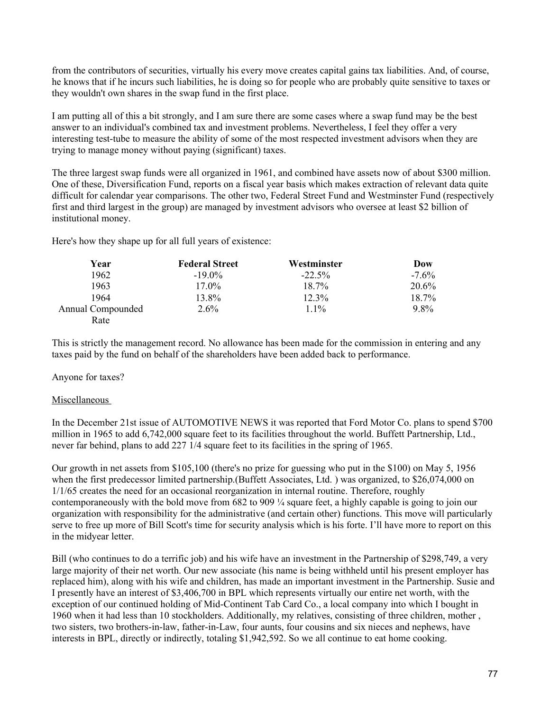from the contributors of securities, virtually his every move creates capital gains tax liabilities. And, of course, he knows that if he incurs such liabilities, he is doing so for people who are probably quite sensitive to taxes or they wouldn't own shares in the swap fund in the first place.

I am putting all of this a bit strongly, and I am sure there are some cases where a swap fund may be the best answer to an individual's combined tax and investment problems. Nevertheless, I feel they offer a very interesting test-tube to measure the ability of some of the most respected investment advisors when they are trying to manage money without paying (significant) taxes.

The three largest swap funds were all organized in 1961, and combined have assets now of about \$300 million. One of these, Diversification Fund, reports on a fiscal year basis which makes extraction of relevant data quite difficult for calendar year comparisons. The other two, Federal Street Fund and Westminster Fund (respectively first and third largest in the group) are managed by investment advisors who oversee at least \$2 billion of institutional money.

Here's how they shape up for all full years of existence:

| Year              | <b>Federal Street</b> | Westminster | Dow      |
|-------------------|-----------------------|-------------|----------|
| 1962              | $-19.0\%$             | $-22.5\%$   | $-7.6%$  |
| 1963              | $17.0\%$              | $18.7\%$    | 20.6%    |
| 1964              | 13.8%                 | $12.3\%$    | $18.7\%$ |
| Annual Compounded | $2.6\%$               | $11\%$      | 9.8%     |
| Rate              |                       |             |          |

This is strictly the management record. No allowance has been made for the commission in entering and any taxes paid by the fund on behalf of the shareholders have been added back to performance.

## Anyone for taxes?

### **Miscellaneous**

In the December 21st issue of AUTOMOTIVE NEWS it was reported that Ford Motor Co. plans to spend \$700 million in 1965 to add 6,742,000 square feet to its facilities throughout the world. Buffett Partnership, Ltd., never far behind, plans to add 227 1/4 square feet to its facilities in the spring of 1965.

Our growth in net assets from \$105,100 (there's no prize for guessing who put in the \$100) on May 5, 1956 when the first predecessor limited partnership.(Buffett Associates, Ltd. ) was organized, to \$26,074,000 on 1/1/65 creates the need for an occasional reorganization in internal routine. Therefore, roughly contemporaneously with the bold move from 682 to 909 ¼ square feet, a highly capable is going to join our organization with responsibility for the administrative (and certain other) functions. This move will particularly serve to free up more of Bill Scott's time for security analysis which is his forte. I'll have more to report on this in the midyear letter.

Bill (who continues to do a terrific job) and his wife have an investment in the Partnership of \$298,749, a very large majority of their net worth. Our new associate (his name is being withheld until his present employer has replaced him), along with his wife and children, has made an important investment in the Partnership. Susie and I presently have an interest of \$3,406,700 in BPL which represents virtually our entire net worth, with the exception of our continued holding of Mid-Continent Tab Card Co., a local company into which I bought in 1960 when it had less than 10 stockholders. Additionally, my relatives, consisting of three children, mother , two sisters, two brothers-in-law, father-in-Law, four aunts, four cousins and six nieces and nephews, have interests in BPL, directly or indirectly, totaling \$1,942,592. So we all continue to eat home cooking.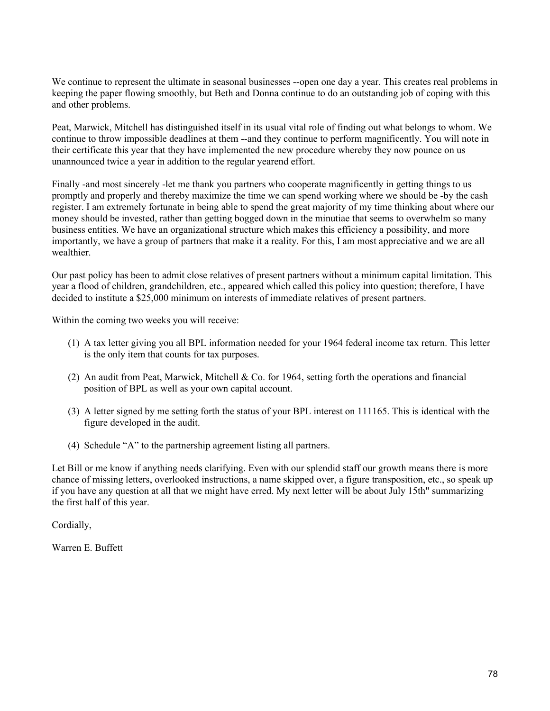We continue to represent the ultimate in seasonal businesses --open one day a year. This creates real problems in keeping the paper flowing smoothly, but Beth and Donna continue to do an outstanding job of coping with this and other problems.

Peat, Marwick, Mitchell has distinguished itself in its usual vital role of finding out what belongs to whom. We continue to throw impossible deadlines at them --and they continue to perform magnificently. You will note in their certificate this year that they have implemented the new procedure whereby they now pounce on us unannounced twice a year in addition to the regular yearend effort.

Finally -and most sincerely -let me thank you partners who cooperate magnificently in getting things to us promptly and properly and thereby maximize the time we can spend working where we should be -by the cash register. I am extremely fortunate in being able to spend the great majority of my time thinking about where our money should be invested, rather than getting bogged down in the minutiae that seems to overwhelm so many business entities. We have an organizational structure which makes this efficiency a possibility, and more importantly, we have a group of partners that make it a reality. For this, I am most appreciative and we are all wealthier.

Our past policy has been to admit close relatives of present partners without a minimum capital limitation. This year a flood of children, grandchildren, etc., appeared which called this policy into question; therefore, I have decided to institute a \$25,000 minimum on interests of immediate relatives of present partners.

Within the coming two weeks you will receive:

- (1) A tax letter giving you all BPL information needed for your 1964 federal income tax return. This letter is the only item that counts for tax purposes.
- (2) An audit from Peat, Marwick, Mitchell & Co. for 1964, setting forth the operations and financial position of BPL as well as your own capital account.
- (3) A letter signed by me setting forth the status of your BPL interest on 111165. This is identical with the figure developed in the audit.
- (4) Schedule "A" to the partnership agreement listing all partners.

Let Bill or me know if anything needs clarifying. Even with our splendid staff our growth means there is more chance of missing letters, overlooked instructions, a name skipped over, a figure transposition, etc., so speak up if you have any question at all that we might have erred. My next letter will be about July 15th" summarizing the first half of this year.

Cordially,

Warren E. Buffett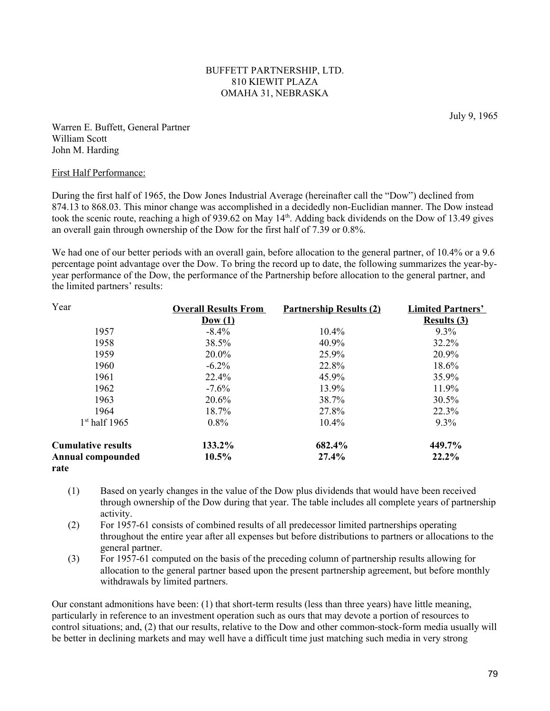#### BUFFETT PARTNERSHIP, LTD. 810 KIEWIT PLAZA OMAHA 31, NEBRASKA

July 9, 1965

Warren E. Buffett, General Partner William Scott John M. Harding

### First Half Performance:

During the first half of 1965, the Dow Jones Industrial Average (hereinafter call the "Dow") declined from 874.13 to 868.03. This minor change was accomplished in a decidedly non-Euclidian manner. The Dow instead took the scenic route, reaching a high of 939.62 on May 14<sup>th</sup>. Adding back dividends on the Dow of 13.49 gives an overall gain through ownership of the Dow for the first half of 7.39 or 0.8%.

We had one of our better periods with an overall gain, before allocation to the general partner, of 10.4% or a 9.6 percentage point advantage over the Dow. To bring the record up to date, the following summarizes the year-byyear performance of the Dow, the performance of the Partnership before allocation to the general partner, and the limited partners' results:

| Year                             | <b>Overall Results From</b> | <b>Partnership Results (2)</b> | <b>Limited Partners'</b> |
|----------------------------------|-----------------------------|--------------------------------|--------------------------|
|                                  | Down(1)                     |                                | <b>Results (3)</b>       |
| 1957                             | $-8.4\%$                    | $10.4\%$                       | $9.3\%$                  |
| 1958                             | 38.5%                       | 40.9%                          | 32.2%                    |
| 1959                             | 20.0%                       | 25.9%                          | 20.9%                    |
| 1960                             | $-6.2\%$                    | 22.8%                          | 18.6%                    |
| 1961                             | 22.4%                       | 45.9%                          | 35.9%                    |
| 1962                             | $-7.6\%$                    | 13.9%                          | 11.9%                    |
| 1963                             | 20.6%                       | 38.7%                          | 30.5%                    |
| 1964                             | 18.7%                       | 27.8%                          | 22.3%                    |
| $1st$ half 1965                  | $0.8\%$                     | 10.4%                          | $9.3\%$                  |
| <b>Cumulative results</b>        | 133.2%                      | 682.4%                         | 449.7%                   |
| <b>Annual compounded</b><br>rate | 10.5%                       | 27.4%                          | $22.2\%$                 |

- (1) Based on yearly changes in the value of the Dow plus dividends that would have been received through ownership of the Dow during that year. The table includes all complete years of partnership activity.
- (2) For 1957-61 consists of combined results of all predecessor limited partnerships operating throughout the entire year after all expenses but before distributions to partners or allocations to the general partner.
- (3) For 1957-61 computed on the basis of the preceding column of partnership results allowing for allocation to the general partner based upon the present partnership agreement, but before monthly withdrawals by limited partners.

Our constant admonitions have been: (1) that short-term results (less than three years) have little meaning, particularly in reference to an investment operation such as ours that may devote a portion of resources to control situations; and, (2) that our results, relative to the Dow and other common-stock-form media usually will be better in declining markets and may well have a difficult time just matching such media in very strong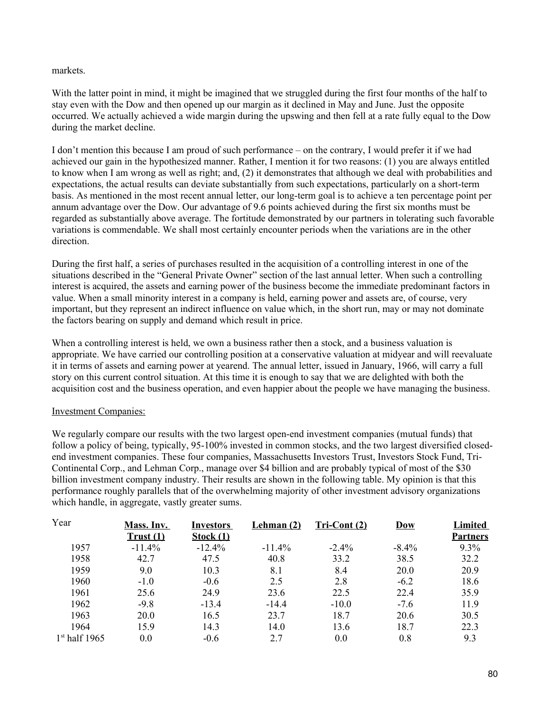markets.

With the latter point in mind, it might be imagined that we struggled during the first four months of the half to stay even with the Dow and then opened up our margin as it declined in May and June. Just the opposite occurred. We actually achieved a wide margin during the upswing and then fell at a rate fully equal to the Dow during the market decline.

I don't mention this because I am proud of such performance – on the contrary, I would prefer it if we had achieved our gain in the hypothesized manner. Rather, I mention it for two reasons: (1) you are always entitled to know when I am wrong as well as right; and, (2) it demonstrates that although we deal with probabilities and expectations, the actual results can deviate substantially from such expectations, particularly on a short-term basis. As mentioned in the most recent annual letter, our long-term goal is to achieve a ten percentage point per annum advantage over the Dow. Our advantage of 9.6 points achieved during the first six months must be regarded as substantially above average. The fortitude demonstrated by our partners in tolerating such favorable variations is commendable. We shall most certainly encounter periods when the variations are in the other direction.

During the first half, a series of purchases resulted in the acquisition of a controlling interest in one of the situations described in the "General Private Owner" section of the last annual letter. When such a controlling interest is acquired, the assets and earning power of the business become the immediate predominant factors in value. When a small minority interest in a company is held, earning power and assets are, of course, very important, but they represent an indirect influence on value which, in the short run, may or may not dominate the factors bearing on supply and demand which result in price.

When a controlling interest is held, we own a business rather then a stock, and a business valuation is appropriate. We have carried our controlling position at a conservative valuation at midyear and will reevaluate it in terms of assets and earning power at yearend. The annual letter, issued in January, 1966, will carry a full story on this current control situation. At this time it is enough to say that we are delighted with both the acquisition cost and the business operation, and even happier about the people we have managing the business.

### Investment Companies:

We regularly compare our results with the two largest open-end investment companies (mutual funds) that follow a policy of being, typically, 95-100% invested in common stocks, and the two largest diversified closedend investment companies. These four companies, Massachusetts Investors Trust, Investors Stock Fund, Tri-Continental Corp., and Lehman Corp., manage over \$4 billion and are probably typical of most of the \$30 billion investment company industry. Their results are shown in the following table. My opinion is that this performance roughly parallels that of the overwhelming majority of other investment advisory organizations which handle, in aggregate, vastly greater sums.

| Year            | <b>Mass. Inv.</b> | Investors   | <b>Lehman</b> (2) | $Tri-Cont(2)$ | <b>Dow</b> | Limited         |
|-----------------|-------------------|-------------|-------------------|---------------|------------|-----------------|
|                 | Trust(1)          | Stock $(1)$ |                   |               |            | <b>Partners</b> |
| 1957            | $-11.4%$          | $-12.4%$    | $-11.4%$          | $-2.4\%$      | $-8.4\%$   | 9.3%            |
| 1958            | 42.7              | 47.5        | 40.8              | 33.2          | 38.5       | 32.2            |
| 1959            | 9.0               | 10.3        | 8.1               | 8.4           | 20.0       | 20.9            |
| 1960            | $-1.0$            | $-0.6$      | 2.5               | 2.8           | $-6.2$     | 18.6            |
| 1961            | 25.6              | 24.9        | 23.6              | 22.5          | 22.4       | 35.9            |
| 1962            | $-9.8$            | $-13.4$     | $-14.4$           | $-10.0$       | $-7.6$     | 11.9            |
| 1963            | 20.0              | 16.5        | 23.7              | 18.7          | 20.6       | 30.5            |
| 1964            | 15.9              | 14.3        | 14.0              | 13.6          | 18.7       | 22.3            |
| $1st$ half 1965 | 0.0               | $-0.6$      | 2.7               | 0.0           | 0.8        | 9.3             |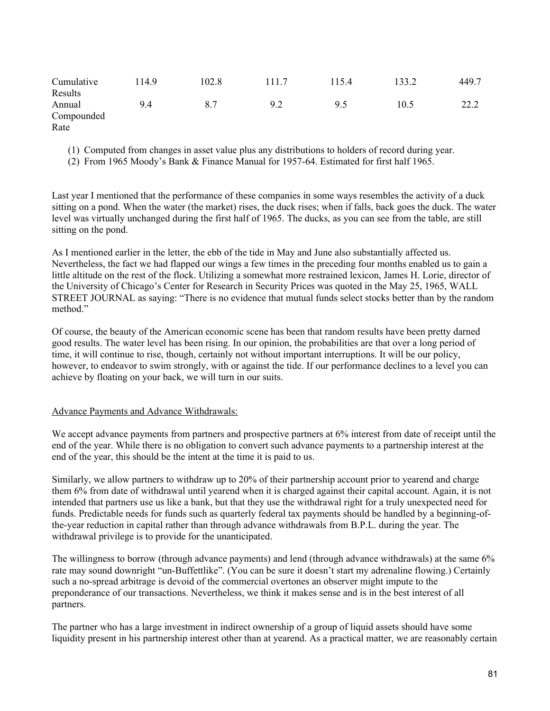| Cumulative | 114.9 | 102.8 | 1117 | 115.4 | 133.2 | 449.7 |
|------------|-------|-------|------|-------|-------|-------|
| Results    |       |       |      |       |       |       |
| Annual     | 9.4   | 8.7   | 9.2  | 9.5   | 10.5  | 22.2  |
| Compounded |       |       |      |       |       |       |
| Rate       |       |       |      |       |       |       |

(1) Computed from changes in asset value plus any distributions to holders of record during year.

(2) From 1965 Moody's Bank & Finance Manual for 1957-64. Estimated for first half 1965.

Last year I mentioned that the performance of these companies in some ways resembles the activity of a duck sitting on a pond. When the water (the market) rises, the duck rises; when if falls, back goes the duck. The water level was virtually unchanged during the first half of 1965. The ducks, as you can see from the table, are still sitting on the pond.

As I mentioned earlier in the letter, the ebb of the tide in May and June also substantially affected us. Nevertheless, the fact we had flapped our wings a few times in the preceding four months enabled us to gain a little altitude on the rest of the flock. Utilizing a somewhat more restrained lexicon, James H. Lorie, director of the University of Chicago's Center for Research in Security Prices was quoted in the May 25, 1965, WALL STREET JOURNAL as saying: "There is no evidence that mutual funds select stocks better than by the random method<sup>"</sup>

Of course, the beauty of the American economic scene has been that random results have been pretty darned good results. The water level has been rising. In our opinion, the probabilities are that over a long period of time, it will continue to rise, though, certainly not without important interruptions. It will be our policy, however, to endeavor to swim strongly, with or against the tide. If our performance declines to a level you can achieve by floating on your back, we will turn in our suits.

### Advance Payments and Advance Withdrawals:

We accept advance payments from partners and prospective partners at 6% interest from date of receipt until the end of the year. While there is no obligation to convert such advance payments to a partnership interest at the end of the year, this should be the intent at the time it is paid to us.

Similarly, we allow partners to withdraw up to 20% of their partnership account prior to yearend and charge them 6% from date of withdrawal until yearend when it is charged against their capital account. Again, it is not intended that partners use us like a bank, but that they use the withdrawal right for a truly unexpected need for funds. Predictable needs for funds such as quarterly federal tax payments should be handled by a beginning-ofthe-year reduction in capital rather than through advance withdrawals from B.P.L. during the year. The withdrawal privilege is to provide for the unanticipated.

The willingness to borrow (through advance payments) and lend (through advance withdrawals) at the same 6% rate may sound downright "un-Buffettlike". (You can be sure it doesn't start my adrenaline flowing.) Certainly such a no-spread arbitrage is devoid of the commercial overtones an observer might impute to the preponderance of our transactions. Nevertheless, we think it makes sense and is in the best interest of all partners.

The partner who has a large investment in indirect ownership of a group of liquid assets should have some liquidity present in his partnership interest other than at yearend. As a practical matter, we are reasonably certain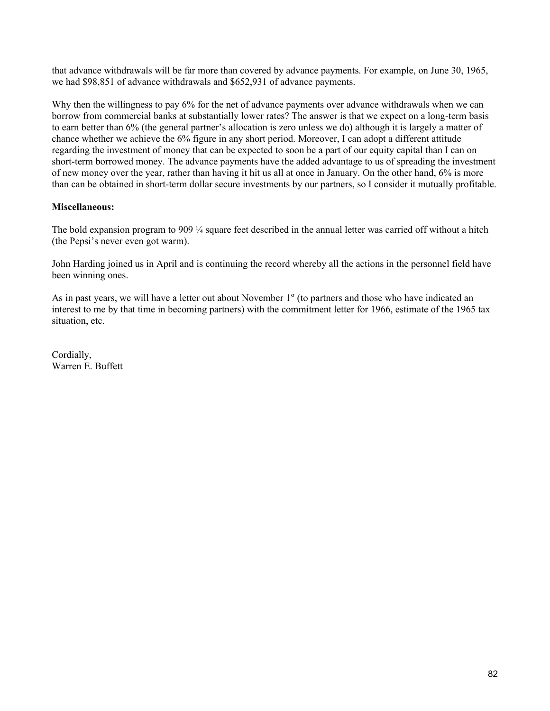that advance withdrawals will be far more than covered by advance payments. For example, on June 30, 1965, we had \$98,851 of advance withdrawals and \$652,931 of advance payments.

Why then the willingness to pay 6% for the net of advance payments over advance withdrawals when we can borrow from commercial banks at substantially lower rates? The answer is that we expect on a long-term basis to earn better than 6% (the general partner's allocation is zero unless we do) although it is largely a matter of chance whether we achieve the 6% figure in any short period. Moreover, I can adopt a different attitude regarding the investment of money that can be expected to soon be a part of our equity capital than I can on short-term borrowed money. The advance payments have the added advantage to us of spreading the investment of new money over the year, rather than having it hit us all at once in January. On the other hand, 6% is more than can be obtained in short-term dollar secure investments by our partners, so I consider it mutually profitable.

## **Miscellaneous:**

The bold expansion program to 909 ¼ square feet described in the annual letter was carried off without a hitch (the Pepsi's never even got warm).

John Harding joined us in April and is continuing the record whereby all the actions in the personnel field have been winning ones.

As in past years, we will have a letter out about November 1<sup>st</sup> (to partners and those who have indicated an interest to me by that time in becoming partners) with the commitment letter for 1966, estimate of the 1965 tax situation, etc.

Cordially, Warren E. Buffett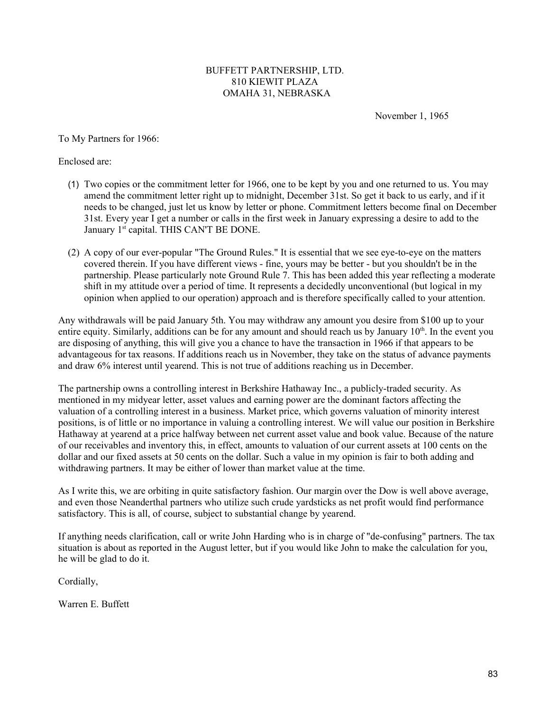### BUFFETT PARTNERSHIP, LTD. 810 KIEWIT PLAZA OMAHA 31, NEBRASKA

November 1, 1965

To My Partners for 1966:

Enclosed are:

- (1) Two copies or the commitment letter for 1966, one to be kept by you and one returned to us. You may amend the commitment letter right up to midnight, December 31st. So get it back to us early, and if it needs to be changed, just let us know by letter or phone. Commitment letters become final on December 31st. Every year I get a number or calls in the first week in January expressing a desire to add to the January 1<sup>st</sup> capital. THIS CAN'T BE DONE.
- (2) A copy of our ever-popular "The Ground Rules." It is essential that we see eye-to-eye on the matters covered therein. If you have different views - fine, yours may be better - but you shouldn't be in the partnership. Please particularly note Ground Rule 7. This has been added this year reflecting a moderate shift in my attitude over a period of time. It represents a decidedly unconventional (but logical in my opinion when applied to our operation) approach and is therefore specifically called to your attention.

Any withdrawals will be paid January 5th. You may withdraw any amount you desire from \$100 up to your entire equity. Similarly, additions can be for any amount and should reach us by January 10<sup>th</sup>. In the event you are disposing of anything, this will give you a chance to have the transaction in 1966 if that appears to be advantageous for tax reasons. If additions reach us in November, they take on the status of advance payments and draw 6% interest until yearend. This is not true of additions reaching us in December.

The partnership owns a controlling interest in Berkshire Hathaway Inc., a publicly-traded security. As mentioned in my midyear letter, asset values and earning power are the dominant factors affecting the valuation of a controlling interest in a business. Market price, which governs valuation of minority interest positions, is of little or no importance in valuing a controlling interest. We will value our position in Berkshire Hathaway at yearend at a price halfway between net current asset value and book value. Because of the nature of our receivables and inventory this, in effect, amounts to valuation of our current assets at 100 cents on the dollar and our fixed assets at 50 cents on the dollar. Such a value in my opinion is fair to both adding and withdrawing partners. It may be either of lower than market value at the time.

As I write this, we are orbiting in quite satisfactory fashion. Our margin over the Dow is well above average, and even those Neanderthal partners who utilize such crude yardsticks as net profit would find performance satisfactory. This is all, of course, subject to substantial change by yearend.

If anything needs clarification, call or write John Harding who is in charge of "de-confusing" partners. The tax situation is about as reported in the August letter, but if you would like John to make the calculation for you, he will be glad to do it.

Cordially,

Warren E. Buffett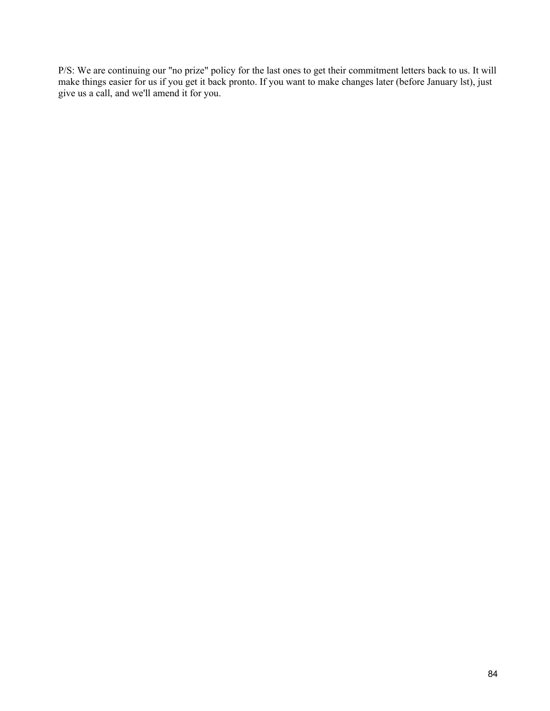P/S: We are continuing our "no prize" policy for the last ones to get their commitment letters back to us. It will make things easier for us if you get it back pronto. If you want to make changes later (before January lst), just give us a call, and we'll amend it for you.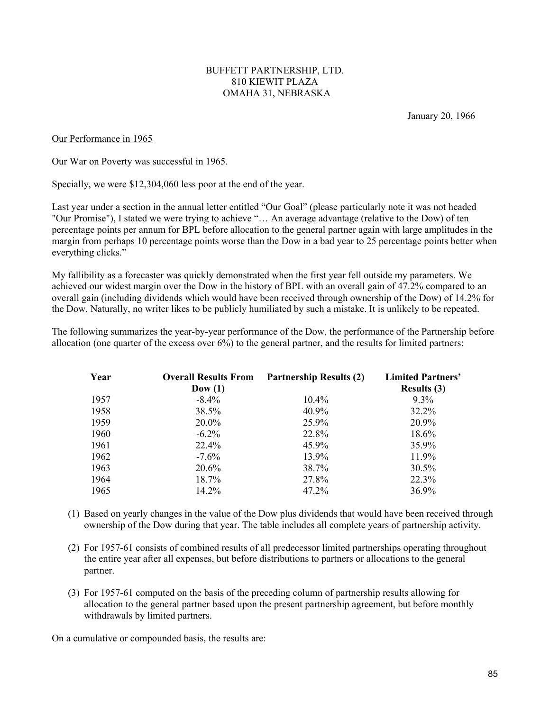#### BUFFETT PARTNERSHIP, LTD. 810 KIEWIT PLAZA OMAHA 31, NEBRASKA

#### Our Performance in 1965

Our War on Poverty was successful in 1965.

Specially, we were \$12,304,060 less poor at the end of the year.

Last year under a section in the annual letter entitled "Our Goal" (please particularly note it was not headed "Our Promise"), I stated we were trying to achieve "… An average advantage (relative to the Dow) of ten percentage points per annum for BPL before allocation to the general partner again with large amplitudes in the margin from perhaps 10 percentage points worse than the Dow in a bad year to 25 percentage points better when everything clicks."

My fallibility as a forecaster was quickly demonstrated when the first year fell outside my parameters. We achieved our widest margin over the Dow in the history of BPL with an overall gain of 47.2% compared to an overall gain (including dividends which would have been received through ownership of the Dow) of 14.2% for the Dow. Naturally, no writer likes to be publicly humiliated by such a mistake. It is unlikely to be repeated.

The following summarizes the year-by-year performance of the Dow, the performance of the Partnership before allocation (one quarter of the excess over 6%) to the general partner, and the results for limited partners:

| Year | <b>Overall Results From</b> | <b>Partnership Results (2)</b> | <b>Limited Partners'</b> |
|------|-----------------------------|--------------------------------|--------------------------|
|      | Down(1)                     |                                | <b>Results (3)</b>       |
| 1957 | $-8.4\%$                    | $10.4\%$                       | $9.3\%$                  |
| 1958 | 38.5%                       | 40.9%                          | 32.2%                    |
| 1959 | $20.0\%$                    | 25.9%                          | 20.9%                    |
| 1960 | $-6.2\%$                    | 22.8%                          | 18.6%                    |
| 1961 | 22.4%                       | 45.9%                          | 35.9%                    |
| 1962 | $-7.6\%$                    | 13.9%                          | 11.9%                    |
| 1963 | 20.6%                       | 38.7%                          | 30.5%                    |
| 1964 | 18.7%                       | 27.8%                          | 22.3%                    |
| 1965 | 14.2%                       | 47.2%                          | 36.9%                    |

- (1) Based on yearly changes in the value of the Dow plus dividends that would have been received through ownership of the Dow during that year. The table includes all complete years of partnership activity.
- (2) For 1957-61 consists of combined results of all predecessor limited partnerships operating throughout the entire year after all expenses, but before distributions to partners or allocations to the general partner.
- (3) For 1957-61 computed on the basis of the preceding column of partnership results allowing for allocation to the general partner based upon the present partnership agreement, but before monthly withdrawals by limited partners.

On a cumulative or compounded basis, the results are: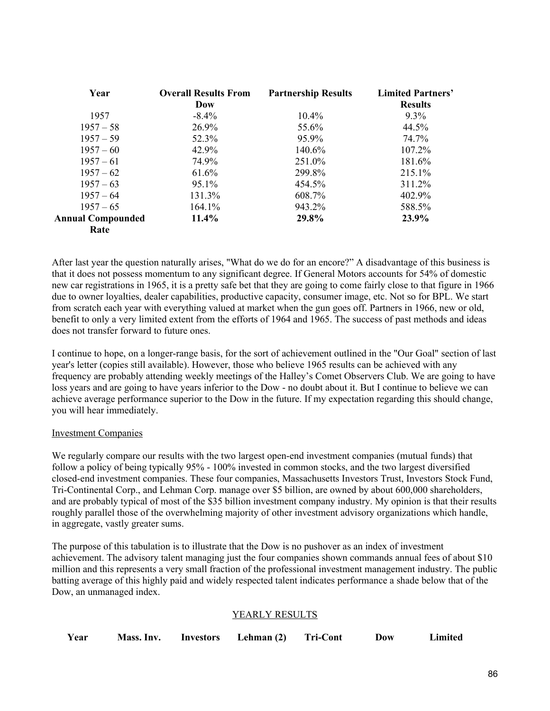| Year                     | <b>Overall Results From</b><br>Dow | <b>Partnership Results</b> | <b>Limited Partners'</b><br><b>Results</b> |
|--------------------------|------------------------------------|----------------------------|--------------------------------------------|
| 1957                     | $-8.4\%$                           | $10.4\%$                   | $9.3\%$                                    |
| $1957 - 58$              | 26.9%                              | 55.6%                      | 44.5%                                      |
| $1957 - 59$              | 52.3%                              | 95.9%                      | 74.7%                                      |
| $1957 - 60$              | 42.9%                              | 140.6%                     | 107.2%                                     |
| $1957 - 61$              | 74.9%                              | 251.0%                     | 181.6%                                     |
| $1957 - 62$              | 61.6%                              | 299.8%                     | 215.1%                                     |
| $1957 - 63$              | 95.1%                              | 454.5%                     | 311.2%                                     |
| $1957 - 64$              | 131.3%                             | 608.7%                     | 402.9%                                     |
| $1957 - 65$              | 164.1%                             | 943.2%                     | 588.5%                                     |
| <b>Annual Compounded</b> | 11.4%                              | 29.8%                      | 23.9%                                      |
| Rate                     |                                    |                            |                                            |

After last year the question naturally arises, "What do we do for an encore?" A disadvantage of this business is that it does not possess momentum to any significant degree. If General Motors accounts for 54% of domestic new car registrations in 1965, it is a pretty safe bet that they are going to come fairly close to that figure in 1966 due to owner loyalties, dealer capabilities, productive capacity, consumer image, etc. Not so for BPL. We start from scratch each year with everything valued at market when the gun goes off. Partners in 1966, new or old, benefit to only a very limited extent from the efforts of 1964 and 1965. The success of past methods and ideas does not transfer forward to future ones.

I continue to hope, on a longer-range basis, for the sort of achievement outlined in the "Our Goal" section of last year's letter (copies still available). However, those who believe 1965 results can be achieved with any frequency are probably attending weekly meetings of the Halley's Comet Observers Club. We are going to have loss years and are going to have years inferior to the Dow - no doubt about it. But I continue to believe we can achieve average performance superior to the Dow in the future. If my expectation regarding this should change, you will hear immediately.

### Investment Companies

We regularly compare our results with the two largest open-end investment companies (mutual funds) that follow a policy of being typically 95% - 100% invested in common stocks, and the two largest diversified closed-end investment companies. These four companies, Massachusetts Investors Trust, Investors Stock Fund, Tri-Continental Corp., and Lehman Corp. manage over \$5 billion, are owned by about 600,000 shareholders, and are probably typical of most of the \$35 billion investment company industry. My opinion is that their results roughly parallel those of the overwhelming majority of other investment advisory organizations which handle, in aggregate, vastly greater sums.

The purpose of this tabulation is to illustrate that the Dow is no pushover as an index of investment achievement. The advisory talent managing just the four companies shown commands annual fees of about \$10 million and this represents a very small fraction of the professional investment management industry. The public batting average of this highly paid and widely respected talent indicates performance a shade below that of the Dow, an unmanaged index.

## YEARLY RESULTS

| Year | Mass. Inv. | Investors Lehman (2) | Tri-Cont | Dow | Limited |
|------|------------|----------------------|----------|-----|---------|
|      |            |                      |          |     |         |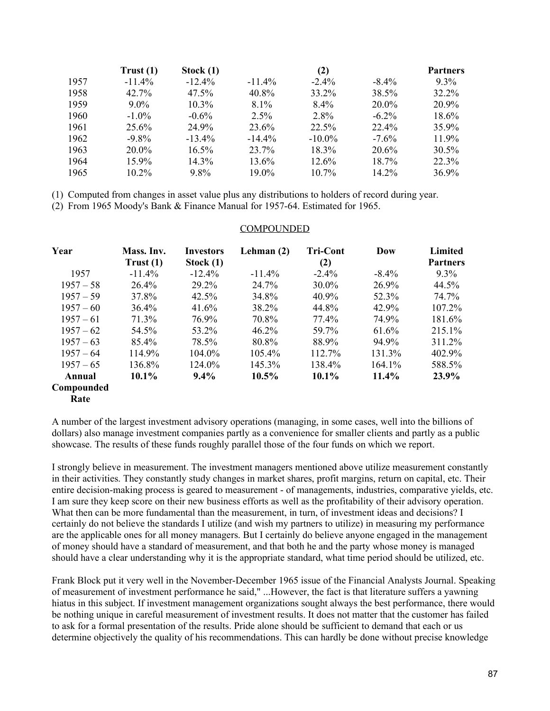| Trust(1)  | Stock $(1)$ |           | (2)       |          | <b>Partners</b> |
|-----------|-------------|-----------|-----------|----------|-----------------|
| $-11.4\%$ | $-12.4\%$   | $-11.4\%$ | $-2.4\%$  | $-8.4\%$ | $9.3\%$         |
| 42.7%     | 47.5%       | 40.8%     | 33.2%     | 38.5%    | $32.2\%$        |
| $9.0\%$   | $10.3\%$    | $8.1\%$   | $8.4\%$   | $20.0\%$ | 20.9%           |
| $-1.0\%$  | $-0.6\%$    | 2.5%      | 2.8%      | $-6.2\%$ | 18.6%           |
| 25.6%     | 24.9%       | 23.6%     | 22.5%     | 22.4%    | 35.9%           |
| $-9.8\%$  | $-13.4\%$   | $-14.4\%$ | $-10.0\%$ | $-7.6\%$ | 11.9%           |
| $20.0\%$  | 16.5%       | 23.7%     | 18.3%     | 20.6%    | 30.5%           |
| $15.9\%$  | $14.3\%$    | 13.6%     | 12.6%     | 18.7%    | 22.3%           |
| $10.2\%$  | $9.8\%$     | $19.0\%$  | $10.7\%$  | $14.2\%$ | 36.9%           |
|           |             |           |           |          |                 |

(1) Computed from changes in asset value plus any distributions to holders of record during year.

(2) From 1965 Moody's Bank & Finance Manual for 1957-64. Estimated for 1965.

# **COMPOUNDED**

| Year        | Mass. Inv.  | Investors   | Lehman $(2)$ | <b>Tri-Cont</b> | Dow      | <b>Limited</b>  |
|-------------|-------------|-------------|--------------|-----------------|----------|-----------------|
|             | Trust $(1)$ | Stock $(1)$ |              | (2)             |          | <b>Partners</b> |
| 1957        | $-11.4%$    | $-12.4\%$   | $-11.4%$     | $-2.4\%$        | $-8.4\%$ | $9.3\%$         |
| $1957 - 58$ | 26.4%       | 29.2%       | 24.7%        | $30.0\%$        | 26.9%    | $44.5\%$        |
| $1957 - 59$ | 37.8%       | 42.5%       | 34.8%        | 40.9%           | 52.3%    | 74.7%           |
| $1957 - 60$ | 36.4%       | $41.6\%$    | 38.2%        | 44.8%           | 42.9%    | 107.2%          |
| $1957 - 61$ | 71.3%       | 76.9%       | 70.8%        | 77.4%           | 74.9%    | 181.6%          |
| $1957 - 62$ | 54.5%       | 53.2%       | $46.2\%$     | 59.7%           | 61.6%    | $215.1\%$       |
| $1957 - 63$ | 85.4%       | 78.5%       | 80.8%        | 88.9%           | 94.9%    | 311.2%          |
| $1957 - 64$ | 114.9%      | $104.0\%$   | $105.4\%$    | $112.7\%$       | 131.3%   | 402.9%          |
| $1957 - 65$ | 136.8%      | 124.0%      | 145.3%       | 138.4%          | 164.1%   | 588.5%          |
| Annual      | $10.1\%$    | $9.4\%$     | 10.5%        | $10.1\%$        | 11.4%    | 23.9%           |
| Compounded  |             |             |              |                 |          |                 |
| Rate        |             |             |              |                 |          |                 |

A number of the largest investment advisory operations (managing, in some cases, well into the billions of dollars) also manage investment companies partly as a convenience for smaller clients and partly as a public showcase. The results of these funds roughly parallel those of the four funds on which we report.

I strongly believe in measurement. The investment managers mentioned above utilize measurement constantly in their activities. They constantly study changes in market shares, profit margins, return on capital, etc. Their entire decision-making process is geared to measurement - of managements, industries, comparative yields, etc. I am sure they keep score on their new business efforts as well as the profitability of their advisory operation. What then can be more fundamental than the measurement, in turn, of investment ideas and decisions? I certainly do not believe the standards I utilize (and wish my partners to utilize) in measuring my performance are the applicable ones for all money managers. But I certainly do believe anyone engaged in the management of money should have a standard of measurement, and that both he and the party whose money is managed should have a clear understanding why it is the appropriate standard, what time period should be utilized, etc.

Frank Block put it very well in the November-December 1965 issue of the Financial Analysts Journal. Speaking of measurement of investment performance he said," ...However, the fact is that literature suffers a yawning hiatus in this subject. If investment management organizations sought always the best performance, there would be nothing unique in careful measurement of investment results. It does not matter that the customer has failed to ask for a formal presentation of the results. Pride alone should be sufficient to demand that each or us determine objectively the quality of his recommendations. This can hardly be done without precise knowledge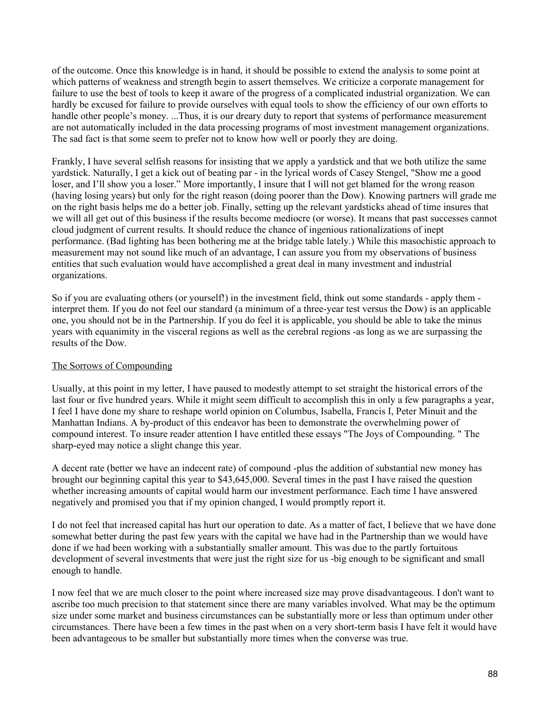of the outcome. Once this knowledge is in hand, it should be possible to extend the analysis to some point at which patterns of weakness and strength begin to assert themselves. We criticize a corporate management for failure to use the best of tools to keep it aware of the progress of a complicated industrial organization. We can hardly be excused for failure to provide ourselves with equal tools to show the efficiency of our own efforts to handle other people's money. ...Thus, it is our dreary duty to report that systems of performance measurement are not automatically included in the data processing programs of most investment management organizations. The sad fact is that some seem to prefer not to know how well or poorly they are doing.

Frankly, I have several selfish reasons for insisting that we apply a yardstick and that we both utilize the same yardstick. Naturally, I get a kick out of beating par - in the lyrical words of Casey Stengel, "Show me a good loser, and I'll show you a loser." More importantly, I insure that I will not get blamed for the wrong reason (having losing years) but only for the right reason (doing poorer than the Dow). Knowing partners will grade me on the right basis helps me do a better job. Finally, setting up the relevant yardsticks ahead of time insures that we will all get out of this business if the results become mediocre (or worse). It means that past successes cannot cloud judgment of current results. It should reduce the chance of ingenious rationalizations of inept performance. (Bad lighting has been bothering me at the bridge table lately.) While this masochistic approach to measurement may not sound like much of an advantage, I can assure you from my observations of business entities that such evaluation would have accomplished a great deal in many investment and industrial organizations.

So if you are evaluating others (or yourself!) in the investment field, think out some standards - apply them interpret them. If you do not feel our standard (a minimum of a three-year test versus the Dow) is an applicable one, you should not be in the Partnership. If you do feel it is applicable, you should be able to take the minus years with equanimity in the visceral regions as well as the cerebral regions -as long as we are surpassing the results of the Dow.

## The Sorrows of Compounding

Usually, at this point in my letter, I have paused to modestly attempt to set straight the historical errors of the last four or five hundred years. While it might seem difficult to accomplish this in only a few paragraphs a year, I feel I have done my share to reshape world opinion on Columbus, Isabella, Francis I, Peter Minuit and the Manhattan Indians. A by-product of this endeavor has been to demonstrate the overwhelming power of compound interest. To insure reader attention I have entitled these essays "The Joys of Compounding. " The sharp-eyed may notice a slight change this year.

A decent rate (better we have an indecent rate) of compound -plus the addition of substantial new money has brought our beginning capital this year to \$43,645,000. Several times in the past I have raised the question whether increasing amounts of capital would harm our investment performance. Each time I have answered negatively and promised you that if my opinion changed, I would promptly report it.

I do not feel that increased capital has hurt our operation to date. As a matter of fact, I believe that we have done somewhat better during the past few years with the capital we have had in the Partnership than we would have done if we had been working with a substantially smaller amount. This was due to the partly fortuitous development of several investments that were just the right size for us -big enough to be significant and small enough to handle.

I now feel that we are much closer to the point where increased size may prove disadvantageous. I don't want to ascribe too much precision to that statement since there are many variables involved. What may be the optimum size under some market and business circumstances can be substantially more or less than optimum under other circumstances. There have been a few times in the past when on a very short-term basis I have felt it would have been advantageous to be smaller but substantially more times when the converse was true.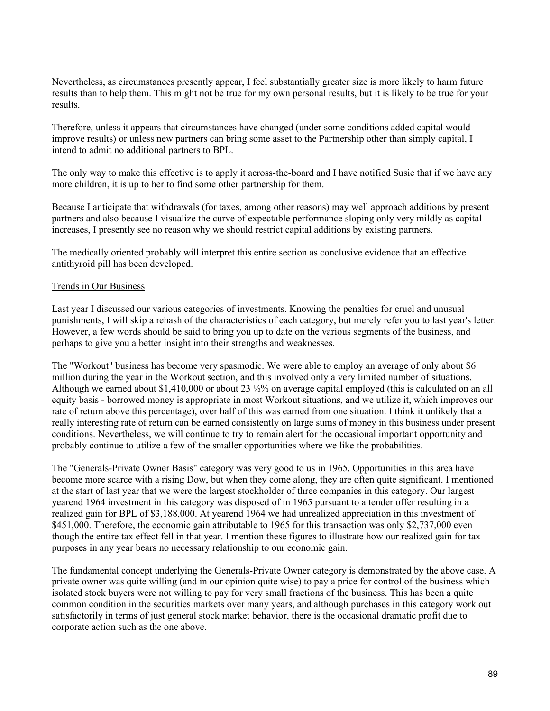Nevertheless, as circumstances presently appear, I feel substantially greater size is more likely to harm future results than to help them. This might not be true for my own personal results, but it is likely to be true for your results.

Therefore, unless it appears that circumstances have changed (under some conditions added capital would improve results) or unless new partners can bring some asset to the Partnership other than simply capital, I intend to admit no additional partners to BPL.

The only way to make this effective is to apply it across-the-board and I have notified Susie that if we have any more children, it is up to her to find some other partnership for them.

Because I anticipate that withdrawals (for taxes, among other reasons) may well approach additions by present partners and also because I visualize the curve of expectable performance sloping only very mildly as capital increases, I presently see no reason why we should restrict capital additions by existing partners.

The medically oriented probably will interpret this entire section as conclusive evidence that an effective antithyroid pill has been developed.

### Trends in Our Business

Last year I discussed our various categories of investments. Knowing the penalties for cruel and unusual punishments, I will skip a rehash of the characteristics of each category, but merely refer you to last year's letter. However, a few words should be said to bring you up to date on the various segments of the business, and perhaps to give you a better insight into their strengths and weaknesses.

The "Workout" business has become very spasmodic. We were able to employ an average of only about \$6 million during the year in the Workout section, and this involved only a very limited number of situations. Although we earned about \$1,410,000 or about 23 ½% on average capital employed (this is calculated on an all equity basis - borrowed money is appropriate in most Workout situations, and we utilize it, which improves our rate of return above this percentage), over half of this was earned from one situation. I think it unlikely that a really interesting rate of return can be earned consistently on large sums of money in this business under present conditions. Nevertheless, we will continue to try to remain alert for the occasional important opportunity and probably continue to utilize a few of the smaller opportunities where we like the probabilities.

The "Generals-Private Owner Basis" category was very good to us in 1965. Opportunities in this area have become more scarce with a rising Dow, but when they come along, they are often quite significant. I mentioned at the start of last year that we were the largest stockholder of three companies in this category. Our largest yearend 1964 investment in this category was disposed of in 1965 pursuant to a tender offer resulting in a realized gain for BPL of \$3,188,000. At yearend 1964 we had unrealized appreciation in this investment of \$451,000. Therefore, the economic gain attributable to 1965 for this transaction was only \$2,737,000 even though the entire tax effect fell in that year. I mention these figures to illustrate how our realized gain for tax purposes in any year bears no necessary relationship to our economic gain.

The fundamental concept underlying the Generals-Private Owner category is demonstrated by the above case. A private owner was quite willing (and in our opinion quite wise) to pay a price for control of the business which isolated stock buyers were not willing to pay for very small fractions of the business. This has been a quite common condition in the securities markets over many years, and although purchases in this category work out satisfactorily in terms of just general stock market behavior, there is the occasional dramatic profit due to corporate action such as the one above.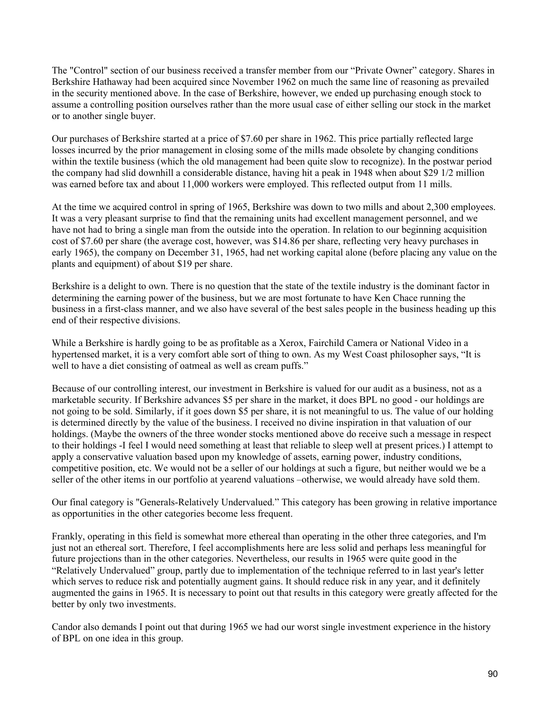The "Control" section of our business received a transfer member from our "Private Owner" category. Shares in Berkshire Hathaway had been acquired since November 1962 on much the same line of reasoning as prevailed in the security mentioned above. In the case of Berkshire, however, we ended up purchasing enough stock to assume a controlling position ourselves rather than the more usual case of either selling our stock in the market or to another single buyer.

Our purchases of Berkshire started at a price of \$7.60 per share in 1962. This price partially reflected large losses incurred by the prior management in closing some of the mills made obsolete by changing conditions within the textile business (which the old management had been quite slow to recognize). In the postwar period the company had slid downhill a considerable distance, having hit a peak in 1948 when about \$29 1/2 million was earned before tax and about 11,000 workers were employed. This reflected output from 11 mills.

At the time we acquired control in spring of 1965, Berkshire was down to two mills and about 2,300 employees. It was a very pleasant surprise to find that the remaining units had excellent management personnel, and we have not had to bring a single man from the outside into the operation. In relation to our beginning acquisition cost of \$7.60 per share (the average cost, however, was \$14.86 per share, reflecting very heavy purchases in early 1965), the company on December 31, 1965, had net working capital alone (before placing any value on the plants and equipment) of about \$19 per share.

Berkshire is a delight to own. There is no question that the state of the textile industry is the dominant factor in determining the earning power of the business, but we are most fortunate to have Ken Chace running the business in a first-class manner, and we also have several of the best sales people in the business heading up this end of their respective divisions.

While a Berkshire is hardly going to be as profitable as a Xerox, Fairchild Camera or National Video in a hypertensed market, it is a very comfort able sort of thing to own. As my West Coast philosopher says, "It is well to have a diet consisting of oatmeal as well as cream puffs."

Because of our controlling interest, our investment in Berkshire is valued for our audit as a business, not as a marketable security. If Berkshire advances \$5 per share in the market, it does BPL no good - our holdings are not going to be sold. Similarly, if it goes down \$5 per share, it is not meaningful to us. The value of our holding is determined directly by the value of the business. I received no divine inspiration in that valuation of our holdings. (Maybe the owners of the three wonder stocks mentioned above do receive such a message in respect to their holdings -I feel I would need something at least that reliable to sleep well at present prices.) I attempt to apply a conservative valuation based upon my knowledge of assets, earning power, industry conditions, competitive position, etc. We would not be a seller of our holdings at such a figure, but neither would we be a seller of the other items in our portfolio at yearend valuations –otherwise, we would already have sold them.

Our final category is "Generals-Relatively Undervalued." This category has been growing in relative importance as opportunities in the other categories become less frequent.

Frankly, operating in this field is somewhat more ethereal than operating in the other three categories, and I'm just not an ethereal sort. Therefore, I feel accomplishments here are less solid and perhaps less meaningful for future projections than in the other categories. Nevertheless, our results in 1965 were quite good in the "Relatively Undervalued" group, partly due to implementation of the technique referred to in last year's letter which serves to reduce risk and potentially augment gains. It should reduce risk in any year, and it definitely augmented the gains in 1965. It is necessary to point out that results in this category were greatly affected for the better by only two investments.

Candor also demands I point out that during 1965 we had our worst single investment experience in the history of BPL on one idea in this group.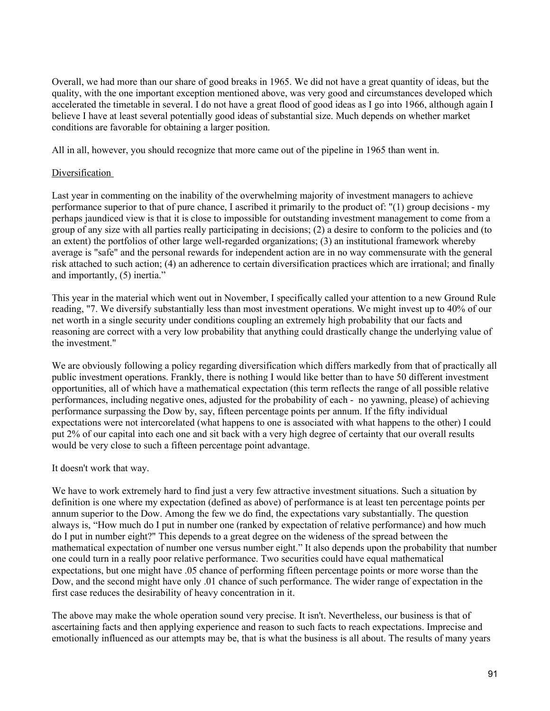Overall, we had more than our share of good breaks in 1965. We did not have a great quantity of ideas, but the quality, with the one important exception mentioned above, was very good and circumstances developed which accelerated the timetable in several. I do not have a great flood of good ideas as I go into 1966, although again I believe I have at least several potentially good ideas of substantial size. Much depends on whether market conditions are favorable for obtaining a larger position.

All in all, however, you should recognize that more came out of the pipeline in 1965 than went in.

## Diversification

Last year in commenting on the inability of the overwhelming majority of investment managers to achieve performance superior to that of pure chance, I ascribed it primarily to the product of: "(1) group decisions - my perhaps jaundiced view is that it is close to impossible for outstanding investment management to come from a group of any size with all parties really participating in decisions; (2) a desire to conform to the policies and (to an extent) the portfolios of other large well-regarded organizations; (3) an institutional framework whereby average is "safe" and the personal rewards for independent action are in no way commensurate with the general risk attached to such action; (4) an adherence to certain diversification practices which are irrational; and finally and importantly, (5) inertia."

This year in the material which went out in November, I specifically called your attention to a new Ground Rule reading, "7. We diversify substantially less than most investment operations. We might invest up to 40% of our net worth in a single security under conditions coupling an extremely high probability that our facts and reasoning are correct with a very low probability that anything could drastically change the underlying value of the investment."

We are obviously following a policy regarding diversification which differs markedly from that of practically all public investment operations. Frankly, there is nothing I would like better than to have 50 different investment opportunities, all of which have a mathematical expectation (this term reflects the range of all possible relative performances, including negative ones, adjusted for the probability of each - no yawning, please) of achieving performance surpassing the Dow by, say, fifteen percentage points per annum. If the fifty individual expectations were not intercorelated (what happens to one is associated with what happens to the other) I could put 2% of our capital into each one and sit back with a very high degree of certainty that our overall results would be very close to such a fifteen percentage point advantage.

It doesn't work that way.

We have to work extremely hard to find just a very few attractive investment situations. Such a situation by definition is one where my expectation (defined as above) of performance is at least ten percentage points per annum superior to the Dow. Among the few we do find, the expectations vary substantially. The question always is, "How much do I put in number one (ranked by expectation of relative performance) and how much do I put in number eight?" This depends to a great degree on the wideness of the spread between the mathematical expectation of number one versus number eight." It also depends upon the probability that number one could turn in a really poor relative performance. Two securities could have equal mathematical expectations, but one might have .05 chance of performing fifteen percentage points or more worse than the Dow, and the second might have only .01 chance of such performance. The wider range of expectation in the first case reduces the desirability of heavy concentration in it.

The above may make the whole operation sound very precise. It isn't. Nevertheless, our business is that of ascertaining facts and then applying experience and reason to such facts to reach expectations. Imprecise and emotionally influenced as our attempts may be, that is what the business is all about. The results of many years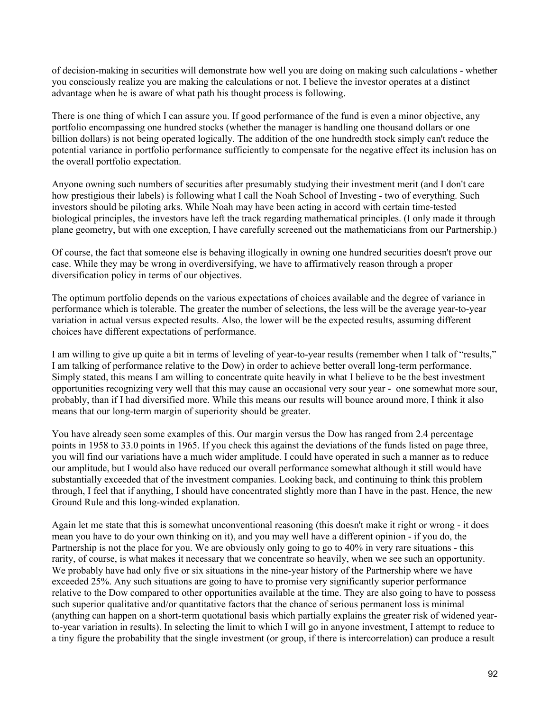of decision-making in securities will demonstrate how well you are doing on making such calculations - whether you consciously realize you are making the calculations or not. I believe the investor operates at a distinct advantage when he is aware of what path his thought process is following.

There is one thing of which I can assure you. If good performance of the fund is even a minor objective, any portfolio encompassing one hundred stocks (whether the manager is handling one thousand dollars or one billion dollars) is not being operated logically. The addition of the one hundredth stock simply can't reduce the potential variance in portfolio performance sufficiently to compensate for the negative effect its inclusion has on the overall portfolio expectation.

Anyone owning such numbers of securities after presumably studying their investment merit (and I don't care how prestigious their labels) is following what I call the Noah School of Investing - two of everything. Such investors should be piloting arks. While Noah may have been acting in accord with certain time-tested biological principles, the investors have left the track regarding mathematical principles. (I only made it through plane geometry, but with one exception, I have carefully screened out the mathematicians from our Partnership.)

Of course, the fact that someone else is behaving illogically in owning one hundred securities doesn't prove our case. While they may be wrong in overdiversifying, we have to affirmatively reason through a proper diversification policy in terms of our objectives.

The optimum portfolio depends on the various expectations of choices available and the degree of variance in performance which is tolerable. The greater the number of selections, the less will be the average year-to-year variation in actual versus expected results. Also, the lower will be the expected results, assuming different choices have different expectations of performance.

I am willing to give up quite a bit in terms of leveling of year-to-year results (remember when I talk of "results," I am talking of performance relative to the Dow) in order to achieve better overall long-term performance. Simply stated, this means I am willing to concentrate quite heavily in what I believe to be the best investment opportunities recognizing very well that this may cause an occasional very sour year - one somewhat more sour, probably, than if I had diversified more. While this means our results will bounce around more, I think it also means that our long-term margin of superiority should be greater.

You have already seen some examples of this. Our margin versus the Dow has ranged from 2.4 percentage points in 1958 to 33.0 points in 1965. If you check this against the deviations of the funds listed on page three, you will find our variations have a much wider amplitude. I could have operated in such a manner as to reduce our amplitude, but I would also have reduced our overall performance somewhat although it still would have substantially exceeded that of the investment companies. Looking back, and continuing to think this problem through, I feel that if anything, I should have concentrated slightly more than I have in the past. Hence, the new Ground Rule and this long-winded explanation.

Again let me state that this is somewhat unconventional reasoning (this doesn't make it right or wrong - it does mean you have to do your own thinking on it), and you may well have a different opinion - if you do, the Partnership is not the place for you. We are obviously only going to go to 40% in very rare situations - this rarity, of course, is what makes it necessary that we concentrate so heavily, when we see such an opportunity. We probably have had only five or six situations in the nine-year history of the Partnership where we have exceeded 25%. Any such situations are going to have to promise very significantly superior performance relative to the Dow compared to other opportunities available at the time. They are also going to have to possess such superior qualitative and/or quantitative factors that the chance of serious permanent loss is minimal (anything can happen on a short-term quotational basis which partially explains the greater risk of widened yearto-year variation in results). In selecting the limit to which I will go in anyone investment, I attempt to reduce to a tiny figure the probability that the single investment (or group, if there is intercorrelation) can produce a result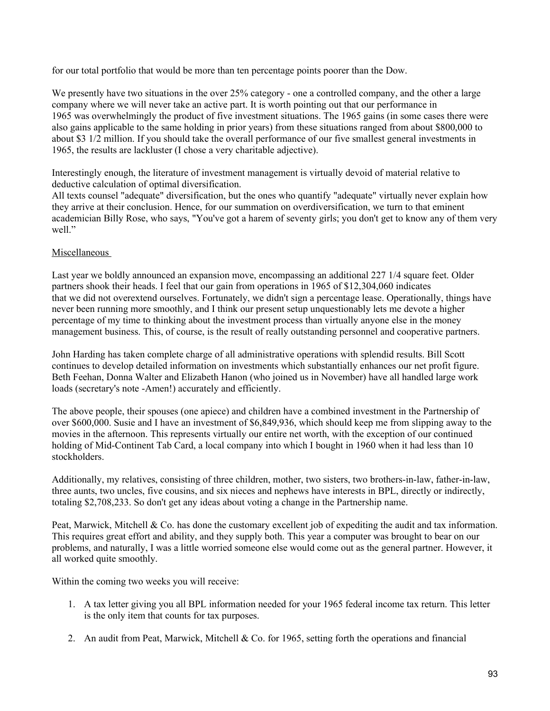for our total portfolio that would be more than ten percentage points poorer than the Dow.

We presently have two situations in the over 25% category - one a controlled company, and the other a large company where we will never take an active part. It is worth pointing out that our performance in 1965 was overwhelmingly the product of five investment situations. The 1965 gains (in some cases there were also gains applicable to the same holding in prior years) from these situations ranged from about \$800,000 to about \$3 1/2 million. If you should take the overall performance of our five smallest general investments in 1965, the results are lackluster (I chose a very charitable adjective).

Interestingly enough, the literature of investment management is virtually devoid of material relative to deductive calculation of optimal diversification.

All texts counsel "adequate" diversification, but the ones who quantify "adequate" virtually never explain how they arrive at their conclusion. Hence, for our summation on overdiversification, we turn to that eminent academician Billy Rose, who says, "You've got a harem of seventy girls; you don't get to know any of them very well."

## **Miscellaneous**

Last year we boldly announced an expansion move, encompassing an additional 227 1/4 square feet. Older partners shook their heads. I feel that our gain from operations in 1965 of \$12,304,060 indicates that we did not overextend ourselves. Fortunately, we didn't sign a percentage lease. Operationally, things have never been running more smoothly, and I think our present setup unquestionably lets me devote a higher percentage of my time to thinking about the investment process than virtually anyone else in the money management business. This, of course, is the result of really outstanding personnel and cooperative partners.

John Harding has taken complete charge of all administrative operations with splendid results. Bill Scott continues to develop detailed information on investments which substantially enhances our net profit figure. Beth Feehan, Donna Walter and Elizabeth Hanon (who joined us in November) have all handled large work loads (secretary's note -Amen!) accurately and efficiently.

The above people, their spouses (one apiece) and children have a combined investment in the Partnership of over \$600,000. Susie and I have an investment of \$6,849,936, which should keep me from slipping away to the movies in the afternoon. This represents virtually our entire net worth, with the exception of our continued holding of Mid-Continent Tab Card, a local company into which I bought in 1960 when it had less than 10 stockholders.

Additionally, my relatives, consisting of three children, mother, two sisters, two brothers-in-law, father-in-law, three aunts, two uncles, five cousins, and six nieces and nephews have interests in BPL, directly or indirectly, totaling \$2,708,233. So don't get any ideas about voting a change in the Partnership name.

Peat, Marwick, Mitchell & Co. has done the customary excellent job of expediting the audit and tax information. This requires great effort and ability, and they supply both. This year a computer was brought to bear on our problems, and naturally, I was a little worried someone else would come out as the general partner. However, it all worked quite smoothly.

Within the coming two weeks you will receive:

- 1. A tax letter giving you all BPL information needed for your 1965 federal income tax return. This letter is the only item that counts for tax purposes.
- 2. An audit from Peat, Marwick, Mitchell & Co. for 1965, setting forth the operations and financial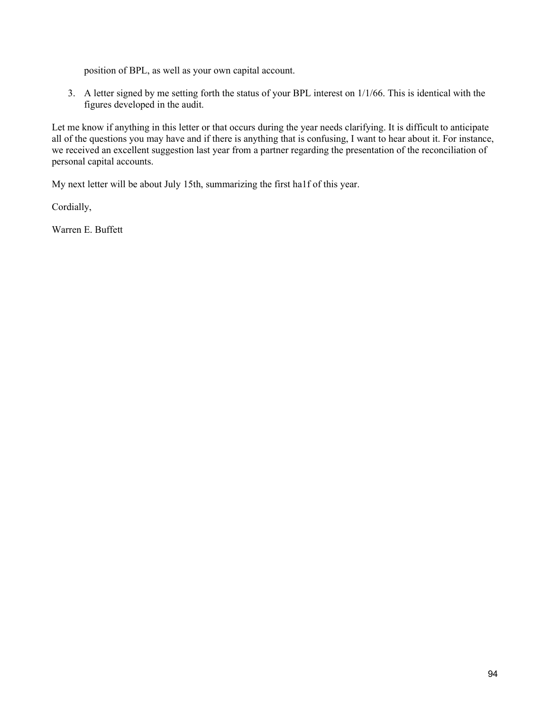position of BPL, as well as your own capital account.

3. A letter signed by me setting forth the status of your BPL interest on 1/1/66. This is identical with the figures developed in the audit.

Let me know if anything in this letter or that occurs during the year needs clarifying. It is difficult to anticipate all of the questions you may have and if there is anything that is confusing, I want to hear about it. For instance, we received an excellent suggestion last year from a partner regarding the presentation of the reconciliation of personal capital accounts.

My next letter will be about July 15th, summarizing the first ha1f of this year.

Cordially,

Warren E. Buffett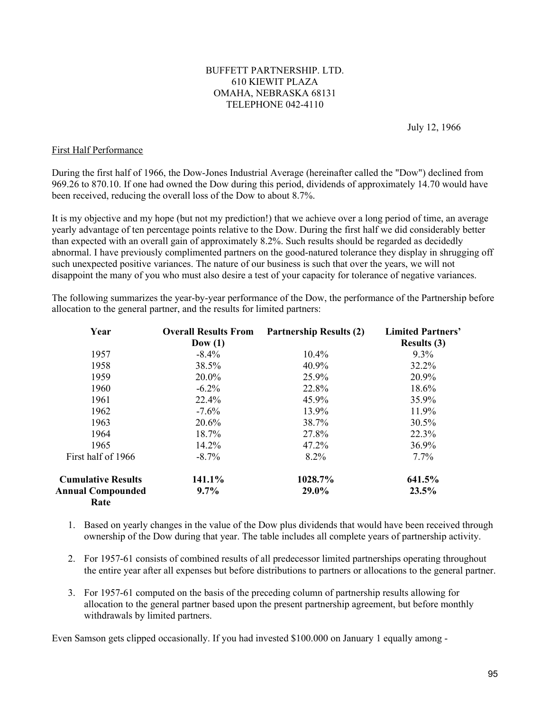#### BUFFETT PARTNERSHIP. LTD. 610 KIEWIT PLAZA OMAHA, NEBRASKA 68131 TELEPHONE 042-4110

#### July 12, 1966

#### First Half Performance

During the first half of 1966, the Dow-Jones Industrial Average (hereinafter called the "Dow") declined from 969.26 to 870.10. If one had owned the Dow during this period, dividends of approximately 14.70 would have been received, reducing the overall loss of the Dow to about 8.7%.

It is my objective and my hope (but not my prediction!) that we achieve over a long period of time, an average yearly advantage of ten percentage points relative to the Dow. During the first half we did considerably better than expected with an overall gain of approximately 8.2%. Such results should be regarded as decidedly abnormal. I have previously complimented partners on the good-natured tolerance they display in shrugging off such unexpected positive variances. The nature of our business is such that over the years, we will not disappoint the many of you who must also desire a test of your capacity for tolerance of negative variances.

| Year                      | <b>Overall Results From</b><br>Down(1) | <b>Partnership Results (2)</b> | <b>Limited Partners'</b><br><b>Results (3)</b> |
|---------------------------|----------------------------------------|--------------------------------|------------------------------------------------|
| 1957                      | $-8.4\%$                               | $10.4\%$                       | $9.3\%$                                        |
| 1958                      | 38.5%                                  | 40.9%                          | 32.2%                                          |
| 1959                      | 20.0%                                  | 25.9%                          | 20.9%                                          |
| 1960                      | $-6.2\%$                               | 22.8%                          | 18.6%                                          |
| 1961                      | 22.4%                                  | 45.9%                          | 35.9%                                          |
| 1962                      | $-7.6%$                                | 13.9%                          | 11.9%                                          |
| 1963                      | 20.6%                                  | 38.7%                          | 30.5%                                          |
| 1964                      | 18.7%                                  | 27.8%                          | 22.3%                                          |
| 1965                      | 14.2%                                  | $47.2\%$                       | 36.9%                                          |
| First half of 1966        | $-8.7\%$                               | $8.2\%$                        | $7.7\%$                                        |
| <b>Cumulative Results</b> | 141.1%                                 | 1028.7%                        | 641.5%                                         |
| <b>Annual Compounded</b>  | $9.7\%$                                | 29.0%                          | 23.5%                                          |
| Rate                      |                                        |                                |                                                |

The following summarizes the year-by-year performance of the Dow, the performance of the Partnership before allocation to the general partner, and the results for limited partners:

- 1. Based on yearly changes in the value of the Dow plus dividends that would have been received through ownership of the Dow during that year. The table includes all complete years of partnership activity.
- 2. For 1957-61 consists of combined results of all predecessor limited partnerships operating throughout the entire year after all expenses but before distributions to partners or allocations to the general partner.
- 3. For 1957-61 computed on the basis of the preceding column of partnership results allowing for allocation to the general partner based upon the present partnership agreement, but before monthly withdrawals by limited partners.

Even Samson gets clipped occasionally. If you had invested \$100.000 on January 1 equally among -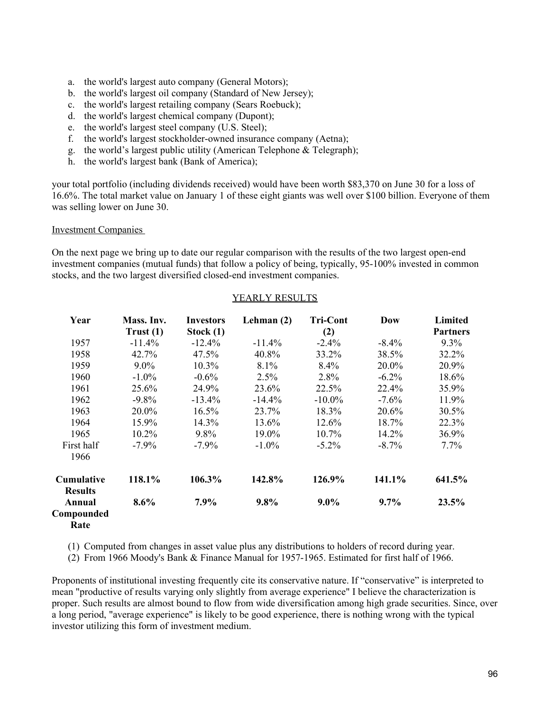- a. the world's largest auto company (General Motors);
- b. the world's largest oil company (Standard of New Jersey);
- c. the world's largest retailing company (Sears Roebuck);
- d. the world's largest chemical company (Dupont);
- e. the world's largest steel company (U.S. Steel);
- f. the world's largest stockholder-owned insurance company (Aetna);
- g. the world's largest public utility (American Telephone & Telegraph);
- h. the world's largest bank (Bank of America);

your total portfolio (including dividends received) would have been worth \$83,370 on June 30 for a loss of 16.6%. The total market value on January 1 of these eight giants was well over \$100 billion. Everyone of them was selling lower on June 30.

#### Investment Companies

On the next page we bring up to date our regular comparison with the results of the two largest open-end investment companies (mutual funds) that follow a policy of being, typically, 95-100% invested in common stocks, and the two largest diversified closed-end investment companies.

### YEARLY RESULTS

| Year                         | Mass. Inv.<br>Trust $(1)$ | <b>Investors</b><br>Stock $(1)$ | Lehman $(2)$ | <b>Tri-Cont</b><br>(2) | <b>Dow</b> | Limited<br><b>Partners</b> |
|------------------------------|---------------------------|---------------------------------|--------------|------------------------|------------|----------------------------|
| 1957                         | $-11.4%$                  | $-12.4\%$                       | $-11.4%$     | $-2.4%$                | $-8.4\%$   | $9.3\%$                    |
| 1958                         | 42.7%                     | $47.5\%$                        | 40.8%        | 33.2%                  | 38.5%      | $32.2\%$                   |
| 1959                         | $9.0\%$                   | $10.3\%$                        | 8.1%         | $8.4\%$                | 20.0%      | 20.9%                      |
| 1960                         | $-1.0\%$                  | $-0.6\%$                        | 2.5%         | 2.8%                   | $-6.2\%$   | 18.6%                      |
| 1961                         | 25.6%                     | 24.9%                           | 23.6%        | 22.5%                  | 22.4%      | 35.9%                      |
| 1962                         | $-9.8%$                   | $-13.4%$                        | $-14.4%$     | $-10.0\%$              | $-7.6\%$   | 11.9%                      |
| 1963                         | 20.0%                     | 16.5%                           | 23.7%        | 18.3%                  | 20.6%      | 30.5%                      |
| 1964                         | 15.9%                     | $14.3\%$                        | $13.6\%$     | 12.6%                  | $18.7\%$   | 22.3%                      |
| 1965                         | $10.2\%$                  | 9.8%                            | 19.0%        | $10.7\%$               | $14.2\%$   | 36.9%                      |
| First half<br>1966           | $-7.9\%$                  | $-7.9\%$                        | $-1.0\%$     | $-5.2\%$               | $-8.7\%$   | $7.7\%$                    |
| Cumulative<br><b>Results</b> | 118.1%                    | 106.3%                          | 142.8%       | 126.9%                 | 141.1%     | 641.5%                     |
| Annual<br>Compounded<br>Rate | $8.6\%$                   | 7.9%                            | 9.8%         | $9.0\%$                | $9.7\%$    | 23.5%                      |

(1) Computed from changes in asset value plus any distributions to holders of record during year.

(2) From 1966 Moody's Bank & Finance Manual for 1957-1965. Estimated for first half of 1966.

Proponents of institutional investing frequently cite its conservative nature. If "conservative" is interpreted to mean "productive of results varying only slightly from average experience" I believe the characterization is proper. Such results are almost bound to flow from wide diversification among high grade securities. Since, over a long period, "average experience" is likely to be good experience, there is nothing wrong with the typical investor utilizing this form of investment medium.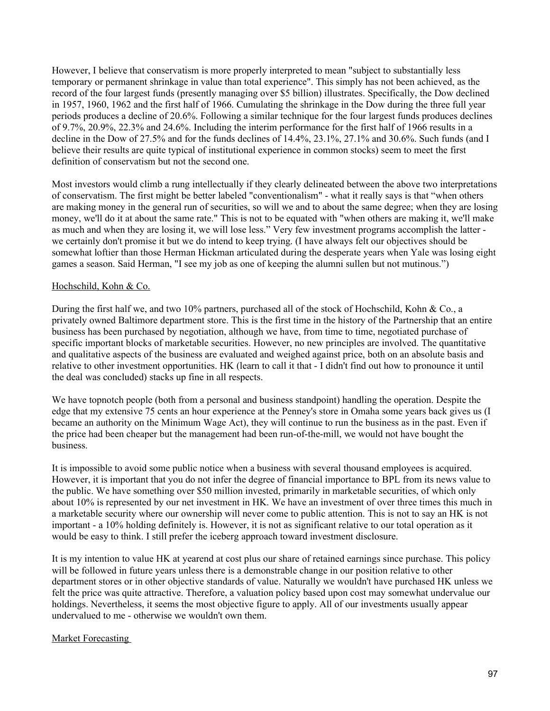However, I believe that conservatism is more properly interpreted to mean "subject to substantially less temporary or permanent shrinkage in value than total experience". This simply has not been achieved, as the record of the four largest funds (presently managing over \$5 billion) illustrates. Specifically, the Dow declined in 1957, 1960, 1962 and the first half of 1966. Cumulating the shrinkage in the Dow during the three full year periods produces a decline of 20.6%. Following a similar technique for the four largest funds produces declines of 9.7%, 20.9%, 22.3% and 24.6%. Including the interim performance for the first half of 1966 results in a decline in the Dow of 27.5% and for the funds declines of 14.4%, 23.1%, 27.1% and 30.6%. Such funds (and I believe their results are quite typical of institutional experience in common stocks) seem to meet the first definition of conservatism but not the second one.

Most investors would climb a rung intellectually if they clearly delineated between the above two interpretations of conservatism. The first might be better labeled "conventionalism" - what it really says is that "when others are making money in the general run of securities, so will we and to about the same degree; when they are losing money, we'll do it at about the same rate." This is not to be equated with "when others are making it, we'll make as much and when they are losing it, we will lose less." Very few investment programs accomplish the latter we certainly don't promise it but we do intend to keep trying. (I have always felt our objectives should be somewhat loftier than those Herman Hickman articulated during the desperate years when Yale was losing eight games a season. Said Herman, "I see my job as one of keeping the alumni sullen but not mutinous.")

## Hochschild, Kohn & Co.

During the first half we, and two 10% partners, purchased all of the stock of Hochschild, Kohn & Co., a privately owned Baltimore department store. This is the first time in the history of the Partnership that an entire business has been purchased by negotiation, although we have, from time to time, negotiated purchase of specific important blocks of marketable securities. However, no new principles are involved. The quantitative and qualitative aspects of the business are evaluated and weighed against price, both on an absolute basis and relative to other investment opportunities. HK (learn to call it that - I didn't find out how to pronounce it until the deal was concluded) stacks up fine in all respects.

We have topnotch people (both from a personal and business standpoint) handling the operation. Despite the edge that my extensive 75 cents an hour experience at the Penney's store in Omaha some years back gives us (I became an authority on the Minimum Wage Act), they will continue to run the business as in the past. Even if the price had been cheaper but the management had been run-of-the-mill, we would not have bought the business.

It is impossible to avoid some public notice when a business with several thousand employees is acquired. However, it is important that you do not infer the degree of financial importance to BPL from its news value to the public. We have something over \$50 million invested, primarily in marketable securities, of which only about 10% is represented by our net investment in HK. We have an investment of over three times this much in a marketable security where our ownership will never come to public attention. This is not to say an HK is not important - a 10% holding definitely is. However, it is not as significant relative to our total operation as it would be easy to think. I still prefer the iceberg approach toward investment disclosure.

It is my intention to value HK at yearend at cost plus our share of retained earnings since purchase. This policy will be followed in future years unless there is a demonstrable change in our position relative to other department stores or in other objective standards of value. Naturally we wouldn't have purchased HK unless we felt the price was quite attractive. Therefore, a valuation policy based upon cost may somewhat undervalue our holdings. Nevertheless, it seems the most objective figure to apply. All of our investments usually appear undervalued to me - otherwise we wouldn't own them.

### Market Forecasting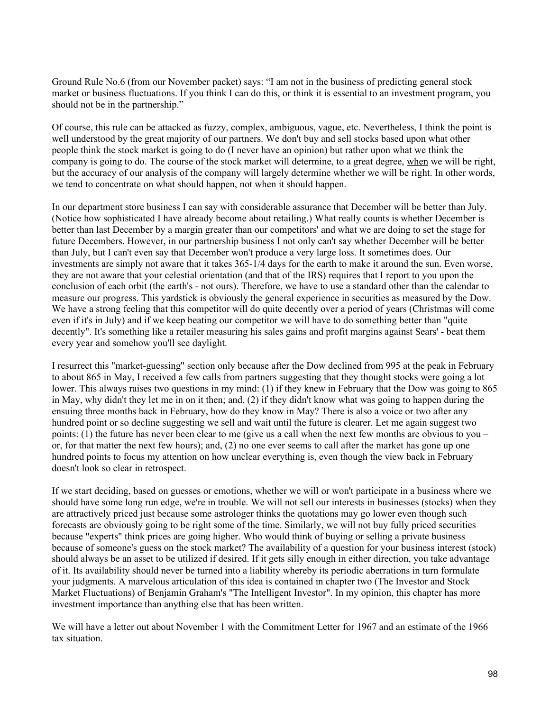Ground Rule No.6 (from our November packet) says: "I am not in the business of predicting general stock market or business fluctuations. If you think I can do this, or think it is essential to an investment program, you should not be in the partnership."

Of course, this rule can be attacked as fuzzy, complex, ambiguous, vague, etc. Nevertheless, I think the point is well understood by the great majority of our partners. We don't buy and sell stocks based upon what other people think the stock market is going to do (I never have an opinion) but rather upon what we think the company is going to do. The course of the stock market will determine, to a great degree, when we will be right, but the accuracy of our analysis of the company will largely determine whether we will be right. In other words, we tend to concentrate on what should happen, not when it should happen.

In our department store business I can say with considerable assurance that December will be better than July. (Notice how sophisticated I have already become about retailing.) What really counts is whether December is better than last December by a margin greater than our competitors' and what we are doing to set the stage for future Decembers. However, in our partnership business I not only can't say whether December will be better than July, but I can't even say that December won't produce a very large loss. It sometimes does. Our investments are simply not aware that it takes 365-1/4 days for the earth to make it around the sun. Even worse, they are not aware that your celestial orientation (and that of the IRS) requires that I report to you upon the conclusion of each orbit (the earth's - not ours). Therefore, we have to use a standard other than the calendar to measure our progress. This yardstick is obviously the general experience in securities as measured by the Dow. We have a strong feeling that this competitor will do quite decently over a period of years (Christmas will come even if it's in July) and if we keep beating our competitor we will have to do something better than "quite decently". It's something like a retailer measuring his sales gains and profit margins against Sears' - beat them every year and somehow you'll see daylight.

I resurrect this "market-guessing" section only because after the Dow declined from 995 at the peak in February to about 865 in May, I received a few calls from partners suggesting that they thought stocks were going a lot lower. This always raises two questions in my mind: (1) if they knew in February that the Dow was going to 865 in May, why didn't they let me in on it then; and, (2) if they didn't know what was going to happen during the ensuing three months back in February, how do they know in May? There is also a voice or two after any hundred point or so decline suggesting we sell and wait until the future is clearer. Let me again suggest two points: (1) the future has never been clear to me (give us a call when the next few months are obvious to you – or, for that matter the next few hours); and, (2) no one ever seems to call after the market has gone up one hundred points to focus my attention on how unclear everything is, even though the view back in February doesn't look so clear in retrospect.

If we start deciding, based on guesses or emotions, whether we will or won't participate in a business where we should have some long run edge, we're in trouble. We will not sell our interests in businesses (stocks) when they are attractively priced just because some astrologer thinks the quotations may go lower even though such forecasts are obviously going to be right some of the time. Similarly, we will not buy fully priced securities because "experts" think prices are going higher. Who would think of buying or selling a private business because of someone's guess on the stock market? The availability of a question for your business interest (stock) should always be an asset to be utilized if desired. If it gets silly enough in either direction, you take advantage of it. Its availability should never be turned into a liability whereby its periodic aberrations in turn formulate your judgments. A marvelous articulation of this idea is contained in chapter two (The Investor and Stock Market Fluctuations) of Benjamin Graham's "The Intelligent Investor". In my opinion, this chapter has more investment importance than anything else that has been written.

We will have a letter out about November 1 with the Commitment Letter for 1967 and an estimate of the 1966 tax situation.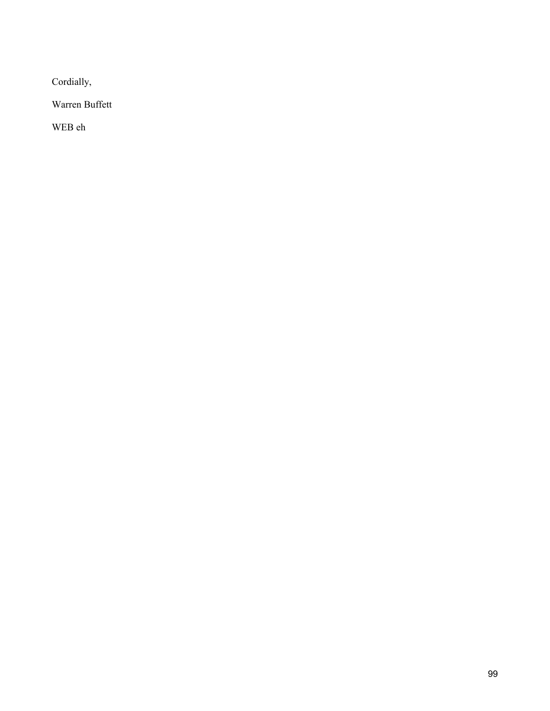Cordially,

Warren Buffett

WEB eh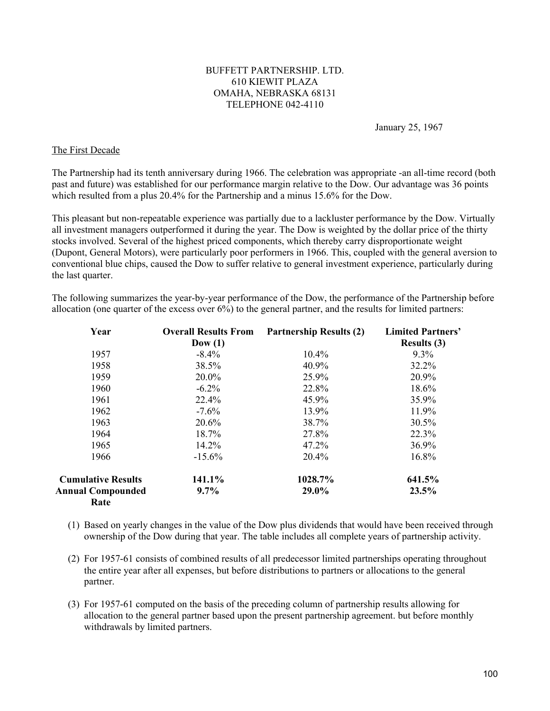#### BUFFETT PARTNERSHIP. LTD. 610 KIEWIT PLAZA OMAHA, NEBRASKA 68131 TELEPHONE 042-4110

January 25, 1967

### The First Decade

The Partnership had its tenth anniversary during 1966. The celebration was appropriate -an all-time record (both past and future) was established for our performance margin relative to the Dow. Our advantage was 36 points which resulted from a plus 20.4% for the Partnership and a minus 15.6% for the Dow.

This pleasant but non-repeatable experience was partially due to a lackluster performance by the Dow. Virtually all investment managers outperformed it during the year. The Dow is weighted by the dollar price of the thirty stocks involved. Several of the highest priced components, which thereby carry disproportionate weight (Dupont, General Motors), were particularly poor performers in 1966. This, coupled with the general aversion to conventional blue chips, caused the Dow to suffer relative to general investment experience, particularly during the last quarter.

| Year                      | <b>Overall Results From</b><br>Down(1) | <b>Partnership Results (2)</b> | <b>Limited Partners'</b><br><b>Results (3)</b> |
|---------------------------|----------------------------------------|--------------------------------|------------------------------------------------|
| 1957                      | $-8.4\%$                               | 10.4%                          | $9.3\%$                                        |
| 1958                      | 38.5%                                  | 40.9%                          | 32.2%                                          |
| 1959                      | 20.0%                                  | 25.9%                          | 20.9%                                          |
| 1960                      | $-6.2%$                                | 22.8%                          | 18.6%                                          |
| 1961                      | 22.4%                                  | 45.9%                          | 35.9%                                          |
| 1962                      | $-7.6%$                                | 13.9%                          | 11.9%                                          |
| 1963                      | 20.6%                                  | 38.7%                          | 30.5%                                          |
| 1964                      | 18.7%                                  | 27.8%                          | 22.3%                                          |
| 1965                      | 14.2%                                  | 47.2%                          | 36.9%                                          |
| 1966                      | $-15.6%$                               | 20.4%                          | 16.8%                                          |
| <b>Cumulative Results</b> | 141.1%                                 | 1028.7%                        | 641.5%                                         |
| <b>Annual Compounded</b>  | $9.7\%$                                | 29.0%                          | 23.5%                                          |
| Rate                      |                                        |                                |                                                |

The following summarizes the year-by-year performance of the Dow, the performance of the Partnership before allocation (one quarter of the excess over 6%) to the general partner, and the results for limited partners:

- (1) Based on yearly changes in the value of the Dow plus dividends that would have been received through ownership of the Dow during that year. The table includes all complete years of partnership activity.
- (2) For 1957-61 consists of combined results of all predecessor limited partnerships operating throughout the entire year after all expenses, but before distributions to partners or allocations to the general partner.
- (3) For 1957-61 computed on the basis of the preceding column of partnership results allowing for allocation to the general partner based upon the present partnership agreement. but before monthly withdrawals by limited partners.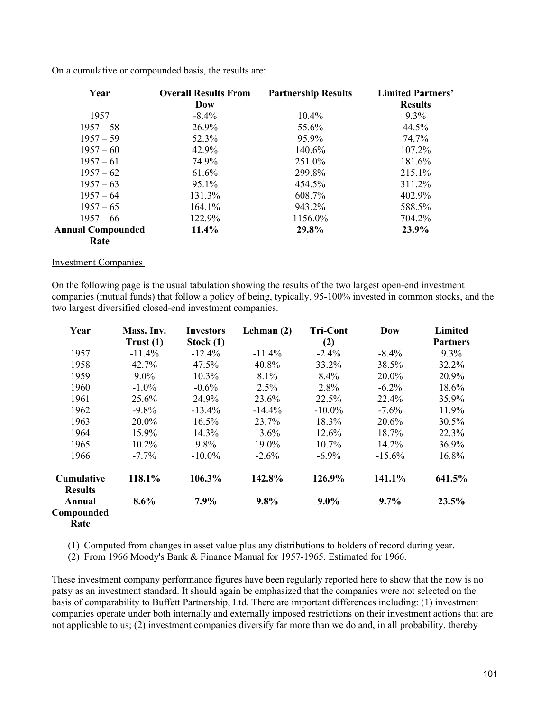| Year                     | <b>Overall Results From</b><br>Dow | <b>Partnership Results</b> | <b>Limited Partners'</b><br><b>Results</b> |
|--------------------------|------------------------------------|----------------------------|--------------------------------------------|
| 1957                     | $-8.4\%$                           | $10.4\%$                   | $9.3\%$                                    |
| $1957 - 58$              | $26.9\%$                           | 55.6%                      | 44.5%                                      |
| $1957 - 59$              | 52.3%                              | 95.9%                      | 74.7%                                      |
| $1957 - 60$              | 42.9%                              | 140.6%                     | 107.2%                                     |
| $1957 - 61$              | 74.9%                              | $251.0\%$                  | 181.6%                                     |
| $1957 - 62$              | 61.6%                              | 299.8%                     | 215.1%                                     |
| $1957 - 63$              | 95.1%                              | 454.5%                     | 311.2%                                     |
| $1957 - 64$              | 131.3%                             | 608.7%                     | 402.9%                                     |
| $1957 - 65$              | 164.1%                             | 943.2%                     | 588.5%                                     |
| $1957 - 66$              | 122.9%                             | 1156.0%                    | 704.2%                                     |
| <b>Annual Compounded</b> | $11.4\%$                           | 29.8%                      | 23.9%                                      |
| Rate                     |                                    |                            |                                            |

On a cumulative or compounded basis, the results are:

#### Investment Companies

On the following page is the usual tabulation showing the results of the two largest open-end investment companies (mutual funds) that follow a policy of being, typically, 95-100% invested in common stocks, and the two largest diversified closed-end investment companies.

| Year              | Mass. Inv.  | <b>Investors</b> | Lehman $(2)$ | <b>Tri-Cont</b> | Dow      | <b>Limited</b>  |
|-------------------|-------------|------------------|--------------|-----------------|----------|-----------------|
|                   | Trust $(1)$ | Stock $(1)$      |              | (2)             |          | <b>Partners</b> |
| 1957              | $-11.4%$    | $-12.4%$         | $-11.4\%$    | $-2.4\%$        | $-8.4\%$ | 9.3%            |
| 1958              | 42.7%       | 47.5%            | 40.8%        | 33.2%           | 38.5%    | 32.2%           |
| 1959              | $9.0\%$     | 10.3%            | 8.1%         | $8.4\%$         | 20.0%    | 20.9%           |
| 1960              | $-1.0\%$    | $-0.6\%$         | 2.5%         | 2.8%            | $-6.2\%$ | 18.6%           |
| 1961              | 25.6%       | 24.9%            | 23.6%        | 22.5%           | 22.4%    | 35.9%           |
| 1962              | $-9.8\%$    | $-13.4%$         | $-14.4%$     | $-10.0\%$       | $-7.6\%$ | 11.9%           |
| 1963              | 20.0%       | 16.5%            | 23.7%        | 18.3%           | 20.6%    | 30.5%           |
| 1964              | 15.9%       | $14.3\%$         | 13.6%        | $12.6\%$        | 18.7%    | 22.3%           |
| 1965              | $10.2\%$    | $9.8\%$          | 19.0%        | $10.7\%$        | $14.2\%$ | 36.9%           |
| 1966              | $-7.7\%$    | $-10.0\%$        | $-2.6\%$     | $-6.9\%$        | $-15.6%$ | 16.8%           |
| <b>Cumulative</b> | 118.1%      | 106.3%           | 142.8%       | 126.9%          | 141.1%   | 641.5%          |
| <b>Results</b>    |             |                  |              |                 |          |                 |
| Annual            | $8.6\%$     | 7.9%             | 9.8%         | $9.0\%$         | $9.7\%$  | 23.5%           |
| Compounded        |             |                  |              |                 |          |                 |
| Rate              |             |                  |              |                 |          |                 |

(1) Computed from changes in asset value plus any distributions to holders of record during year.

(2) From 1966 Moody's Bank & Finance Manual for 1957-1965. Estimated for 1966.

These investment company performance figures have been regularly reported here to show that the now is no patsy as an investment standard. It should again be emphasized that the companies were not selected on the basis of comparability to Buffett Partnership, Ltd. There are important differences including: (1) investment companies operate under both internally and externally imposed restrictions on their investment actions that are not applicable to us; (2) investment companies diversify far more than we do and, in all probability, thereby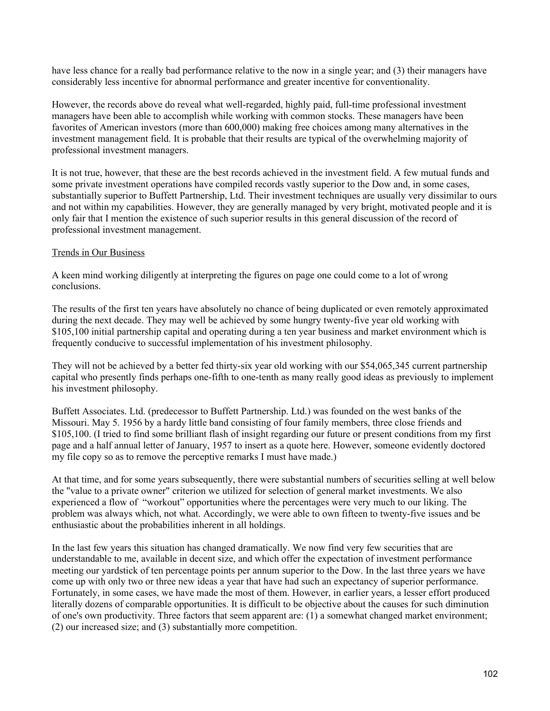have less chance for a really bad performance relative to the now in a single year; and (3) their managers have considerably less incentive for abnormal performance and greater incentive for conventionality.

However, the records above do reveal what well-regarded, highly paid, full-time professional investment managers have been able to accomplish while working with common stocks. These managers have been favorites of American investors (more than 600,000) making free choices among many alternatives in the investment management field. It is probable that their results are typical of the overwhelming majority of professional investment managers.

It is not true, however, that these are the best records achieved in the investment field. A few mutual funds and some private investment operations have compiled records vastly superior to the Dow and, in some cases, substantially superior to Buffett Partnership, Ltd. Their investment techniques are usually very dissimilar to ours and not within my capabilities. However, they are generally managed by very bright, motivated people and it is only fair that I mention the existence of such superior results in this general discussion of the record of professional investment management.

### Trends in Our Business

A keen mind working diligently at interpreting the figures on page one could come to a lot of wrong conclusions.

The results of the first ten years have absolutely no chance of being duplicated or even remotely approximated during the next decade. They may well be achieved by some hungry twenty-five year old working with \$105,100 initial partnership capital and operating during a ten year business and market environment which is frequently conducive to successful implementation of his investment philosophy.

They will not be achieved by a better fed thirty-six year old working with our \$54,065,345 current partnership capital who presently finds perhaps one-fifth to one-tenth as many really good ideas as previously to implement his investment philosophy.

Buffett Associates. Ltd. (predecessor to Buffett Partnership. Ltd.) was founded on the west banks of the Missouri. May 5. 1956 by a hardy little band consisting of four family members, three close friends and \$105,100. (I tried to find some brilliant flash of insight regarding our future or present conditions from my first page and a half annual letter of January, 1957 to insert as a quote here. However, someone evidently doctored my file copy so as to remove the perceptive remarks I must have made.)

At that time, and for some years subsequently, there were substantial numbers of securities selling at well below the "value to a private owner" criterion we utilized for selection of general market investments. We also experienced a flow of "workout" opportunities where the percentages were very much to our liking. The problem was always which, not what. Accordingly, we were able to own fifteen to twenty-five issues and be enthusiastic about the probabilities inherent in all holdings.

In the last few years this situation has changed dramatically. We now find very few securities that are understandable to me, available in decent size, and which offer the expectation of investment performance meeting our yardstick of ten percentage points per annum superior to the Dow. In the last three years we have come up with only two or three new ideas a year that have had such an expectancy of superior performance. Fortunately, in some cases, we have made the most of them. However, in earlier years, a lesser effort produced literally dozens of comparable opportunities. It is difficult to be objective about the causes for such diminution of one's own productivity. Three factors that seem apparent are: (1) a somewhat changed market environment; (2) our increased size; and (3) substantially more competition.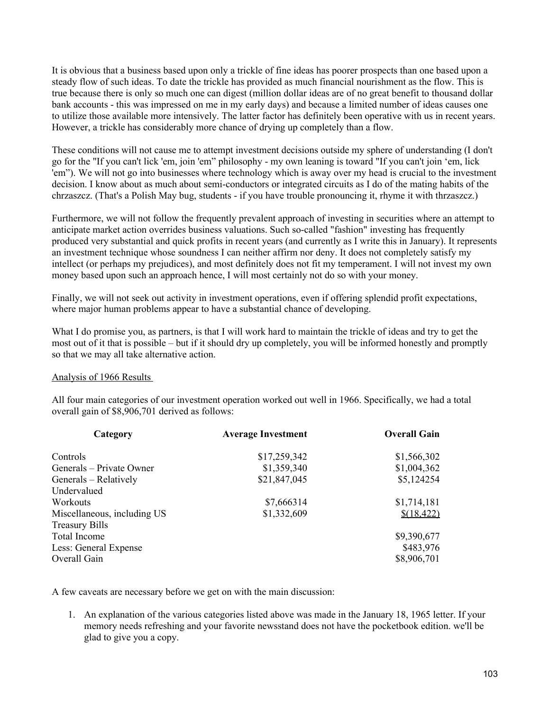It is obvious that a business based upon only a trickle of fine ideas has poorer prospects than one based upon a steady flow of such ideas. To date the trickle has provided as much financial nourishment as the flow. This is true because there is only so much one can digest (million dollar ideas are of no great benefit to thousand dollar bank accounts - this was impressed on me in my early days) and because a limited number of ideas causes one to utilize those available more intensively. The latter factor has definitely been operative with us in recent years. However, a trickle has considerably more chance of drying up completely than a flow.

These conditions will not cause me to attempt investment decisions outside my sphere of understanding (I don't go for the "If you can't lick 'em, join 'em" philosophy - my own leaning is toward "If you can't join 'em, lick 'em"). We will not go into businesses where technology which is away over my head is crucial to the investment decision. I know about as much about semi-conductors or integrated circuits as I do of the mating habits of the chrzaszcz. (That's a Polish May bug, students - if you have trouble pronouncing it, rhyme it with thrzaszcz.)

Furthermore, we will not follow the frequently prevalent approach of investing in securities where an attempt to anticipate market action overrides business valuations. Such so-called "fashion" investing has frequently produced very substantial and quick profits in recent years (and currently as I write this in January). It represents an investment technique whose soundness I can neither affirm nor deny. It does not completely satisfy my intellect (or perhaps my prejudices), and most definitely does not fit my temperament. I will not invest my own money based upon such an approach hence, I will most certainly not do so with your money.

Finally, we will not seek out activity in investment operations, even if offering splendid profit expectations, where major human problems appear to have a substantial chance of developing.

What I do promise you, as partners, is that I will work hard to maintain the trickle of ideas and try to get the most out of it that is possible – but if it should dry up completely, you will be informed honestly and promptly so that we may all take alternative action.

### Analysis of 1966 Results

All four main categories of our investment operation worked out well in 1966. Specifically, we had a total overall gain of \$8,906,701 derived as follows:

| Category                    | <b>Average Investment</b> | <b>Overall Gain</b> |
|-----------------------------|---------------------------|---------------------|
| Controls                    | \$17,259,342              | \$1,566,302         |
| Generals – Private Owner    | \$1,359,340               | \$1,004,362         |
| Generals – Relatively       | \$21,847,045              | \$5,124254          |
| Undervalued                 |                           |                     |
| Workouts                    | \$7,666314                | \$1,714,181         |
| Miscellaneous, including US | \$1,332,609               | \$(18, 422)         |
| <b>Treasury Bills</b>       |                           |                     |
| Total Income                |                           | \$9,390,677         |
| Less: General Expense       |                           | \$483,976           |
| Overall Gain                |                           | \$8,906,701         |

A few caveats are necessary before we get on with the main discussion:

1. An explanation of the various categories listed above was made in the January 18, 1965 letter. If your memory needs refreshing and your favorite newsstand does not have the pocketbook edition. we'll be glad to give you a copy.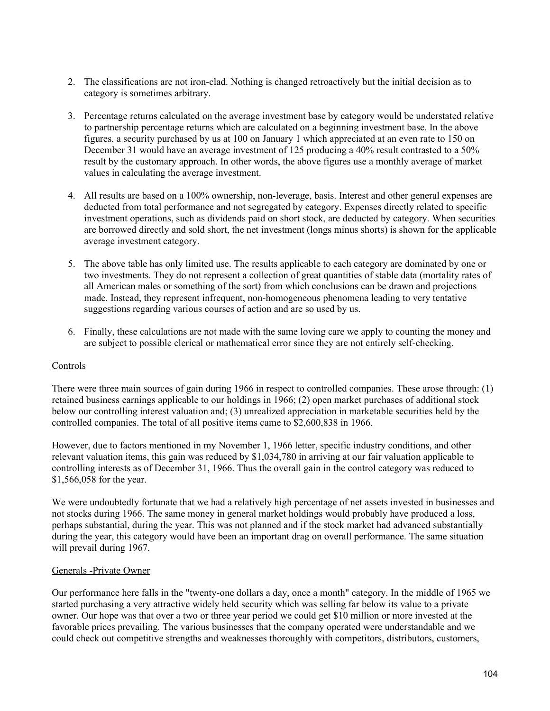- 2. The classifications are not iron-clad. Nothing is changed retroactively but the initial decision as to category is sometimes arbitrary.
- 3. Percentage returns calculated on the average investment base by category would be understated relative to partnership percentage returns which are calculated on a beginning investment base. In the above figures, a security purchased by us at 100 on January 1 which appreciated at an even rate to 150 on December 31 would have an average investment of 125 producing a 40% result contrasted to a 50% result by the customary approach. In other words, the above figures use a monthly average of market values in calculating the average investment.
- 4. All results are based on a 100% ownership, non-leverage, basis. Interest and other general expenses are deducted from total performance and not segregated by category. Expenses directly related to specific investment operations, such as dividends paid on short stock, are deducted by category. When securities are borrowed directly and sold short, the net investment (longs minus shorts) is shown for the applicable average investment category.
- 5. The above table has only limited use. The results applicable to each category are dominated by one or two investments. They do not represent a collection of great quantities of stable data (mortality rates of all American males or something of the sort) from which conclusions can be drawn and projections made. Instead, they represent infrequent, non-homogeneous phenomena leading to very tentative suggestions regarding various courses of action and are so used by us.
- 6. Finally, these calculations are not made with the same loving care we apply to counting the money and are subject to possible clerical or mathematical error since they are not entirely self-checking.

### **Controls**

There were three main sources of gain during 1966 in respect to controlled companies. These arose through: (1) retained business earnings applicable to our holdings in 1966; (2) open market purchases of additional stock below our controlling interest valuation and; (3) unrealized appreciation in marketable securities held by the controlled companies. The total of all positive items came to \$2,600,838 in 1966.

However, due to factors mentioned in my November 1, 1966 letter, specific industry conditions, and other relevant valuation items, this gain was reduced by \$1,034,780 in arriving at our fair valuation applicable to controlling interests as of December 31, 1966. Thus the overall gain in the control category was reduced to \$1,566,058 for the year.

We were undoubtedly fortunate that we had a relatively high percentage of net assets invested in businesses and not stocks during 1966. The same money in general market holdings would probably have produced a loss, perhaps substantial, during the year. This was not planned and if the stock market had advanced substantially during the year, this category would have been an important drag on overall performance. The same situation will prevail during 1967.

### Generals -Private Owner

Our performance here falls in the "twenty-one dollars a day, once a month" category. In the middle of 1965 we started purchasing a very attractive widely held security which was selling far below its value to a private owner. Our hope was that over a two or three year period we could get \$10 million or more invested at the favorable prices prevailing. The various businesses that the company operated were understandable and we could check out competitive strengths and weaknesses thoroughly with competitors, distributors, customers,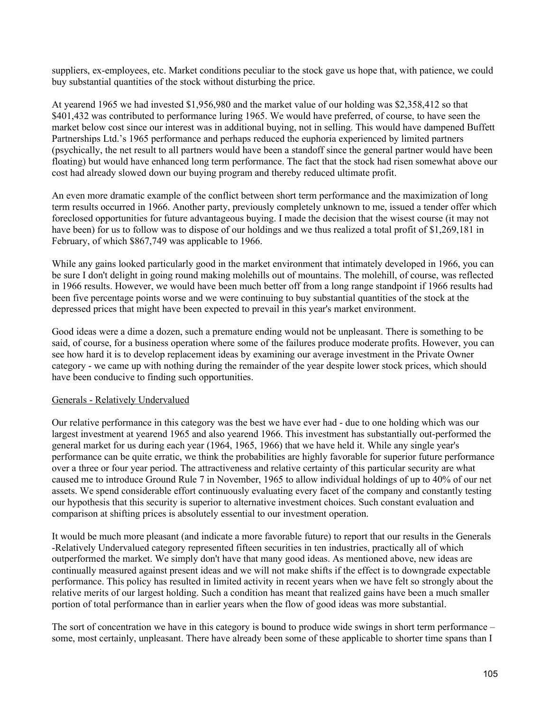suppliers, ex-employees, etc. Market conditions peculiar to the stock gave us hope that, with patience, we could buy substantial quantities of the stock without disturbing the price.

At yearend 1965 we had invested \$1,956,980 and the market value of our holding was \$2,358,412 so that \$401,432 was contributed to performance luring 1965. We would have preferred, of course, to have seen the market below cost since our interest was in additional buying, not in selling. This would have dampened Buffett Partnerships Ltd.'s 1965 performance and perhaps reduced the euphoria experienced by limited partners (psychically, the net result to all partners would have been a standoff since the general partner would have been floating) but would have enhanced long term performance. The fact that the stock had risen somewhat above our cost had already slowed down our buying program and thereby reduced ultimate profit.

An even more dramatic example of the conflict between short term performance and the maximization of long term results occurred in 1966. Another party, previously completely unknown to me, issued a tender offer which foreclosed opportunities for future advantageous buying. I made the decision that the wisest course (it may not have been) for us to follow was to dispose of our holdings and we thus realized a total profit of \$1,269,181 in February, of which \$867,749 was applicable to 1966.

While any gains looked particularly good in the market environment that intimately developed in 1966, you can be sure I don't delight in going round making molehills out of mountains. The molehill, of course, was reflected in 1966 results. However, we would have been much better off from a long range standpoint if 1966 results had been five percentage points worse and we were continuing to buy substantial quantities of the stock at the depressed prices that might have been expected to prevail in this year's market environment.

Good ideas were a dime a dozen, such a premature ending would not be unpleasant. There is something to be said, of course, for a business operation where some of the failures produce moderate profits. However, you can see how hard it is to develop replacement ideas by examining our average investment in the Private Owner category - we came up with nothing during the remainder of the year despite lower stock prices, which should have been conducive to finding such opportunities.

### Generals - Relatively Undervalued

Our relative performance in this category was the best we have ever had - due to one holding which was our largest investment at yearend 1965 and also yearend 1966. This investment has substantially out-performed the general market for us during each year (1964, 1965, 1966) that we have held it. While any single year's performance can be quite erratic, we think the probabilities are highly favorable for superior future performance over a three or four year period. The attractiveness and relative certainty of this particular security are what caused me to introduce Ground Rule 7 in November, 1965 to allow individual holdings of up to 40% of our net assets. We spend considerable effort continuously evaluating every facet of the company and constantly testing our hypothesis that this security is superior to alternative investment choices. Such constant evaluation and comparison at shifting prices is absolutely essential to our investment operation.

It would be much more pleasant (and indicate a more favorable future) to report that our results in the Generals -Relatively Undervalued category represented fifteen securities in ten industries, practically all of which outperformed the market. We simply don't have that many good ideas. As mentioned above, new ideas are continually measured against present ideas and we will not make shifts if the effect is to downgrade expectable performance. This policy has resulted in limited activity in recent years when we have felt so strongly about the relative merits of our largest holding. Such a condition has meant that realized gains have been a much smaller portion of total performance than in earlier years when the flow of good ideas was more substantial.

The sort of concentration we have in this category is bound to produce wide swings in short term performance – some, most certainly, unpleasant. There have already been some of these applicable to shorter time spans than I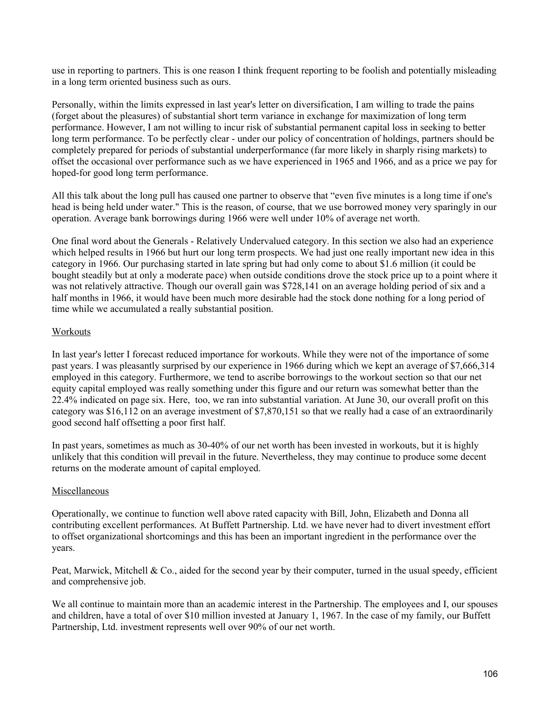use in reporting to partners. This is one reason I think frequent reporting to be foolish and potentially misleading in a long term oriented business such as ours.

Personally, within the limits expressed in last year's letter on diversification, I am willing to trade the pains (forget about the pleasures) of substantial short term variance in exchange for maximization of long term performance. However, I am not willing to incur risk of substantial permanent capital loss in seeking to better long term performance. To be perfectly clear - under our policy of concentration of holdings, partners should be completely prepared for periods of substantial underperformance (far more likely in sharply rising markets) to offset the occasional over performance such as we have experienced in 1965 and 1966, and as a price we pay for hoped-for good long term performance.

All this talk about the long pull has caused one partner to observe that "even five minutes is a long time if one's head is being held under water." This is the reason, of course, that we use borrowed money very sparingly in our operation. Average bank borrowings during 1966 were well under 10% of average net worth.

One final word about the Generals - Relatively Undervalued category. In this section we also had an experience which helped results in 1966 but hurt our long term prospects. We had just one really important new idea in this category in 1966. Our purchasing started in late spring but had only come to about \$1.6 million (it could be bought steadily but at only a moderate pace) when outside conditions drove the stock price up to a point where it was not relatively attractive. Though our overall gain was \$728,141 on an average holding period of six and a half months in 1966, it would have been much more desirable had the stock done nothing for a long period of time while we accumulated a really substantial position.

## Workouts

In last year's letter I forecast reduced importance for workouts. While they were not of the importance of some past years. I was pleasantly surprised by our experience in 1966 during which we kept an average of \$7,666,314 employed in this category. Furthermore, we tend to ascribe borrowings to the workout section so that our net equity capital employed was really something under this figure and our return was somewhat better than the 22.4% indicated on page six. Here, too, we ran into substantial variation. At June 30, our overall profit on this category was \$16,112 on an average investment of \$7,870,151 so that we really had a case of an extraordinarily good second half offsetting a poor first half.

In past years, sometimes as much as 30-40% of our net worth has been invested in workouts, but it is highly unlikely that this condition will prevail in the future. Nevertheless, they may continue to produce some decent returns on the moderate amount of capital employed.

### Miscellaneous

Operationally, we continue to function well above rated capacity with Bill, John, Elizabeth and Donna all contributing excellent performances. At Buffett Partnership. Ltd. we have never had to divert investment effort to offset organizational shortcomings and this has been an important ingredient in the performance over the years.

Peat, Marwick, Mitchell & Co., aided for the second year by their computer, turned in the usual speedy, efficient and comprehensive job.

We all continue to maintain more than an academic interest in the Partnership. The employees and I, our spouses and children, have a total of over \$10 million invested at January 1, 1967. In the case of my family, our Buffett Partnership, Ltd. investment represents well over 90% of our net worth.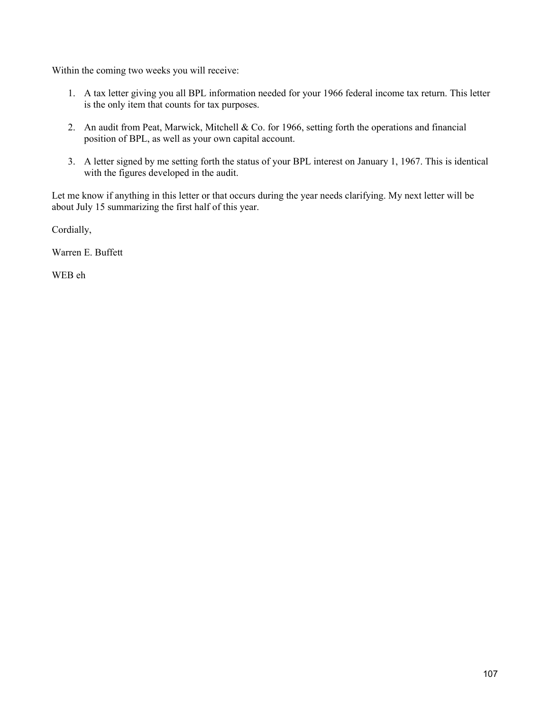Within the coming two weeks you will receive:

- 1. A tax letter giving you all BPL information needed for your 1966 federal income tax return. This letter is the only item that counts for tax purposes.
- 2. An audit from Peat, Marwick, Mitchell & Co. for 1966, setting forth the operations and financial position of BPL, as well as your own capital account.
- 3. A letter signed by me setting forth the status of your BPL interest on January 1, 1967. This is identical with the figures developed in the audit.

Let me know if anything in this letter or that occurs during the year needs clarifying. My next letter will be about July 15 summarizing the first half of this year.

Cordially,

Warren E. Buffett

WEB eh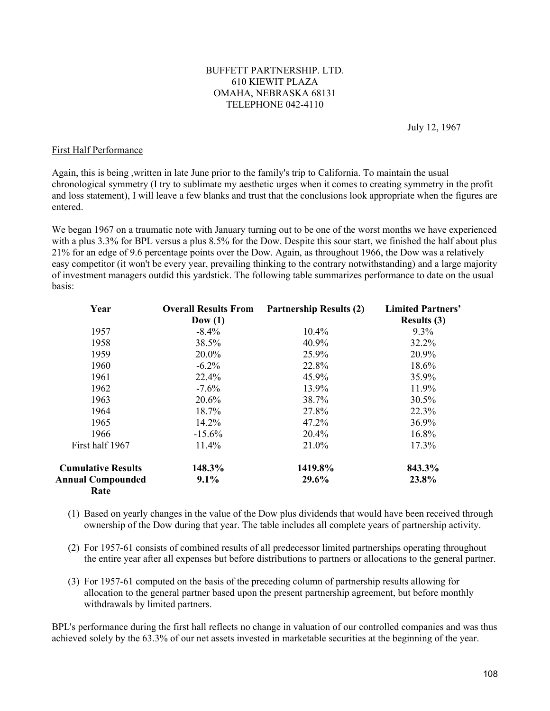#### BUFFETT PARTNERSHIP. LTD. 610 KIEWIT PLAZA OMAHA, NEBRASKA 68131 TELEPHONE 042-4110

#### July 12, 1967

#### First Half Performance

Again, this is being ,written in late June prior to the family's trip to California. To maintain the usual chronological symmetry (I try to sublimate my aesthetic urges when it comes to creating symmetry in the profit and loss statement), I will leave a few blanks and trust that the conclusions look appropriate when the figures are entered.

We began 1967 on a traumatic note with January turning out to be one of the worst months we have experienced with a plus 3.3% for BPL versus a plus 8.5% for the Dow. Despite this sour start, we finished the half about plus 21% for an edge of 9.6 percentage points over the Dow. Again, as throughout 1966, the Dow was a relatively easy competitor (it won't be every year, prevailing thinking to the contrary notwithstanding) and a large majority of investment managers outdid this yardstick. The following table summarizes performance to date on the usual basis:

| Year                      | <b>Overall Results From</b> | <b>Partnership Results (2)</b> | <b>Limited Partners'</b> |
|---------------------------|-----------------------------|--------------------------------|--------------------------|
|                           | Down(1)                     |                                | <b>Results (3)</b>       |
| 1957                      | $-8.4\%$                    | $10.4\%$                       | $9.3\%$                  |
| 1958                      | 38.5%                       | 40.9%                          | 32.2%                    |
| 1959                      | 20.0%                       | 25.9%                          | 20.9%                    |
| 1960                      | $-6.2\%$                    | 22.8%                          | 18.6%                    |
| 1961                      | 22.4%                       | 45.9%                          | 35.9%                    |
| 1962                      | $-7.6%$                     | 13.9%                          | 11.9%                    |
| 1963                      | 20.6%                       | 38.7%                          | 30.5%                    |
| 1964                      | 18.7%                       | 27.8%                          | 22.3%                    |
| 1965                      | 14.2%                       | 47.2%                          | 36.9%                    |
| 1966                      | $-15.6%$                    | 20.4%                          | 16.8%                    |
| First half 1967           | 11.4%                       | 21.0%                          | 17.3%                    |
| <b>Cumulative Results</b> | 148.3%                      | 1419.8%                        | 843.3%                   |
| <b>Annual Compounded</b>  | $9.1\%$                     | 29.6%                          | 23.8%                    |
| Rate                      |                             |                                |                          |

- (1) Based on yearly changes in the value of the Dow plus dividends that would have been received through ownership of the Dow during that year. The table includes all complete years of partnership activity.
- (2) For 1957-61 consists of combined results of all predecessor limited partnerships operating throughout the entire year after all expenses but before distributions to partners or allocations to the general partner.
- (3) For 1957-61 computed on the basis of the preceding column of partnership results allowing for allocation to the general partner based upon the present partnership agreement, but before monthly withdrawals by limited partners.

BPL's performance during the first hall reflects no change in valuation of our controlled companies and was thus achieved solely by the 63.3% of our net assets invested in marketable securities at the beginning of the year.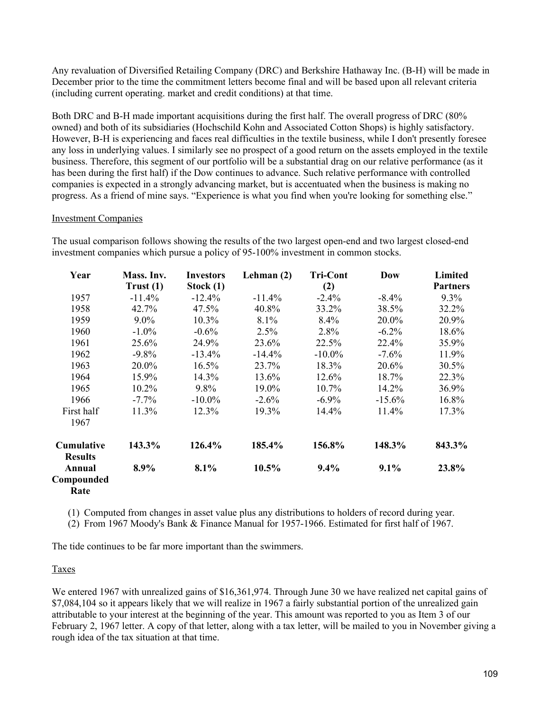Any revaluation of Diversified Retailing Company (DRC) and Berkshire Hathaway Inc. (B-H) will be made in December prior to the time the commitment letters become final and will be based upon all relevant criteria (including current operating. market and credit conditions) at that time.

Both DRC and B-H made important acquisitions during the first half. The overall progress of DRC (80% owned) and both of its subsidiaries (Hochschild Kohn and Associated Cotton Shops) is highly satisfactory. However, B-H is experiencing and faces real difficulties in the textile business, while I don't presently foresee any loss in underlying values. I similarly see no prospect of a good return on the assets employed in the textile business. Therefore, this segment of our portfolio will be a substantial drag on our relative performance (as it has been during the first half) if the Dow continues to advance. Such relative performance with controlled companies is expected in a strongly advancing market, but is accentuated when the business is making no progress. As a friend of mine says. "Experience is what you find when you're looking for something else."

# Investment Companies

The usual comparison follows showing the results of the two largest open-end and two largest closed-end investment companies which pursue a policy of 95-100% investment in common stocks.

| Year                         | Mass. Inv.<br>Trust(1) | <b>Investors</b><br>Stock $(1)$ | Lehman $(2)$ | <b>Tri-Cont</b><br>(2) | <b>Dow</b> | Limited<br><b>Partners</b> |
|------------------------------|------------------------|---------------------------------|--------------|------------------------|------------|----------------------------|
| 1957                         | $-11.4%$               | $-12.4%$                        | $-11.4%$     | $-2.4\%$               | $-8.4\%$   | $9.3\%$                    |
| 1958                         | 42.7%                  | 47.5%                           | 40.8%        | 33.2%                  | 38.5%      | 32.2%                      |
| 1959                         | $9.0\%$                | 10.3%                           | 8.1%         | 8.4%                   | 20.0%      | 20.9%                      |
| 1960                         | $-1.0\%$               | $-0.6\%$                        | 2.5%         | 2.8%                   | $-6.2\%$   | 18.6%                      |
| 1961                         | 25.6%                  | 24.9%                           | 23.6%        | 22.5%                  | 22.4%      | 35.9%                      |
| 1962                         | $-9.8\%$               | $-13.4\%$                       | $-14.4\%$    | $-10.0\%$              | $-7.6\%$   | 11.9%                      |
| 1963                         | 20.0%                  | 16.5%                           | 23.7%        | 18.3%                  | 20.6%      | 30.5%                      |
| 1964                         | 15.9%                  | 14.3%                           | 13.6%        | 12.6%                  | 18.7%      | 22.3%                      |
| 1965                         | $10.2\%$               | $9.8\%$                         | $19.0\%$     | $10.7\%$               | 14.2%      | 36.9%                      |
| 1966                         | $-7.7\%$               | $-10.0\%$                       | $-2.6\%$     | $-6.9\%$               | $-15.6%$   | 16.8%                      |
| First half<br>1967           | 11.3%                  | 12.3%                           | 19.3%        | 14.4%                  | 11.4%      | 17.3%                      |
| Cumulative                   | 143.3%                 | 126.4%                          | 185.4%       | 156.8%                 | 148.3%     | 843.3%                     |
| <b>Results</b>               |                        |                                 |              |                        |            |                            |
| Annual<br>Compounded<br>Rate | 8.9%                   | 8.1%                            | 10.5%        | $9.4\%$                | 9.1%       | 23.8%                      |

(1) Computed from changes in asset value plus any distributions to holders of record during year.

(2) From 1967 Moody's Bank & Finance Manual for 1957-1966. Estimated for first half of 1967.

The tide continues to be far more important than the swimmers.

# Taxes

We entered 1967 with unrealized gains of \$16,361,974. Through June 30 we have realized net capital gains of \$7,084,104 so it appears likely that we will realize in 1967 a fairly substantial portion of the unrealized gain attributable to your interest at the beginning of the year. This amount was reported to you as Item 3 of our February 2, 1967 letter. A copy of that letter, along with a tax letter, will be mailed to you in November giving a rough idea of the tax situation at that time.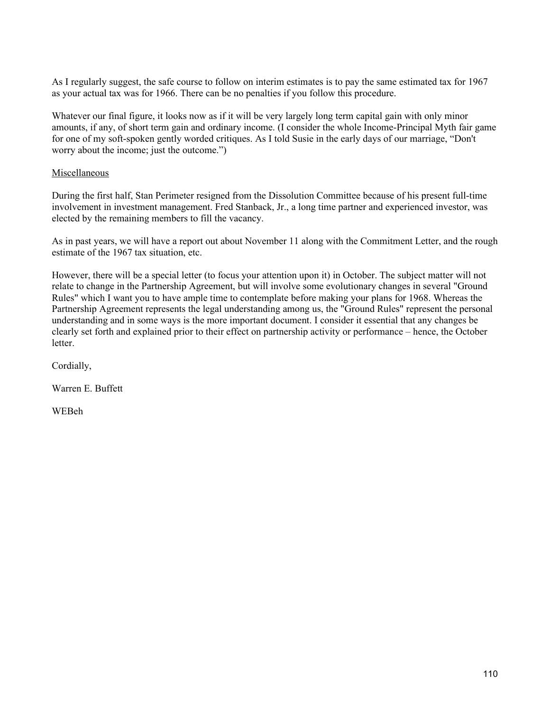As I regularly suggest, the safe course to follow on interim estimates is to pay the same estimated tax for 1967 as your actual tax was for 1966. There can be no penalties if you follow this procedure.

Whatever our final figure, it looks now as if it will be very largely long term capital gain with only minor amounts, if any, of short term gain and ordinary income. (I consider the whole Income-Principal Myth fair game for one of my soft-spoken gently worded critiques. As I told Susie in the early days of our marriage, "Don't worry about the income; just the outcome.")

## Miscellaneous

During the first half, Stan Perimeter resigned from the Dissolution Committee because of his present full-time involvement in investment management. Fred Stanback, Jr., a long time partner and experienced investor, was elected by the remaining members to fill the vacancy.

As in past years, we will have a report out about November 11 along with the Commitment Letter, and the rough estimate of the 1967 tax situation, etc.

However, there will be a special letter (to focus your attention upon it) in October. The subject matter will not relate to change in the Partnership Agreement, but will involve some evolutionary changes in several "Ground Rules" which I want you to have ample time to contemplate before making your plans for 1968. Whereas the Partnership Agreement represents the legal understanding among us, the "Ground Rules" represent the personal understanding and in some ways is the more important document. I consider it essential that any changes be clearly set forth and explained prior to their effect on partnership activity or performance – hence, the October letter.

Cordially,

Warren E. Buffett

WEBeh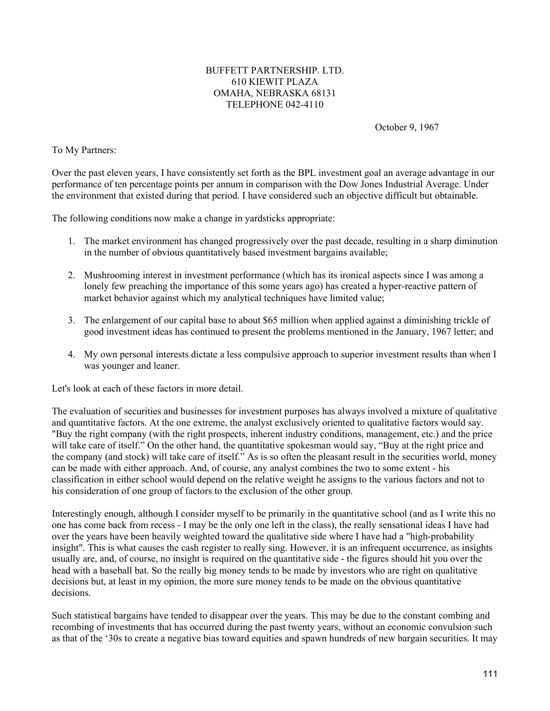October 9, 1967

To My Partners:

Over the past eleven years, I have consistently set forth as the BPL investment goal an average advantage in our performance of ten percentage points per annum in comparison with the Dow Jones Industrial Average. Under the environment that existed during that period. I have considered such an objective difficult but obtainable.

The following conditions now make a change in yardsticks appropriate:

- 1. The market environment has changed progressively over the past decade, resulting in a sharp diminution in the number of obvious quantitatively based investment bargains available;
- 2. Mushrooming interest in investment performance (which has its ironical aspects since I was among a lonely few preaching the importance of this some years ago) has created a hyper-reactive pattern of market behavior against which my analytical techniques have limited value;
- 3. The enlargement of our capital base to about \$65 million when applied against a diminishing trickle of good investment ideas has continued to present the problems mentioned in the January, 1967 letter; and
- 4. My own personal interests dictate a less compulsive approach to superior investment results than when I was younger and leaner.

Let's look at each of these factors in more detail.

The evaluation of securities and businesses for investment purposes has always involved a mixture of qualitative and quantitative factors. At the one extreme, the analyst exclusively oriented to qualitative factors would say. "Buy the right company (with the right prospects, inherent industry conditions, management, etc.) and the price will take care of itself." On the other hand, the quantitative spokesman would say, "Buy at the right price and the company (and stock) will take care of itself." As is so often the pleasant result in the securities world, money can be made with either approach. And, of course, any analyst combines the two to some extent - his classification in either school would depend on the relative weight he assigns to the various factors and not to his consideration of one group of factors to the exclusion of the other group.

Interestingly enough, although I consider myself to be primarily in the quantitative school (and as I write this no one has come back from recess - I may be the only one left in the class), the really sensational ideas I have had over the years have been heavily weighted toward the qualitative side where I have had a "high-probability insight". This is what causes the cash register to really sing. However, it is an infrequent occurrence, as insights usually are, and, of course, no insight is required on the quantitative side - the figures should hit you over the head with a baseball bat. So the really big money tends to be made by investors who are right on qualitative decisions but, at least in my opinion, the more sure money tends to be made on the obvious quantitative decisions.

Such statistical bargains have tended to disappear over the years. This may be due to the constant combing and recombing of investments that has occurred during the past twenty years, without an economic convulsion such as that of the '30s to create a negative bias toward equities and spawn hundreds of new bargain securities. It may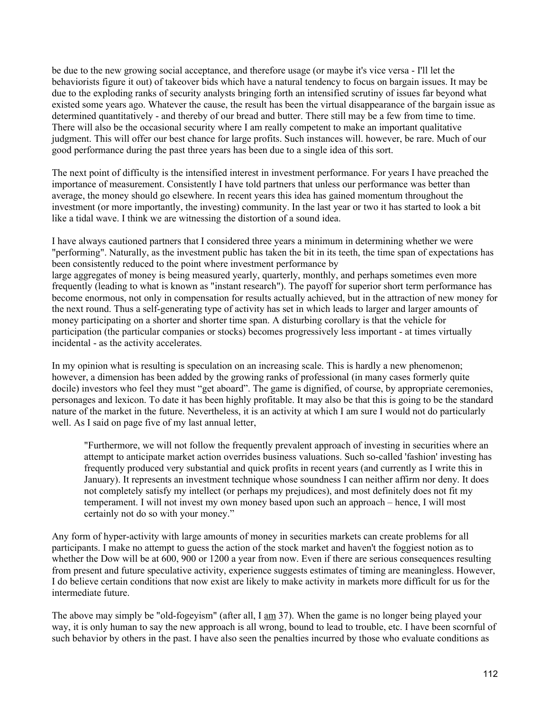be due to the new growing social acceptance, and therefore usage (or maybe it's vice versa - I'll let the behaviorists figure it out) of takeover bids which have a natural tendency to focus on bargain issues. It may be due to the exploding ranks of security analysts bringing forth an intensified scrutiny of issues far beyond what existed some years ago. Whatever the cause, the result has been the virtual disappearance of the bargain issue as determined quantitatively - and thereby of our bread and butter. There still may be a few from time to time. There will also be the occasional security where I am really competent to make an important qualitative judgment. This will offer our best chance for large profits. Such instances will. however, be rare. Much of our good performance during the past three years has been due to a single idea of this sort.

The next point of difficulty is the intensified interest in investment performance. For years I have preached the importance of measurement. Consistently I have told partners that unless our performance was better than average, the money should go elsewhere. In recent years this idea has gained momentum throughout the investment (or more importantly, the investing) community. In the last year or two it has started to look a bit like a tidal wave. I think we are witnessing the distortion of a sound idea.

I have always cautioned partners that I considered three years a minimum in determining whether we were "performing". Naturally, as the investment public has taken the bit in its teeth, the time span of expectations has been consistently reduced to the point where investment performance by large aggregates of money is being measured yearly, quarterly, monthly, and perhaps sometimes even more frequently (leading to what is known as "instant research"). The payoff for superior short term performance has become enormous, not only in compensation for results actually achieved, but in the attraction of new money for the next round. Thus a self-generating type of activity has set in which leads to larger and larger amounts of money participating on a shorter and shorter time span. A disturbing corollary is that the vehicle for participation (the particular companies or stocks) becomes progressively less important - at times virtually incidental - as the activity accelerates.

In my opinion what is resulting is speculation on an increasing scale. This is hardly a new phenomenon; however, a dimension has been added by the growing ranks of professional (in many cases formerly quite docile) investors who feel they must "get aboard". The game is dignified, of course, by appropriate ceremonies, personages and lexicon. To date it has been highly profitable. It may also be that this is going to be the standard nature of the market in the future. Nevertheless, it is an activity at which I am sure I would not do particularly well. As I said on page five of my last annual letter,

"Furthermore, we will not follow the frequently prevalent approach of investing in securities where an attempt to anticipate market action overrides business valuations. Such so-called 'fashion' investing has frequently produced very substantial and quick profits in recent years (and currently as I write this in January). It represents an investment technique whose soundness I can neither affirm nor deny. It does not completely satisfy my intellect (or perhaps my prejudices), and most definitely does not fit my temperament. I will not invest my own money based upon such an approach – hence, I will most certainly not do so with your money."

Any form of hyper-activity with large amounts of money in securities markets can create problems for all participants. I make no attempt to guess the action of the stock market and haven't the foggiest notion as to whether the Dow will be at 600, 900 or 1200 a year from now. Even if there are serious consequences resulting from present and future speculative activity, experience suggests estimates of timing are meaningless. However, I do believe certain conditions that now exist are likely to make activity in markets more difficult for us for the intermediate future.

The above may simply be "old-fogeyism" (after all, I am 37). When the game is no longer being played your way, it is only human to say the new approach is all wrong, bound to lead to trouble, etc. I have been scornful of such behavior by others in the past. I have also seen the penalties incurred by those who evaluate conditions as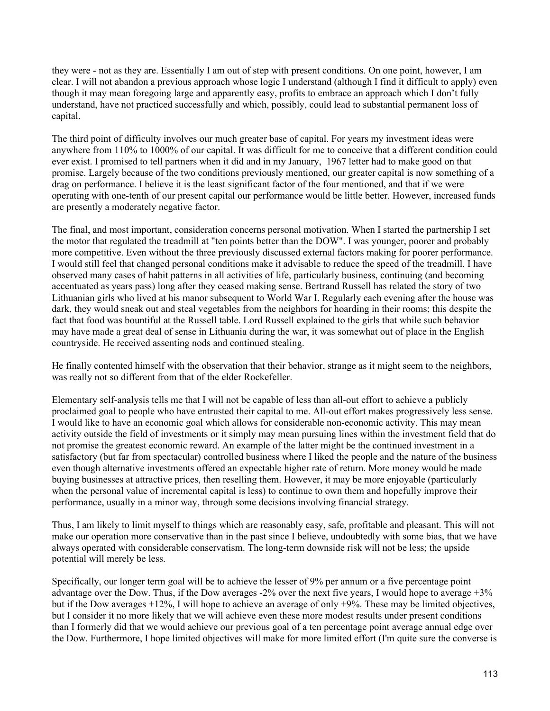they were - not as they are. Essentially I am out of step with present conditions. On one point, however, I am clear. I will not abandon a previous approach whose logic I understand (although I find it difficult to apply) even though it may mean foregoing large and apparently easy, profits to embrace an approach which I don't fully understand, have not practiced successfully and which, possibly, could lead to substantial permanent loss of capital.

The third point of difficulty involves our much greater base of capital. For years my investment ideas were anywhere from 110% to 1000% of our capital. It was difficult for me to conceive that a different condition could ever exist. I promised to tell partners when it did and in my January, 1967 letter had to make good on that promise. Largely because of the two conditions previously mentioned, our greater capital is now something of a drag on performance. I believe it is the least significant factor of the four mentioned, and that if we were operating with one-tenth of our present capital our performance would be little better. However, increased funds are presently a moderately negative factor.

The final, and most important, consideration concerns personal motivation. When I started the partnership I set the motor that regulated the treadmill at "ten points better than the DOW". I was younger, poorer and probably more competitive. Even without the three previously discussed external factors making for poorer performance. I would still feel that changed personal conditions make it advisable to reduce the speed of the treadmill. I have observed many cases of habit patterns in all activities of life, particularly business, continuing (and becoming accentuated as years pass) long after they ceased making sense. Bertrand Russell has related the story of two Lithuanian girls who lived at his manor subsequent to World War I. Regularly each evening after the house was dark, they would sneak out and steal vegetables from the neighbors for hoarding in their rooms; this despite the fact that food was bountiful at the Russell table. Lord Russell explained to the girls that while such behavior may have made a great deal of sense in Lithuania during the war, it was somewhat out of place in the English countryside. He received assenting nods and continued stealing.

He finally contented himself with the observation that their behavior, strange as it might seem to the neighbors, was really not so different from that of the elder Rockefeller.

Elementary self-analysis tells me that I will not be capable of less than all-out effort to achieve a publicly proclaimed goal to people who have entrusted their capital to me. All-out effort makes progressively less sense. I would like to have an economic goal which allows for considerable non-economic activity. This may mean activity outside the field of investments or it simply may mean pursuing lines within the investment field that do not promise the greatest economic reward. An example of the latter might be the continued investment in a satisfactory (but far from spectacular) controlled business where I liked the people and the nature of the business even though alternative investments offered an expectable higher rate of return. More money would be made buying businesses at attractive prices, then reselling them. However, it may be more enjoyable (particularly when the personal value of incremental capital is less) to continue to own them and hopefully improve their performance, usually in a minor way, through some decisions involving financial strategy.

Thus, I am likely to limit myself to things which are reasonably easy, safe, profitable and pleasant. This will not make our operation more conservative than in the past since I believe, undoubtedly with some bias, that we have always operated with considerable conservatism. The long-term downside risk will not be less; the upside potential will merely be less.

Specifically, our longer term goal will be to achieve the lesser of 9% per annum or a five percentage point advantage over the Dow. Thus, if the Dow averages -2% over the next five years, I would hope to average +3% but if the Dow averages +12%, I will hope to achieve an average of only +9%. These may be limited objectives, but I consider it no more likely that we will achieve even these more modest results under present conditions than I formerly did that we would achieve our previous goal of a ten percentage point average annual edge over the Dow. Furthermore, I hope limited objectives will make for more limited effort (I'm quite sure the converse is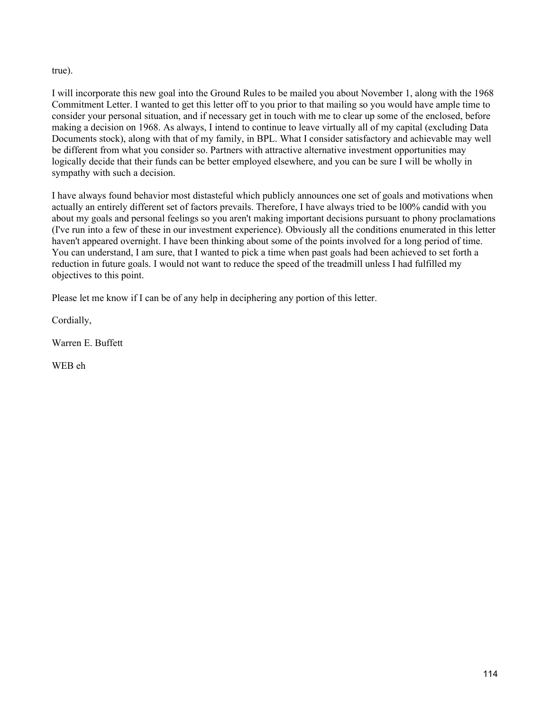### true).

I will incorporate this new goal into the Ground Rules to be mailed you about November 1, along with the 1968 Commitment Letter. I wanted to get this letter off to you prior to that mailing so you would have ample time to consider your personal situation, and if necessary get in touch with me to clear up some of the enclosed, before making a decision on 1968. As always, I intend to continue to leave virtually all of my capital (excluding Data Documents stock), along with that of my family, in BPL. What I consider satisfactory and achievable may well be different from what you consider so. Partners with attractive alternative investment opportunities may logically decide that their funds can be better employed elsewhere, and you can be sure I will be wholly in sympathy with such a decision.

I have always found behavior most distasteful which publicly announces one set of goals and motivations when actually an entirely different set of factors prevails. Therefore, I have always tried to be l00% candid with you about my goals and personal feelings so you aren't making important decisions pursuant to phony proclamations (I've run into a few of these in our investment experience). Obviously all the conditions enumerated in this letter haven't appeared overnight. I have been thinking about some of the points involved for a long period of time. You can understand, I am sure, that I wanted to pick a time when past goals had been achieved to set forth a reduction in future goals. I would not want to reduce the speed of the treadmill unless I had fulfilled my objectives to this point.

Please let me know if I can be of any help in deciphering any portion of this letter.

Cordially,

Warren E. Buffett

WEB eh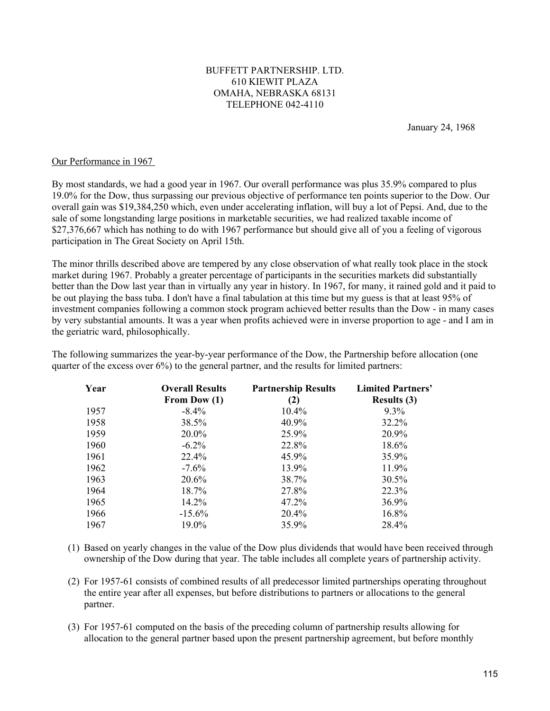January 24, 1968

### Our Performance in 1967

By most standards, we had a good year in 1967. Our overall performance was plus 35.9% compared to plus 19.0% for the Dow, thus surpassing our previous objective of performance ten points superior to the Dow. Our overall gain was \$19,384,250 which, even under accelerating inflation, will buy a lot of Pepsi. And, due to the sale of some longstanding large positions in marketable securities, we had realized taxable income of \$27,376,667 which has nothing to do with 1967 performance but should give all of you a feeling of vigorous participation in The Great Society on April 15th.

The minor thrills described above are tempered by any close observation of what really took place in the stock market during 1967. Probably a greater percentage of participants in the securities markets did substantially better than the Dow last year than in virtually any year in history. In 1967, for many, it rained gold and it paid to be out playing the bass tuba. I don't have a final tabulation at this time but my guess is that at least 95% of investment companies following a common stock program achieved better results than the Dow - in many cases by very substantial amounts. It was a year when profits achieved were in inverse proportion to age - and I am in the geriatric ward, philosophically.

The following summarizes the year-by-year performance of the Dow, the Partnership before allocation (one quarter of the excess over 6%) to the general partner, and the results for limited partners:

| Year | <b>Overall Results</b><br>From Dow (1) | <b>Partnership Results</b><br>(2) | <b>Limited Partners'</b><br><b>Results (3)</b> |
|------|----------------------------------------|-----------------------------------|------------------------------------------------|
| 1957 | $-8.4\%$                               | 10.4%                             | $9.3\%$                                        |
| 1958 | 38.5%                                  | 40.9%                             | 32.2%                                          |
| 1959 | 20.0%                                  | 25.9%                             | 20.9%                                          |
| 1960 | $-6.2\%$                               | 22.8%                             | 18.6%                                          |
| 1961 | 22.4%                                  | 45.9%                             | 35.9%                                          |
| 1962 | $-7.6\%$                               | 13.9%                             | 11.9%                                          |
| 1963 | 20.6%                                  | 38.7%                             | $30.5\%$                                       |
| 1964 | 18.7%                                  | 27.8%                             | 22.3%                                          |
| 1965 | 14.2%                                  | 47.2%                             | 36.9%                                          |
| 1966 | $-15.6%$                               | 20.4%                             | 16.8%                                          |
| 1967 | 19.0%                                  | 35.9%                             | 28.4%                                          |

- (1) Based on yearly changes in the value of the Dow plus dividends that would have been received through ownership of the Dow during that year. The table includes all complete years of partnership activity.
- (2) For 1957-61 consists of combined results of all predecessor limited partnerships operating throughout the entire year after all expenses, but before distributions to partners or allocations to the general partner.
- (3) For 1957-61 computed on the basis of the preceding column of partnership results allowing for allocation to the general partner based upon the present partnership agreement, but before monthly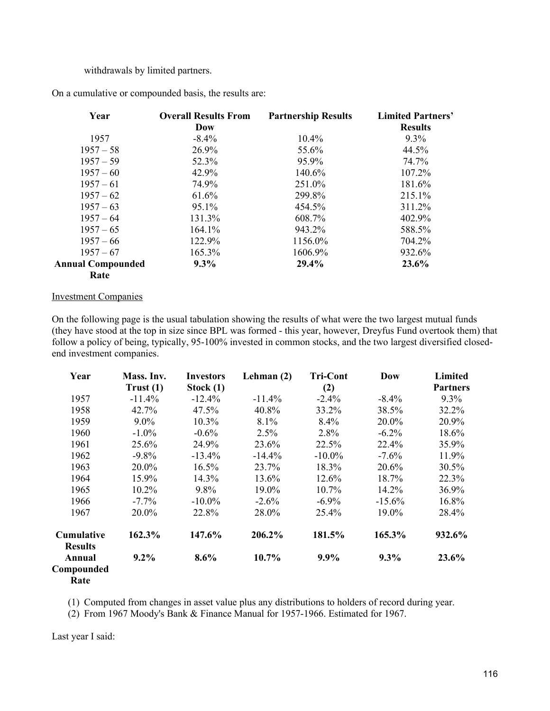withdrawals by limited partners.

On a cumulative or compounded basis, the results are:

| Year                     | <b>Overall Results From</b><br>Dow | <b>Partnership Results</b> | <b>Limited Partners'</b><br><b>Results</b> |
|--------------------------|------------------------------------|----------------------------|--------------------------------------------|
| 1957                     | $-8.4%$                            | $10.4\%$                   | $9.3\%$                                    |
| $1957 - 58$              | 26.9%                              | 55.6%                      | 44.5%                                      |
| $1957 - 59$              | 52.3%                              | 95.9%                      | 74.7%                                      |
| $1957 - 60$              | 42.9%                              | 140.6%                     | 107.2%                                     |
| $1957 - 61$              | 74.9%                              | 251.0%                     | 181.6%                                     |
| $1957 - 62$              | 61.6%                              | 299.8%                     | 215.1%                                     |
| $1957 - 63$              | 95.1%                              | 454.5%                     | 311.2%                                     |
| $1957 - 64$              | 131.3%                             | 608.7%                     | 402.9%                                     |
| $1957 - 65$              | 164.1%                             | 943.2%                     | 588.5%                                     |
| $1957 - 66$              | 122.9%                             | 1156.0%                    | 704.2%                                     |
| $1957 - 67$              | 165.3%                             | 1606.9%                    | 932.6%                                     |
| <b>Annual Compounded</b> | $9.3\%$                            | 29.4%                      | 23.6%                                      |
| Rate                     |                                    |                            |                                            |

### Investment Companies

On the following page is the usual tabulation showing the results of what were the two largest mutual funds (they have stood at the top in size since BPL was formed - this year, however, Dreyfus Fund overtook them) that follow a policy of being, typically, 95-100% invested in common stocks, and the two largest diversified closedend investment companies.

| Year                         | Mass. Inv.<br>Trust $(1)$ | <b>Investors</b><br>Stock $(1)$ | Lehman $(2)$ | <b>Tri-Cont</b><br>(2) | <b>Dow</b> | Limited<br><b>Partners</b> |
|------------------------------|---------------------------|---------------------------------|--------------|------------------------|------------|----------------------------|
| 1957                         | $-11.4\%$                 | $-12.4%$                        | $-11.4%$     | $-2.4\%$               | $-8.4\%$   | $9.3\%$                    |
| 1958                         | 42.7%                     | $47.5\%$                        | 40.8%        | 33.2%                  | 38.5%      | 32.2%                      |
| 1959                         | $9.0\%$                   | 10.3%                           | 8.1%         | 8.4%                   | 20.0%      | 20.9%                      |
| 1960                         | $-1.0\%$                  | $-0.6\%$                        | 2.5%         | 2.8%                   | $-6.2\%$   | 18.6%                      |
| 1961                         | 25.6%                     | 24.9%                           | 23.6%        | 22.5%                  | 22.4%      | 35.9%                      |
| 1962                         | $-9.8%$                   | $-13.4\%$                       | $-14.4%$     | $-10.0\%$              | $-7.6\%$   | 11.9%                      |
| 1963                         | $20.0\%$                  | $16.5\%$                        | 23.7%        | 18.3%                  | 20.6%      | 30.5%                      |
| 1964                         | 15.9%                     | 14.3%                           | 13.6%        | 12.6%                  | 18.7%      | 22.3%                      |
| 1965                         | $10.2\%$                  | $9.8\%$                         | 19.0%        | $10.7\%$               | $14.2\%$   | 36.9%                      |
| 1966                         | $-7.7\%$                  | $-10.0\%$                       | $-2.6\%$     | $-6.9\%$               | $-15.6\%$  | 16.8%                      |
| 1967                         | 20.0%                     | 22.8%                           | 28.0%        | $25.4\%$               | 19.0%      | 28.4%                      |
| Cumulative<br><b>Results</b> | 162.3%                    | 147.6%                          | 206.2%       | 181.5%                 | 165.3%     | 932.6%                     |
| Annual<br>Compounded<br>Rate | $9.2\%$                   | $8.6\%$                         | $10.7\%$     | $9.9\%$                | $9.3\%$    | 23.6%                      |

(1) Computed from changes in asset value plus any distributions to holders of record during year.

(2) From 1967 Moody's Bank & Finance Manual for 1957-1966. Estimated for 1967.

Last year I said: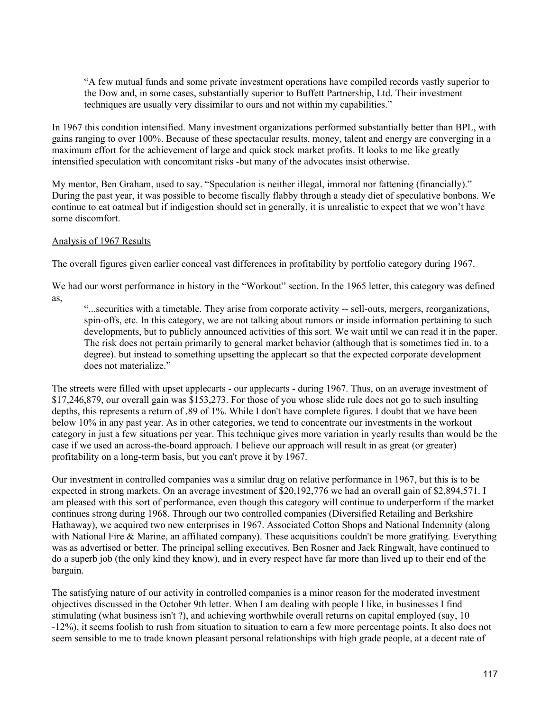"A few mutual funds and some private investment operations have compiled records vastly superior to the Dow and, in some cases, substantially superior to Buffett Partnership, Ltd. Their investment techniques are usually very dissimilar to ours and not within my capabilities."

In 1967 this condition intensified. Many investment organizations performed substantially better than BPL, with gains ranging to over 100%. Because of these spectacular results, money, talent and energy are converging in a maximum effort for the achievement of large and quick stock market profits. It looks to me like greatly intensified speculation with concomitant risks -but many of the advocates insist otherwise.

My mentor, Ben Graham, used to say. "Speculation is neither illegal, immoral nor fattening (financially)." During the past year, it was possible to become fiscally flabby through a steady diet of speculative bonbons. We continue to eat oatmeal but if indigestion should set in generally, it is unrealistic to expect that we won't have some discomfort.

### Analysis of 1967 Results

The overall figures given earlier conceal vast differences in profitability by portfolio category during 1967.

We had our worst performance in history in the "Workout" section. In the 1965 letter, this category was defined as,

"...securities with a timetable. They arise from corporate activity -- sell-outs, mergers, reorganizations, spin-offs, etc. In this category, we are not talking about rumors or inside information pertaining to such developments, but to publicly announced activities of this sort. We wait until we can read it in the paper. The risk does not pertain primarily to general market behavior (although that is sometimes tied in. to a degree). but instead to something upsetting the applecart so that the expected corporate development does not materialize."

The streets were filled with upset applecarts - our applecarts - during 1967. Thus, on an average investment of \$17,246,879, our overall gain was \$153,273. For those of you whose slide rule does not go to such insulting depths, this represents a return of .89 of 1%. While I don't have complete figures. I doubt that we have been below 10% in any past year. As in other categories, we tend to concentrate our investments in the workout category in just a few situations per year. This technique gives more variation in yearly results than would be the case if we used an across-the-board approach. I believe our approach will result in as great (or greater) profitability on a long-term basis, but you can't prove it by 1967.

Our investment in controlled companies was a similar drag on relative performance in 1967, but this is to be expected in strong markets. On an average investment of \$20,192,776 we had an overall gain of \$2,894,571. I am pleased with this sort of performance, even though this category will continue to underperform if the market continues strong during 1968. Through our two controlled companies (Diversified Retailing and Berkshire Hathaway), we acquired two new enterprises in 1967. Associated Cotton Shops and National Indemnity (along with National Fire & Marine, an affiliated company). These acquisitions couldn't be more gratifying. Everything was as advertised or better. The principal selling executives, Ben Rosner and Jack Ringwalt, have continued to do a superb job (the only kind they know), and in every respect have far more than lived up to their end of the bargain.

The satisfying nature of our activity in controlled companies is a minor reason for the moderated investment objectives discussed in the October 9th letter. When I am dealing with people I like, in businesses I find stimulating (what business isn't ?), and achieving worthwhile overall returns on capital employed (say, 10 -12%), it seems foolish to rush from situation to situation to earn a few more percentage points. It also does not seem sensible to me to trade known pleasant personal relationships with high grade people, at a decent rate of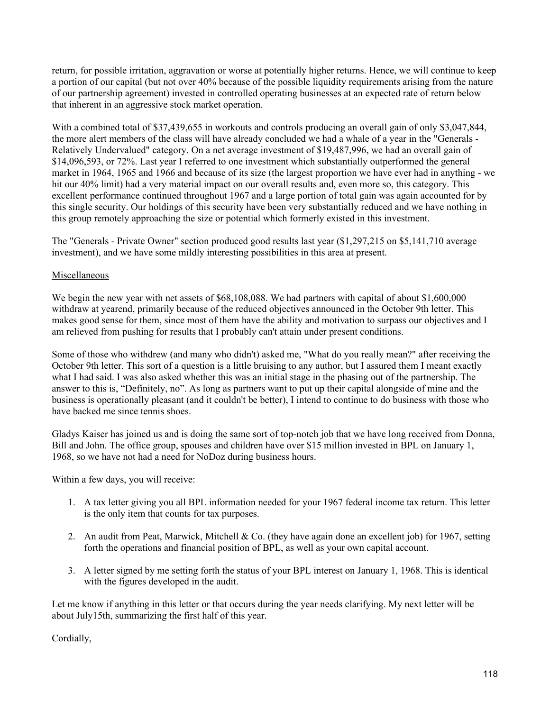return, for possible irritation, aggravation or worse at potentially higher returns. Hence, we will continue to keep a portion of our capital (but not over 40% because of the possible liquidity requirements arising from the nature of our partnership agreement) invested in controlled operating businesses at an expected rate of return below that inherent in an aggressive stock market operation.

With a combined total of \$37,439,655 in workouts and controls producing an overall gain of only \$3,047,844, the more alert members of the class will have already concluded we had a whale of a year in the "Generals - Relatively Undervalued" category. On a net average investment of \$19,487,996, we had an overall gain of \$14,096,593, or 72%. Last year I referred to one investment which substantially outperformed the general market in 1964, 1965 and 1966 and because of its size (the largest proportion we have ever had in anything - we hit our 40% limit) had a very material impact on our overall results and, even more so, this category. This excellent performance continued throughout 1967 and a large portion of total gain was again accounted for by this single security. Our holdings of this security have been very substantially reduced and we have nothing in this group remotely approaching the size or potential which formerly existed in this investment.

The "Generals - Private Owner" section produced good results last year (\$1,297,215 on \$5,141,710 average investment), and we have some mildly interesting possibilities in this area at present.

## Miscellaneous

We begin the new year with net assets of  $$68,108,088$ . We had partners with capital of about \$1,600,000 withdraw at yearend, primarily because of the reduced objectives announced in the October 9th letter. This makes good sense for them, since most of them have the ability and motivation to surpass our objectives and I am relieved from pushing for results that I probably can't attain under present conditions.

Some of those who withdrew (and many who didn't) asked me, "What do you really mean?" after receiving the October 9th letter. This sort of a question is a little bruising to any author, but I assured them I meant exactly what I had said. I was also asked whether this was an initial stage in the phasing out of the partnership. The answer to this is, "Definitely, no". As long as partners want to put up their capital alongside of mine and the business is operationally pleasant (and it couldn't be better), I intend to continue to do business with those who have backed me since tennis shoes.

Gladys Kaiser has joined us and is doing the same sort of top-notch job that we have long received from Donna, Bill and John. The office group, spouses and children have over \$15 million invested in BPL on January 1, 1968, so we have not had a need for NoDoz during business hours.

Within a few days, you will receive:

- 1. A tax letter giving you all BPL information needed for your 1967 federal income tax return. This letter is the only item that counts for tax purposes.
- 2. An audit from Peat, Marwick, Mitchell & Co. (they have again done an excellent job) for 1967, setting forth the operations and financial position of BPL, as well as your own capital account.
- 3. A letter signed by me setting forth the status of your BPL interest on January 1, 1968. This is identical with the figures developed in the audit.

Let me know if anything in this letter or that occurs during the year needs clarifying. My next letter will be about July15th, summarizing the first half of this year.

Cordially,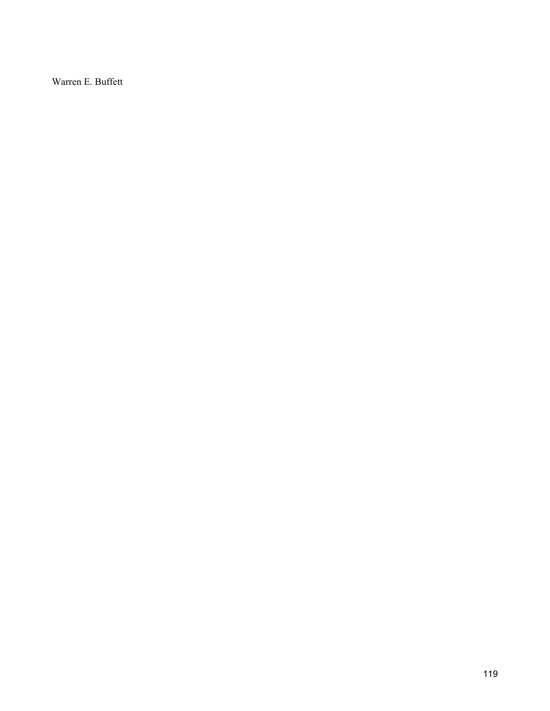Warren E. Buffett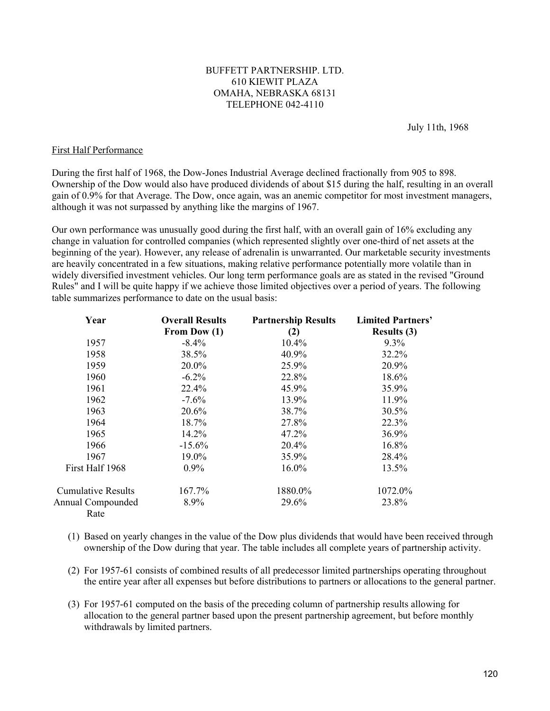#### July 11th, 1968

### First Half Performance

During the first half of 1968, the Dow-Jones Industrial Average declined fractionally from 905 to 898. Ownership of the Dow would also have produced dividends of about \$15 during the half, resulting in an overall gain of 0.9% for that Average. The Dow, once again, was an anemic competitor for most investment managers, although it was not surpassed by anything like the margins of 1967.

Our own performance was unusually good during the first half, with an overall gain of 16% excluding any change in valuation for controlled companies (which represented slightly over one-third of net assets at the beginning of the year). However, any release of adrenalin is unwarranted. Our marketable security investments are heavily concentrated in a few situations, making relative performance potentially more volatile than in widely diversified investment vehicles. Our long term performance goals are as stated in the revised "Ground Rules" and I will be quite happy if we achieve those limited objectives over a period of years. The following table summarizes performance to date on the usual basis:

| Year                      | <b>Overall Results</b> | <b>Partnership Results</b> | <b>Limited Partners'</b> |
|---------------------------|------------------------|----------------------------|--------------------------|
|                           | From Dow (1)           | (2)                        | <b>Results (3)</b>       |
| 1957                      | $-8.4\%$               | 10.4%                      | $9.3\%$                  |
| 1958                      | 38.5%                  | 40.9%                      | 32.2%                    |
| 1959                      | 20.0%                  | 25.9%                      | 20.9%                    |
| 1960                      | $-6.2\%$               | 22.8%                      | 18.6%                    |
| 1961                      | 22.4%                  | 45.9%                      | 35.9%                    |
| 1962                      | $-7.6\%$               | 13.9%                      | 11.9%                    |
| 1963                      | 20.6%                  | 38.7%                      | 30.5%                    |
| 1964                      | 18.7%                  | 27.8%                      | 22.3%                    |
| 1965                      | 14.2%                  | 47.2%                      | 36.9%                    |
| 1966                      | $-15.6%$               | 20.4%                      | 16.8%                    |
| 1967                      | 19.0%                  | 35.9%                      | 28.4%                    |
| First Half 1968           | $0.9\%$                | $16.0\%$                   | 13.5%                    |
| <b>Cumulative Results</b> | 167.7%                 | 1880.0%                    | 1072.0%                  |
| Annual Compounded         | 8.9%                   | 29.6%                      | 23.8%                    |
| Rate                      |                        |                            |                          |

- (1) Based on yearly changes in the value of the Dow plus dividends that would have been received through ownership of the Dow during that year. The table includes all complete years of partnership activity.
- (2) For 1957-61 consists of combined results of all predecessor limited partnerships operating throughout the entire year after all expenses but before distributions to partners or allocations to the general partner.
- (3) For 1957-61 computed on the basis of the preceding column of partnership results allowing for allocation to the general partner based upon the present partnership agreement, but before monthly withdrawals by limited partners.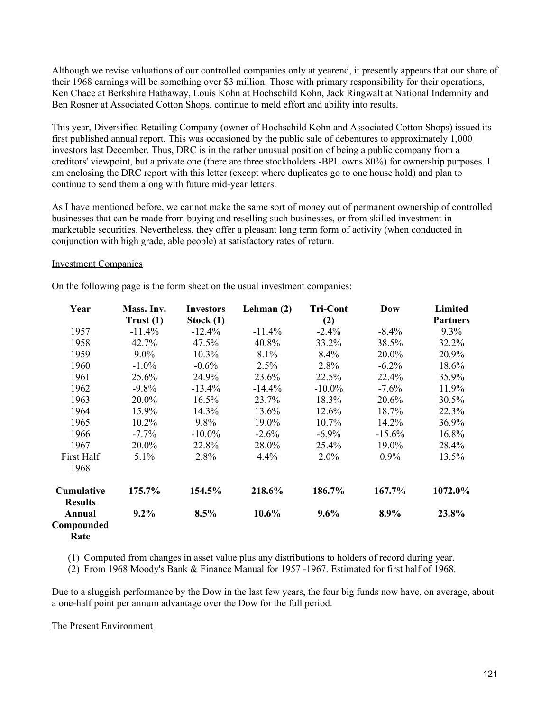Although we revise valuations of our controlled companies only at yearend, it presently appears that our share of their 1968 earnings will be something over \$3 million. Those with primary responsibility for their operations, Ken Chace at Berkshire Hathaway, Louis Kohn at Hochschild Kohn, Jack Ringwalt at National Indemnity and Ben Rosner at Associated Cotton Shops, continue to meld effort and ability into results.

This year, Diversified Retailing Company (owner of Hochschild Kohn and Associated Cotton Shops) issued its first published annual report. This was occasioned by the public sale of debentures to approximately 1,000 investors last December. Thus, DRC is in the rather unusual position of being a public company from a creditors' viewpoint, but a private one (there are three stockholders -BPL owns 80%) for ownership purposes. I am enclosing the DRC report with this letter (except where duplicates go to one house hold) and plan to continue to send them along with future mid-year letters.

As I have mentioned before, we cannot make the same sort of money out of permanent ownership of controlled businesses that can be made from buying and reselling such businesses, or from skilled investment in marketable securities. Nevertheless, they offer a pleasant long term form of activity (when conducted in conjunction with high grade, able people) at satisfactory rates of return.

### Investment Companies

On the following page is the form sheet on the usual investment companies:

| Year                         | Mass. Inv. | <b>Investors</b> | Lehman $(2)$ | <b>Tri-Cont</b> | Dow      | Limited         |
|------------------------------|------------|------------------|--------------|-----------------|----------|-----------------|
|                              | Trust(1)   | Stock $(1)$      |              | (2)             |          | <b>Partners</b> |
| 1957                         | $-11.4%$   | $-12.4%$         | $-11.4\%$    | $-2.4%$         | $-8.4\%$ | $9.3\%$         |
| 1958                         | 42.7%      | 47.5%            | 40.8%        | 33.2%           | 38.5%    | 32.2%           |
| 1959                         | $9.0\%$    | $10.3\%$         | 8.1%         | $8.4\%$         | 20.0%    | 20.9%           |
| 1960                         | $-1.0\%$   | $-0.6%$          | 2.5%         | 2.8%            | $-6.2\%$ | 18.6%           |
| 1961                         | 25.6%      | 24.9%            | 23.6%        | 22.5%           | 22.4%    | 35.9%           |
| 1962                         | $-9.8\%$   | $-13.4\%$        | $-14.4\%$    | $-10.0\%$       | $-7.6\%$ | 11.9%           |
| 1963                         | 20.0%      | 16.5%            | 23.7%        | 18.3%           | 20.6%    | 30.5%           |
| 1964                         | 15.9%      | 14.3%            | 13.6%        | 12.6%           | 18.7%    | 22.3%           |
| 1965                         | 10.2%      | 9.8%             | 19.0%        | $10.7\%$        | 14.2%    | 36.9%           |
| 1966                         | $-7.7\%$   | $-10.0\%$        | $-2.6%$      | $-6.9\%$        | $-15.6%$ | 16.8%           |
| 1967                         | 20.0%      | 22.8%            | 28.0%        | $25.4\%$        | 19.0%    | 28.4%           |
| First Half                   | $5.1\%$    | $2.8\%$          | $4.4\%$      | $2.0\%$         | $0.9\%$  | 13.5%           |
| 1968                         |            |                  |              |                 |          |                 |
| Cumulative<br><b>Results</b> | 175.7%     | 154.5%           | 218.6%       | 186.7%          | 167.7%   | 1072.0%         |
| Annual                       | $9.2\%$    | 8.5%             | 10.6%        | $9.6\%$         | 8.9%     | 23.8%           |
| Compounded<br>Rate           |            |                  |              |                 |          |                 |

(1) Computed from changes in asset value plus any distributions to holders of record during year.

(2) From 1968 Moody's Bank & Finance Manual for 1957 -1967. Estimated for first half of 1968.

Due to a sluggish performance by the Dow in the last few years, the four big funds now have, on average, about a one-half point per annum advantage over the Dow for the full period.

### The Present Environment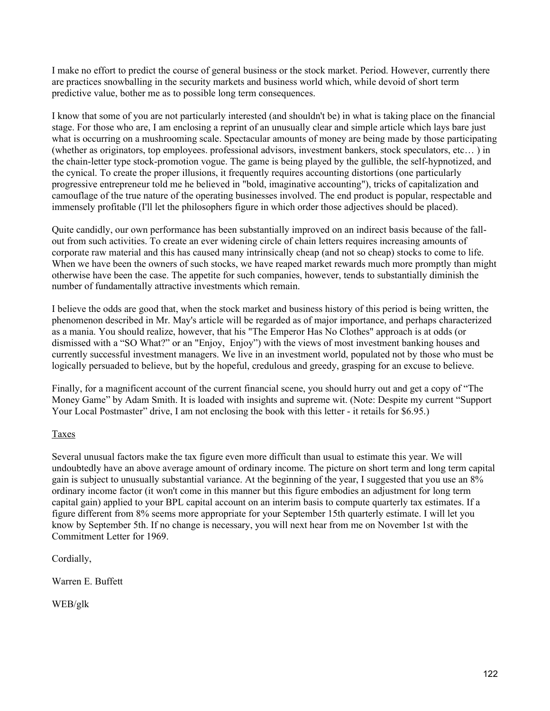I make no effort to predict the course of general business or the stock market. Period. However, currently there are practices snowballing in the security markets and business world which, while devoid of short term predictive value, bother me as to possible long term consequences.

I know that some of you are not particularly interested (and shouldn't be) in what is taking place on the financial stage. For those who are, I am enclosing a reprint of an unusually clear and simple article which lays bare just what is occurring on a mushrooming scale. Spectacular amounts of money are being made by those participating (whether as originators, top employees. professional advisors, investment bankers, stock speculators, etc… ) in the chain-letter type stock-promotion vogue. The game is being played by the gullible, the self-hypnotized, and the cynical. To create the proper illusions, it frequently requires accounting distortions (one particularly progressive entrepreneur told me he believed in "bold, imaginative accounting"), tricks of capitalization and camouflage of the true nature of the operating businesses involved. The end product is popular, respectable and immensely profitable (I'll let the philosophers figure in which order those adjectives should be placed).

Quite candidly, our own performance has been substantially improved on an indirect basis because of the fallout from such activities. To create an ever widening circle of chain letters requires increasing amounts of corporate raw material and this has caused many intrinsically cheap (and not so cheap) stocks to come to life. When we have been the owners of such stocks, we have reaped market rewards much more promptly than might otherwise have been the case. The appetite for such companies, however, tends to substantially diminish the number of fundamentally attractive investments which remain.

I believe the odds are good that, when the stock market and business history of this period is being written, the phenomenon described in Mr. May's article will be regarded as of major importance, and perhaps characterized as a mania. You should realize, however, that his "The Emperor Has No Clothes" approach is at odds (or dismissed with a "SO What?" or an "Enjoy, Enjoy") with the views of most investment banking houses and currently successful investment managers. We live in an investment world, populated not by those who must be logically persuaded to believe, but by the hopeful, credulous and greedy, grasping for an excuse to believe.

Finally, for a magnificent account of the current financial scene, you should hurry out and get a copy of "The Money Game" by Adam Smith. It is loaded with insights and supreme wit. (Note: Despite my current "Support Your Local Postmaster" drive, I am not enclosing the book with this letter - it retails for \$6.95.)

# Taxes

Several unusual factors make the tax figure even more difficult than usual to estimate this year. We will undoubtedly have an above average amount of ordinary income. The picture on short term and long term capital gain is subject to unusually substantial variance. At the beginning of the year, I suggested that you use an 8% ordinary income factor (it won't come in this manner but this figure embodies an adjustment for long term capital gain) applied to your BPL capital account on an interim basis to compute quarterly tax estimates. If a figure different from 8% seems more appropriate for your September 15th quarterly estimate. I will let you know by September 5th. If no change is necessary, you will next hear from me on November 1st with the Commitment Letter for 1969.

Cordially,

Warren E. Buffett

WEB/glk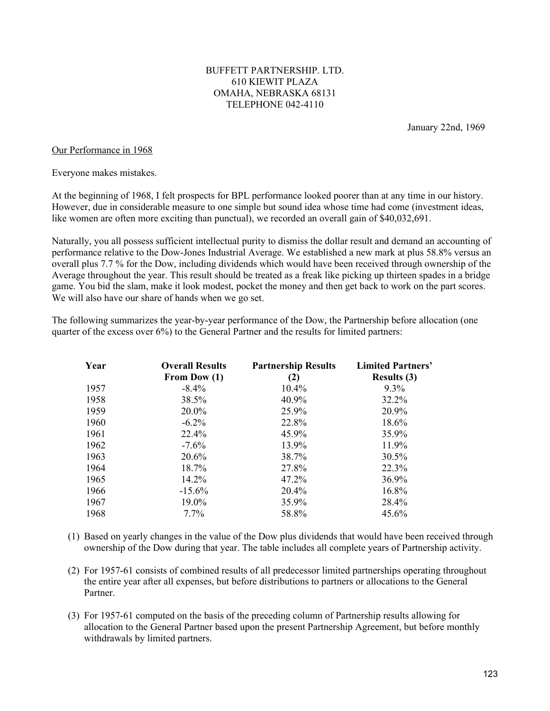January 22nd, 1969

Our Performance in 1968

Everyone makes mistakes.

At the beginning of 1968, I felt prospects for BPL performance looked poorer than at any time in our history. However, due in considerable measure to one simple but sound idea whose time had come (investment ideas, like women are often more exciting than punctual), we recorded an overall gain of \$40,032,691.

Naturally, you all possess sufficient intellectual purity to dismiss the dollar result and demand an accounting of performance relative to the Dow-Jones Industrial Average. We established a new mark at plus 58.8% versus an overall plus 7.7 % for the Dow, including dividends which would have been received through ownership of the Average throughout the year. This result should be treated as a freak like picking up thirteen spades in a bridge game. You bid the slam, make it look modest, pocket the money and then get back to work on the part scores. We will also have our share of hands when we go set.

The following summarizes the year-by-year performance of the Dow, the Partnership before allocation (one quarter of the excess over 6%) to the General Partner and the results for limited partners:

| Year | <b>Overall Results</b><br>From Dow (1) | <b>Partnership Results</b><br>(2) | <b>Limited Partners'</b><br><b>Results (3)</b> |
|------|----------------------------------------|-----------------------------------|------------------------------------------------|
| 1957 | $-8.4\%$                               | $10.4\%$                          | $9.3\%$                                        |
| 1958 | 38.5%                                  | 40.9%                             | $32.2\%$                                       |
| 1959 | 20.0%                                  | 25.9%                             | 20.9%                                          |
| 1960 | $-6.2\%$                               | 22.8%                             | 18.6%                                          |
| 1961 | 22.4%                                  | 45.9%                             | 35.9%                                          |
| 1962 | $-7.6\%$                               | 13.9%                             | 11.9%                                          |
| 1963 | 20.6%                                  | 38.7%                             | 30.5%                                          |
| 1964 | 18.7%                                  | 27.8%                             | 22.3%                                          |
| 1965 | $14.2\%$                               | 47.2%                             | 36.9%                                          |
| 1966 | $-15.6\%$                              | 20.4%                             | 16.8%                                          |
| 1967 | 19.0%                                  | 35.9%                             | 28.4%                                          |
| 1968 | $7.7\%$                                | 58.8%                             | 45.6%                                          |

- (1) Based on yearly changes in the value of the Dow plus dividends that would have been received through ownership of the Dow during that year. The table includes all complete years of Partnership activity.
- (2) For 1957-61 consists of combined results of all predecessor limited partnerships operating throughout the entire year after all expenses, but before distributions to partners or allocations to the General Partner.
- (3) For 1957-61 computed on the basis of the preceding column of Partnership results allowing for allocation to the General Partner based upon the present Partnership Agreement, but before monthly withdrawals by limited partners.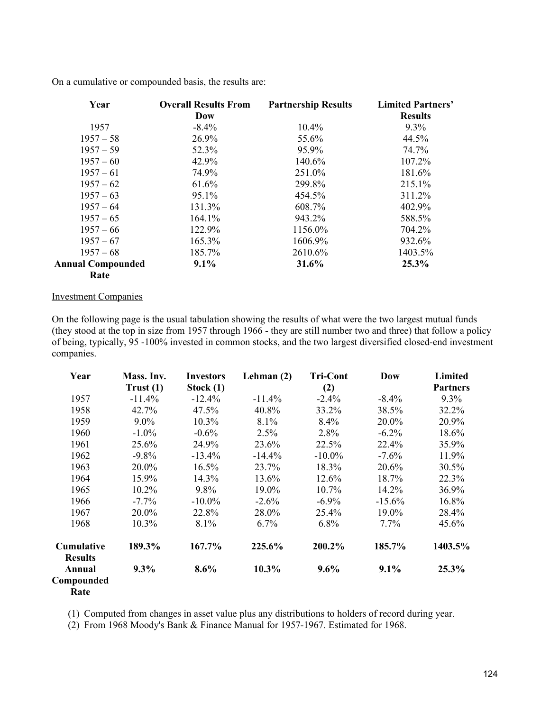On a cumulative or compounded basis, the results are:

| Year                     | <b>Overall Results From</b><br>Dow | <b>Partnership Results</b> | <b>Limited Partners'</b><br><b>Results</b> |
|--------------------------|------------------------------------|----------------------------|--------------------------------------------|
| 1957                     | $-8.4\%$                           | 10.4%                      | $9.3\%$                                    |
| $1957 - 58$              | 26.9%                              | 55.6%                      | 44.5%                                      |
| $1957 - 59$              | 52.3%                              | 95.9%                      | 74.7%                                      |
| $1957 - 60$              | 42.9%                              | 140.6%                     | 107.2%                                     |
| $1957 - 61$              | 74.9%                              | 251.0%                     | 181.6%                                     |
| $1957 - 62$              | 61.6%                              | 299.8%                     | 215.1%                                     |
| $1957 - 63$              | 95.1%                              | 454.5%                     | 311.2%                                     |
| $1957 - 64$              | 131.3%                             | 608.7%                     | 402.9%                                     |
| $1957 - 65$              | 164.1%                             | 943.2%                     | 588.5%                                     |
| $1957 - 66$              | 122.9%                             | 1156.0%                    | 704.2%                                     |
| $1957 - 67$              | 165.3%                             | 1606.9%                    | 932.6%                                     |
| $1957 - 68$              | 185.7%                             | 2610.6%                    | 1403.5%                                    |
| <b>Annual Compounded</b> | 9.1%                               | 31.6%                      | $25.3\%$                                   |
| Rate                     |                                    |                            |                                            |

### Investment Companies

On the following page is the usual tabulation showing the results of what were the two largest mutual funds (they stood at the top in size from 1957 through 1966 - they are still number two and three) that follow a policy of being, typically, 95 -100% invested in common stocks, and the two largest diversified closed-end investment companies.

| Year                                | Mass. Inv.  | <b>Investors</b> | Lehman $(2)$ | <b>Tri-Cont</b> | Dow      | <b>Limited</b>  |
|-------------------------------------|-------------|------------------|--------------|-----------------|----------|-----------------|
|                                     | Trust $(1)$ | Stock $(1)$      |              | (2)             |          | <b>Partners</b> |
| 1957                                | $-11.4%$    | $-12.4%$         | $-11.4%$     | $-2.4%$         | $-8.4\%$ | 9.3%            |
| 1958                                | 42.7%       | 47.5%            | 40.8%        | 33.2%           | 38.5%    | 32.2%           |
| 1959                                | $9.0\%$     | 10.3%            | 8.1%         | 8.4%            | 20.0%    | 20.9%           |
| 1960                                | $-1.0\%$    | $-0.6\%$         | 2.5%         | 2.8%            | $-6.2\%$ | 18.6%           |
| 1961                                | 25.6%       | 24.9%            | 23.6%        | 22.5%           | 22.4%    | 35.9%           |
| 1962                                | $-9.8\%$    | $-13.4%$         | $-14.4%$     | $-10.0\%$       | $-7.6\%$ | 11.9%           |
| 1963                                | 20.0%       | 16.5%            | 23.7%        | 18.3%           | 20.6%    | 30.5%           |
| 1964                                | 15.9%       | 14.3%            | 13.6%        | 12.6%           | 18.7%    | 22.3%           |
| 1965                                | $10.2\%$    | $9.8\%$          | 19.0%        | $10.7\%$        | $14.2\%$ | 36.9%           |
| 1966                                | $-7.7\%$    | $-10.0\%$        | $-2.6\%$     | $-6.9\%$        | $-15.6%$ | 16.8%           |
| 1967                                | 20.0%       | 22.8%            | 28.0%        | $25.4\%$        | 19.0%    | 28.4%           |
| 1968                                | 10.3%       | 8.1%             | 6.7%         | 6.8%            | $7.7\%$  | 45.6%           |
| <b>Cumulative</b><br><b>Results</b> | 189.3%      | 167.7%           | 225.6%       | 200.2%          | 185.7%   | 1403.5%         |
| Annual<br>Compounded<br>Rate        | $9.3\%$     | $8.6\%$          | 10.3%        | 9.6%            | 9.1%     | 25.3%           |

(1) Computed from changes in asset value plus any distributions to holders of record during year.

(2) From 1968 Moody's Bank & Finance Manual for 1957-1967. Estimated for 1968.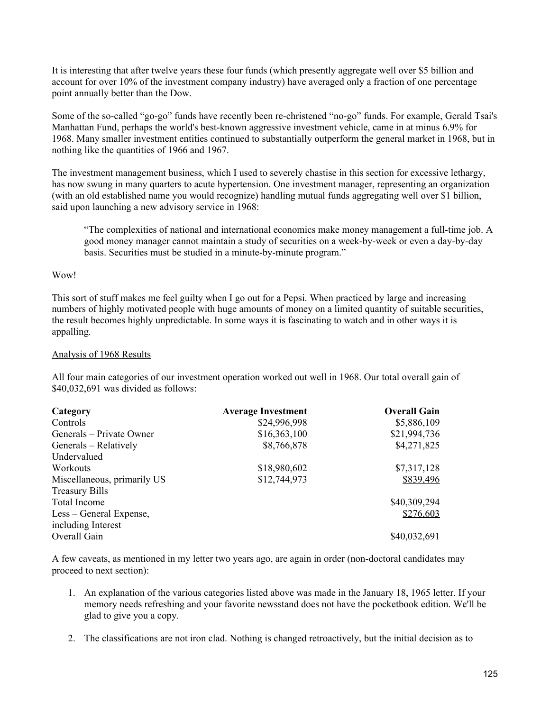It is interesting that after twelve years these four funds (which presently aggregate well over \$5 billion and account for over 10% of the investment company industry) have averaged only a fraction of one percentage point annually better than the Dow.

Some of the so-called "go-go" funds have recently been re-christened "no-go" funds. For example, Gerald Tsai's Manhattan Fund, perhaps the world's best-known aggressive investment vehicle, came in at minus 6.9% for 1968. Many smaller investment entities continued to substantially outperform the general market in 1968, but in nothing like the quantities of 1966 and 1967.

The investment management business, which I used to severely chastise in this section for excessive lethargy, has now swung in many quarters to acute hypertension. One investment manager, representing an organization (with an old established name you would recognize) handling mutual funds aggregating well over \$1 billion, said upon launching a new advisory service in 1968:

"The complexities of national and international economics make money management a full-time job. A good money manager cannot maintain a study of securities on a week-by-week or even a day-by-day basis. Securities must be studied in a minute-by-minute program."

## Wow!

This sort of stuff makes me feel guilty when I go out for a Pepsi. When practiced by large and increasing numbers of highly motivated people with huge amounts of money on a limited quantity of suitable securities, the result becomes highly unpredictable. In some ways it is fascinating to watch and in other ways it is appalling.

## Analysis of 1968 Results

All four main categories of our investment operation worked out well in 1968. Our total overall gain of \$40,032,691 was divided as follows:

| Category                    | <b>Average Investment</b> | <b>Overall Gain</b> |
|-----------------------------|---------------------------|---------------------|
| Controls                    | \$24,996,998              | \$5,886,109         |
| Generals – Private Owner    | \$16,363,100              | \$21,994,736        |
| Generals – Relatively       | \$8,766,878               | \$4,271,825         |
| Undervalued                 |                           |                     |
| Workouts                    | \$18,980,602              | \$7,317,128         |
| Miscellaneous, primarily US | \$12,744,973              | \$839,496           |
| <b>Treasury Bills</b>       |                           |                     |
| Total Income                |                           | \$40,309,294        |
| Less – General Expense,     |                           | \$276,603           |
| including Interest          |                           |                     |
| Overall Gain                |                           | \$40,032,691        |

A few caveats, as mentioned in my letter two years ago, are again in order (non-doctoral candidates may proceed to next section):

- 1. An explanation of the various categories listed above was made in the January 18, 1965 letter. If your memory needs refreshing and your favorite newsstand does not have the pocketbook edition. We'll be glad to give you a copy.
- 2. The classifications are not iron clad. Nothing is changed retroactively, but the initial decision as to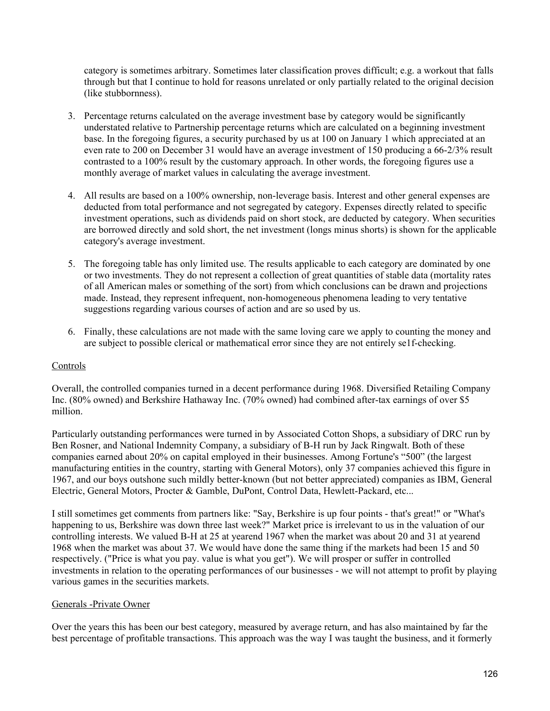category is sometimes arbitrary. Sometimes later classification proves difficult; e.g. a workout that falls through but that I continue to hold for reasons unrelated or only partially related to the original decision (like stubbornness).

- 3. Percentage returns calculated on the average investment base by category would be significantly understated relative to Partnership percentage returns which are calculated on a beginning investment base. In the foregoing figures, a security purchased by us at 100 on January 1 which appreciated at an even rate to 200 on December 31 would have an average investment of 150 producing a 66-2/3% result contrasted to a 100% result by the customary approach. In other words, the foregoing figures use a monthly average of market values in calculating the average investment.
- 4. All results are based on a 100% ownership, non-leverage basis. Interest and other general expenses are deducted from total performance and not segregated by category. Expenses directly related to specific investment operations, such as dividends paid on short stock, are deducted by category. When securities are borrowed directly and sold short, the net investment (longs minus shorts) is shown for the applicable category's average investment.
- 5. The foregoing table has only limited use. The results applicable to each category are dominated by one or two investments. They do not represent a collection of great quantities of stable data (mortality rates of all American males or something of the sort) from which conclusions can be drawn and projections made. Instead, they represent infrequent, non-homogeneous phenomena leading to very tentative suggestions regarding various courses of action and are so used by us.
- 6. Finally, these calculations are not made with the same loving care we apply to counting the money and are subject to possible clerical or mathematical error since they are not entirely se1f-checking.

# Controls

Overall, the controlled companies turned in a decent performance during 1968. Diversified Retailing Company Inc. (80% owned) and Berkshire Hathaway Inc. (70% owned) had combined after-tax earnings of over \$5 million.

Particularly outstanding performances were turned in by Associated Cotton Shops, a subsidiary of DRC run by Ben Rosner, and National Indemnity Company, a subsidiary of B-H run by Jack Ringwalt. Both of these companies earned about 20% on capital employed in their businesses. Among Fortune's "500" (the largest manufacturing entities in the country, starting with General Motors), only 37 companies achieved this figure in 1967, and our boys outshone such mildly better-known (but not better appreciated) companies as IBM, General Electric, General Motors, Procter & Gamble, DuPont, Control Data, Hewlett-Packard, etc...

I still sometimes get comments from partners like: "Say, Berkshire is up four points - that's great!" or "What's happening to us, Berkshire was down three last week?" Market price is irrelevant to us in the valuation of our controlling interests. We valued B-H at 25 at yearend 1967 when the market was about 20 and 31 at yearend 1968 when the market was about 37. We would have done the same thing if the markets had been 15 and 50 respectively. ("Price is what you pay. value is what you get"). We will prosper or suffer in controlled investments in relation to the operating performances of our businesses - we will not attempt to profit by playing various games in the securities markets.

### Generals -Private Owner

Over the years this has been our best category, measured by average return, and has also maintained by far the best percentage of profitable transactions. This approach was the way I was taught the business, and it formerly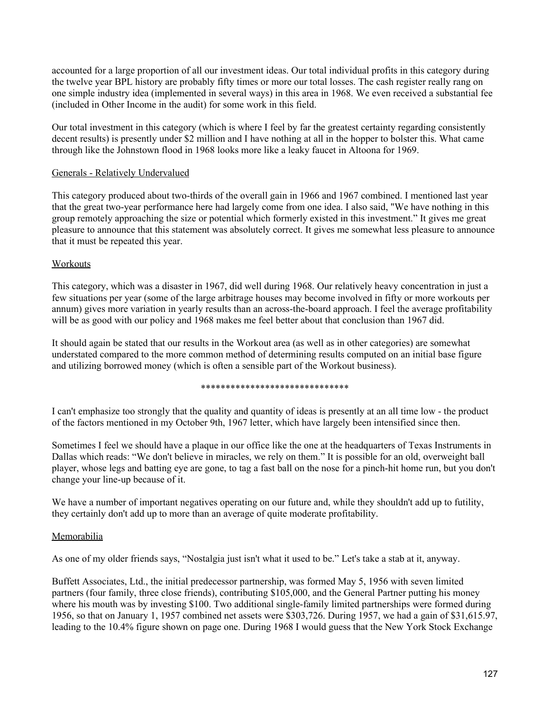accounted for a large proportion of all our investment ideas. Our total individual profits in this category during the twelve year BPL history are probably fifty times or more our total losses. The cash register really rang on one simple industry idea (implemented in several ways) in this area in 1968. We even received a substantial fee (included in Other Income in the audit) for some work in this field.

Our total investment in this category (which is where I feel by far the greatest certainty regarding consistently decent results) is presently under \$2 million and I have nothing at all in the hopper to bolster this. What came through like the Johnstown flood in 1968 looks more like a leaky faucet in Altoona for 1969.

## Generals - Relatively Undervalued

This category produced about two-thirds of the overall gain in 1966 and 1967 combined. I mentioned last year that the great two-year performance here had largely come from one idea. I also said, "We have nothing in this group remotely approaching the size or potential which formerly existed in this investment." It gives me great pleasure to announce that this statement was absolutely correct. It gives me somewhat less pleasure to announce that it must be repeated this year.

## **Workouts**

This category, which was a disaster in 1967, did well during 1968. Our relatively heavy concentration in just a few situations per year (some of the large arbitrage houses may become involved in fifty or more workouts per annum) gives more variation in yearly results than an across-the-board approach. I feel the average profitability will be as good with our policy and 1968 makes me feel better about that conclusion than 1967 did.

It should again be stated that our results in the Workout area (as well as in other categories) are somewhat understated compared to the more common method of determining results computed on an initial base figure and utilizing borrowed money (which is often a sensible part of the Workout business).

#### \*\*\*\*\*\*\*\*\*\*\*\*\*\*\*\*\*\*\*\*\*\*\*\*\*\*\*\*\*\*

I can't emphasize too strongly that the quality and quantity of ideas is presently at an all time low - the product of the factors mentioned in my October 9th, 1967 letter, which have largely been intensified since then.

Sometimes I feel we should have a plaque in our office like the one at the headquarters of Texas Instruments in Dallas which reads: "We don't believe in miracles, we rely on them." It is possible for an old, overweight ball player, whose legs and batting eye are gone, to tag a fast ball on the nose for a pinch-hit home run, but you don't change your line-up because of it.

We have a number of important negatives operating on our future and, while they shouldn't add up to futility, they certainly don't add up to more than an average of quite moderate profitability.

### Memorabilia

As one of my older friends says, "Nostalgia just isn't what it used to be." Let's take a stab at it, anyway.

Buffett Associates, Ltd., the initial predecessor partnership, was formed May 5, 1956 with seven limited partners (four family, three close friends), contributing \$105,000, and the General Partner putting his money where his mouth was by investing \$100. Two additional single-family limited partnerships were formed during 1956, so that on January 1, 1957 combined net assets were \$303,726. During 1957, we had a gain of \$31,615.97, leading to the 10.4% figure shown on page one. During 1968 I would guess that the New York Stock Exchange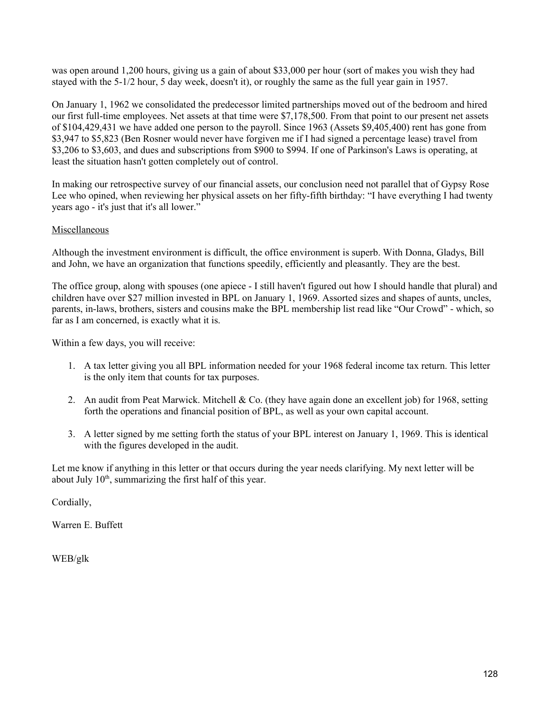was open around 1,200 hours, giving us a gain of about \$33,000 per hour (sort of makes you wish they had stayed with the 5-1/2 hour, 5 day week, doesn't it), or roughly the same as the full year gain in 1957.

On January 1, 1962 we consolidated the predecessor limited partnerships moved out of the bedroom and hired our first full-time employees. Net assets at that time were \$7,178,500. From that point to our present net assets of \$104,429,431 we have added one person to the payroll. Since 1963 (Assets \$9,405,400) rent has gone from \$3,947 to \$5,823 (Ben Rosner would never have forgiven me if I had signed a percentage lease) travel from \$3,206 to \$3,603, and dues and subscriptions from \$900 to \$994. If one of Parkinson's Laws is operating, at least the situation hasn't gotten completely out of control.

In making our retrospective survey of our financial assets, our conclusion need not parallel that of Gypsy Rose Lee who opined, when reviewing her physical assets on her fifty-fifth birthday: "I have everything I had twenty years ago - it's just that it's all lower."

# Miscellaneous

Although the investment environment is difficult, the office environment is superb. With Donna, Gladys, Bill and John, we have an organization that functions speedily, efficiently and pleasantly. They are the best.

The office group, along with spouses (one apiece - I still haven't figured out how I should handle that plural) and children have over \$27 million invested in BPL on January 1, 1969. Assorted sizes and shapes of aunts, uncles, parents, in-laws, brothers, sisters and cousins make the BPL membership list read like "Our Crowd" - which, so far as I am concerned, is exactly what it is.

Within a few days, you will receive:

- 1. A tax letter giving you all BPL information needed for your 1968 federal income tax return. This letter is the only item that counts for tax purposes.
- 2. An audit from Peat Marwick. Mitchell & Co. (they have again done an excellent job) for 1968, setting forth the operations and financial position of BPL, as well as your own capital account.
- 3. A letter signed by me setting forth the status of your BPL interest on January 1, 1969. This is identical with the figures developed in the audit.

Let me know if anything in this letter or that occurs during the year needs clarifying. My next letter will be about July  $10<sup>th</sup>$ , summarizing the first half of this year.

Cordially,

Warren E. Buffett

WEB/glk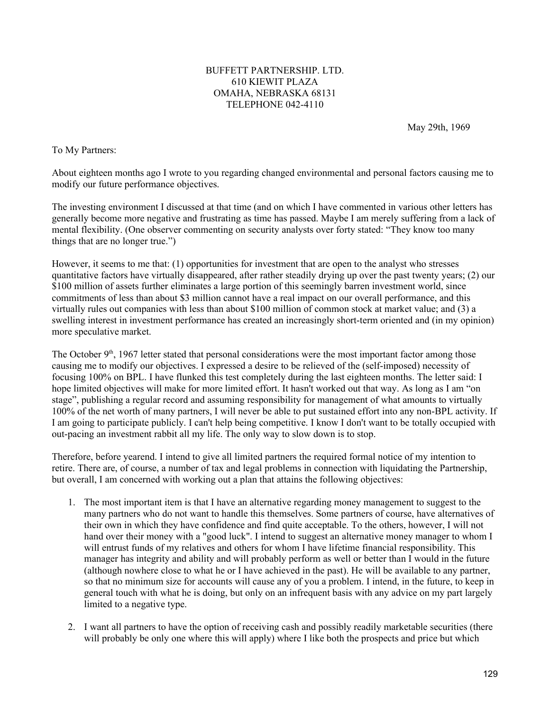May 29th, 1969

To My Partners:

About eighteen months ago I wrote to you regarding changed environmental and personal factors causing me to modify our future performance objectives.

The investing environment I discussed at that time (and on which I have commented in various other letters has generally become more negative and frustrating as time has passed. Maybe I am merely suffering from a lack of mental flexibility. (One observer commenting on security analysts over forty stated: "They know too many things that are no longer true.")

However, it seems to me that: (1) opportunities for investment that are open to the analyst who stresses quantitative factors have virtually disappeared, after rather steadily drying up over the past twenty years; (2) our \$100 million of assets further eliminates a large portion of this seemingly barren investment world, since commitments of less than about \$3 million cannot have a real impact on our overall performance, and this virtually rules out companies with less than about \$100 million of common stock at market value; and (3) a swelling interest in investment performance has created an increasingly short-term oriented and (in my opinion) more speculative market.

The October  $9<sup>th</sup>$ , 1967 letter stated that personal considerations were the most important factor among those causing me to modify our objectives. I expressed a desire to be relieved of the (self-imposed) necessity of focusing 100% on BPL. I have flunked this test completely during the last eighteen months. The letter said: I hope limited objectives will make for more limited effort. It hasn't worked out that way. As long as I am "on stage", publishing a regular record and assuming responsibility for management of what amounts to virtually 100% of the net worth of many partners, I will never be able to put sustained effort into any non-BPL activity. If I am going to participate publicly. I can't help being competitive. I know I don't want to be totally occupied with out-pacing an investment rabbit all my life. The only way to slow down is to stop.

Therefore, before yearend. I intend to give all limited partners the required formal notice of my intention to retire. There are, of course, a number of tax and legal problems in connection with liquidating the Partnership, but overall, I am concerned with working out a plan that attains the following objectives:

- 1. The most important item is that I have an alternative regarding money management to suggest to the many partners who do not want to handle this themselves. Some partners of course, have alternatives of their own in which they have confidence and find quite acceptable. To the others, however, I will not hand over their money with a "good luck". I intend to suggest an alternative money manager to whom I will entrust funds of my relatives and others for whom I have lifetime financial responsibility. This manager has integrity and ability and will probably perform as well or better than I would in the future (although nowhere close to what he or I have achieved in the past). He will be available to any partner, so that no minimum size for accounts will cause any of you a problem. I intend, in the future, to keep in general touch with what he is doing, but only on an infrequent basis with any advice on my part largely limited to a negative type.
- 2. I want all partners to have the option of receiving cash and possibly readily marketable securities (there will probably be only one where this will apply) where I like both the prospects and price but which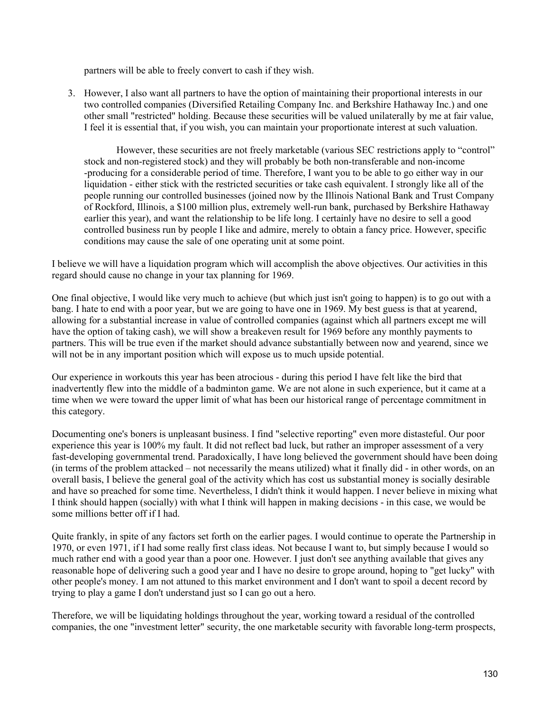partners will be able to freely convert to cash if they wish.

3. However, I also want all partners to have the option of maintaining their proportional interests in our two controlled companies (Diversified Retailing Company Inc. and Berkshire Hathaway Inc.) and one other small "restricted" holding. Because these securities will be valued unilaterally by me at fair value, I feel it is essential that, if you wish, you can maintain your proportionate interest at such valuation.

However, these securities are not freely marketable (various SEC restrictions apply to "control" stock and non-registered stock) and they will probably be both non-transferable and non-income -producing for a considerable period of time. Therefore, I want you to be able to go either way in our liquidation - either stick with the restricted securities or take cash equivalent. I strongly like all of the people running our controlled businesses (joined now by the Illinois National Bank and Trust Company of Rockford, Illinois, a \$100 million plus, extremely well-run bank, purchased by Berkshire Hathaway earlier this year), and want the relationship to be life long. I certainly have no desire to sell a good controlled business run by people I like and admire, merely to obtain a fancy price. However, specific conditions may cause the sale of one operating unit at some point.

I believe we will have a liquidation program which will accomplish the above objectives. Our activities in this regard should cause no change in your tax planning for 1969.

One final objective, I would like very much to achieve (but which just isn't going to happen) is to go out with a bang. I hate to end with a poor year, but we are going to have one in 1969. My best guess is that at yearend, allowing for a substantial increase in value of controlled companies (against which all partners except me will have the option of taking cash), we will show a breakeven result for 1969 before any monthly payments to partners. This will be true even if the market should advance substantially between now and yearend, since we will not be in any important position which will expose us to much upside potential.

Our experience in workouts this year has been atrocious - during this period I have felt like the bird that inadvertently flew into the middle of a badminton game. We are not alone in such experience, but it came at a time when we were toward the upper limit of what has been our historical range of percentage commitment in this category.

Documenting one's boners is unpleasant business. I find "selective reporting" even more distasteful. Our poor experience this year is 100% my fault. It did not reflect bad luck, but rather an improper assessment of a very fast-developing governmental trend. Paradoxically, I have long believed the government should have been doing (in terms of the problem attacked – not necessarily the means utilized) what it finally did - in other words, on an overall basis, I believe the general goal of the activity which has cost us substantial money is socially desirable and have so preached for some time. Nevertheless, I didn't think it would happen. I never believe in mixing what I think should happen (socially) with what I think will happen in making decisions - in this case, we would be some millions better off if I had.

Quite frankly, in spite of any factors set forth on the earlier pages. I would continue to operate the Partnership in 1970, or even 1971, if I had some really first class ideas. Not because I want to, but simply because I would so much rather end with a good year than a poor one. However. I just don't see anything available that gives any reasonable hope of delivering such a good year and I have no desire to grope around, hoping to "get lucky" with other people's money. I am not attuned to this market environment and I don't want to spoil a decent record by trying to play a game I don't understand just so I can go out a hero.

Therefore, we will be liquidating holdings throughout the year, working toward a residual of the controlled companies, the one "investment letter" security, the one marketable security with favorable long-term prospects,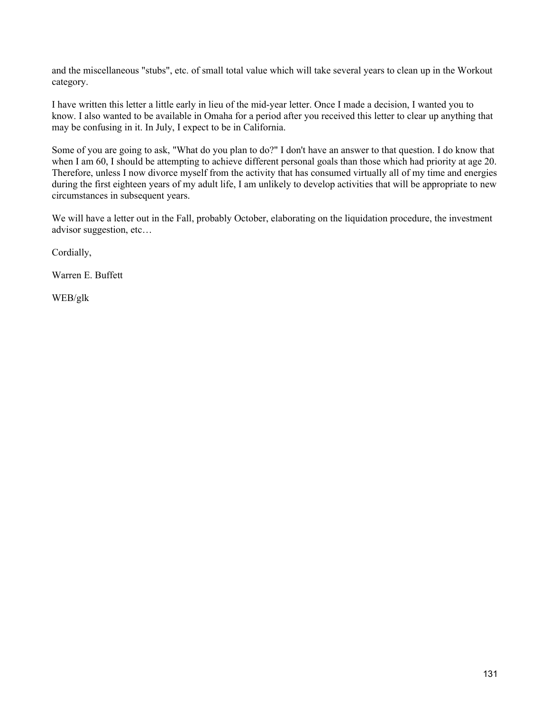and the miscellaneous "stubs", etc. of small total value which will take several years to clean up in the Workout category.

I have written this letter a little early in lieu of the mid-year letter. Once I made a decision, I wanted you to know. I also wanted to be available in Omaha for a period after you received this letter to clear up anything that may be confusing in it. In July, I expect to be in California.

Some of you are going to ask, "What do you plan to do?" I don't have an answer to that question. I do know that when I am 60, I should be attempting to achieve different personal goals than those which had priority at age 20. Therefore, unless I now divorce myself from the activity that has consumed virtually all of my time and energies during the first eighteen years of my adult life, I am unlikely to develop activities that will be appropriate to new circumstances in subsequent years.

We will have a letter out in the Fall, probably October, elaborating on the liquidation procedure, the investment advisor suggestion, etc…

Cordially,

Warren E. Buffett

WEB/glk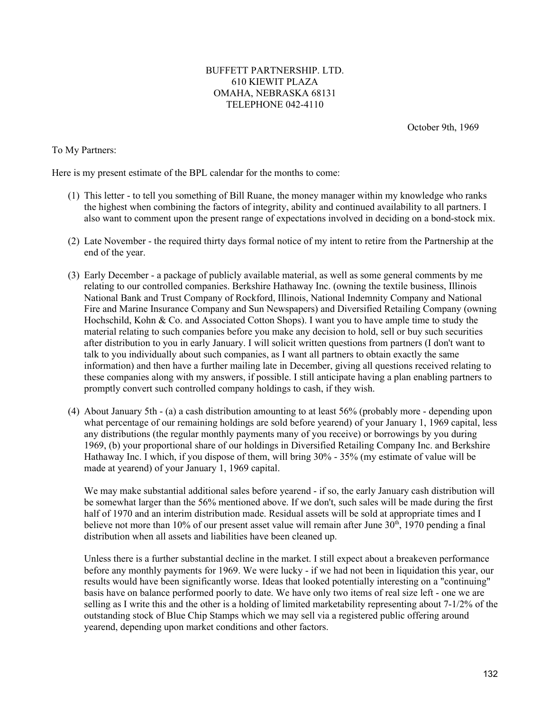October 9th, 1969

## To My Partners:

Here is my present estimate of the BPL calendar for the months to come:

- (1) This letter to tell you something of Bill Ruane, the money manager within my knowledge who ranks the highest when combining the factors of integrity, ability and continued availability to all partners. I also want to comment upon the present range of expectations involved in deciding on a bond-stock mix.
- (2) Late November the required thirty days formal notice of my intent to retire from the Partnership at the end of the year.
- (3) Early December a package of publicly available material, as well as some general comments by me relating to our controlled companies. Berkshire Hathaway Inc. (owning the textile business, Illinois National Bank and Trust Company of Rockford, Illinois, National Indemnity Company and National Fire and Marine Insurance Company and Sun Newspapers) and Diversified Retailing Company (owning Hochschild, Kohn & Co. and Associated Cotton Shops). I want you to have ample time to study the material relating to such companies before you make any decision to hold, sell or buy such securities after distribution to you in early January. I will solicit written questions from partners (I don't want to talk to you individually about such companies, as I want all partners to obtain exactly the same information) and then have a further mailing late in December, giving all questions received relating to these companies along with my answers, if possible. I still anticipate having a plan enabling partners to promptly convert such controlled company holdings to cash, if they wish.
- (4) About January 5th (a) a cash distribution amounting to at least 56% (probably more depending upon what percentage of our remaining holdings are sold before yearend) of your January 1, 1969 capital, less any distributions (the regular monthly payments many of you receive) or borrowings by you during 1969, (b) your proportional share of our holdings in Diversified Retailing Company Inc. and Berkshire Hathaway Inc. I which, if you dispose of them, will bring 30% - 35% (my estimate of value will be made at yearend) of your January 1, 1969 capital.

We may make substantial additional sales before yearend - if so, the early January cash distribution will be somewhat larger than the 56% mentioned above. If we don't, such sales will be made during the first half of 1970 and an interim distribution made. Residual assets will be sold at appropriate times and I believe not more than 10% of our present asset value will remain after June  $30<sup>th</sup>$ , 1970 pending a final distribution when all assets and liabilities have been cleaned up.

Unless there is a further substantial decline in the market. I still expect about a breakeven performance before any monthly payments for 1969. We were lucky - if we had not been in liquidation this year, our results would have been significantly worse. Ideas that looked potentially interesting on a "continuing" basis have on balance performed poorly to date. We have only two items of real size left - one we are selling as I write this and the other is a holding of limited marketability representing about 7-1/2% of the outstanding stock of Blue Chip Stamps which we may sell via a registered public offering around yearend, depending upon market conditions and other factors.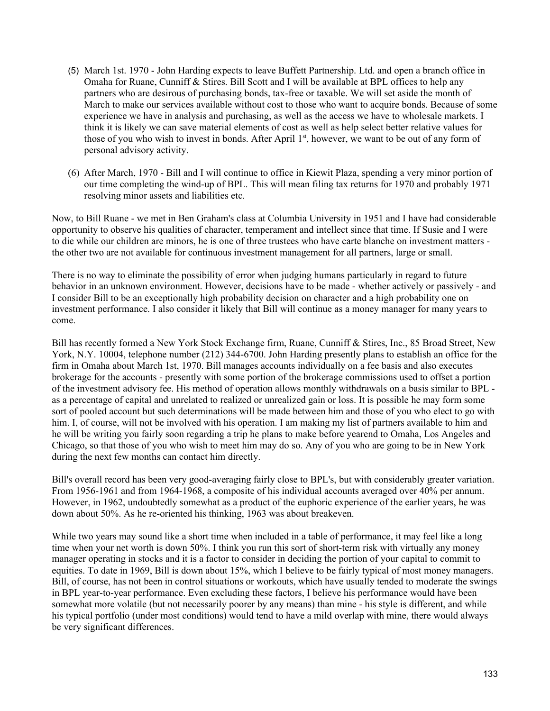- (5) March 1st. 1970 John Harding expects to leave Buffett Partnership. Ltd. and open a branch office in Omaha for Ruane, Cunniff & Stires. Bill Scott and I will be available at BPL offices to help any partners who are desirous of purchasing bonds, tax-free or taxable. We will set aside the month of March to make our services available without cost to those who want to acquire bonds. Because of some experience we have in analysis and purchasing, as well as the access we have to wholesale markets. I think it is likely we can save material elements of cost as well as help select better relative values for those of you who wish to invest in bonds. After April 1<sup>st</sup>, however, we want to be out of any form of personal advisory activity.
- (6) After March, 1970 Bill and I will continue to office in Kiewit Plaza, spending a very minor portion of our time completing the wind-up of BPL. This will mean filing tax returns for 1970 and probably 1971 resolving minor assets and liabilities etc.

Now, to Bill Ruane - we met in Ben Graham's class at Columbia University in 1951 and I have had considerable opportunity to observe his qualities of character, temperament and intellect since that time. If Susie and I were to die while our children are minors, he is one of three trustees who have carte blanche on investment matters the other two are not available for continuous investment management for all partners, large or small.

There is no way to eliminate the possibility of error when judging humans particularly in regard to future behavior in an unknown environment. However, decisions have to be made - whether actively or passively - and I consider Bill to be an exceptionally high probability decision on character and a high probability one on investment performance. I also consider it likely that Bill will continue as a money manager for many years to come.

Bill has recently formed a New York Stock Exchange firm, Ruane, Cunniff & Stires, Inc., 85 Broad Street, New York, N.Y. 10004, telephone number (212) 344-6700. John Harding presently plans to establish an office for the firm in Omaha about March 1st, 1970. Bill manages accounts individually on a fee basis and also executes brokerage for the accounts - presently with some portion of the brokerage commissions used to offset a portion of the investment advisory fee. His method of operation allows monthly withdrawals on a basis similar to BPL as a percentage of capital and unrelated to realized or unrealized gain or loss. It is possible he may form some sort of pooled account but such determinations will be made between him and those of you who elect to go with him. I, of course, will not be involved with his operation. I am making my list of partners available to him and he will be writing you fairly soon regarding a trip he plans to make before yearend to Omaha, Los Angeles and Chicago, so that those of you who wish to meet him may do so. Any of you who are going to be in New York during the next few months can contact him directly.

Bill's overall record has been very good-averaging fairly close to BPL's, but with considerably greater variation. From 1956-1961 and from 1964-1968, a composite of his individual accounts averaged over 40% per annum. However, in 1962, undoubtedly somewhat as a product of the euphoric experience of the earlier years, he was down about 50%. As he re-oriented his thinking, 1963 was about breakeven.

While two years may sound like a short time when included in a table of performance, it may feel like a long time when your net worth is down 50%. I think you run this sort of short-term risk with virtually any money manager operating in stocks and it is a factor to consider in deciding the portion of your capital to commit to equities. To date in 1969, Bill is down about 15%, which I believe to be fairly typical of most money managers. Bill, of course, has not been in control situations or workouts, which have usually tended to moderate the swings in BPL year-to-year performance. Even excluding these factors, I believe his performance would have been somewhat more volatile (but not necessarily poorer by any means) than mine - his style is different, and while his typical portfolio (under most conditions) would tend to have a mild overlap with mine, there would always be very significant differences.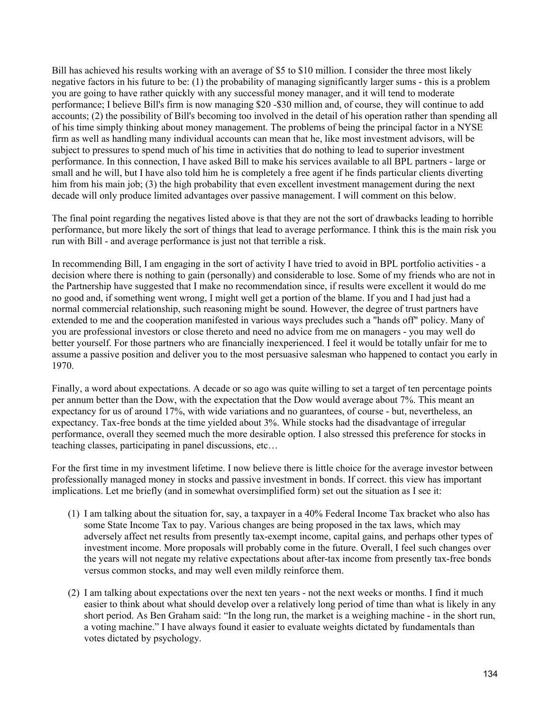Bill has achieved his results working with an average of \$5 to \$10 million. I consider the three most likely negative factors in his future to be: (1) the probability of managing significantly larger sums - this is a problem you are going to have rather quickly with any successful money manager, and it will tend to moderate performance; I believe Bill's firm is now managing \$20 -\$30 million and, of course, they will continue to add accounts; (2) the possibility of Bill's becoming too involved in the detail of his operation rather than spending all of his time simply thinking about money management. The problems of being the principal factor in a NYSE firm as well as handling many individual accounts can mean that he, like most investment advisors, will be subject to pressures to spend much of his time in activities that do nothing to lead to superior investment performance. In this connection, I have asked Bill to make his services available to all BPL partners - large or small and he will, but I have also told him he is completely a free agent if he finds particular clients diverting him from his main job; (3) the high probability that even excellent investment management during the next decade will only produce limited advantages over passive management. I will comment on this below.

The final point regarding the negatives listed above is that they are not the sort of drawbacks leading to horrible performance, but more likely the sort of things that lead to average performance. I think this is the main risk you run with Bill - and average performance is just not that terrible a risk.

In recommending Bill, I am engaging in the sort of activity I have tried to avoid in BPL portfolio activities - a decision where there is nothing to gain (personally) and considerable to lose. Some of my friends who are not in the Partnership have suggested that I make no recommendation since, if results were excellent it would do me no good and, if something went wrong, I might well get a portion of the blame. If you and I had just had a normal commercial relationship, such reasoning might be sound. However, the degree of trust partners have extended to me and the cooperation manifested in various ways precludes such a "hands off" policy. Many of you are professional investors or close thereto and need no advice from me on managers - you may well do better yourself. For those partners who are financially inexperienced. I feel it would be totally unfair for me to assume a passive position and deliver you to the most persuasive salesman who happened to contact you early in 1970.

Finally, a word about expectations. A decade or so ago was quite willing to set a target of ten percentage points per annum better than the Dow, with the expectation that the Dow would average about 7%. This meant an expectancy for us of around 17%, with wide variations and no guarantees, of course - but, nevertheless, an expectancy. Tax-free bonds at the time yielded about 3%. While stocks had the disadvantage of irregular performance, overall they seemed much the more desirable option. I also stressed this preference for stocks in teaching classes, participating in panel discussions, etc…

For the first time in my investment lifetime. I now believe there is little choice for the average investor between professionally managed money in stocks and passive investment in bonds. If correct. this view has important implications. Let me briefly (and in somewhat oversimplified form) set out the situation as I see it:

- (1) I am talking about the situation for, say, a taxpayer in a 40% Federal Income Tax bracket who also has some State Income Tax to pay. Various changes are being proposed in the tax laws, which may adversely affect net results from presently tax-exempt income, capital gains, and perhaps other types of investment income. More proposals will probably come in the future. Overall, I feel such changes over the years will not negate my relative expectations about after-tax income from presently tax-free bonds versus common stocks, and may well even mildly reinforce them.
- (2) I am talking about expectations over the next ten years not the next weeks or months. I find it much easier to think about what should develop over a relatively long period of time than what is likely in any short period. As Ben Graham said: "In the long run, the market is a weighing machine - in the short run, a voting machine." I have always found it easier to evaluate weights dictated by fundamentals than votes dictated by psychology.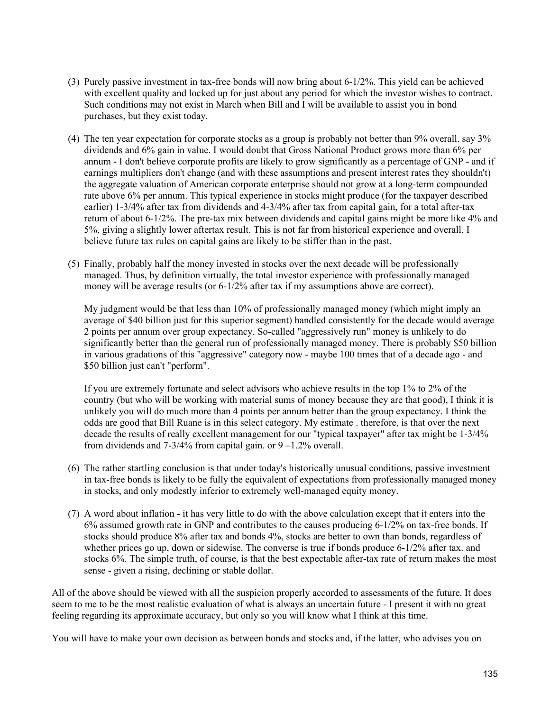- (3) Purely passive investment in tax-free bonds will now bring about 6-1/2%. This yield can be achieved with excellent quality and locked up for just about any period for which the investor wishes to contract. Such conditions may not exist in March when Bill and I will be available to assist you in bond purchases, but they exist today.
- (4) The ten year expectation for corporate stocks as a group is probably not better than 9% overall. say 3% dividends and 6% gain in value. I would doubt that Gross National Product grows more than 6% per annum - I don't believe corporate profits are likely to grow significantly as a percentage of GNP - and if earnings multipliers don't change (and with these assumptions and present interest rates they shouldn't) the aggregate valuation of American corporate enterprise should not grow at a long-term compounded rate above 6% per annum. This typical experience in stocks might produce (for the taxpayer described earlier) 1-3/4% after tax from dividends and 4-3/4% after tax from capital gain, for a total after-tax return of about 6-1/2%. The pre-tax mix between dividends and capital gains might be more like 4% and 5%, giving a slightly lower aftertax result. This is not far from historical experience and overall, I believe future tax rules on capital gains are likely to be stiffer than in the past.
- (5) Finally, probably half the money invested in stocks over the next decade will be professionally managed. Thus, by definition virtually, the total investor experience with professionally managed money will be average results (or  $6-1/2%$  after tax if my assumptions above are correct).

My judgment would be that less than 10% of professionally managed money (which might imply an average of \$40 billion just for this superior segment) handled consistently for the decade would average 2 points per annum over group expectancy. So-called "aggressively run" money is unlikely to do significantly better than the general run of professionally managed money. There is probably \$50 billion in various gradations of this "aggressive" category now - maybe 100 times that of a decade ago - and \$50 billion just can't "perform".

If you are extremely fortunate and select advisors who achieve results in the top 1% to 2% of the country (but who will be working with material sums of money because they are that good), I think it is unlikely you will do much more than 4 points per annum better than the group expectancy. I think the odds are good that Bill Ruane is in this select category. My estimate . therefore, is that over the next decade the results of really excellent management for our "typical taxpayer" after tax might be 1-3/4% from dividends and  $7-3/4\%$  from capital gain. or  $9-1.2\%$  overall.

- (6) The rather startling conclusion is that under today's historically unusual conditions, passive investment in tax-free bonds is likely to be fully the equivalent of expectations from professionally managed money in stocks, and only modestly inferior to extremely well-managed equity money.
- (7) A word about inflation it has very little to do with the above calculation except that it enters into the  $6\%$  assumed growth rate in GNP and contributes to the causes producing  $6-1/2\%$  on tax-free bonds. If stocks should produce 8% after tax and bonds 4%, stocks are better to own than bonds, regardless of whether prices go up, down or sidewise. The converse is true if bonds produce 6-1/2% after tax. and stocks 6%. The simple truth, of course, is that the best expectable after-tax rate of return makes the most sense - given a rising, declining or stable dollar.

All of the above should be viewed with all the suspicion properly accorded to assessments of the future. It does seem to me to be the most realistic evaluation of what is always an uncertain future - I present it with no great feeling regarding its approximate accuracy, but only so you will know what I think at this time.

You will have to make your own decision as between bonds and stocks and, if the latter, who advises you on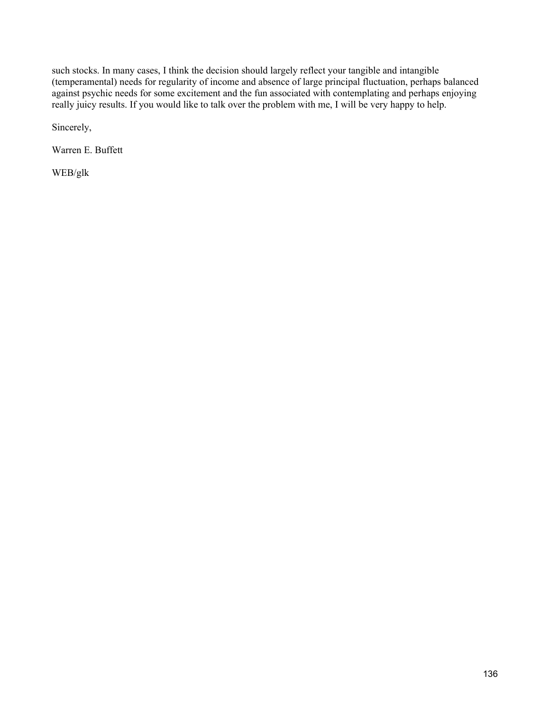such stocks. In many cases, I think the decision should largely reflect your tangible and intangible (temperamental) needs for regularity of income and absence of large principal fluctuation, perhaps balanced against psychic needs for some excitement and the fun associated with contemplating and perhaps enjoying really juicy results. If you would like to talk over the problem with me, I will be very happy to help.

Sincerely,

Warren E. Buffett

WEB/glk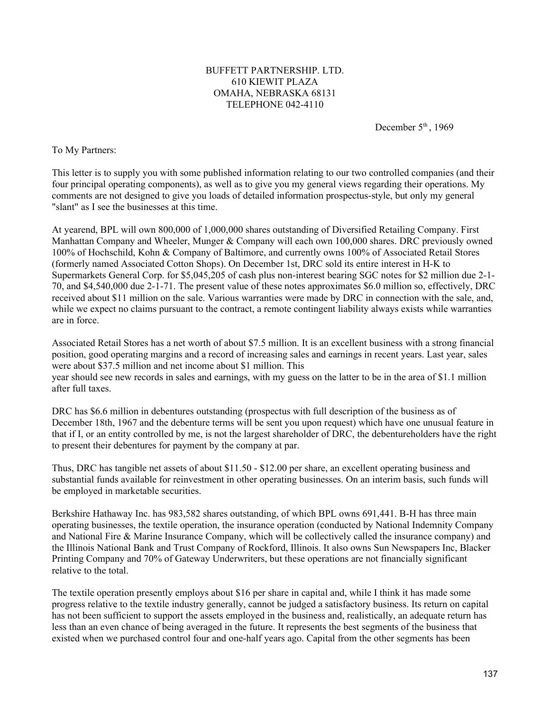December 5<sup>th</sup>, 1969

To My Partners:

This letter is to supply you with some published information relating to our two controlled companies (and their four principal operating components), as well as to give you my general views regarding their operations. My comments are not designed to give you loads of detailed information prospectus-style, but only my general "slant" as I see the businesses at this time.

At yearend, BPL will own 800,000 of 1,000,000 shares outstanding of Diversified Retailing Company. First Manhattan Company and Wheeler, Munger & Company will each own 100,000 shares. DRC previously owned 100% of Hochschild, Kohn & Company of Baltimore, and currently owns 100% of Associated Retail Stores (formerly named Associated Cotton Shops). On December 1st, DRC sold its entire interest in H-K to Supermarkets General Corp. for \$5,045,205 of cash plus non-interest bearing SGC notes for \$2 million due 2-1- 70, and \$4,540,000 due 2-1-71. The present value of these notes approximates \$6.0 million so, effectively, DRC received about \$11 million on the sale. Various warranties were made by DRC in connection with the sale, and, while we expect no claims pursuant to the contract, a remote contingent liability always exists while warranties are in force.

Associated Retail Stores has a net worth of about \$7.5 million. It is an excellent business with a strong financial position, good operating margins and a record of increasing sales and earnings in recent years. Last year, sales were about \$37.5 million and net income about \$1 million. This year should see new records in sales and earnings, with my guess on the latter to be in the area of \$1.1 million after full taxes.

DRC has \$6.6 million in debentures outstanding (prospectus with full description of the business as of December 18th, 1967 and the debenture terms will be sent you upon request) which have one unusual feature in that if I, or an entity controlled by me, is not the largest shareholder of DRC, the debentureholders have the right to present their debentures for payment by the company at par.

Thus, DRC has tangible net assets of about \$11.50 - \$12.00 per share, an excellent operating business and substantial funds available for reinvestment in other operating businesses. On an interim basis, such funds will be employed in marketable securities.

Berkshire Hathaway Inc. has 983,582 shares outstanding, of which BPL owns 691,441. B-H has three main operating businesses, the textile operation, the insurance operation (conducted by National Indemnity Company and National Fire & Marine Insurance Company, which will be collectively called the insurance company) and the Illinois National Bank and Trust Company of Rockford, Illinois. It also owns Sun Newspapers Inc, Blacker Printing Company and 70% of Gateway Underwriters, but these operations are not financially significant relative to the total.

The textile operation presently employs about \$16 per share in capital and, while I think it has made some progress relative to the textile industry generally, cannot be judged a satisfactory business. Its return on capital has not been sufficient to support the assets employed in the business and, realistically, an adequate return has less than an even chance of being averaged in the future. It represents the best segments of the business that existed when we purchased control four and one-half years ago. Capital from the other segments has been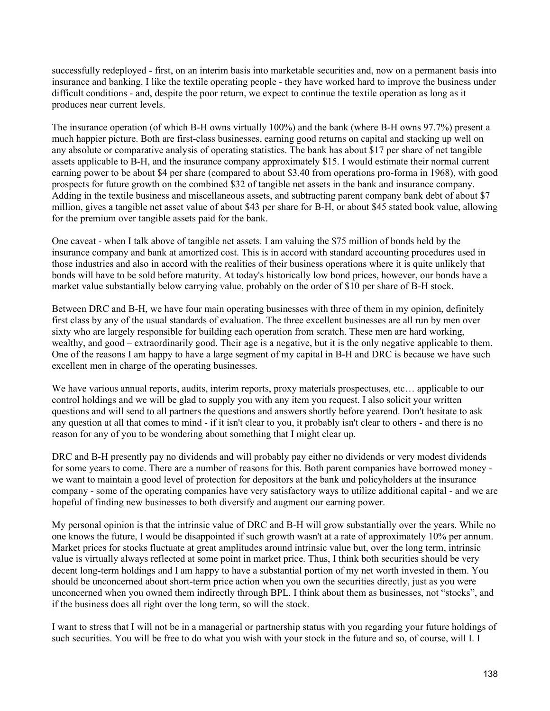successfully redeployed - first, on an interim basis into marketable securities and, now on a permanent basis into insurance and banking. I like the textile operating people - they have worked hard to improve the business under difficult conditions - and, despite the poor return, we expect to continue the textile operation as long as it produces near current levels.

The insurance operation (of which B-H owns virtually 100%) and the bank (where B-H owns 97.7%) present a much happier picture. Both are first-class businesses, earning good returns on capital and stacking up well on any absolute or comparative analysis of operating statistics. The bank has about \$17 per share of net tangible assets applicable to B-H, and the insurance company approximately \$15. I would estimate their normal current earning power to be about \$4 per share (compared to about \$3.40 from operations pro-forma in 1968), with good prospects for future growth on the combined \$32 of tangible net assets in the bank and insurance company. Adding in the textile business and miscellaneous assets, and subtracting parent company bank debt of about \$7 million, gives a tangible net asset value of about \$43 per share for B-H, or about \$45 stated book value, allowing for the premium over tangible assets paid for the bank.

One caveat - when I talk above of tangible net assets. I am valuing the \$75 million of bonds held by the insurance company and bank at amortized cost. This is in accord with standard accounting procedures used in those industries and also in accord with the realities of their business operations where it is quite unlikely that bonds will have to be sold before maturity. At today's historically low bond prices, however, our bonds have a market value substantially below carrying value, probably on the order of \$10 per share of B-H stock.

Between DRC and B-H, we have four main operating businesses with three of them in my opinion, definitely first class by any of the usual standards of evaluation. The three excellent businesses are all run by men over sixty who are largely responsible for building each operation from scratch. These men are hard working, wealthy, and good – extraordinarily good. Their age is a negative, but it is the only negative applicable to them. One of the reasons I am happy to have a large segment of my capital in B-H and DRC is because we have such excellent men in charge of the operating businesses.

We have various annual reports, audits, interim reports, proxy materials prospectuses, etc… applicable to our control holdings and we will be glad to supply you with any item you request. I also solicit your written questions and will send to all partners the questions and answers shortly before yearend. Don't hesitate to ask any question at all that comes to mind - if it isn't clear to you, it probably isn't clear to others - and there is no reason for any of you to be wondering about something that I might clear up.

DRC and B-H presently pay no dividends and will probably pay either no dividends or very modest dividends for some years to come. There are a number of reasons for this. Both parent companies have borrowed money we want to maintain a good level of protection for depositors at the bank and policyholders at the insurance company - some of the operating companies have very satisfactory ways to utilize additional capital - and we are hopeful of finding new businesses to both diversify and augment our earning power.

My personal opinion is that the intrinsic value of DRC and B-H will grow substantially over the years. While no one knows the future, I would be disappointed if such growth wasn't at a rate of approximately 10% per annum. Market prices for stocks fluctuate at great amplitudes around intrinsic value but, over the long term, intrinsic value is virtually always reflected at some point in market price. Thus, I think both securities should be very decent long-term holdings and I am happy to have a substantial portion of my net worth invested in them. You should be unconcerned about short-term price action when you own the securities directly, just as you were unconcerned when you owned them indirectly through BPL. I think about them as businesses, not "stocks", and if the business does all right over the long term, so will the stock.

I want to stress that I will not be in a managerial or partnership status with you regarding your future holdings of such securities. You will be free to do what you wish with your stock in the future and so, of course, will I. I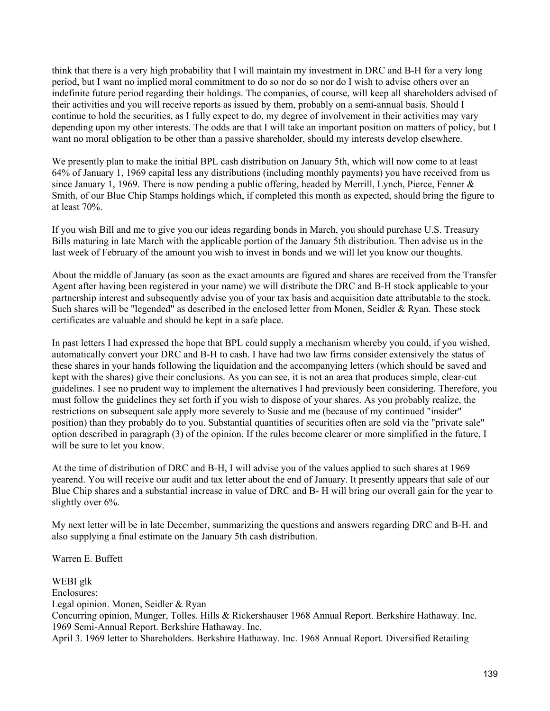think that there is a very high probability that I will maintain my investment in DRC and B-H for a very long period, but I want no implied moral commitment to do so nor do so nor do I wish to advise others over an indefinite future period regarding their holdings. The companies, of course, will keep all shareholders advised of their activities and you will receive reports as issued by them, probably on a semi-annual basis. Should I continue to hold the securities, as I fully expect to do, my degree of involvement in their activities may vary depending upon my other interests. The odds are that I will take an important position on matters of policy, but I want no moral obligation to be other than a passive shareholder, should my interests develop elsewhere.

We presently plan to make the initial BPL cash distribution on January 5th, which will now come to at least 64% of January 1, 1969 capital less any distributions (including monthly payments) you have received from us since January 1, 1969. There is now pending a public offering, headed by Merrill, Lynch, Pierce, Fenner  $\&$ Smith, of our Blue Chip Stamps holdings which, if completed this month as expected, should bring the figure to at least 70%.

If you wish Bill and me to give you our ideas regarding bonds in March, you should purchase U.S. Treasury Bills maturing in late March with the applicable portion of the January 5th distribution. Then advise us in the last week of February of the amount you wish to invest in bonds and we will let you know our thoughts.

About the middle of January (as soon as the exact amounts are figured and shares are received from the Transfer Agent after having been registered in your name) we will distribute the DRC and B-H stock applicable to your partnership interest and subsequently advise you of your tax basis and acquisition date attributable to the stock. Such shares will be "legended" as described in the enclosed letter from Monen, Seidler & Ryan. These stock certificates are valuable and should be kept in a safe place.

In past letters I had expressed the hope that BPL could supply a mechanism whereby you could, if you wished, automatically convert your DRC and B-H to cash. I have had two law firms consider extensively the status of these shares in your hands following the liquidation and the accompanying letters (which should be saved and kept with the shares) give their conclusions. As you can see, it is not an area that produces simple, clear-cut guidelines. I see no prudent way to implement the alternatives I had previously been considering. Therefore, you must follow the guidelines they set forth if you wish to dispose of your shares. As you probably realize, the restrictions on subsequent sale apply more severely to Susie and me (because of my continued "insider" position) than they probably do to you. Substantial quantities of securities often are sold via the "private sale" option described in paragraph (3) of the opinion. If the rules become clearer or more simplified in the future, I will be sure to let you know.

At the time of distribution of DRC and B-H, I will advise you of the values applied to such shares at 1969 yearend. You will receive our audit and tax letter about the end of January. It presently appears that sale of our Blue Chip shares and a substantial increase in value of DRC and B- H will bring our overall gain for the year to slightly over 6%.

My next letter will be in late December, summarizing the questions and answers regarding DRC and B-H. and also supplying a final estimate on the January 5th cash distribution.

Warren E. Buffett

WEBI glk Enclosures: Legal opinion. Monen, Seidler & Ryan Concurring opinion, Munger, Tolles. Hills & Rickershauser 1968 Annual Report. Berkshire Hathaway. Inc. 1969 Semi-Annual Report. Berkshire Hathaway. Inc. April 3. 1969 letter to Shareholders. Berkshire Hathaway. Inc. 1968 Annual Report. Diversified Retailing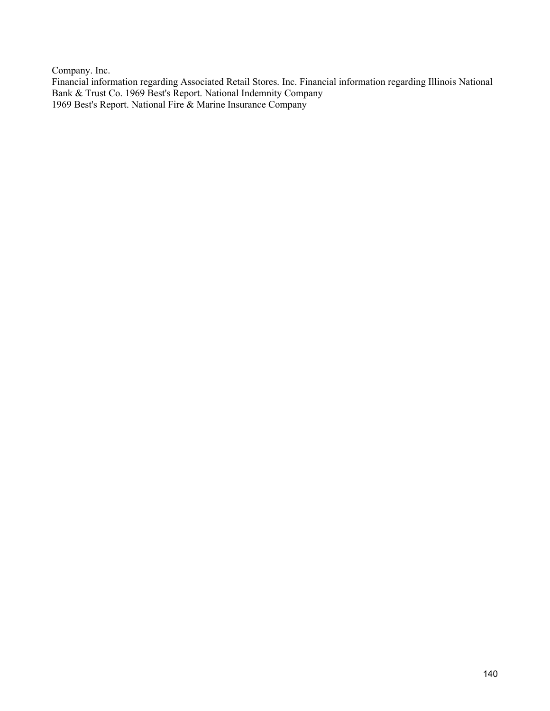Company. Inc.

Financial information regarding Associated Retail Stores. Inc. Financial information regarding Illinois National Bank & Trust Co. 1969 Best's Report. National Indemnity Company 1969 Best's Report. National Fire & Marine Insurance Company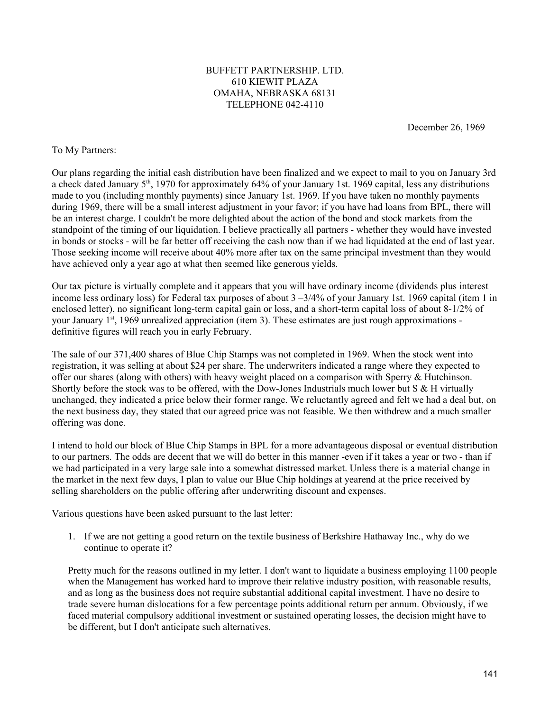December 26, 1969

### To My Partners:

Our plans regarding the initial cash distribution have been finalized and we expect to mail to you on January 3rd a check dated January  $5<sup>th</sup>$ , 1970 for approximately 64% of your January 1st. 1969 capital, less any distributions made to you (including monthly payments) since January 1st. 1969. If you have taken no monthly payments during 1969, there will be a small interest adjustment in your favor; if you have had loans from BPL, there will be an interest charge. I couldn't be more delighted about the action of the bond and stock markets from the standpoint of the timing of our liquidation. I believe practically all partners - whether they would have invested in bonds or stocks - will be far better off receiving the cash now than if we had liquidated at the end of last year. Those seeking income will receive about 40% more after tax on the same principal investment than they would have achieved only a year ago at what then seemed like generous yields.

Our tax picture is virtually complete and it appears that you will have ordinary income (dividends plus interest income less ordinary loss) for Federal tax purposes of about  $3 - \frac{3}{4}$  of your January 1st. 1969 capital (item 1 in enclosed letter), no significant long-term capital gain or loss, and a short-term capital loss of about 8-1/2% of your January 1<sup>st</sup>, 1969 unrealized appreciation (item 3). These estimates are just rough approximations definitive figures will reach you in early February.

The sale of our 371,400 shares of Blue Chip Stamps was not completed in 1969. When the stock went into registration, it was selling at about \$24 per share. The underwriters indicated a range where they expected to offer our shares (along with others) with heavy weight placed on a comparison with Sperry & Hutchinson. Shortly before the stock was to be offered, with the Dow-Jones Industrials much lower but S & H virtually unchanged, they indicated a price below their former range. We reluctantly agreed and felt we had a deal but, on the next business day, they stated that our agreed price was not feasible. We then withdrew and a much smaller offering was done.

I intend to hold our block of Blue Chip Stamps in BPL for a more advantageous disposal or eventual distribution to our partners. The odds are decent that we will do better in this manner -even if it takes a year or two - than if we had participated in a very large sale into a somewhat distressed market. Unless there is a material change in the market in the next few days, I plan to value our Blue Chip holdings at yearend at the price received by selling shareholders on the public offering after underwriting discount and expenses.

Various questions have been asked pursuant to the last letter:

1. If we are not getting a good return on the textile business of Berkshire Hathaway Inc., why do we continue to operate it?

Pretty much for the reasons outlined in my letter. I don't want to liquidate a business employing 1100 people when the Management has worked hard to improve their relative industry position, with reasonable results, and as long as the business does not require substantial additional capital investment. I have no desire to trade severe human dislocations for a few percentage points additional return per annum. Obviously, if we faced material compulsory additional investment or sustained operating losses, the decision might have to be different, but I don't anticipate such alternatives.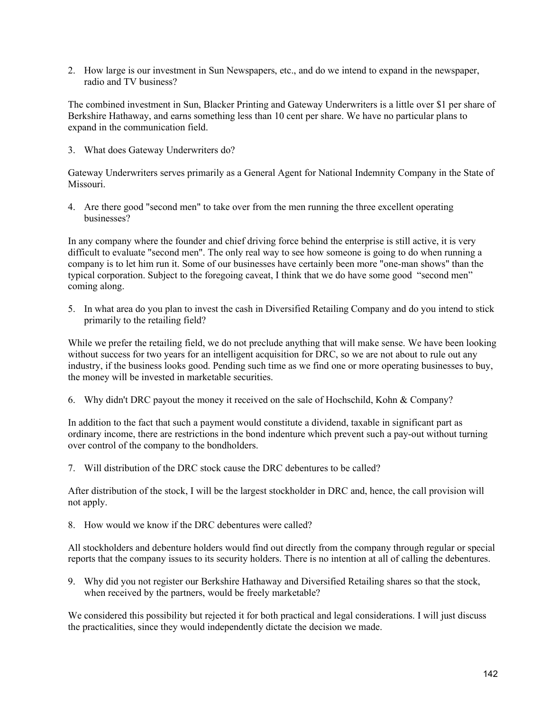2. How large is our investment in Sun Newspapers, etc., and do we intend to expand in the newspaper, radio and TV business?

The combined investment in Sun, Blacker Printing and Gateway Underwriters is a little over \$1 per share of Berkshire Hathaway, and earns something less than 10 cent per share. We have no particular plans to expand in the communication field.

3. What does Gateway Underwriters do?

Gateway Underwriters serves primarily as a General Agent for National Indemnity Company in the State of Missouri.

4. Are there good "second men" to take over from the men running the three excellent operating businesses?

In any company where the founder and chief driving force behind the enterprise is still active, it is very difficult to evaluate "second men". The only real way to see how someone is going to do when running a company is to let him run it. Some of our businesses have certainly been more "one-man shows" than the typical corporation. Subject to the foregoing caveat, I think that we do have some good "second men" coming along.

5. In what area do you plan to invest the cash in Diversified Retailing Company and do you intend to stick primarily to the retailing field?

While we prefer the retailing field, we do not preclude anything that will make sense. We have been looking without success for two years for an intelligent acquisition for DRC, so we are not about to rule out any industry, if the business looks good. Pending such time as we find one or more operating businesses to buy, the money will be invested in marketable securities.

6. Why didn't DRC payout the money it received on the sale of Hochschild, Kohn & Company?

In addition to the fact that such a payment would constitute a dividend, taxable in significant part as ordinary income, there are restrictions in the bond indenture which prevent such a pay-out without turning over control of the company to the bondholders.

7. Will distribution of the DRC stock cause the DRC debentures to be called?

After distribution of the stock, I will be the largest stockholder in DRC and, hence, the call provision will not apply.

8. How would we know if the DRC debentures were called?

All stockholders and debenture holders would find out directly from the company through regular or special reports that the company issues to its security holders. There is no intention at all of calling the debentures.

9. Why did you not register our Berkshire Hathaway and Diversified Retailing shares so that the stock, when received by the partners, would be freely marketable?

We considered this possibility but rejected it for both practical and legal considerations. I will just discuss the practicalities, since they would independently dictate the decision we made.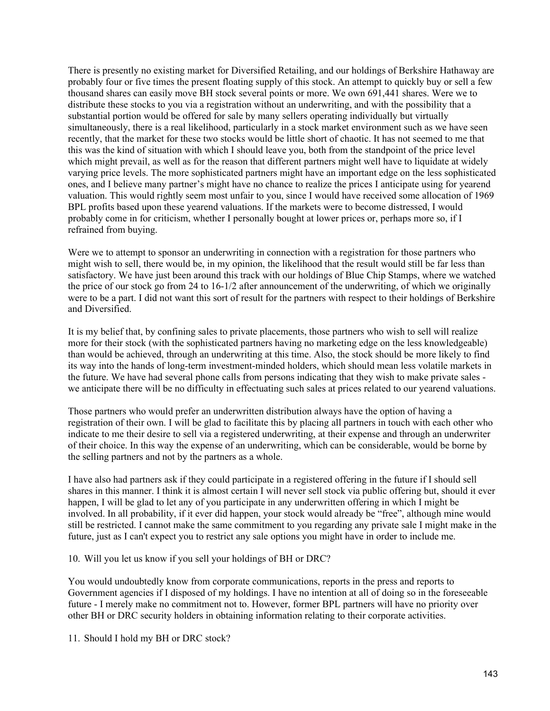There is presently no existing market for Diversified Retailing, and our holdings of Berkshire Hathaway are probably four or five times the present floating supply of this stock. An attempt to quickly buy or sell a few thousand shares can easily move BH stock several points or more. We own 691,441 shares. Were we to distribute these stocks to you via a registration without an underwriting, and with the possibility that a substantial portion would be offered for sale by many sellers operating individually but virtually simultaneously, there is a real likelihood, particularly in a stock market environment such as we have seen recently, that the market for these two stocks would be little short of chaotic. It has not seemed to me that this was the kind of situation with which I should leave you, both from the standpoint of the price level which might prevail, as well as for the reason that different partners might well have to liquidate at widely varying price levels. The more sophisticated partners might have an important edge on the less sophisticated ones, and I believe many partner's might have no chance to realize the prices I anticipate using for yearend valuation. This would rightly seem most unfair to you, since I would have received some allocation of 1969 BPL profits based upon these yearend valuations. If the markets were to become distressed, I would probably come in for criticism, whether I personally bought at lower prices or, perhaps more so, if I refrained from buying.

Were we to attempt to sponsor an underwriting in connection with a registration for those partners who might wish to sell, there would be, in my opinion, the likelihood that the result would still be far less than satisfactory. We have just been around this track with our holdings of Blue Chip Stamps, where we watched the price of our stock go from 24 to 16-1/2 after announcement of the underwriting, of which we originally were to be a part. I did not want this sort of result for the partners with respect to their holdings of Berkshire and Diversified.

It is my belief that, by confining sales to private placements, those partners who wish to sell will realize more for their stock (with the sophisticated partners having no marketing edge on the less knowledgeable) than would be achieved, through an underwriting at this time. Also, the stock should be more likely to find its way into the hands of long-term investment-minded holders, which should mean less volatile markets in the future. We have had several phone calls from persons indicating that they wish to make private sales we anticipate there will be no difficulty in effectuating such sales at prices related to our yearend valuations.

Those partners who would prefer an underwritten distribution always have the option of having a registration of their own. I will be glad to facilitate this by placing all partners in touch with each other who indicate to me their desire to sell via a registered underwriting, at their expense and through an underwriter of their choice. In this way the expense of an underwriting, which can be considerable, would be borne by the selling partners and not by the partners as a whole.

I have also had partners ask if they could participate in a registered offering in the future if I should sell shares in this manner. I think it is almost certain I will never sell stock via public offering but, should it ever happen, I will be glad to let any of you participate in any underwritten offering in which I might be involved. In all probability, if it ever did happen, your stock would already be "free", although mine would still be restricted. I cannot make the same commitment to you regarding any private sale I might make in the future, just as I can't expect you to restrict any sale options you might have in order to include me.

10. Will you let us know if you sell your holdings of BH or DRC?

You would undoubtedly know from corporate communications, reports in the press and reports to Government agencies if I disposed of my holdings. I have no intention at all of doing so in the foreseeable future - I merely make no commitment not to. However, former BPL partners will have no priority over other BH or DRC security holders in obtaining information relating to their corporate activities.

11. Should I hold my BH or DRC stock?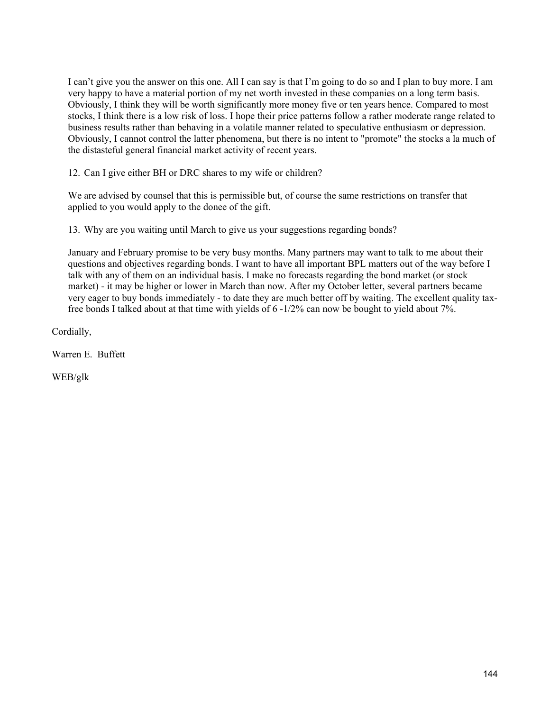I can't give you the answer on this one. All I can say is that I'm going to do so and I plan to buy more. I am very happy to have a material portion of my net worth invested in these companies on a long term basis. Obviously, I think they will be worth significantly more money five or ten years hence. Compared to most stocks, I think there is a low risk of loss. I hope their price patterns follow a rather moderate range related to business results rather than behaving in a volatile manner related to speculative enthusiasm or depression. Obviously, I cannot control the latter phenomena, but there is no intent to "promote" the stocks a la much of the distasteful general financial market activity of recent years.

12. Can I give either BH or DRC shares to my wife or children?

We are advised by counsel that this is permissible but, of course the same restrictions on transfer that applied to you would apply to the donee of the gift.

13. Why are you waiting until March to give us your suggestions regarding bonds?

January and February promise to be very busy months. Many partners may want to talk to me about their questions and objectives regarding bonds. I want to have all important BPL matters out of the way before I talk with any of them on an individual basis. I make no forecasts regarding the bond market (or stock market) - it may be higher or lower in March than now. After my October letter, several partners became very eager to buy bonds immediately - to date they are much better off by waiting. The excellent quality taxfree bonds I talked about at that time with yields of 6 -1/2% can now be bought to yield about 7%.

Cordially,

Warren E. Buffett

WEB/glk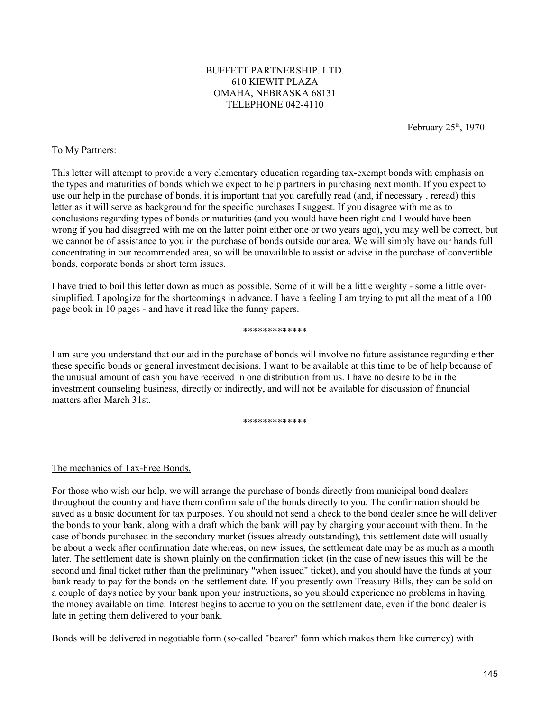#### BUFFETT PARTNERSHIP. LTD. 610 KIEWIT PLAZA OMAHA, NEBRASKA 68131 TELEPHONE 042-4110

February  $25<sup>th</sup>$ , 1970

## To My Partners:

This letter will attempt to provide a very elementary education regarding tax-exempt bonds with emphasis on the types and maturities of bonds which we expect to help partners in purchasing next month. If you expect to use our help in the purchase of bonds, it is important that you carefully read (and, if necessary , reread) this letter as it will serve as background for the specific purchases I suggest. If you disagree with me as to conclusions regarding types of bonds or maturities (and you would have been right and I would have been wrong if you had disagreed with me on the latter point either one or two years ago), you may well be correct, but we cannot be of assistance to you in the purchase of bonds outside our area. We will simply have our hands full concentrating in our recommended area, so will be unavailable to assist or advise in the purchase of convertible bonds, corporate bonds or short term issues.

I have tried to boil this letter down as much as possible. Some of it will be a little weighty - some a little oversimplified. I apologize for the shortcomings in advance. I have a feeling I am trying to put all the meat of a 100 page book in 10 pages - and have it read like the funny papers.

#### \*\*\*\*\*\*\*\*\*\*\*\*\*

I am sure you understand that our aid in the purchase of bonds will involve no future assistance regarding either these specific bonds or general investment decisions. I want to be available at this time to be of help because of the unusual amount of cash you have received in one distribution from us. I have no desire to be in the investment counseling business, directly or indirectly, and will not be available for discussion of financial matters after March 31st.

#### \*\*\*\*\*\*\*\*\*\*\*\*\*

## The mechanics of Tax-Free Bonds.

For those who wish our help, we will arrange the purchase of bonds directly from municipal bond dealers throughout the country and have them confirm sale of the bonds directly to you. The confirmation should be saved as a basic document for tax purposes. You should not send a check to the bond dealer since he will deliver the bonds to your bank, along with a draft which the bank will pay by charging your account with them. In the case of bonds purchased in the secondary market (issues already outstanding), this settlement date will usually be about a week after confirmation date whereas, on new issues, the settlement date may be as much as a month later. The settlement date is shown plainly on the confirmation ticket (in the case of new issues this will be the second and final ticket rather than the preliminary "when issued" ticket), and you should have the funds at your bank ready to pay for the bonds on the settlement date. If you presently own Treasury Bills, they can be sold on a couple of days notice by your bank upon your instructions, so you should experience no problems in having the money available on time. Interest begins to accrue to you on the settlement date, even if the bond dealer is late in getting them delivered to your bank.

Bonds will be delivered in negotiable form (so-called "bearer" form which makes them like currency) with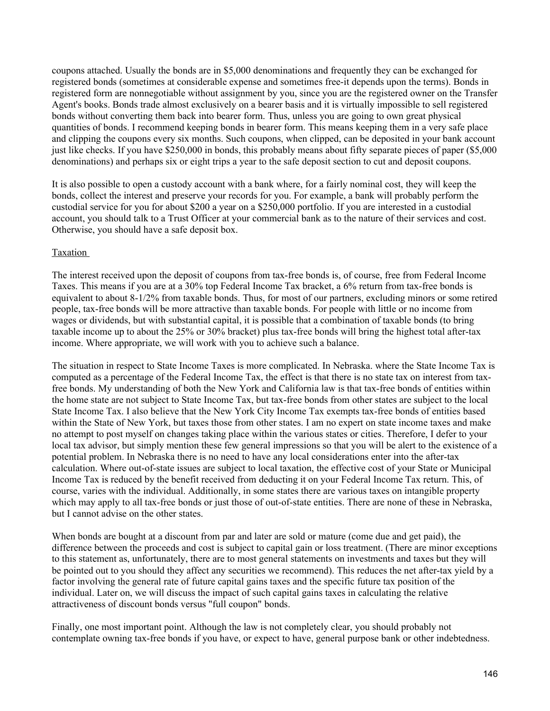coupons attached. Usually the bonds are in \$5,000 denominations and frequently they can be exchanged for registered bonds (sometimes at considerable expense and sometimes free-it depends upon the terms). Bonds in registered form are nonnegotiable without assignment by you, since you are the registered owner on the Transfer Agent's books. Bonds trade almost exclusively on a bearer basis and it is virtually impossible to sell registered bonds without converting them back into bearer form. Thus, unless you are going to own great physical quantities of bonds. I recommend keeping bonds in bearer form. This means keeping them in a very safe place and clipping the coupons every six months. Such coupons, when clipped, can be deposited in your bank account just like checks. If you have \$250,000 in bonds, this probably means about fifty separate pieces of paper (\$5,000 denominations) and perhaps six or eight trips a year to the safe deposit section to cut and deposit coupons.

It is also possible to open a custody account with a bank where, for a fairly nominal cost, they will keep the bonds, collect the interest and preserve your records for you. For example, a bank will probably perform the custodial service for you for about \$200 a year on a \$250,000 portfolio. If you are interested in a custodial account, you should talk to a Trust Officer at your commercial bank as to the nature of their services and cost. Otherwise, you should have a safe deposit box.

## **Taxation**

The interest received upon the deposit of coupons from tax-free bonds is, of course, free from Federal Income Taxes. This means if you are at a 30% top Federal Income Tax bracket, a 6% return from tax-free bonds is equivalent to about 8-1/2% from taxable bonds. Thus, for most of our partners, excluding minors or some retired people, tax-free bonds will be more attractive than taxable bonds. For people with little or no income from wages or dividends, but with substantial capital, it is possible that a combination of taxable bonds (to bring taxable income up to about the 25% or 30% bracket) plus tax-free bonds will bring the highest total after-tax income. Where appropriate, we will work with you to achieve such a balance.

The situation in respect to State Income Taxes is more complicated. In Nebraska. where the State Income Tax is computed as a percentage of the Federal Income Tax, the effect is that there is no state tax on interest from taxfree bonds. My understanding of both the New York and California law is that tax-free bonds of entities within the home state are not subject to State Income Tax, but tax-free bonds from other states are subject to the local State Income Tax. I also believe that the New York City Income Tax exempts tax-free bonds of entities based within the State of New York, but taxes those from other states. I am no expert on state income taxes and make no attempt to post myself on changes taking place within the various states or cities. Therefore, I defer to your local tax advisor, but simply mention these few general impressions so that you will be alert to the existence of a potential problem. In Nebraska there is no need to have any local considerations enter into the after-tax calculation. Where out-of-state issues are subject to local taxation, the effective cost of your State or Municipal Income Tax is reduced by the benefit received from deducting it on your Federal Income Tax return. This, of course, varies with the individual. Additionally, in some states there are various taxes on intangible property which may apply to all tax-free bonds or just those of out-of-state entities. There are none of these in Nebraska, but I cannot advise on the other states.

When bonds are bought at a discount from par and later are sold or mature (come due and get paid), the difference between the proceeds and cost is subject to capital gain or loss treatment. (There are minor exceptions to this statement as, unfortunately, there are to most general statements on investments and taxes but they will be pointed out to you should they affect any securities we recommend). This reduces the net after-tax yield by a factor involving the general rate of future capital gains taxes and the specific future tax position of the individual. Later on, we will discuss the impact of such capital gains taxes in calculating the relative attractiveness of discount bonds versus "full coupon" bonds.

Finally, one most important point. Although the law is not completely clear, you should probably not contemplate owning tax-free bonds if you have, or expect to have, general purpose bank or other indebtedness.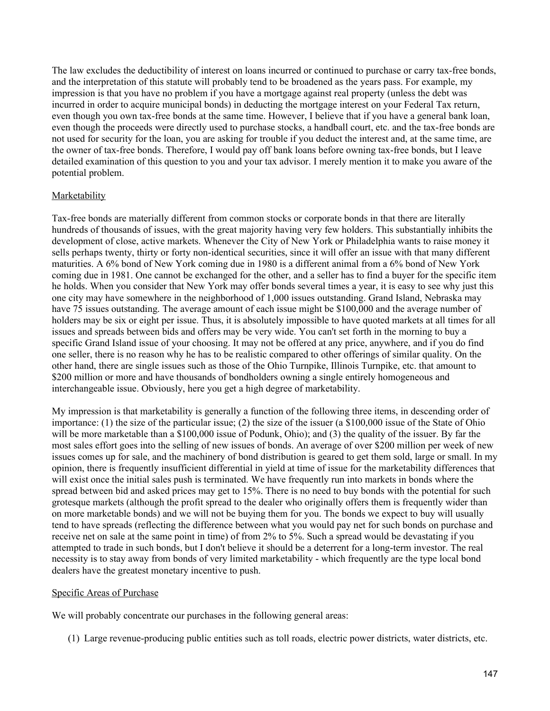The law excludes the deductibility of interest on loans incurred or continued to purchase or carry tax-free bonds, and the interpretation of this statute will probably tend to be broadened as the years pass. For example, my impression is that you have no problem if you have a mortgage against real property (unless the debt was incurred in order to acquire municipal bonds) in deducting the mortgage interest on your Federal Tax return, even though you own tax-free bonds at the same time. However, I believe that if you have a general bank loan, even though the proceeds were directly used to purchase stocks, a handball court, etc. and the tax-free bonds are not used for security for the loan, you are asking for trouble if you deduct the interest and, at the same time, are the owner of tax-free bonds. Therefore, I would pay off bank loans before owning tax-free bonds, but I leave detailed examination of this question to you and your tax advisor. I merely mention it to make you aware of the potential problem.

## **Marketability**

Tax-free bonds are materially different from common stocks or corporate bonds in that there are literally hundreds of thousands of issues, with the great majority having very few holders. This substantially inhibits the development of close, active markets. Whenever the City of New York or Philadelphia wants to raise money it sells perhaps twenty, thirty or forty non-identical securities, since it will offer an issue with that many different maturities. A 6% bond of New York coming due in 1980 is a different animal from a 6% bond of New York coming due in 1981. One cannot be exchanged for the other, and a seller has to find a buyer for the specific item he holds. When you consider that New York may offer bonds several times a year, it is easy to see why just this one city may have somewhere in the neighborhood of 1,000 issues outstanding. Grand Island, Nebraska may have 75 issues outstanding. The average amount of each issue might be \$100,000 and the average number of holders may be six or eight per issue. Thus, it is absolutely impossible to have quoted markets at all times for all issues and spreads between bids and offers may be very wide. You can't set forth in the morning to buy a specific Grand Island issue of your choosing. It may not be offered at any price, anywhere, and if you do find one seller, there is no reason why he has to be realistic compared to other offerings of similar quality. On the other hand, there are single issues such as those of the Ohio Turnpike, Illinois Turnpike, etc. that amount to \$200 million or more and have thousands of bondholders owning a single entirely homogeneous and interchangeable issue. Obviously, here you get a high degree of marketability.

My impression is that marketability is generally a function of the following three items, in descending order of importance: (1) the size of the particular issue; (2) the size of the issuer (a \$100,000 issue of the State of Ohio will be more marketable than a \$100,000 issue of Podunk, Ohio); and (3) the quality of the issuer. By far the most sales effort goes into the selling of new issues of bonds. An average of over \$200 million per week of new issues comes up for sale, and the machinery of bond distribution is geared to get them sold, large or small. In my opinion, there is frequently insufficient differential in yield at time of issue for the marketability differences that will exist once the initial sales push is terminated. We have frequently run into markets in bonds where the spread between bid and asked prices may get to 15%. There is no need to buy bonds with the potential for such grotesque markets (although the profit spread to the dealer who originally offers them is frequently wider than on more marketable bonds) and we will not be buying them for you. The bonds we expect to buy will usually tend to have spreads (reflecting the difference between what you would pay net for such bonds on purchase and receive net on sale at the same point in time) of from 2% to 5%. Such a spread would be devastating if you attempted to trade in such bonds, but I don't believe it should be a deterrent for a long-term investor. The real necessity is to stay away from bonds of very limited marketability - which frequently are the type local bond dealers have the greatest monetary incentive to push.

## Specific Areas of Purchase

We will probably concentrate our purchases in the following general areas:

(1) Large revenue-producing public entities such as toll roads, electric power districts, water districts, etc.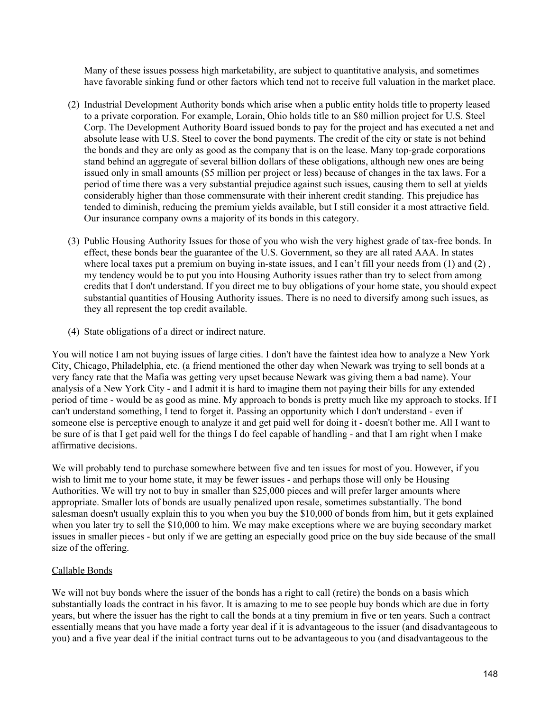Many of these issues possess high marketability, are subject to quantitative analysis, and sometimes have favorable sinking fund or other factors which tend not to receive full valuation in the market place.

- (2) Industrial Development Authority bonds which arise when a public entity holds title to property leased to a private corporation. For example, Lorain, Ohio holds title to an \$80 million project for U.S. Steel Corp. The Development Authority Board issued bonds to pay for the project and has executed a net and absolute lease with U.S. Steel to cover the bond payments. The credit of the city or state is not behind the bonds and they are only as good as the company that is on the lease. Many top-grade corporations stand behind an aggregate of several billion dollars of these obligations, although new ones are being issued only in small amounts (\$5 million per project or less) because of changes in the tax laws. For a period of time there was a very substantial prejudice against such issues, causing them to sell at yields considerably higher than those commensurate with their inherent credit standing. This prejudice has tended to diminish, reducing the premium yields available, but I still consider it a most attractive field. Our insurance company owns a majority of its bonds in this category.
- (3) Public Housing Authority Issues for those of you who wish the very highest grade of tax-free bonds. In effect, these bonds bear the guarantee of the U.S. Government, so they are all rated AAA. In states where local taxes put a premium on buying in-state issues, and I can't fill your needs from  $(1)$  and  $(2)$ . my tendency would be to put you into Housing Authority issues rather than try to select from among credits that I don't understand. If you direct me to buy obligations of your home state, you should expect substantial quantities of Housing Authority issues. There is no need to diversify among such issues, as they all represent the top credit available.
- (4) State obligations of a direct or indirect nature.

You will notice I am not buying issues of large cities. I don't have the faintest idea how to analyze a New York City, Chicago, Philadelphia, etc. (a friend mentioned the other day when Newark was trying to sell bonds at a very fancy rate that the Mafia was getting very upset because Newark was giving them a bad name). Your analysis of a New York City - and I admit it is hard to imagine them not paying their bills for any extended period of time - would be as good as mine. My approach to bonds is pretty much like my approach to stocks. If I can't understand something, I tend to forget it. Passing an opportunity which I don't understand - even if someone else is perceptive enough to analyze it and get paid well for doing it - doesn't bother me. All I want to be sure of is that I get paid well for the things I do feel capable of handling - and that I am right when I make affirmative decisions.

We will probably tend to purchase somewhere between five and ten issues for most of you. However, if you wish to limit me to your home state, it may be fewer issues - and perhaps those will only be Housing Authorities. We will try not to buy in smaller than \$25,000 pieces and will prefer larger amounts where appropriate. Smaller lots of bonds are usually penalized upon resale, sometimes substantially. The bond salesman doesn't usually explain this to you when you buy the \$10,000 of bonds from him, but it gets explained when you later try to sell the \$10,000 to him. We may make exceptions where we are buying secondary market issues in smaller pieces - but only if we are getting an especially good price on the buy side because of the small size of the offering.

# Callable Bonds

We will not buy bonds where the issuer of the bonds has a right to call (retire) the bonds on a basis which substantially loads the contract in his favor. It is amazing to me to see people buy bonds which are due in forty years, but where the issuer has the right to call the bonds at a tiny premium in five or ten years. Such a contract essentially means that you have made a forty year deal if it is advantageous to the issuer (and disadvantageous to you) and a five year deal if the initial contract turns out to be advantageous to you (and disadvantageous to the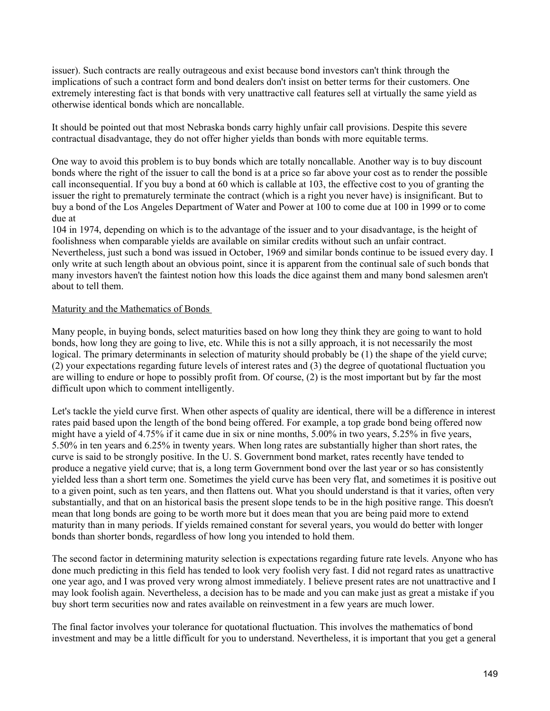issuer). Such contracts are really outrageous and exist because bond investors can't think through the implications of such a contract form and bond dealers don't insist on better terms for their customers. One extremely interesting fact is that bonds with very unattractive call features sell at virtually the same yield as otherwise identical bonds which are noncallable.

It should be pointed out that most Nebraska bonds carry highly unfair call provisions. Despite this severe contractual disadvantage, they do not offer higher yields than bonds with more equitable terms.

One way to avoid this problem is to buy bonds which are totally noncallable. Another way is to buy discount bonds where the right of the issuer to call the bond is at a price so far above your cost as to render the possible call inconsequential. If you buy a bond at 60 which is callable at 103, the effective cost to you of granting the issuer the right to prematurely terminate the contract (which is a right you never have) is insignificant. But to buy a bond of the Los Angeles Department of Water and Power at 100 to come due at 100 in 1999 or to come due at

104 in 1974, depending on which is to the advantage of the issuer and to your disadvantage, is the height of foolishness when comparable yields are available on similar credits without such an unfair contract. Nevertheless, just such a bond was issued in October, 1969 and similar bonds continue to be issued every day. I only write at such length about an obvious point, since it is apparent from the continual sale of such bonds that many investors haven't the faintest notion how this loads the dice against them and many bond salesmen aren't about to tell them.

## Maturity and the Mathematics of Bonds

Many people, in buying bonds, select maturities based on how long they think they are going to want to hold bonds, how long they are going to live, etc. While this is not a silly approach, it is not necessarily the most logical. The primary determinants in selection of maturity should probably be (1) the shape of the yield curve; (2) your expectations regarding future levels of interest rates and (3) the degree of quotational fluctuation you are willing to endure or hope to possibly profit from. Of course, (2) is the most important but by far the most difficult upon which to comment intelligently.

Let's tackle the yield curve first. When other aspects of quality are identical, there will be a difference in interest rates paid based upon the length of the bond being offered. For example, a top grade bond being offered now might have a yield of 4.75% if it came due in six or nine months, 5.00% in two years, 5.25% in five years, 5.50% in ten years and 6.25% in twenty years. When long rates are substantially higher than short rates, the curve is said to be strongly positive. In the U. S. Government bond market, rates recently have tended to produce a negative yield curve; that is, a long term Government bond over the last year or so has consistently yielded less than a short term one. Sometimes the yield curve has been very flat, and sometimes it is positive out to a given point, such as ten years, and then flattens out. What you should understand is that it varies, often very substantially, and that on an historical basis the present slope tends to be in the high positive range. This doesn't mean that long bonds are going to be worth more but it does mean that you are being paid more to extend maturity than in many periods. If yields remained constant for several years, you would do better with longer bonds than shorter bonds, regardless of how long you intended to hold them.

The second factor in determining maturity selection is expectations regarding future rate levels. Anyone who has done much predicting in this field has tended to look very foolish very fast. I did not regard rates as unattractive one year ago, and I was proved very wrong almost immediately. I believe present rates are not unattractive and I may look foolish again. Nevertheless, a decision has to be made and you can make just as great a mistake if you buy short term securities now and rates available on reinvestment in a few years are much lower.

The final factor involves your tolerance for quotational fluctuation. This involves the mathematics of bond investment and may be a little difficult for you to understand. Nevertheless, it is important that you get a general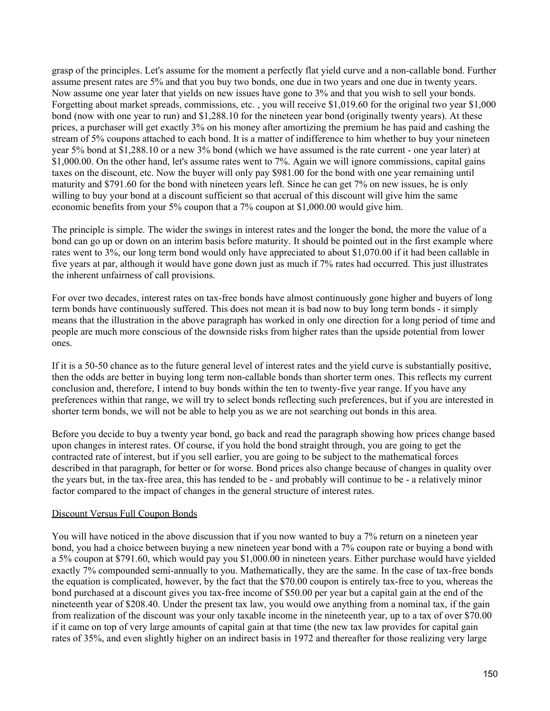grasp of the principles. Let's assume for the moment a perfectly flat yield curve and a non-callable bond. Further assume present rates are 5% and that you buy two bonds, one due in two years and one due in twenty years. Now assume one year later that yields on new issues have gone to 3% and that you wish to sell your bonds. Forgetting about market spreads, commissions, etc. , you will receive \$1,019.60 for the original two year \$1,000 bond (now with one year to run) and \$1,288.10 for the nineteen year bond (originally twenty years). At these prices, a purchaser will get exactly 3% on his money after amortizing the premium he has paid and cashing the stream of 5% coupons attached to each bond. It is a matter of indifference to him whether to buy your nineteen year 5% bond at \$1,288.10 or a new 3% bond (which we have assumed is the rate current - one year later) at \$1,000.00. On the other hand, let's assume rates went to 7%. Again we will ignore commissions, capital gains taxes on the discount, etc. Now the buyer will only pay \$981.00 for the bond with one year remaining until maturity and \$791.60 for the bond with nineteen years left. Since he can get 7% on new issues, he is only willing to buy your bond at a discount sufficient so that accrual of this discount will give him the same economic benefits from your 5% coupon that a 7% coupon at \$1,000.00 would give him.

The principle is simple. The wider the swings in interest rates and the longer the bond, the more the value of a bond can go up or down on an interim basis before maturity. It should be pointed out in the first example where rates went to 3%, our long term bond would only have appreciated to about \$1,070.00 if it had been callable in five years at par, although it would have gone down just as much if 7% rates had occurred. This just illustrates the inherent unfairness of call provisions.

For over two decades, interest rates on tax-free bonds have almost continuously gone higher and buyers of long term bonds have continuously suffered. This does not mean it is bad now to buy long term bonds - it simply means that the illustration in the above paragraph has worked in only one direction for a long period of time and people are much more conscious of the downside risks from higher rates than the upside potential from lower ones.

If it is a 50-50 chance as to the future general level of interest rates and the yield curve is substantially positive, then the odds are better in buying long term non-callable bonds than shorter term ones. This reflects my current conclusion and, therefore, I intend to buy bonds within the ten to twenty-five year range. If you have any preferences within that range, we will try to select bonds reflecting such preferences, but if you are interested in shorter term bonds, we will not be able to help you as we are not searching out bonds in this area.

Before you decide to buy a twenty year bond, go back and read the paragraph showing how prices change based upon changes in interest rates. Of course, if you hold the bond straight through, you are going to get the contracted rate of interest, but if you sell earlier, you are going to be subject to the mathematical forces described in that paragraph, for better or for worse. Bond prices also change because of changes in quality over the years but, in the tax-free area, this has tended to be - and probably will continue to be - a relatively minor factor compared to the impact of changes in the general structure of interest rates.

## Discount Versus Full Coupon Bonds

You will have noticed in the above discussion that if you now wanted to buy a 7% return on a nineteen year bond, you had a choice between buying a new nineteen year bond with a 7% coupon rate or buying a bond with a 5% coupon at \$791.60, which would pay you \$1,000.00 in nineteen years. Either purchase would have yielded exactly 7% compounded semi-annually to you. Mathematically, they are the same. In the case of tax-free bonds the equation is complicated, however, by the fact that the \$70.00 coupon is entirely tax-free to you, whereas the bond purchased at a discount gives you tax-free income of \$50.00 per year but a capital gain at the end of the nineteenth year of \$208.40. Under the present tax law, you would owe anything from a nominal tax, if the gain from realization of the discount was your only taxable income in the nineteenth year, up to a tax of over \$70.00 if it came on top of very large amounts of capital gain at that time (the new tax law provides for capital gain rates of 35%, and even slightly higher on an indirect basis in 1972 and thereafter for those realizing very large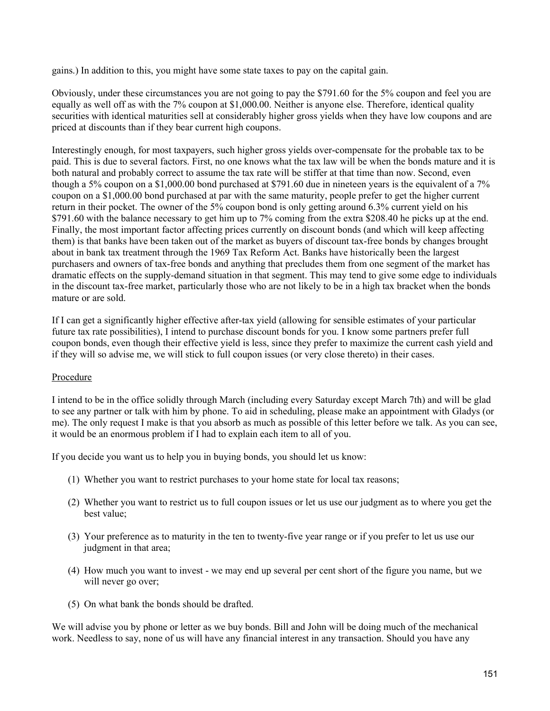gains.) In addition to this, you might have some state taxes to pay on the capital gain.

Obviously, under these circumstances you are not going to pay the \$791.60 for the 5% coupon and feel you are equally as well off as with the 7% coupon at \$1,000.00. Neither is anyone else. Therefore, identical quality securities with identical maturities sell at considerably higher gross yields when they have low coupons and are priced at discounts than if they bear current high coupons.

Interestingly enough, for most taxpayers, such higher gross yields over-compensate for the probable tax to be paid. This is due to several factors. First, no one knows what the tax law will be when the bonds mature and it is both natural and probably correct to assume the tax rate will be stiffer at that time than now. Second, even though a 5% coupon on a \$1,000.00 bond purchased at \$791.60 due in nineteen years is the equivalent of a 7% coupon on a \$1,000.00 bond purchased at par with the same maturity, people prefer to get the higher current return in their pocket. The owner of the 5% coupon bond is only getting around 6.3% current yield on his \$791.60 with the balance necessary to get him up to 7% coming from the extra \$208.40 he picks up at the end. Finally, the most important factor affecting prices currently on discount bonds (and which will keep affecting them) is that banks have been taken out of the market as buyers of discount tax-free bonds by changes brought about in bank tax treatment through the 1969 Tax Reform Act. Banks have historically been the largest purchasers and owners of tax-free bonds and anything that precludes them from one segment of the market has dramatic effects on the supply-demand situation in that segment. This may tend to give some edge to individuals in the discount tax-free market, particularly those who are not likely to be in a high tax bracket when the bonds mature or are sold.

If I can get a significantly higher effective after-tax yield (allowing for sensible estimates of your particular future tax rate possibilities), I intend to purchase discount bonds for you. I know some partners prefer full coupon bonds, even though their effective yield is less, since they prefer to maximize the current cash yield and if they will so advise me, we will stick to full coupon issues (or very close thereto) in their cases.

## Procedure

I intend to be in the office solidly through March (including every Saturday except March 7th) and will be glad to see any partner or talk with him by phone. To aid in scheduling, please make an appointment with Gladys (or me). The only request I make is that you absorb as much as possible of this letter before we talk. As you can see, it would be an enormous problem if I had to explain each item to all of you.

If you decide you want us to help you in buying bonds, you should let us know:

- (1) Whether you want to restrict purchases to your home state for local tax reasons;
- (2) Whether you want to restrict us to full coupon issues or let us use our judgment as to where you get the best value;
- (3) Your preference as to maturity in the ten to twenty-five year range or if you prefer to let us use our judgment in that area;
- (4) How much you want to invest we may end up several per cent short of the figure you name, but we will never go over;
- (5) On what bank the bonds should be drafted.

We will advise you by phone or letter as we buy bonds. Bill and John will be doing much of the mechanical work. Needless to say, none of us will have any financial interest in any transaction. Should you have any